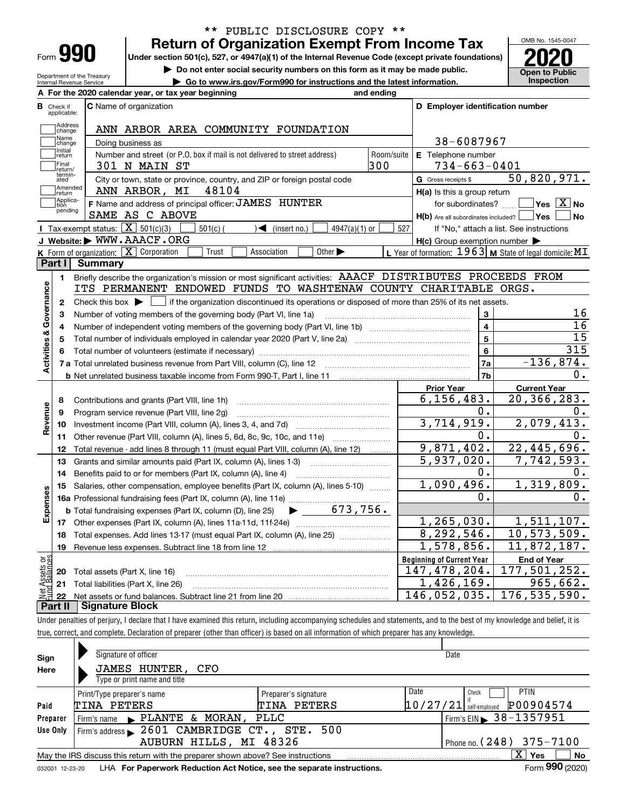| -orm |  |
|------|--|

Department of the Treasury Internal Revenue Service

# **Return of Organization Exempt From Income Tax** \*\* PUBLIC DISCLOSURE COPY \*\*

**Under section 501(c), 527, or 4947(a)(1) of the Internal Revenue Code (except private foundations) 2020**

**| Do not enter social security numbers on this form as it may be made public.**

**| Go to www.irs.gov/Form990 for instructions and the latest information. Inspection**



|                                  | A For the 2020 calendar year, or tax year beginning<br>and ending                                                                                      |                                                           |                                                 |
|----------------------------------|--------------------------------------------------------------------------------------------------------------------------------------------------------|-----------------------------------------------------------|-------------------------------------------------|
| <b>B</b> Check if<br>applicable: | <b>C</b> Name of organization                                                                                                                          | D Employer identification number                          |                                                 |
|                                  | Address<br> change<br>ANN ARBOR AREA COMMUNITY FOUNDATION                                                                                              |                                                           |                                                 |
|                                  | Name<br>Doing business as<br>change                                                                                                                    | 38-6087967                                                |                                                 |
| Initial                          | Room/suite<br>Number and street (or P.O. box if mail is not delivered to street address)<br>return                                                     | E Telephone number                                        |                                                 |
| <b>Final</b>                     | 300<br>301 N MAIN ST<br>return/                                                                                                                        | $734 - 663 - 0401$                                        |                                                 |
|                                  | termin-<br>ated<br>City or town, state or province, country, and ZIP or foreign postal code                                                            | G Gross receipts \$                                       | 50,820,971.                                     |
|                                  | Amended<br>48104<br>ANN ARBOR, MI<br>return                                                                                                            | $H(a)$ is this a group return                             |                                                 |
| ltion                            | Applica-<br>F Name and address of principal officer: JAMES HUNTER                                                                                      | for subordinates?                                         | $\overline{\ }$ Yes $\overline{\phantom{X}}$ No |
|                                  | pending<br>SAME AS C ABOVE                                                                                                                             | $H(b)$ Are all subordinates included? $\Box$ Yes          | ∣No                                             |
|                                  | Tax-exempt status: $\boxed{\mathbf{X}}$ 501(c)(3)<br>$501(c)$ (<br>$\sqrt{\frac{1}{1}}$ (insert no.)<br>$4947(a)(1)$ or                                | 527                                                       | If "No," attach a list. See instructions        |
|                                  | J Website: WWW.AAACF.ORG                                                                                                                               | $H(c)$ Group exemption number $\blacktriangleright$       |                                                 |
|                                  | K Form of organization: X Corporation<br>Trust<br>Association<br>Other $\blacktriangleright$                                                           | L Year of formation: $1963$ M State of legal domicile: MT |                                                 |
| Part I                           | <b>Summary</b>                                                                                                                                         |                                                           |                                                 |
| 1                                | Briefly describe the organization's mission or most significant activities: AAACF DISTRIBUTES PROCEEDS FROM                                            |                                                           |                                                 |
| Activities & Governance          | ITS PERMANENT ENDOWED FUNDS TO WASHTENAW COUNTY CHARITABLE ORGS.                                                                                       |                                                           |                                                 |
| $\mathbf{2}$                     | Check this box $\blacktriangleright$<br>$\Box$ if the organization discontinued its operations or disposed of more than 25% of its net assets.         |                                                           |                                                 |
| з                                | Number of voting members of the governing body (Part VI, line 1a)                                                                                      | 3                                                         | 16                                              |
| 4                                |                                                                                                                                                        | $\overline{\mathbf{4}}$                                   | 16                                              |
| 5                                |                                                                                                                                                        | 5                                                         | $\overline{15}$                                 |
|                                  |                                                                                                                                                        | 6                                                         | 315                                             |
|                                  | 7 a Total unrelated business revenue from Part VIII, column (C), line 12 [10] [10] [10] [10] [10] [10] [10] [1                                         | 7a                                                        | $-136,874.$                                     |
|                                  |                                                                                                                                                        | 7b                                                        | 0.                                              |
|                                  |                                                                                                                                                        | <b>Prior Year</b><br>6, 156, 483.                         | <b>Current Year</b><br>20,366,283.              |
| 8                                | Contributions and grants (Part VIII, line 1h)                                                                                                          | о.                                                        | 0.                                              |
| Revenue<br>9                     | Program service revenue (Part VIII, line 2g)                                                                                                           | 3,714,919.                                                | 2,079,413.                                      |
| 10                               | Other revenue (Part VIII, column (A), lines 5, 6d, 8c, 9c, 10c, and 11e)                                                                               | $0$ .                                                     | 0.                                              |
| 11<br>12                         |                                                                                                                                                        | 9,871,402.                                                | 22,445,696.                                     |
| 13                               | Total revenue - add lines 8 through 11 (must equal Part VIII, column (A), line 12)<br>Grants and similar amounts paid (Part IX, column (A), lines 1-3) | $\overline{5,937,020}$ .                                  | $\overline{7}$ , 742, 593.                      |
| 14                               | Benefits paid to or for members (Part IX, column (A), line 4)                                                                                          | Ο.                                                        | 0.                                              |
| 15                               | Salaries, other compensation, employee benefits (Part IX, column (A), lines 5-10)                                                                      | 1,090,496.                                                | 1,319,809.                                      |
|                                  |                                                                                                                                                        | О.                                                        | О.                                              |
|                                  | $\blacktriangleright$ 673,756.<br><b>b</b> Total fundraising expenses (Part IX, column (D), line 25)                                                   |                                                           |                                                 |
| Expenses                         |                                                                                                                                                        | 1, 265, 030.                                              | 1,511,107.                                      |
| 18                               | Total expenses. Add lines 13-17 (must equal Part IX, column (A), line 25)                                                                              | 8,292,546.                                                | 10, 573, 509.                                   |
| 19                               |                                                                                                                                                        | 1,578,856.                                                | 11,872,187.                                     |
| ăğ                               |                                                                                                                                                        | <b>Beginning of Current Year</b>                          | <b>End of Year</b>                              |
| sets                             | <b>20</b> Total assets (Part X, line 16)                                                                                                               | 147,478,204.                                              | 177,501,252.                                    |
|                                  | 21 Total liabilities (Part X, line 26)                                                                                                                 | 1,426,169.                                                | 965,662.                                        |
| 22                               |                                                                                                                                                        | 146,052,035.                                              | 176,535,590.                                    |
| Part II                          | <b>Signature Block</b>                                                                                                                                 |                                                           |                                                 |

Under penalties of perjury, I declare that I have examined this return, including accompanying schedules and statements, and to the best of my knowledge and belief, it is true, correct, and complete. Declaration of preparer (other than officer) is based on all information of which preparer has any knowledge.

| Sign                                                                                                   | Signature of officer                                                                                               |                      |          | Date                                   |  |  |  |  |  |  |  |
|--------------------------------------------------------------------------------------------------------|--------------------------------------------------------------------------------------------------------------------|----------------------|----------|----------------------------------------|--|--|--|--|--|--|--|
| Here                                                                                                   | JAMES HUNTER, CFO                                                                                                  |                      |          |                                        |  |  |  |  |  |  |  |
|                                                                                                        | Type or print name and title                                                                                       |                      |          |                                        |  |  |  |  |  |  |  |
|                                                                                                        | Print/Type preparer's name                                                                                         | Preparer's signature | Date     | <b>PTIN</b><br>Check                   |  |  |  |  |  |  |  |
| Paid                                                                                                   | TINA PETERS                                                                                                        | TINA PETERS          | 10/27/21 | P00904574<br>self-emploved             |  |  |  |  |  |  |  |
| Preparer                                                                                               | Firm's name $\blacktriangleright$ PLANTE & MORAN,                                                                  | PLLC                 |          | Firm's EIN $\triangleright$ 38-1357951 |  |  |  |  |  |  |  |
| Use Only                                                                                               | Firm's address $\blacktriangleright$ 2601 CAMBRIDGE CT., STE.                                                      | 500                  |          |                                        |  |  |  |  |  |  |  |
|                                                                                                        | Phone no. $(248)$ 375-7100<br>AUBURN HILLS, MI 48326                                                               |                      |          |                                        |  |  |  |  |  |  |  |
| $\mathbf{X}$<br>May the IRS discuss this return with the preparer shown above? See instructions<br>Yes |                                                                                                                    |                      |          |                                        |  |  |  |  |  |  |  |
|                                                                                                        | No<br>Form 990 (2020)<br>LHA For Paperwork Reduction Act Notice, see the separate instructions.<br>032001 12-23-20 |                      |          |                                        |  |  |  |  |  |  |  |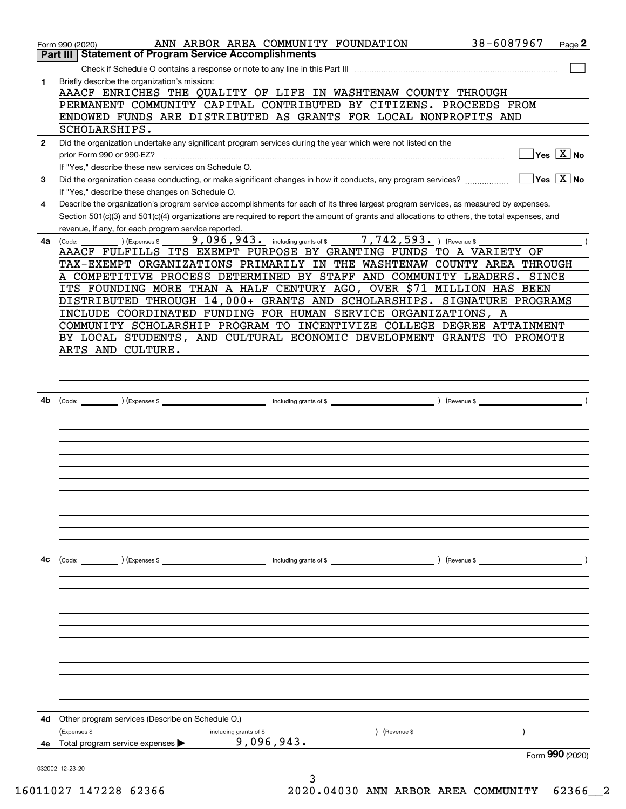|              | ANN ARBOR AREA COMMUNITY FOUNDATION<br>Form 990 (2020)<br><b>Statement of Program Service Accomplishments</b><br>Part III                    | 38-6087967<br>Page 2                                                       |
|--------------|----------------------------------------------------------------------------------------------------------------------------------------------|----------------------------------------------------------------------------|
|              |                                                                                                                                              |                                                                            |
| 1            | Briefly describe the organization's mission:                                                                                                 |                                                                            |
|              | AAACF ENRICHES THE QUALITY OF LIFE IN WASHTENAW COUNTY THROUGH                                                                               |                                                                            |
|              | PERMANENT COMMUNITY CAPITAL CONTRIBUTED BY CITIZENS. PROCEEDS FROM                                                                           |                                                                            |
|              | ENDOWED FUNDS ARE DISTRIBUTED AS GRANTS FOR LOCAL NONPROFITS AND                                                                             |                                                                            |
|              | SCHOLARSHIPS.                                                                                                                                |                                                                            |
| $\mathbf{2}$ | Did the organization undertake any significant program services during the year which were not listed on the                                 |                                                                            |
|              | prior Form 990 or 990-EZ?                                                                                                                    | $\overline{\ }$ Yes $\overline{\phantom{X}}$ No                            |
|              | If "Yes," describe these new services on Schedule O.                                                                                         |                                                                            |
| 3            | Did the organization cease conducting, or make significant changes in how it conducts, any program services?                                 | $\Box$ Yes $\Box X \,$ No                                                  |
|              | If "Yes," describe these changes on Schedule O.                                                                                              |                                                                            |
| 4            | Describe the organization's program service accomplishments for each of its three largest program services, as measured by expenses.         |                                                                            |
|              | Section 501(c)(3) and 501(c)(4) organizations are required to report the amount of grants and allocations to others, the total expenses, and |                                                                            |
|              | revenue, if any, for each program service reported.                                                                                          |                                                                            |
| 4a           | 9,096,943. including grants of \$7,742,593. ) (Revenue \$<br>(Code:<br>) (Expenses \$                                                        |                                                                            |
|              | AAACF FULFILLS ITS EXEMPT PURPOSE BY GRANTING FUNDS TO A VARIETY OF                                                                          |                                                                            |
|              | TAX-EXEMPT ORGANIZATIONS PRIMARILY IN THE WASHTENAW COUNTY AREA THROUGH                                                                      |                                                                            |
|              | A COMPETITIVE PROCESS DETERMINED BY STAFF AND COMMUNITY LEADERS. SINCE                                                                       |                                                                            |
|              | ITS FOUNDING MORE THAN A HALF CENTURY AGO, OVER \$71 MILLION HAS BEEN                                                                        |                                                                            |
|              | DISTRIBUTED THROUGH 14,000+ GRANTS AND SCHOLARSHIPS. SIGNATURE PROGRAMS                                                                      |                                                                            |
|              | INCLUDE COORDINATED FUNDING FOR HUMAN SERVICE ORGANIZATIONS, A                                                                               |                                                                            |
|              | COMMUNITY SCHOLARSHIP PROGRAM TO INCENTIVIZE COLLEGE DEGREE ATTAINMENT                                                                       |                                                                            |
|              | BY LOCAL STUDENTS, AND CULTURAL ECONOMIC DEVELOPMENT GRANTS TO PROMOTE                                                                       |                                                                            |
|              | ARTS AND CULTURE.                                                                                                                            |                                                                            |
|              |                                                                                                                                              |                                                                            |
|              |                                                                                                                                              |                                                                            |
|              |                                                                                                                                              |                                                                            |
| 4b           |                                                                                                                                              | $\overline{\phantom{a}}$ $\overline{\phantom{a}}$ $\overline{\phantom{a}}$ |
|              |                                                                                                                                              |                                                                            |
|              |                                                                                                                                              |                                                                            |
|              |                                                                                                                                              |                                                                            |
|              |                                                                                                                                              |                                                                            |
|              |                                                                                                                                              |                                                                            |
|              |                                                                                                                                              |                                                                            |
|              |                                                                                                                                              |                                                                            |
|              |                                                                                                                                              |                                                                            |
|              |                                                                                                                                              |                                                                            |
|              |                                                                                                                                              |                                                                            |
|              |                                                                                                                                              |                                                                            |
|              |                                                                                                                                              |                                                                            |
| 4c           | (Code: ) (Expenses \$<br>including grants of \$                                                                                              | $($ Revenue \$ $\qquad \qquad$                                             |
|              |                                                                                                                                              |                                                                            |
|              |                                                                                                                                              |                                                                            |
|              |                                                                                                                                              |                                                                            |
|              |                                                                                                                                              |                                                                            |
|              |                                                                                                                                              |                                                                            |
|              |                                                                                                                                              |                                                                            |
|              |                                                                                                                                              |                                                                            |
|              |                                                                                                                                              |                                                                            |
|              |                                                                                                                                              |                                                                            |
|              |                                                                                                                                              |                                                                            |
|              |                                                                                                                                              |                                                                            |
|              |                                                                                                                                              |                                                                            |
| 4d           | Other program services (Describe on Schedule O.)                                                                                             |                                                                            |
|              | (Expenses \$<br>(Revenue \$<br>including grants of \$                                                                                        |                                                                            |
| 4е           | 9,096,943.<br>Total program service expenses ▶                                                                                               |                                                                            |
|              |                                                                                                                                              | Form 990 (2020)                                                            |
|              | 032002 12-23-20                                                                                                                              |                                                                            |
|              |                                                                                                                                              |                                                                            |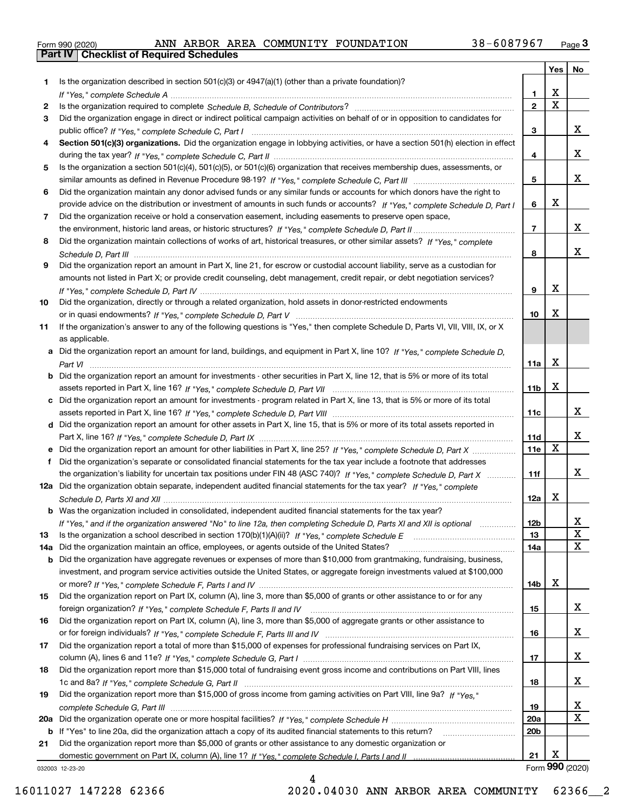|  | Form 990 (2020) |
|--|-----------------|

|     |                                                                                                                                                                                                                                                    |                 | Yes                     | No          |
|-----|----------------------------------------------------------------------------------------------------------------------------------------------------------------------------------------------------------------------------------------------------|-----------------|-------------------------|-------------|
| 1.  | Is the organization described in section $501(c)(3)$ or $4947(a)(1)$ (other than a private foundation)?                                                                                                                                            |                 |                         |             |
|     |                                                                                                                                                                                                                                                    | 1.              | X                       |             |
| 2   |                                                                                                                                                                                                                                                    | $\overline{2}$  | $\overline{\mathbf{x}}$ |             |
| 3   | Did the organization engage in direct or indirect political campaign activities on behalf of or in opposition to candidates for                                                                                                                    |                 |                         |             |
|     |                                                                                                                                                                                                                                                    | 3               |                         | х           |
| 4   | Section 501(c)(3) organizations. Did the organization engage in lobbying activities, or have a section 501(h) election in effect                                                                                                                   |                 |                         |             |
|     |                                                                                                                                                                                                                                                    | 4               |                         | x           |
| 5   | Is the organization a section 501(c)(4), 501(c)(5), or 501(c)(6) organization that receives membership dues, assessments, or                                                                                                                       |                 |                         |             |
|     |                                                                                                                                                                                                                                                    | 5               |                         | x           |
| 6   | Did the organization maintain any donor advised funds or any similar funds or accounts for which donors have the right to                                                                                                                          |                 |                         |             |
|     | provide advice on the distribution or investment of amounts in such funds or accounts? If "Yes," complete Schedule D, Part I                                                                                                                       | 6               | X                       |             |
| 7   | Did the organization receive or hold a conservation easement, including easements to preserve open space,                                                                                                                                          |                 |                         |             |
|     |                                                                                                                                                                                                                                                    | $\overline{7}$  |                         | х           |
| 8   | Did the organization maintain collections of works of art, historical treasures, or other similar assets? If "Yes," complete                                                                                                                       |                 |                         |             |
|     |                                                                                                                                                                                                                                                    | 8               |                         | х           |
| 9   | Did the organization report an amount in Part X, line 21, for escrow or custodial account liability, serve as a custodian for                                                                                                                      |                 |                         |             |
|     | amounts not listed in Part X; or provide credit counseling, debt management, credit repair, or debt negotiation services?                                                                                                                          |                 |                         |             |
|     |                                                                                                                                                                                                                                                    | 9               | X                       |             |
| 10  | Did the organization, directly or through a related organization, hold assets in donor-restricted endowments                                                                                                                                       |                 |                         |             |
|     |                                                                                                                                                                                                                                                    | 10              | X                       |             |
| 11  | If the organization's answer to any of the following questions is "Yes," then complete Schedule D, Parts VI, VIII, VIII, IX, or X                                                                                                                  |                 |                         |             |
|     | as applicable.                                                                                                                                                                                                                                     |                 |                         |             |
|     | a Did the organization report an amount for land, buildings, and equipment in Part X, line 10? If "Yes." complete Schedule D.                                                                                                                      |                 |                         |             |
|     |                                                                                                                                                                                                                                                    | 11a             | X                       |             |
|     | <b>b</b> Did the organization report an amount for investments - other securities in Part X, line 12, that is 5% or more of its total                                                                                                              |                 |                         |             |
|     |                                                                                                                                                                                                                                                    | 11 <sub>b</sub> | X                       |             |
|     | c Did the organization report an amount for investments - program related in Part X, line 13, that is 5% or more of its total                                                                                                                      |                 |                         | х           |
|     |                                                                                                                                                                                                                                                    | 11c             |                         |             |
|     | d Did the organization report an amount for other assets in Part X, line 15, that is 5% or more of its total assets reported in                                                                                                                    |                 |                         | х           |
|     |                                                                                                                                                                                                                                                    | 11d<br>11e      | $\mathbf X$             |             |
| f   | e Did the organization report an amount for other liabilities in Part X, line 25? If "Yes," complete Schedule D, Part X<br>Did the organization's separate or consolidated financial statements for the tax year include a footnote that addresses |                 |                         |             |
|     | the organization's liability for uncertain tax positions under FIN 48 (ASC 740)? If "Yes," complete Schedule D, Part X                                                                                                                             | 11f             |                         | x           |
|     | 12a Did the organization obtain separate, independent audited financial statements for the tax year? If "Yes," complete                                                                                                                            |                 |                         |             |
|     |                                                                                                                                                                                                                                                    | 12a             | х                       |             |
|     | <b>b</b> Was the organization included in consolidated, independent audited financial statements for the tax year?                                                                                                                                 |                 |                         |             |
|     | If "Yes," and if the organization answered "No" to line 12a, then completing Schedule D, Parts XI and XII is optional                                                                                                                              | 12D             |                         | ᅀ           |
| 13  |                                                                                                                                                                                                                                                    | 13              |                         | $\mathbf X$ |
| 14a | Did the organization maintain an office, employees, or agents outside of the United States?                                                                                                                                                        | 14a             |                         | $\mathbf X$ |
|     | <b>b</b> Did the organization have aggregate revenues or expenses of more than \$10,000 from grantmaking, fundraising, business,                                                                                                                   |                 |                         |             |
|     | investment, and program service activities outside the United States, or aggregate foreign investments valued at \$100,000                                                                                                                         |                 |                         |             |
|     |                                                                                                                                                                                                                                                    | 14b             | х                       |             |
| 15  | Did the organization report on Part IX, column (A), line 3, more than \$5,000 of grants or other assistance to or for any                                                                                                                          |                 |                         |             |
|     |                                                                                                                                                                                                                                                    | 15              |                         | X           |
| 16  | Did the organization report on Part IX, column (A), line 3, more than \$5,000 of aggregate grants or other assistance to                                                                                                                           |                 |                         |             |
|     |                                                                                                                                                                                                                                                    | 16              |                         | х           |
| 17  | Did the organization report a total of more than \$15,000 of expenses for professional fundraising services on Part IX,                                                                                                                            |                 |                         |             |
|     |                                                                                                                                                                                                                                                    | 17              |                         | X           |
| 18  | Did the organization report more than \$15,000 total of fundraising event gross income and contributions on Part VIII, lines                                                                                                                       |                 |                         |             |
|     |                                                                                                                                                                                                                                                    | 18              |                         | x           |
| 19  | Did the organization report more than \$15,000 of gross income from gaming activities on Part VIII, line 9a? If "Yes."                                                                                                                             |                 |                         |             |
|     |                                                                                                                                                                                                                                                    | 19              |                         | x           |
|     |                                                                                                                                                                                                                                                    | 20a             |                         | $\mathbf X$ |
|     | b If "Yes" to line 20a, did the organization attach a copy of its audited financial statements to this return?                                                                                                                                     | 20 <sub>b</sub> |                         |             |
| 21  | Did the organization report more than \$5,000 of grants or other assistance to any domestic organization or                                                                                                                                        |                 |                         |             |
|     |                                                                                                                                                                                                                                                    | 21              | X                       |             |

032003 12-23-20

4 16011027 147228 62366 2020.04030 ANN ARBOR AREA COMMUNITY 62366\_\_2

Form (2020) **990**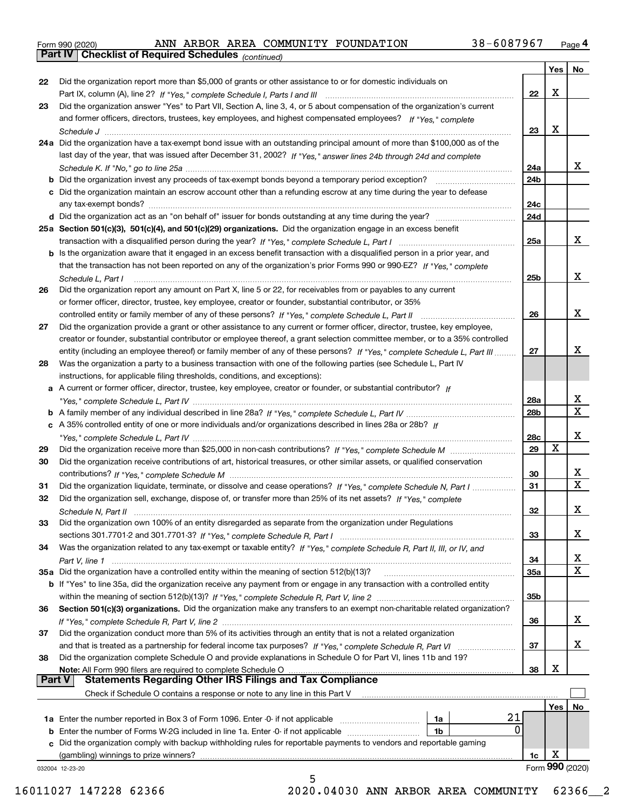|  | Form 990 (2020) |
|--|-----------------|
|  |                 |

*(continued)*

|               |                                                                                                                                   |                 | Yes | ∣ No            |
|---------------|-----------------------------------------------------------------------------------------------------------------------------------|-----------------|-----|-----------------|
| 22            | Did the organization report more than \$5,000 of grants or other assistance to or for domestic individuals on                     |                 |     |                 |
|               |                                                                                                                                   | 22              | X   |                 |
| 23            | Did the organization answer "Yes" to Part VII, Section A, line 3, 4, or 5 about compensation of the organization's current        |                 |     |                 |
|               | and former officers, directors, trustees, key employees, and highest compensated employees? If "Yes," complete                    |                 |     |                 |
|               | Schedule J                                                                                                                        | 23              | х   |                 |
|               | 24a Did the organization have a tax-exempt bond issue with an outstanding principal amount of more than \$100,000 as of the       |                 |     |                 |
|               | last day of the year, that was issued after December 31, 2002? If "Yes," answer lines 24b through 24d and complete                |                 |     |                 |
|               |                                                                                                                                   | 24a             |     | x               |
|               | <b>b</b> Did the organization invest any proceeds of tax-exempt bonds beyond a temporary period exception?                        | 24b             |     |                 |
|               | c Did the organization maintain an escrow account other than a refunding escrow at any time during the year to defease            |                 |     |                 |
|               |                                                                                                                                   | 24c             |     |                 |
|               |                                                                                                                                   | 24d             |     |                 |
|               | 25a Section 501(c)(3), 501(c)(4), and 501(c)(29) organizations. Did the organization engage in an excess benefit                  |                 |     |                 |
|               |                                                                                                                                   | 25a             |     | x               |
|               | b Is the organization aware that it engaged in an excess benefit transaction with a disqualified person in a prior year, and      |                 |     |                 |
|               | that the transaction has not been reported on any of the organization's prior Forms 990 or 990-EZ? If "Yes," complete             |                 |     |                 |
|               | Schedule L. Part I                                                                                                                | 25b             |     | x               |
| 26            | Did the organization report any amount on Part X, line 5 or 22, for receivables from or payables to any current                   |                 |     |                 |
|               | or former officer, director, trustee, key employee, creator or founder, substantial contributor, or 35%                           |                 |     |                 |
|               |                                                                                                                                   | 26              |     | x               |
| 27            | Did the organization provide a grant or other assistance to any current or former officer, director, trustee, key employee,       |                 |     |                 |
|               | creator or founder, substantial contributor or employee thereof, a grant selection committee member, or to a 35% controlled       |                 |     |                 |
|               | entity (including an employee thereof) or family member of any of these persons? If "Yes," complete Schedule L, Part III          | 27              |     | х               |
| 28            | Was the organization a party to a business transaction with one of the following parties (see Schedule L, Part IV                 |                 |     |                 |
|               | instructions, for applicable filing thresholds, conditions, and exceptions):                                                      |                 |     |                 |
|               | a A current or former officer, director, trustee, key employee, creator or founder, or substantial contributor? If                |                 |     |                 |
|               |                                                                                                                                   | 28a             |     | x               |
|               |                                                                                                                                   | 28 <sub>b</sub> |     | $\mathbf X$     |
|               | c A 35% controlled entity of one or more individuals and/or organizations described in lines 28a or 28b? If                       |                 |     |                 |
|               |                                                                                                                                   | 28c             |     | х               |
| 29            |                                                                                                                                   | 29              | X   |                 |
| 30            | Did the organization receive contributions of art, historical treasures, or other similar assets, or qualified conservation       |                 |     |                 |
|               |                                                                                                                                   | 30              |     | x               |
| 31            | Did the organization liquidate, terminate, or dissolve and cease operations? If "Yes," complete Schedule N, Part I                | 31              |     | $\mathbf x$     |
| 32            | Did the organization sell, exchange, dispose of, or transfer more than 25% of its net assets? If "Yes," complete                  |                 |     |                 |
|               |                                                                                                                                   | 32              |     | х               |
|               | Did the organization own 100% of an entity disregarded as separate from the organization under Regulations                        |                 |     |                 |
| 33            |                                                                                                                                   | 33              |     | х               |
|               |                                                                                                                                   |                 |     |                 |
| 34            | Was the organization related to any tax-exempt or taxable entity? If "Yes," complete Schedule R, Part II, III, or IV, and         |                 |     | X               |
|               | 35a Did the organization have a controlled entity within the meaning of section 512(b)(13)?                                       | 34<br>35a       |     | X               |
|               |                                                                                                                                   |                 |     |                 |
|               | b If "Yes" to line 35a, did the organization receive any payment from or engage in any transaction with a controlled entity       |                 |     |                 |
|               |                                                                                                                                   | 35 <sub>b</sub> |     |                 |
| 36            | Section 501(c)(3) organizations. Did the organization make any transfers to an exempt non-charitable related organization?        |                 |     | x               |
|               |                                                                                                                                   | 36              |     |                 |
| 37            | Did the organization conduct more than 5% of its activities through an entity that is not a related organization                  |                 |     |                 |
|               |                                                                                                                                   | 37              |     | x               |
| 38            | Did the organization complete Schedule O and provide explanations in Schedule O for Part VI, lines 11b and 19?                    |                 | X   |                 |
| <b>Part V</b> | Note: All Form 990 filers are required to complete Schedule O<br><b>Statements Regarding Other IRS Filings and Tax Compliance</b> | 38              |     |                 |
|               |                                                                                                                                   |                 |     |                 |
|               | Check if Schedule O contains a response or note to any line in this Part V                                                        |                 |     |                 |
|               |                                                                                                                                   |                 | Yes | No              |
|               | 21<br><b>1a</b> Enter the number reported in Box 3 of Form 1096. Enter -0- if not applicable <i>manumumumum</i><br>1a             |                 |     |                 |
|               | 0<br><b>b</b> Enter the number of Forms W-2G included in line 1a. Enter -0- if not applicable<br>1b                               |                 |     |                 |
|               | c Did the organization comply with backup withholding rules for reportable payments to vendors and reportable gaming              |                 |     |                 |
|               | (gambling) winnings to prize winners?                                                                                             | 1c              | х   |                 |
|               | 032004 12-23-20<br>5                                                                                                              |                 |     | Form 990 (2020) |
|               |                                                                                                                                   |                 |     |                 |

16011027 147228 62366 2020.04030 ANN ARBOR AREA COMMUNITY 62366\_\_2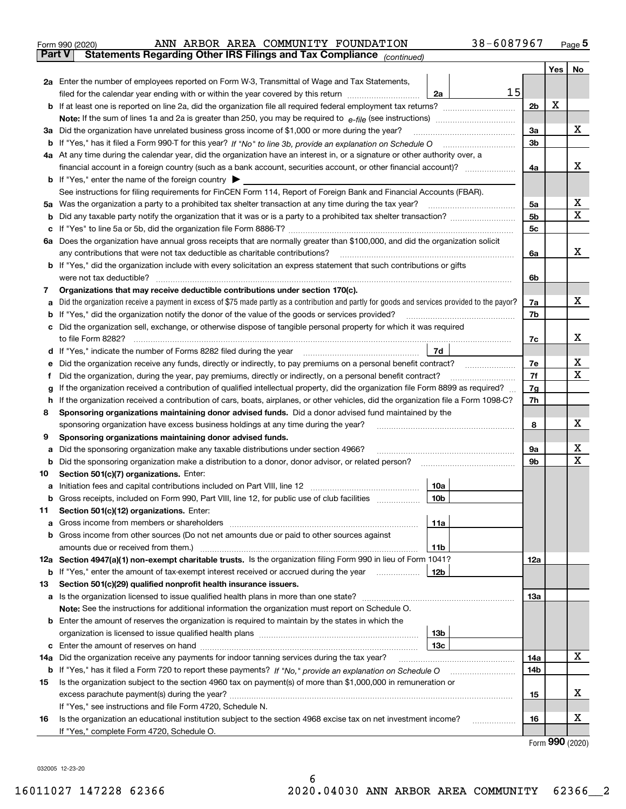|               | 38-6087967<br>ANN ARBOR AREA COMMUNITY FOUNDATION<br>Form 990 (2020)                                                                            |            |     | $_{\text{Page}}$ 5 |  |  |  |
|---------------|-------------------------------------------------------------------------------------------------------------------------------------------------|------------|-----|--------------------|--|--|--|
| <b>Part V</b> | Statements Regarding Other IRS Filings and Tax Compliance (continued)                                                                           |            |     |                    |  |  |  |
|               |                                                                                                                                                 |            | Yes | No                 |  |  |  |
|               | 2a Enter the number of employees reported on Form W-3, Transmittal of Wage and Tax Statements,                                                  |            |     |                    |  |  |  |
|               | 15<br>filed for the calendar year ending with or within the year covered by this return<br>2a                                                   |            |     |                    |  |  |  |
|               |                                                                                                                                                 | 2b         | х   |                    |  |  |  |
|               |                                                                                                                                                 |            |     |                    |  |  |  |
|               | 3a Did the organization have unrelated business gross income of \$1,000 or more during the year?                                                | 3a         |     | х                  |  |  |  |
|               |                                                                                                                                                 | 3b         |     |                    |  |  |  |
|               | 4a At any time during the calendar year, did the organization have an interest in, or a signature or other authority over, a                    |            |     |                    |  |  |  |
|               | financial account in a foreign country (such as a bank account, securities account, or other financial account)?                                | 4a         |     | х                  |  |  |  |
|               | <b>b</b> If "Yes," enter the name of the foreign country $\blacktriangleright$                                                                  |            |     |                    |  |  |  |
|               | See instructions for filing requirements for FinCEN Form 114, Report of Foreign Bank and Financial Accounts (FBAR).                             |            |     |                    |  |  |  |
|               |                                                                                                                                                 | 5а         |     | х                  |  |  |  |
| b             |                                                                                                                                                 | 5b         |     | х                  |  |  |  |
| с             |                                                                                                                                                 | 5c         |     |                    |  |  |  |
|               | 6a Does the organization have annual gross receipts that are normally greater than \$100,000, and did the organization solicit                  |            |     |                    |  |  |  |
|               |                                                                                                                                                 | 6a         |     | х                  |  |  |  |
|               | <b>b</b> If "Yes," did the organization include with every solicitation an express statement that such contributions or gifts                   |            |     |                    |  |  |  |
|               |                                                                                                                                                 | 6b         |     |                    |  |  |  |
| 7             | Organizations that may receive deductible contributions under section 170(c).                                                                   |            |     |                    |  |  |  |
| a             | Did the organization receive a payment in excess of \$75 made partly as a contribution and partly for goods and services provided to the payor? | 7a         |     | х                  |  |  |  |
|               | <b>b</b> If "Yes," did the organization notify the donor of the value of the goods or services provided?                                        | 7b         |     |                    |  |  |  |
|               | c Did the organization sell, exchange, or otherwise dispose of tangible personal property for which it was required                             |            |     |                    |  |  |  |
|               |                                                                                                                                                 | 7c         |     | x                  |  |  |  |
|               | 7d<br>d If "Yes," indicate the number of Forms 8282 filed during the year manufactured in the set of the set of the water.                      |            |     |                    |  |  |  |
| е             |                                                                                                                                                 | 7е         |     | х<br>х             |  |  |  |
| f             | Did the organization, during the year, pay premiums, directly or indirectly, on a personal benefit contract?                                    |            |     |                    |  |  |  |
| g             | If the organization received a contribution of qualified intellectual property, did the organization file Form 8899 as required?                |            |     |                    |  |  |  |
| h             | If the organization received a contribution of cars, boats, airplanes, or other vehicles, did the organization file a Form 1098-C?              |            |     |                    |  |  |  |
| 8             | Sponsoring organizations maintaining donor advised funds. Did a donor advised fund maintained by the                                            |            |     |                    |  |  |  |
|               | sponsoring organization have excess business holdings at any time during the year?                                                              | 8          |     | x                  |  |  |  |
| 9             | Sponsoring organizations maintaining donor advised funds.                                                                                       |            |     |                    |  |  |  |
| а             | Did the sponsoring organization make any taxable distributions under section 4966?                                                              | 9а         |     | х<br>Х             |  |  |  |
| b             | Did the sponsoring organization make a distribution to a donor, donor advisor, or related person? [[[[[[[[[[[                                   | 9b         |     |                    |  |  |  |
| 10            | Section 501(c)(7) organizations. Enter:                                                                                                         |            |     |                    |  |  |  |
|               | 10a<br> 10b                                                                                                                                     |            |     |                    |  |  |  |
|               | Gross receipts, included on Form 990, Part VIII, line 12, for public use of club facilities                                                     |            |     |                    |  |  |  |
| 11            | Section 501(c)(12) organizations. Enter:                                                                                                        |            |     |                    |  |  |  |
| a             | Gross income from members or shareholders<br>11a<br>b Gross income from other sources (Do not net amounts due or paid to other sources against  |            |     |                    |  |  |  |
|               | amounts due or received from them.)<br>11b                                                                                                      |            |     |                    |  |  |  |
|               | 12a Section 4947(a)(1) non-exempt charitable trusts. Is the organization filing Form 990 in lieu of Form 1041?                                  | <b>12a</b> |     |                    |  |  |  |
|               | 12b<br><b>b</b> If "Yes," enter the amount of tax-exempt interest received or accrued during the year                                           |            |     |                    |  |  |  |
| 13            | Section 501(c)(29) qualified nonprofit health insurance issuers.                                                                                |            |     |                    |  |  |  |
|               | <b>a</b> Is the organization licensed to issue qualified health plans in more than one state?                                                   | 13a        |     |                    |  |  |  |
|               | Note: See the instructions for additional information the organization must report on Schedule O.                                               |            |     |                    |  |  |  |
|               | <b>b</b> Enter the amount of reserves the organization is required to maintain by the states in which the                                       |            |     |                    |  |  |  |
|               | 13b                                                                                                                                             |            |     |                    |  |  |  |
|               | 13с                                                                                                                                             |            |     |                    |  |  |  |
|               | 14a Did the organization receive any payments for indoor tanning services during the tax year?                                                  | 14a        |     | х                  |  |  |  |
|               | <b>b</b> If "Yes," has it filed a Form 720 to report these payments? If "No," provide an explanation on Schedule O                              | 14b        |     |                    |  |  |  |
| 15            | Is the organization subject to the section 4960 tax on payment(s) of more than \$1,000,000 in remuneration or                                   |            |     |                    |  |  |  |
|               |                                                                                                                                                 | 15         |     | х                  |  |  |  |
|               | If "Yes," see instructions and file Form 4720, Schedule N.                                                                                      |            |     |                    |  |  |  |
| 16            | Is the organization an educational institution subject to the section 4968 excise tax on net investment income?                                 | 16         |     | х                  |  |  |  |
|               | If "Yes," complete Form 4720, Schedule O.                                                                                                       |            |     | QQQ                |  |  |  |
|               |                                                                                                                                                 |            |     |                    |  |  |  |

6

Form (2020) **990**

032005 12-23-20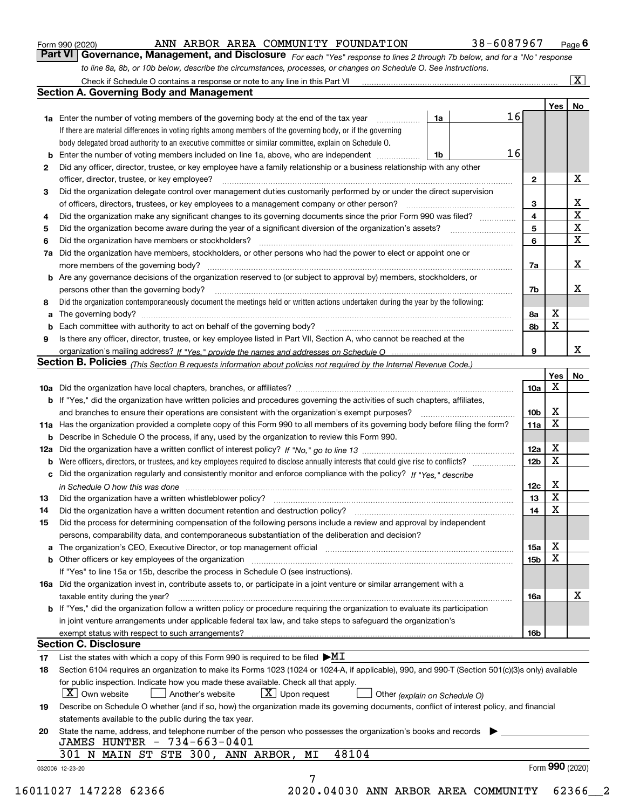|  | Form 990 (2020) |
|--|-----------------|
|  |                 |

## ANN ARBOR AREA COMMUNITY FOUNDATION 38-6087967

*For each "Yes" response to lines 2 through 7b below, and for a "No" response to line 8a, 8b, or 10b below, describe the circumstances, processes, or changes on Schedule O. See instructions.* Form 990 (2020) **ANN ARBOR AREA COMMUNITY FOUNDATION** 38 – 6087967 Page 6<br>**Part VI Governance, Management, and Disclosure** For each "Yes" response to lines 2 through 7b below, and for a "No" response

|    | <b>Section A. Governing Body and Management</b>                                                                                                                                                                                |    |    |                         | Yes <sub>1</sub> | No                      |
|----|--------------------------------------------------------------------------------------------------------------------------------------------------------------------------------------------------------------------------------|----|----|-------------------------|------------------|-------------------------|
|    | <b>1a</b> Enter the number of voting members of the governing body at the end of the tax year                                                                                                                                  | 1a | 16 |                         |                  |                         |
|    | If there are material differences in voting rights among members of the governing body, or if the governing                                                                                                                    |    |    |                         |                  |                         |
|    | body delegated broad authority to an executive committee or similar committee, explain on Schedule O.                                                                                                                          |    |    |                         |                  |                         |
| b  | Enter the number of voting members included on line 1a, above, who are independent                                                                                                                                             | 1b | 16 |                         |                  |                         |
| 2  | Did any officer, director, trustee, or key employee have a family relationship or a business relationship with any other                                                                                                       |    |    |                         |                  |                         |
|    | officer, director, trustee, or key employee?                                                                                                                                                                                   |    |    | $\mathbf{2}$            |                  | X                       |
| З  | Did the organization delegate control over management duties customarily performed by or under the direct supervision                                                                                                          |    |    |                         |                  |                         |
|    | of officers, directors, trustees, or key employees to a management company or other person?                                                                                                                                    |    |    | 3                       |                  | X                       |
| 4  | Did the organization make any significant changes to its governing documents since the prior Form 990 was filed?                                                                                                               |    |    | $\overline{\mathbf{4}}$ |                  | $\overline{\mathbf{x}}$ |
|    |                                                                                                                                                                                                                                |    |    | 5                       |                  | $\overline{\mathbf{x}}$ |
| 5  | Did the organization have members or stockholders?                                                                                                                                                                             |    |    | 6                       |                  | $\mathbf x$             |
| 6  |                                                                                                                                                                                                                                |    |    |                         |                  |                         |
| 7a | Did the organization have members, stockholders, or other persons who had the power to elect or appoint one or                                                                                                                 |    |    |                         |                  | X                       |
|    |                                                                                                                                                                                                                                |    |    | 7a                      |                  |                         |
|    | <b>b</b> Are any governance decisions of the organization reserved to (or subject to approval by) members, stockholders, or                                                                                                    |    |    |                         |                  |                         |
|    | persons other than the governing body?                                                                                                                                                                                         |    |    | 7b                      |                  | х                       |
| 8  | Did the organization contemporaneously document the meetings held or written actions undertaken during the year by the following:                                                                                              |    |    |                         |                  |                         |
| a  |                                                                                                                                                                                                                                |    |    | 8а                      | X                |                         |
| b  |                                                                                                                                                                                                                                |    |    | 8b                      | х                |                         |
| 9  | Is there any officer, director, trustee, or key employee listed in Part VII, Section A, who cannot be reached at the                                                                                                           |    |    |                         |                  |                         |
|    |                                                                                                                                                                                                                                |    |    | 9                       |                  | X                       |
|    | Section B. Policies (This Section B requests information about policies not required by the Internal Revenue Code.)                                                                                                            |    |    |                         |                  |                         |
|    |                                                                                                                                                                                                                                |    |    |                         | Yes              | No                      |
|    |                                                                                                                                                                                                                                |    |    | 10a                     | x                |                         |
|    | <b>b</b> If "Yes," did the organization have written policies and procedures governing the activities of such chapters, affiliates,                                                                                            |    |    |                         |                  |                         |
|    |                                                                                                                                                                                                                                |    |    | 10 <sub>b</sub>         | X                |                         |
|    | 11a Has the organization provided a complete copy of this Form 990 to all members of its governing body before filing the form?                                                                                                |    |    | 11a                     | X                |                         |
|    | <b>b</b> Describe in Schedule O the process, if any, used by the organization to review this Form 990.                                                                                                                         |    |    |                         |                  |                         |
|    |                                                                                                                                                                                                                                |    |    | 12a                     | X                |                         |
|    | <b>b</b> Were officers, directors, or trustees, and key employees required to disclose annually interests that could give rise to conflicts?                                                                                   |    |    | 12 <sub>b</sub>         | х                |                         |
|    | c Did the organization regularly and consistently monitor and enforce compliance with the policy? If "Yes," describe                                                                                                           |    |    |                         |                  |                         |
|    | in Schedule O how this was done manufactured and continuum control of the Schedule O how this was done manufactured and continuum control of the Schedule O how this was done                                                  |    |    | 12c                     | X                |                         |
| 13 |                                                                                                                                                                                                                                |    |    | 13                      | X                |                         |
| 14 |                                                                                                                                                                                                                                |    |    | 14                      | X                |                         |
| 15 | Did the process for determining compensation of the following persons include a review and approval by independent                                                                                                             |    |    |                         |                  |                         |
|    | persons, comparability data, and contemporaneous substantiation of the deliberation and decision?                                                                                                                              |    |    |                         |                  |                         |
|    | a The organization's CEO, Executive Director, or top management official manufactured content content of the organization's CEO, Executive Director, or top management official manufactured content of the state of the conte |    |    | 15a                     | х                |                         |
|    |                                                                                                                                                                                                                                |    |    | 15b                     | X                |                         |
|    | If "Yes" to line 15a or 15b, describe the process in Schedule O (see instructions).                                                                                                                                            |    |    |                         |                  |                         |
|    | 16a Did the organization invest in, contribute assets to, or participate in a joint venture or similar arrangement with a                                                                                                      |    |    |                         |                  |                         |
|    | taxable entity during the year?                                                                                                                                                                                                |    |    | 16a                     |                  | X                       |
|    | b If "Yes," did the organization follow a written policy or procedure requiring the organization to evaluate its participation                                                                                                 |    |    |                         |                  |                         |
|    | in joint venture arrangements under applicable federal tax law, and take steps to safeguard the organization's                                                                                                                 |    |    |                         |                  |                         |
|    | exempt status with respect to such arrangements?                                                                                                                                                                               |    |    | 16b                     |                  |                         |
|    | <b>Section C. Disclosure</b>                                                                                                                                                                                                   |    |    |                         |                  |                         |
| 17 | List the states with which a copy of this Form 990 is required to be filed $\blacktriangleright\text{MI}$                                                                                                                      |    |    |                         |                  |                         |
| 18 | Section 6104 requires an organization to make its Forms 1023 (1024 or 1024-A, if applicable), 990, and 990-T (Section 501(c)(3)s only) available                                                                               |    |    |                         |                  |                         |
|    | for public inspection. Indicate how you made these available. Check all that apply.                                                                                                                                            |    |    |                         |                  |                         |
|    | $X$ Upon request<br>$\mid$ $\rm X\mid$ Own website<br>Another's website<br>Other (explain on Schedule O)                                                                                                                       |    |    |                         |                  |                         |
| 19 | Describe on Schedule O whether (and if so, how) the organization made its governing documents, conflict of interest policy, and financial                                                                                      |    |    |                         |                  |                         |
|    | statements available to the public during the tax year.                                                                                                                                                                        |    |    |                         |                  |                         |
| 20 | State the name, address, and telephone number of the person who possesses the organization's books and records                                                                                                                 |    |    |                         |                  |                         |
|    | JAMES HUNTER - 734-663-0401                                                                                                                                                                                                    |    |    |                         |                  |                         |
|    | 301 N MAIN ST STE 300, ANN ARBOR,<br>48104<br>МI                                                                                                                                                                               |    |    |                         |                  |                         |
|    |                                                                                                                                                                                                                                |    |    |                         |                  | Form 990 (2020)         |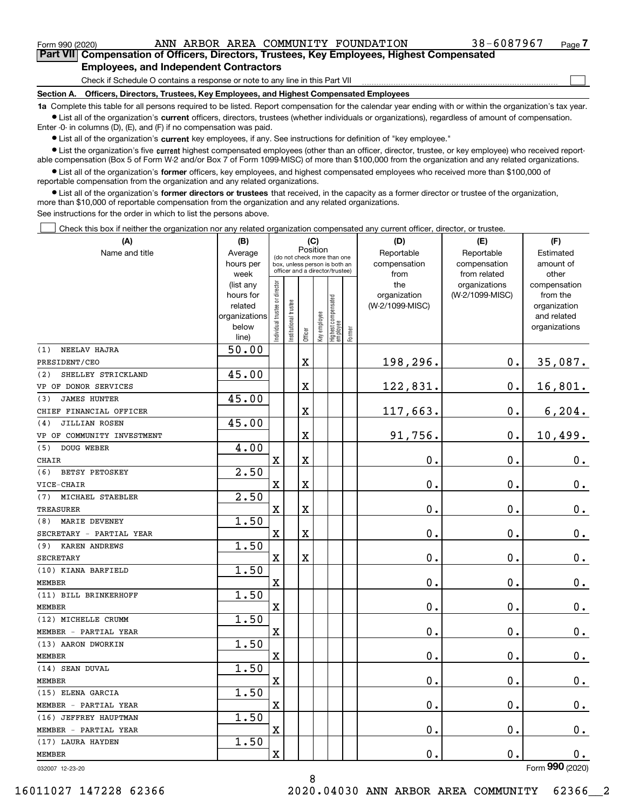$\mathcal{L}^{\text{max}}$ 

**7Part VII Compensation of Officers, Directors, Trustees, Key Employees, Highest Compensated Employees, and Independent Contractors**

Check if Schedule O contains a response or note to any line in this Part VII

**Section A. Officers, Directors, Trustees, Key Employees, and Highest Compensated Employees**

**1a**  Complete this table for all persons required to be listed. Report compensation for the calendar year ending with or within the organization's tax year. **•** List all of the organization's current officers, directors, trustees (whether individuals or organizations), regardless of amount of compensation.

Enter -0- in columns (D), (E), and (F) if no compensation was paid.

 $\bullet$  List all of the organization's  $\,$ current key employees, if any. See instructions for definition of "key employee."

**•** List the organization's five current highest compensated employees (other than an officer, director, trustee, or key employee) who received reportable compensation (Box 5 of Form W-2 and/or Box 7 of Form 1099-MISC) of more than \$100,000 from the organization and any related organizations.

**•** List all of the organization's former officers, key employees, and highest compensated employees who received more than \$100,000 of reportable compensation from the organization and any related organizations.

**former directors or trustees**  ¥ List all of the organization's that received, in the capacity as a former director or trustee of the organization, more than \$10,000 of reportable compensation from the organization and any related organizations.

See instructions for the order in which to list the persons above.

Check this box if neither the organization nor any related organization compensated any current officer, director, or trustee.  $\mathcal{L}^{\text{max}}$ 

| (A)                        | (B)                      | (C)                           |                                                                  | (D) | (E)                     | (F)                             |        |                 |                    |                             |
|----------------------------|--------------------------|-------------------------------|------------------------------------------------------------------|-----|-------------------------|---------------------------------|--------|-----------------|--------------------|-----------------------------|
| Name and title             | Average                  |                               | Position<br>(do not check more than one                          |     |                         |                                 |        | Reportable      | Reportable         | Estimated                   |
|                            | hours per                |                               | box, unless person is both an<br>officer and a director/trustee) |     |                         |                                 |        | compensation    | compensation       | amount of                   |
|                            | week                     |                               |                                                                  |     |                         |                                 |        | from            | from related       | other                       |
|                            | (list any                |                               |                                                                  |     |                         |                                 |        | the             | organizations      | compensation                |
|                            | hours for                |                               |                                                                  |     |                         |                                 |        | organization    | (W-2/1099-MISC)    | from the                    |
|                            | related<br>organizations |                               |                                                                  |     |                         |                                 |        | (W-2/1099-MISC) |                    | organization<br>and related |
|                            | below                    |                               |                                                                  |     |                         |                                 |        |                 |                    | organizations               |
|                            | line)                    | ndividual trustee or director | nstitutional trustee                                             |     | Officer<br>Key employee | Highest compensated<br>employee | Former |                 |                    |                             |
| NEELAV HAJRA<br>(1)        | 50.00                    |                               |                                                                  |     |                         |                                 |        |                 |                    |                             |
| PRESIDENT/CEO              |                          |                               |                                                                  | X   |                         |                                 |        | 198,296.        | $\mathbf 0$ .      | 35,087.                     |
| SHELLEY STRICKLAND<br>(2)  | 45.00                    |                               |                                                                  |     |                         |                                 |        |                 |                    |                             |
| VP OF DONOR SERVICES       |                          |                               |                                                                  | X   |                         |                                 |        | 122,831.        | $\mathbf 0$ .      | 16,801.                     |
| <b>JAMES HUNTER</b><br>(3) | 45.00                    |                               |                                                                  |     |                         |                                 |        |                 |                    |                             |
| CHIEF FINANCIAL OFFICER    |                          |                               |                                                                  | X   |                         |                                 |        | 117,663.        | $\mathbf 0$ .      | 6, 204.                     |
| JILLIAN ROSEN<br>(4)       | 45.00                    |                               |                                                                  |     |                         |                                 |        |                 |                    |                             |
| VP OF COMMUNITY INVESTMENT |                          |                               |                                                                  | X   |                         |                                 |        | 91,756.         | $\mathbf 0$ .      | 10,499.                     |
| DOUG WEBER<br>(5)          | 4.00                     |                               |                                                                  |     |                         |                                 |        |                 |                    |                             |
| <b>CHAIR</b>               |                          | $\mathbf X$                   |                                                                  | X   |                         |                                 |        | $\mathbf 0$ .   | 0.                 | $0_{.}$                     |
| BETSY PETOSKEY<br>(6)      | 2.50                     |                               |                                                                  |     |                         |                                 |        |                 |                    |                             |
| VICE-CHAIR                 |                          | $\mathbf X$                   |                                                                  | X   |                         |                                 |        | $\mathbf 0$ .   | 0.                 | $0_{.}$                     |
| MICHAEL STAEBLER<br>(7)    | 2.50                     |                               |                                                                  |     |                         |                                 |        |                 |                    |                             |
| <b>TREASURER</b>           |                          | $\mathbf X$                   |                                                                  | X   |                         |                                 |        | $\mathbf 0$ .   | 0.                 | $0_{.}$                     |
| (8) MARIE DEVENEY          | 1.50                     |                               |                                                                  |     |                         |                                 |        |                 |                    |                             |
| SECRETARY - PARTIAL YEAR   |                          | $\mathbf X$                   |                                                                  | X   |                         |                                 |        | $\mathbf 0$ .   | 0.                 | $0_{.}$                     |
| (9) KAREN ANDREWS          | 1.50                     |                               |                                                                  |     |                         |                                 |        |                 |                    |                             |
| <b>SECRETARY</b>           |                          | $\mathbf X$                   |                                                                  | X   |                         |                                 |        | $\mathbf 0$ .   | 0.                 | $0_{.}$                     |
| (10) KIANA BARFIELD        | 1.50                     |                               |                                                                  |     |                         |                                 |        |                 |                    |                             |
| <b>MEMBER</b>              |                          | $\mathbf X$                   |                                                                  |     |                         |                                 |        | $\mathbf 0$ .   | 0.                 | $0_{.}$                     |
| (11) BILL BRINKERHOFF      | 1.50                     |                               |                                                                  |     |                         |                                 |        |                 |                    |                             |
| <b>MEMBER</b>              |                          | $\mathbf X$                   |                                                                  |     |                         |                                 |        | $\mathbf 0$ .   | 0.                 | $0_{.}$                     |
| (12) MICHELLE CRUMM        | 1.50                     |                               |                                                                  |     |                         |                                 |        |                 |                    |                             |
| MEMBER - PARTIAL YEAR      |                          | $\mathbf X$                   |                                                                  |     |                         |                                 |        | $\mathbf 0$ .   | 0.                 | $0$ .                       |
| (13) AARON DWORKIN         | 1.50                     |                               |                                                                  |     |                         |                                 |        |                 |                    |                             |
| <b>MEMBER</b>              |                          | $\mathbf X$                   |                                                                  |     |                         |                                 |        | $\mathbf 0$ .   | 0.                 | 0.                          |
| (14) SEAN DUVAL            | 1.50                     |                               |                                                                  |     |                         |                                 |        |                 |                    |                             |
| <b>MEMBER</b>              |                          | $\mathbf X$                   |                                                                  |     |                         |                                 |        | $\mathbf 0$ .   | $\mathbf 0$ .      | 0.                          |
| (15) ELENA GARCIA          | 1.50                     |                               |                                                                  |     |                         |                                 |        |                 |                    |                             |
| MEMBER - PARTIAL YEAR      |                          | $\mathbf X$                   |                                                                  |     |                         |                                 |        | $\mathbf 0$ .   | $\mathbf 0$ .      | 0.                          |
| (16) JEFFREY HAUPTMAN      | 1.50                     |                               |                                                                  |     |                         |                                 |        |                 |                    |                             |
| MEMBER - PARTIAL YEAR      |                          | $\mathbf X$                   |                                                                  |     |                         |                                 |        | $\mathbf 0$ .   | $\mathbf 0$ .      | $0_{.}$                     |
| (17) LAURA HAYDEN          | 1.50                     |                               |                                                                  |     |                         |                                 |        |                 |                    |                             |
| MEMBER                     |                          | X                             |                                                                  |     |                         |                                 |        | 0.              | $\boldsymbol{0}$ . | 0.                          |
| 032007 12-23-20            |                          |                               |                                                                  |     |                         |                                 |        |                 |                    | Form 990 (2020)             |

032007 12-23-20

8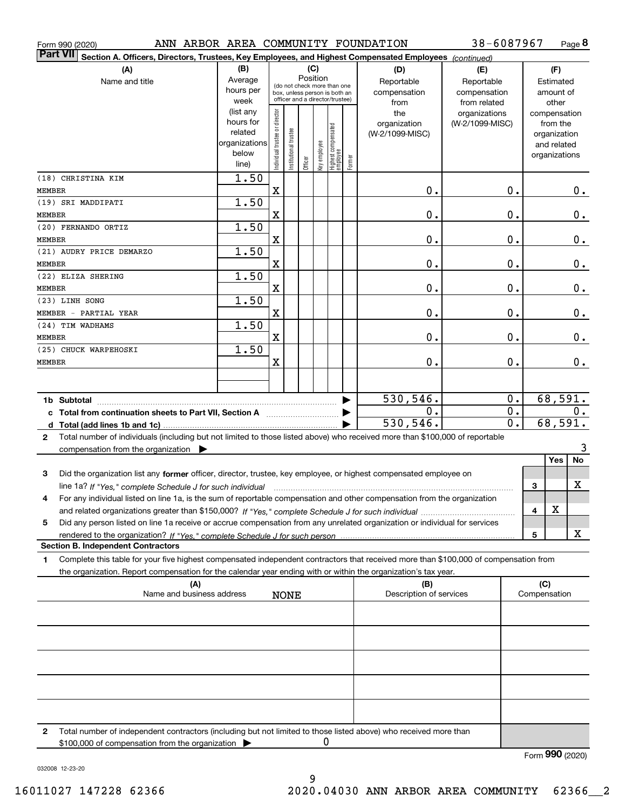| ANN ARBOR AREA COMMUNITY FOUNDATION<br>Form 990 (2020)                                                                                          |                   |                               |                             |         |              |                                                                  |        |                         | 38-6087967                       |              |                          | Page 8        |
|-------------------------------------------------------------------------------------------------------------------------------------------------|-------------------|-------------------------------|-----------------------------|---------|--------------|------------------------------------------------------------------|--------|-------------------------|----------------------------------|--------------|--------------------------|---------------|
| <b>Part VII</b><br>Section A. Officers, Directors, Trustees, Key Employees, and Highest Compensated Employees (continued)                       |                   |                               |                             |         |              |                                                                  |        |                         |                                  |              |                          |               |
| (A)                                                                                                                                             | (B)               |                               |                             | (C)     |              |                                                                  |        | (D)                     | (E)                              |              | (F)                      |               |
| Name and title                                                                                                                                  | Average           |                               | (do not check more than one |         | Position     |                                                                  |        | Reportable              | Reportable                       |              | Estimated                |               |
|                                                                                                                                                 | hours per         |                               |                             |         |              | box, unless person is both an<br>officer and a director/trustee) |        | compensation            | compensation                     |              | amount of                |               |
|                                                                                                                                                 | week<br>(list any |                               |                             |         |              |                                                                  |        | from                    | from related                     |              | other                    |               |
|                                                                                                                                                 | hours for         | ndividual trustee or director |                             |         |              |                                                                  |        | the<br>organization     | organizations<br>(W-2/1099-MISC) |              | compensation<br>from the |               |
|                                                                                                                                                 | related           |                               |                             |         |              |                                                                  |        | (W-2/1099-MISC)         |                                  |              | organization             |               |
|                                                                                                                                                 | organizations     |                               |                             |         |              |                                                                  |        |                         |                                  |              | and related              |               |
|                                                                                                                                                 | below             |                               | nstitutional trustee        |         | key employee |                                                                  |        |                         |                                  |              | organizations            |               |
|                                                                                                                                                 | line)             |                               |                             | Officer |              | Highest compensated<br>  employee                                | Former |                         |                                  |              |                          |               |
| (18) CHRISTINA KIM                                                                                                                              | $\overline{1.50}$ |                               |                             |         |              |                                                                  |        |                         |                                  |              |                          |               |
| MEMBER                                                                                                                                          |                   | $\mathbf X$                   |                             |         |              |                                                                  |        | 0.                      | $\mathbf 0$ .                    |              |                          | $0$ .         |
| (19) SRI MADDIPATI                                                                                                                              | 1.50              |                               |                             |         |              |                                                                  |        |                         |                                  |              |                          |               |
| MEMBER                                                                                                                                          |                   | X                             |                             |         |              |                                                                  |        | $\mathbf 0$ .           | $\mathbf 0$ .                    |              |                          | $\mathbf 0$ . |
| (20) FERNANDO ORTIZ                                                                                                                             | 1.50              |                               |                             |         |              |                                                                  |        |                         |                                  |              |                          |               |
| MEMBER                                                                                                                                          |                   | X                             |                             |         |              |                                                                  |        | $\mathbf 0$ .           | $\mathbf 0$ .                    |              |                          | $\mathbf 0$ . |
| (21) AUDRY PRICE DEMARZO                                                                                                                        | 1.50              |                               |                             |         |              |                                                                  |        |                         |                                  |              |                          |               |
| MEMBER                                                                                                                                          |                   | X                             |                             |         |              |                                                                  |        | $\mathbf 0$ .           | $\mathbf 0$ .                    |              |                          | $\mathbf 0$ . |
| (22) ELIZA SHERING                                                                                                                              | 1.50              |                               |                             |         |              |                                                                  |        |                         |                                  |              |                          |               |
| MEMBER                                                                                                                                          |                   | X                             |                             |         |              |                                                                  |        | $\mathbf 0$ .           | $\mathbf 0$ .                    |              |                          | $\mathbf 0$ . |
| (23) LINH SONG                                                                                                                                  | 1.50              |                               |                             |         |              |                                                                  |        |                         |                                  |              |                          |               |
| MEMBER - PARTIAL YEAR                                                                                                                           |                   | X                             |                             |         |              |                                                                  |        | $\mathbf 0$ .           | $\mathbf 0$ .                    |              |                          | $\mathbf 0$ . |
| (24) TIM WADHAMS                                                                                                                                | 1.50              |                               |                             |         |              |                                                                  |        |                         |                                  |              |                          |               |
| MEMBER                                                                                                                                          |                   | X                             |                             |         |              |                                                                  |        | $\mathbf 0$ .           | $\mathbf 0$ .                    |              |                          | $\mathbf 0$ . |
| (25) CHUCK WARPEHOSKI                                                                                                                           | 1.50              |                               |                             |         |              |                                                                  |        |                         |                                  |              |                          |               |
| MEMBER                                                                                                                                          |                   | X                             |                             |         |              |                                                                  |        | 0.                      | 0.                               |              |                          | $\mathbf 0$ . |
|                                                                                                                                                 |                   |                               |                             |         |              |                                                                  |        |                         |                                  |              |                          |               |
|                                                                                                                                                 |                   |                               |                             |         |              |                                                                  |        |                         |                                  |              |                          |               |
|                                                                                                                                                 |                   |                               |                             |         |              |                                                                  |        | 530, 546.               | $\mathbf 0$ .                    |              | 68,591.                  |               |
|                                                                                                                                                 |                   |                               |                             |         |              |                                                                  |        | О.                      | $\mathbf 0$ .                    |              |                          | 0.            |
|                                                                                                                                                 |                   |                               |                             |         |              |                                                                  |        | 530, 546.               | $\overline{0}$ .                 |              | 68,591.                  |               |
| Total number of individuals (including but not limited to those listed above) who received more than \$100,000 of reportable<br>$\mathbf{2}$    |                   |                               |                             |         |              |                                                                  |        |                         |                                  |              |                          |               |
| compensation from the organization $\blacktriangleright$                                                                                        |                   |                               |                             |         |              |                                                                  |        |                         |                                  |              | Yes                      | 3<br>No       |
|                                                                                                                                                 |                   |                               |                             |         |              |                                                                  |        |                         |                                  |              |                          |               |
| 3<br>Did the organization list any former officer, director, trustee, key employee, or highest compensated employee on                          |                   |                               |                             |         |              |                                                                  |        |                         |                                  |              |                          |               |
| line 1a? If "Yes," complete Schedule J for such individual manufactured contained and the 1a? If "Yes," complete Schedule J for such individual |                   |                               |                             |         |              |                                                                  |        |                         |                                  | 3            |                          | х             |
| For any individual listed on line 1a, is the sum of reportable compensation and other compensation from the organization                        |                   |                               |                             |         |              |                                                                  |        |                         |                                  |              | х                        |               |
|                                                                                                                                                 |                   |                               |                             |         |              |                                                                  |        |                         |                                  | 4            |                          |               |
| Did any person listed on line 1a receive or accrue compensation from any unrelated organization or individual for services<br>5                 |                   |                               |                             |         |              |                                                                  |        |                         |                                  |              |                          | x             |
| <b>Section B. Independent Contractors</b>                                                                                                       |                   |                               |                             |         |              |                                                                  |        |                         |                                  | 5            |                          |               |
| Complete this table for your five highest compensated independent contractors that received more than \$100,000 of compensation from            |                   |                               |                             |         |              |                                                                  |        |                         |                                  |              |                          |               |
| 1.<br>the organization. Report compensation for the calendar year ending with or within the organization's tax year.                            |                   |                               |                             |         |              |                                                                  |        |                         |                                  |              |                          |               |
| (A)                                                                                                                                             |                   |                               |                             |         |              |                                                                  |        | (B)                     |                                  |              | (C)                      |               |
| Name and business address                                                                                                                       |                   |                               | NONE                        |         |              |                                                                  |        | Description of services |                                  | Compensation |                          |               |
|                                                                                                                                                 |                   |                               |                             |         |              |                                                                  |        |                         |                                  |              |                          |               |
|                                                                                                                                                 |                   |                               |                             |         |              |                                                                  |        |                         |                                  |              |                          |               |
|                                                                                                                                                 |                   |                               |                             |         |              |                                                                  |        |                         |                                  |              |                          |               |
|                                                                                                                                                 |                   |                               |                             |         |              |                                                                  |        |                         |                                  |              |                          |               |
|                                                                                                                                                 |                   |                               |                             |         |              |                                                                  |        |                         |                                  |              |                          |               |
|                                                                                                                                                 |                   |                               |                             |         |              |                                                                  |        |                         |                                  |              |                          |               |
|                                                                                                                                                 |                   |                               |                             |         |              |                                                                  |        |                         |                                  |              |                          |               |
|                                                                                                                                                 |                   |                               |                             |         |              |                                                                  |        |                         |                                  |              |                          |               |
|                                                                                                                                                 |                   |                               |                             |         |              |                                                                  |        |                         |                                  |              |                          |               |
|                                                                                                                                                 |                   |                               |                             |         |              |                                                                  |        |                         |                                  |              |                          |               |
|                                                                                                                                                 |                   |                               |                             |         |              |                                                                  |        |                         |                                  |              |                          |               |

**2**Total number of independent contractors (including but not limited to those listed above) who received more than \$100,000 of compensation from the organization 0

9

Form (2020) **990**

032008 12-23-20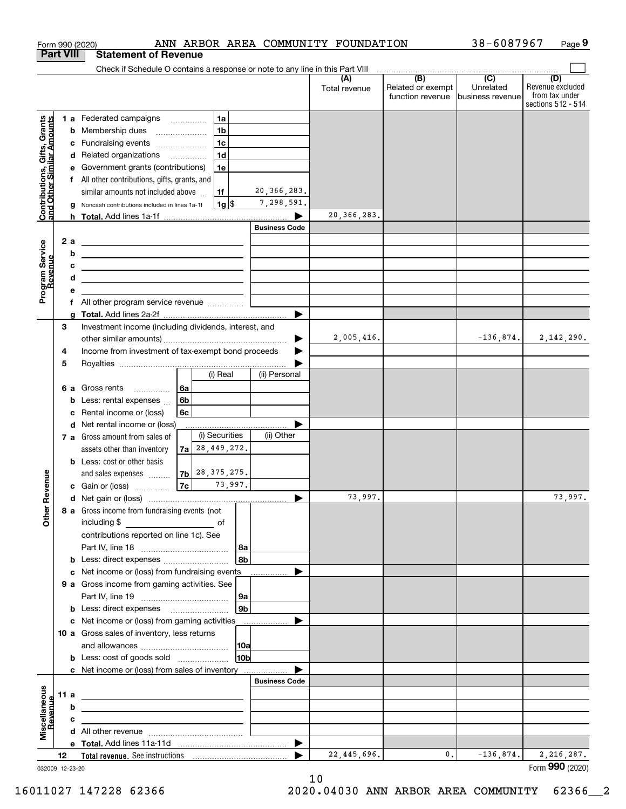|                                                           |                  | Form 990 (2020)                                                                                                       |                                            | ANN ARBOR AREA COMMUNITY FOUNDATION |                      |                                                     | 38-6087967                    | Page 9                                                          |
|-----------------------------------------------------------|------------------|-----------------------------------------------------------------------------------------------------------------------|--------------------------------------------|-------------------------------------|----------------------|-----------------------------------------------------|-------------------------------|-----------------------------------------------------------------|
|                                                           | <b>Part VIII</b> | <b>Statement of Revenue</b>                                                                                           |                                            |                                     |                      |                                                     |                               |                                                                 |
|                                                           |                  | Check if Schedule O contains a response or note to any line in this Part VIII                                         |                                            |                                     |                      | $\overline{(\mathsf{B})}$ $\overline{(\mathsf{C})}$ |                               |                                                                 |
|                                                           |                  |                                                                                                                       |                                            |                                     | (A)<br>Total revenue | Related or exempt<br>function revenue               | Unrelated<br>business revenue | (D)<br>Revenue excluded<br>from tax under<br>sections 512 - 514 |
|                                                           |                  | 1 a Federated campaigns                                                                                               | 1a                                         |                                     |                      |                                                     |                               |                                                                 |
|                                                           |                  | <b>b</b> Membership dues                                                                                              | 1 <sub>b</sub><br>$\overline{\phantom{a}}$ |                                     |                      |                                                     |                               |                                                                 |
|                                                           |                  | c Fundraising events                                                                                                  | 1 <sub>c</sub>                             |                                     |                      |                                                     |                               |                                                                 |
|                                                           |                  | d Related organizations                                                                                               | 1 <sub>d</sub>                             |                                     |                      |                                                     |                               |                                                                 |
| Contributions, Gifts, Grants<br>and Other Similar Amounts |                  | e Government grants (contributions)                                                                                   | 1e                                         |                                     |                      |                                                     |                               |                                                                 |
|                                                           |                  | f All other contributions, gifts, grants, and                                                                         |                                            |                                     |                      |                                                     |                               |                                                                 |
|                                                           |                  | similar amounts not included above                                                                                    | 1f                                         | 20, 366, 283.                       |                      |                                                     |                               |                                                                 |
|                                                           | g                | Noncash contributions included in lines 1a-1f                                                                         | $1g$ $\frac{1}{3}$                         | 7,298,591.                          |                      |                                                     |                               |                                                                 |
|                                                           |                  |                                                                                                                       |                                            |                                     | 20, 366, 283.        |                                                     |                               |                                                                 |
|                                                           |                  |                                                                                                                       |                                            | <b>Business Code</b>                |                      |                                                     |                               |                                                                 |
|                                                           | 2a               | <u> 1989 - Andrea Stadt Britain, amerikansk politiker (</u>                                                           |                                            |                                     |                      |                                                     |                               |                                                                 |
| Program Service<br>Revenue                                | b                | <u> 1989 - Johann Barn, fransk politik amerikansk politik (</u>                                                       |                                            |                                     |                      |                                                     |                               |                                                                 |
|                                                           | c<br>d           | <u> 2008 - John Stein, Amerikaansk politiker (* 18</u>                                                                |                                            |                                     |                      |                                                     |                               |                                                                 |
|                                                           | е                | the contract of the contract of the contract of the contract of the contract of                                       |                                            |                                     |                      |                                                     |                               |                                                                 |
|                                                           |                  | f All other program service revenue                                                                                   |                                            |                                     |                      |                                                     |                               |                                                                 |
|                                                           |                  |                                                                                                                       |                                            |                                     |                      |                                                     |                               |                                                                 |
|                                                           | 3                | Investment income (including dividends, interest, and                                                                 |                                            |                                     |                      |                                                     |                               |                                                                 |
|                                                           |                  |                                                                                                                       |                                            |                                     | 2,005,416.           |                                                     | $-136,874.$                   | 2,142,290.                                                      |
|                                                           | 4                | Income from investment of tax-exempt bond proceeds                                                                    |                                            |                                     |                      |                                                     |                               |                                                                 |
|                                                           | 5                |                                                                                                                       |                                            |                                     |                      |                                                     |                               |                                                                 |
|                                                           |                  |                                                                                                                       | (i) Real                                   | (ii) Personal                       |                      |                                                     |                               |                                                                 |
|                                                           |                  | 6 a Gross rents<br>.                                                                                                  | 6а                                         |                                     |                      |                                                     |                               |                                                                 |
|                                                           | b                | Less: rental expenses                                                                                                 | 6b                                         |                                     |                      |                                                     |                               |                                                                 |
|                                                           | c                | Rental income or (loss)                                                                                               | 6с                                         |                                     |                      |                                                     |                               |                                                                 |
|                                                           |                  | d Net rental income or (loss)                                                                                         | (i) Securities                             |                                     |                      |                                                     |                               |                                                                 |
|                                                           |                  | 7 a Gross amount from sales of                                                                                        | $7a$ $28,449,272.$                         | (ii) Other                          |                      |                                                     |                               |                                                                 |
|                                                           |                  | assets other than inventory<br><b>b</b> Less: cost or other basis                                                     |                                            |                                     |                      |                                                     |                               |                                                                 |
|                                                           |                  | and sales expenses                                                                                                    | $7b$ $28, 375, 275.$                       |                                     |                      |                                                     |                               |                                                                 |
| evenue                                                    |                  | c Gain or (loss)                                                                                                      | 7c <br>73,997.                             |                                     |                      |                                                     |                               |                                                                 |
|                                                           |                  |                                                                                                                       |                                            |                                     | 73,997.              |                                                     |                               | 73,997.                                                         |
| œ                                                         |                  | 8 a Gross income from fundraising events (not                                                                         |                                            |                                     |                      |                                                     |                               |                                                                 |
| Other                                                     |                  |                                                                                                                       |                                            |                                     |                      |                                                     |                               |                                                                 |
|                                                           |                  | contributions reported on line 1c). See                                                                               |                                            |                                     |                      |                                                     |                               |                                                                 |
|                                                           |                  |                                                                                                                       |                                            | 8a                                  |                      |                                                     |                               |                                                                 |
|                                                           |                  | <b>b</b> Less: direct expenses <i></i>                                                                                |                                            | l 8b                                |                      |                                                     |                               |                                                                 |
|                                                           |                  | c Net income or (loss) from fundraising events _____________                                                          |                                            |                                     |                      |                                                     |                               |                                                                 |
|                                                           |                  | 9 a Gross income from gaming activities. See                                                                          |                                            |                                     |                      |                                                     |                               |                                                                 |
|                                                           |                  |                                                                                                                       |                                            | 9a                                  |                      |                                                     |                               |                                                                 |
|                                                           |                  | <b>b</b> Less: direct expenses <b>manually</b>                                                                        |                                            | 9b                                  |                      |                                                     |                               |                                                                 |
|                                                           |                  | c Net income or (loss) from gaming activities _______________                                                         |                                            |                                     |                      |                                                     |                               |                                                                 |
|                                                           |                  | 10 a Gross sales of inventory, less returns                                                                           |                                            |                                     |                      |                                                     |                               |                                                                 |
|                                                           |                  |                                                                                                                       |                                            | 10a<br>10 <sub>b</sub>              |                      |                                                     |                               |                                                                 |
|                                                           |                  | c Net income or (loss) from sales of inventory                                                                        |                                            |                                     |                      |                                                     |                               |                                                                 |
|                                                           |                  |                                                                                                                       |                                            | <b>Business Code</b>                |                      |                                                     |                               |                                                                 |
| Miscellaneous                                             | 11 a             | <u> 1989 - Johann John Stone, meil in der Stone aus der Stone aus der Stone aus der Stone anderen Stone aus der S</u> |                                            |                                     |                      |                                                     |                               |                                                                 |
|                                                           | b                | <u> 1989 - Johann Stein, marwolaethau a bhann an t-Amhair ann an t-Amhair an t-Amhair an t-Amhair an t-Amhair an</u>  |                                            |                                     |                      |                                                     |                               |                                                                 |
| evenue                                                    | c                | the control of the control of the control of the control of the control of                                            |                                            |                                     |                      |                                                     |                               |                                                                 |
|                                                           |                  |                                                                                                                       |                                            |                                     |                      |                                                     |                               |                                                                 |
|                                                           |                  |                                                                                                                       |                                            |                                     |                      |                                                     |                               |                                                                 |
|                                                           | 12 <sup>12</sup> |                                                                                                                       |                                            | ▶                                   | 22, 445, 696.        | 0.                                                  | $-136,874.$                   | 2,216,287.                                                      |
|                                                           | 032009 12-23-20  |                                                                                                                       |                                            |                                     |                      |                                                     |                               | Form 990 (2020)                                                 |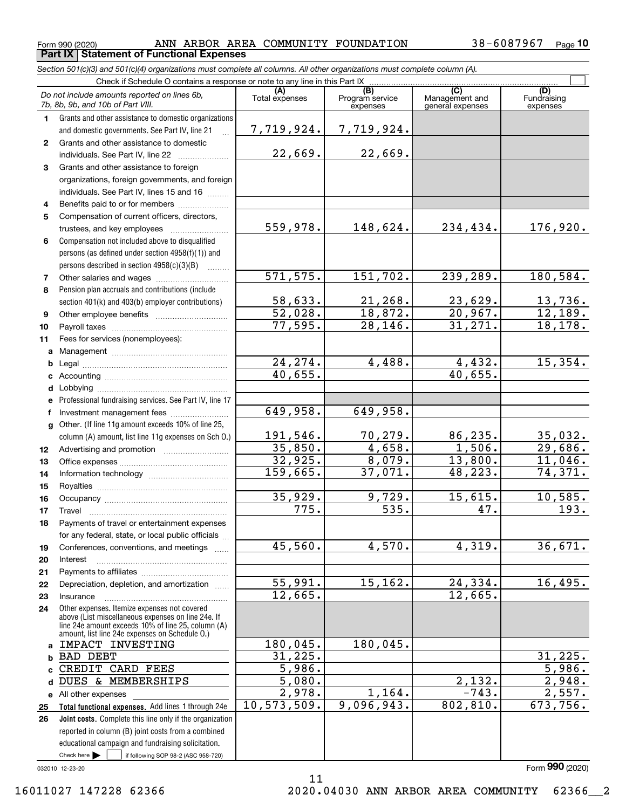**Part IX Statement of Functional Expenses**

 $_{\rm Form}$  990 (2020) ANN ARBOR AREA COMMUNITY FOUNDATION 38-6087967  $_{\rm Page}$ **10**

|              | Section 501(c)(3) and 501(c)(4) organizations must complete all columns. All other organizations must complete column (A). |                       |                                    |                                           |                                |
|--------------|----------------------------------------------------------------------------------------------------------------------------|-----------------------|------------------------------------|-------------------------------------------|--------------------------------|
|              | Check if Schedule O contains a response or note to any line in this Part IX                                                |                       |                                    |                                           |                                |
|              | Do not include amounts reported on lines 6b,<br>7b, 8b, 9b, and 10b of Part VIII.                                          | Total expenses        | (B)<br>Program service<br>expenses | (C)<br>Management and<br>general expenses | (D)<br>Fundraising<br>expenses |
| 1.           | Grants and other assistance to domestic organizations                                                                      |                       |                                    |                                           |                                |
|              | and domestic governments. See Part IV, line 21                                                                             | 7,719,924.            | 7,719,924.                         |                                           |                                |
| $\mathbf{2}$ | Grants and other assistance to domestic                                                                                    |                       |                                    |                                           |                                |
|              | individuals. See Part IV, line 22                                                                                          | 22,669.               | 22,669.                            |                                           |                                |
| 3            | Grants and other assistance to foreign                                                                                     |                       |                                    |                                           |                                |
|              | organizations, foreign governments, and foreign                                                                            |                       |                                    |                                           |                                |
|              | individuals. See Part IV, lines 15 and 16                                                                                  |                       |                                    |                                           |                                |
| 4            | Benefits paid to or for members                                                                                            |                       |                                    |                                           |                                |
| 5            | Compensation of current officers, directors,                                                                               |                       |                                    |                                           |                                |
|              | trustees, and key employees                                                                                                | 559,978.              | 148,624.                           | 234,434.                                  | 176,920.                       |
| 6            | Compensation not included above to disqualified                                                                            |                       |                                    |                                           |                                |
|              | persons (as defined under section 4958(f)(1)) and                                                                          |                       |                                    |                                           |                                |
|              | persons described in section 4958(c)(3)(B)                                                                                 |                       |                                    |                                           |                                |
| 7            | Other salaries and wages                                                                                                   | 571, 575.             | 151,702.                           | 239,289.                                  | 180,584.                       |
| 8            | Pension plan accruals and contributions (include                                                                           |                       |                                    |                                           |                                |
|              | section 401(k) and 403(b) employer contributions)                                                                          | 58,633.               | 21,268.                            | 23,629.                                   | $13,736$ .                     |
| 9            |                                                                                                                            | $\overline{52,028}$ . | 18,872.                            | 20,967.                                   | 12,189.                        |
| 10           |                                                                                                                            | 77,595.               | 28, 146.                           | 31,271.                                   | 18, 178.                       |
| 11           | Fees for services (nonemployees):                                                                                          |                       |                                    |                                           |                                |
| a            |                                                                                                                            |                       |                                    |                                           |                                |
| b            |                                                                                                                            | 24, 274.<br>40,655.   | 4,488.                             | 4,432.<br>40,655.                         | 15,354.                        |
| c            |                                                                                                                            |                       |                                    |                                           |                                |
| d            |                                                                                                                            |                       |                                    |                                           |                                |
| e            | Professional fundraising services. See Part IV, line 17                                                                    | 649,958.              | 649,958.                           |                                           |                                |
| f            | Investment management fees                                                                                                 |                       |                                    |                                           |                                |
| $\mathbf{q}$ | Other. (If line 11g amount exceeds 10% of line 25,                                                                         | 191,546.              |                                    | 86,235.                                   |                                |
|              | column (A) amount, list line 11g expenses on Sch 0.)                                                                       | 35,850.               | 70,279.<br>4,658.                  | 1,506.                                    | 35,032.<br>29,686.             |
| 12           |                                                                                                                            | 32,925.               | 8,079.                             | 13,800.                                   | 11,046.                        |
| 13           |                                                                                                                            | 159,665.              | 37,071.                            | 48, 223.                                  | 74,371.                        |
| 14           |                                                                                                                            |                       |                                    |                                           |                                |
| 15           |                                                                                                                            | 35,929.               | 9,729.                             | 15,615.                                   | 10,585.                        |
| 16           |                                                                                                                            | 775.                  | $\overline{535}$ .                 | 47.                                       | 193.                           |
| 17           | Payments of travel or entertainment expenses                                                                               |                       |                                    |                                           |                                |
| 18           | for any federal, state, or local public officials                                                                          |                       |                                    |                                           |                                |
| 19           | Conferences, conventions, and meetings                                                                                     | 45,560.               | 4,570.                             | 4,319.                                    | 36,671.                        |
| 20           | Interest                                                                                                                   |                       |                                    |                                           |                                |
| 21           |                                                                                                                            |                       |                                    |                                           |                                |
| 22           | Depreciation, depletion, and amortization                                                                                  | 55,991.               | 15, 162.                           | 24,334.                                   | 16,495.                        |
| 23           | Insurance                                                                                                                  | 12,665.               |                                    | 12,665.                                   |                                |
| 24           | Other expenses. Itemize expenses not covered<br>above (List miscellaneous expenses on line 24e. If                         |                       |                                    |                                           |                                |
|              | line 24e amount exceeds 10% of line 25, column (A)<br>amount, list line 24e expenses on Schedule O.)                       |                       |                                    |                                           |                                |
| a            | IMPACT INVESTING                                                                                                           | 180,045.              | 180,045.                           |                                           |                                |
| b            | <b>BAD DEBT</b>                                                                                                            | 31,225.               |                                    |                                           | 31,225.                        |
| C            | CREDIT CARD FEES                                                                                                           | 5,986.                |                                    |                                           | 5,986.                         |
| d            | DUES & MEMBERSHIPS                                                                                                         | $\overline{5,080}$ .  |                                    | 2,132.                                    | 2,948.                         |
|              | e All other expenses                                                                                                       | 2,978.                | 1,164.                             | $-743.$                                   | 2,557.                         |
| 25           | Total functional expenses. Add lines 1 through 24e                                                                         | 10, 573, 509.         | 9,096,943.                         | 802,810.                                  | 673,756.                       |
| 26           | Joint costs. Complete this line only if the organization                                                                   |                       |                                    |                                           |                                |
|              | reported in column (B) joint costs from a combined                                                                         |                       |                                    |                                           |                                |
|              | educational campaign and fundraising solicitation.                                                                         |                       |                                    |                                           |                                |
|              | Check here $\blacktriangleright$<br>if following SOP 98-2 (ASC 958-720)                                                    |                       |                                    |                                           |                                |

032010 12-23-20

Form (2020) **990**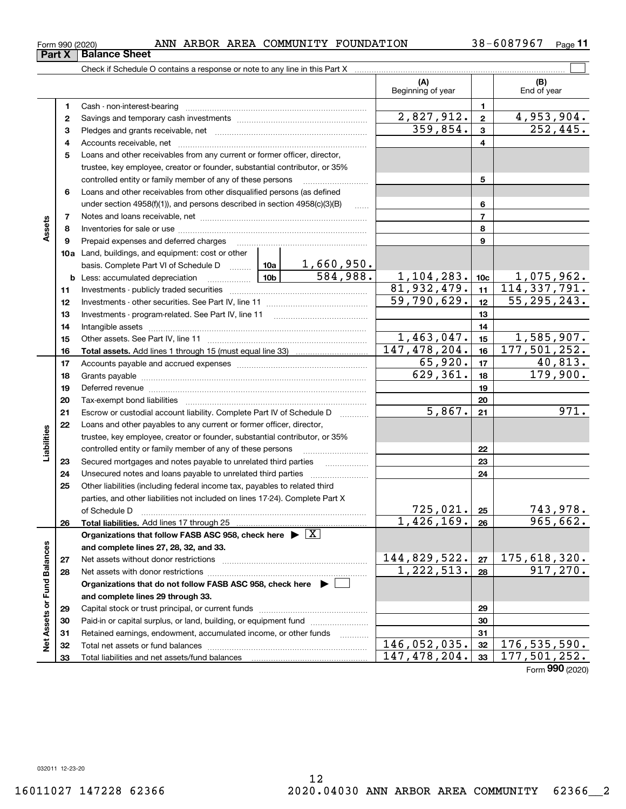**32 33**

 $\ddot{\mathsf{e}}$ 

**Part X** | Balance Sheet

 $_{\rm Form}$  990 (2020) ANN ARBOR AREA COMMUNITY FOUNDATION 38-6087967  $_{\rm Page}$ 

**11**

|                             |    | Check if Schedule O contains a response or note to any line in this Part X                                                                                                                                                     |                           |                                  |                             |                            |
|-----------------------------|----|--------------------------------------------------------------------------------------------------------------------------------------------------------------------------------------------------------------------------------|---------------------------|----------------------------------|-----------------------------|----------------------------|
|                             |    |                                                                                                                                                                                                                                |                           | (A)<br>Beginning of year         |                             | (B)<br>End of year         |
|                             | 1  | Cash - non-interest-bearing                                                                                                                                                                                                    |                           |                                  | 1                           |                            |
|                             | 2  |                                                                                                                                                                                                                                |                           | 2,827,912.                       | $\mathbf{2}$                | 4,953,904.                 |
|                             | З  |                                                                                                                                                                                                                                |                           | 359,854.                         | 3                           | 252, 445.                  |
|                             | 4  |                                                                                                                                                                                                                                |                           |                                  | 4                           |                            |
|                             | 5  | Loans and other receivables from any current or former officer, director,                                                                                                                                                      |                           |                                  |                             |                            |
|                             |    | trustee, key employee, creator or founder, substantial contributor, or 35%                                                                                                                                                     |                           |                                  |                             |                            |
|                             |    | controlled entity or family member of any of these persons                                                                                                                                                                     |                           | 5                                |                             |                            |
|                             | 6  | Loans and other receivables from other disqualified persons (as defined                                                                                                                                                        |                           |                                  |                             |                            |
|                             |    | under section 4958(f)(1)), and persons described in section 4958(c)(3)(B)                                                                                                                                                      | $\ldots$                  |                                  | 6                           |                            |
|                             | 7  |                                                                                                                                                                                                                                |                           |                                  | 7                           |                            |
| Assets                      | 8  |                                                                                                                                                                                                                                |                           |                                  | 8                           |                            |
|                             | 9  | Prepaid expenses and deferred charges                                                                                                                                                                                          |                           |                                  | 9                           |                            |
|                             |    | 10a Land, buildings, and equipment: cost or other                                                                                                                                                                              |                           |                                  |                             |                            |
|                             |    | basis. Complete Part VI of Schedule D  10a                                                                                                                                                                                     | <u>1,660,950.</u>         |                                  |                             |                            |
|                             |    | $\frac{10b}{10b}$<br><b>b</b> Less: accumulated depreciation                                                                                                                                                                   | 584,988.                  | $\frac{1,104,283.}{81,932,479.}$ | 10 <sub>c</sub>             | 1,075,962.<br>114,337,791. |
|                             | 11 |                                                                                                                                                                                                                                |                           | 11                               |                             |                            |
|                             | 12 |                                                                                                                                                                                                                                | $\overline{59,790,629}$ . | 12                               | $\overline{55}$ , 295, 243. |                            |
|                             | 13 | Investments - program-related. See Part IV, line 11                                                                                                                                                                            |                           |                                  | 13                          |                            |
|                             | 14 |                                                                                                                                                                                                                                |                           |                                  | 14                          |                            |
|                             | 15 |                                                                                                                                                                                                                                |                           | 1,463,047.                       | 15                          | 1,585,907.                 |
|                             | 16 |                                                                                                                                                                                                                                |                           | 147, 478, 204.                   | 16                          | 177,501,252.               |
|                             | 17 |                                                                                                                                                                                                                                | 65,920.                   | 17                               | 40,813.                     |                            |
|                             | 18 |                                                                                                                                                                                                                                |                           | 629, 361.                        | 18                          | 179,900.                   |
|                             | 19 | Deferred revenue material contracts and a contract of the contract of the contract of the contract of the contract of the contract of the contract of the contract of the contract of the contract of the contract of the cont |                           |                                  | 19                          |                            |
|                             | 20 |                                                                                                                                                                                                                                |                           |                                  | 20                          |                            |
|                             | 21 | Escrow or custodial account liability. Complete Part IV of Schedule D                                                                                                                                                          | 1.1.1.1.1.1.1.1.1.1       | 5,867.                           | 21                          | 971.                       |
|                             | 22 | Loans and other payables to any current or former officer, director,                                                                                                                                                           |                           |                                  |                             |                            |
| abilities                   |    | trustee, key employee, creator or founder, substantial contributor, or 35%                                                                                                                                                     |                           |                                  |                             |                            |
|                             |    | controlled entity or family member of any of these persons                                                                                                                                                                     |                           |                                  | 22                          |                            |
|                             | 23 | Secured mortgages and notes payable to unrelated third parties                                                                                                                                                                 |                           |                                  | 23                          |                            |
|                             | 24 | Unsecured notes and loans payable to unrelated third parties                                                                                                                                                                   |                           |                                  | 24                          |                            |
|                             | 25 | Other liabilities (including federal income tax, payables to related third                                                                                                                                                     |                           |                                  |                             |                            |
|                             |    | parties, and other liabilities not included on lines 17-24). Complete Part X<br>of Schedule D                                                                                                                                  |                           | 725,021.                         | 25                          | 743,978.                   |
|                             | 26 | Total liabilities. Add lines 17 through 25                                                                                                                                                                                     |                           | 1,426,169.                       | 26                          | 965,662.                   |
|                             |    | Organizations that follow FASB ASC 958, check here $\blacktriangleright \boxed{X}$                                                                                                                                             |                           |                                  |                             |                            |
|                             |    | and complete lines 27, 28, 32, and 33.                                                                                                                                                                                         |                           |                                  |                             |                            |
|                             | 27 | Net assets without donor restrictions                                                                                                                                                                                          |                           | 144,829,522.                     | 27                          | 175,618,320.               |
|                             | 28 | Net assets with donor restrictions                                                                                                                                                                                             |                           | 1,222,513.                       | 28                          | 917,270.                   |
|                             |    | Organizations that do not follow FASB ASC 958, check here $\blacktriangleright$                                                                                                                                                |                           |                                  |                             |                            |
| Net Assets or Fund Balances |    | and complete lines 29 through 33.                                                                                                                                                                                              |                           |                                  |                             |                            |
|                             | 29 |                                                                                                                                                                                                                                |                           |                                  | 29                          |                            |
|                             | 30 | Paid-in or capital surplus, or land, building, or equipment fund                                                                                                                                                               |                           |                                  | 30                          |                            |
|                             | 31 | Retained earnings, endowment, accumulated income, or other funds                                                                                                                                                               | .                         |                                  | 31                          |                            |
|                             | 32 | Total net assets or fund balances                                                                                                                                                                                              | 146,052,035.              | 32                               | 176,535,590.                |                            |

Total net assets or fund balances ~~~~~~~~~~~~~~~~~~~~~~

Total liabilities and net assets/fund balances

# Form (2020) **990** 147,478,204. 177,501,252.

**32 33**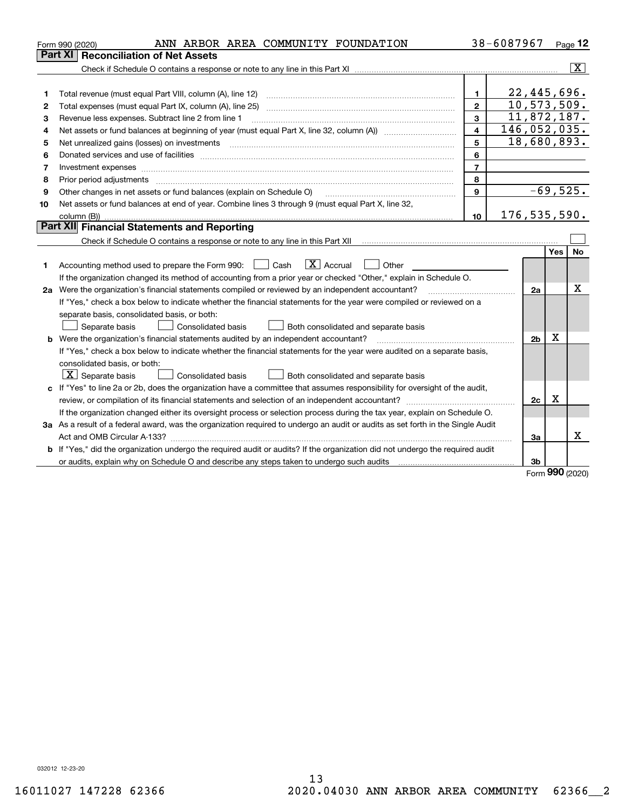| Part XI<br><b>Reconciliation of Net Assets</b><br>22,445,696.<br>1<br>1<br>10,573,509.<br>$\overline{2}$<br>Total expenses (must equal Part IX, column (A), line 25)<br>2<br>11,872,187.<br>3<br>Revenue less expenses. Subtract line 2 from line 1<br>3<br>146,052,035.<br>$\overline{\mathbf{A}}$<br>4 | $\overline{\mathbf{x}}$ |
|----------------------------------------------------------------------------------------------------------------------------------------------------------------------------------------------------------------------------------------------------------------------------------------------------------|-------------------------|
|                                                                                                                                                                                                                                                                                                          |                         |
|                                                                                                                                                                                                                                                                                                          |                         |
|                                                                                                                                                                                                                                                                                                          |                         |
|                                                                                                                                                                                                                                                                                                          |                         |
|                                                                                                                                                                                                                                                                                                          |                         |
|                                                                                                                                                                                                                                                                                                          |                         |
|                                                                                                                                                                                                                                                                                                          |                         |
| 18,680,893.<br>5<br>5                                                                                                                                                                                                                                                                                    |                         |
| 6<br>6                                                                                                                                                                                                                                                                                                   |                         |
| $\overline{7}$<br>7<br>Investment expenses www.communication.communication.com/internation.com/internation.com/internation.com/intern                                                                                                                                                                    |                         |
| 8<br>Prior period adjustments www.communication.communication.com/news/communication.com/news/communication.com/new<br>8                                                                                                                                                                                 |                         |
| $-69,525.$<br>9<br>Other changes in net assets or fund balances (explain on Schedule O)<br>9                                                                                                                                                                                                             |                         |
| Net assets or fund balances at end of year. Combine lines 3 through 9 (must equal Part X, line 32,<br>10                                                                                                                                                                                                 |                         |
| 176, 535, 590.<br>10 <sup>1</sup>                                                                                                                                                                                                                                                                        |                         |
| Part XII Financial Statements and Reporting                                                                                                                                                                                                                                                              |                         |
|                                                                                                                                                                                                                                                                                                          |                         |
| Yes                                                                                                                                                                                                                                                                                                      | No                      |
| $\boxed{\mathbf{X}}$ Accrual<br>Accounting method used to prepare the Form 990: <u>June</u> Cash<br>Other<br>1.                                                                                                                                                                                          |                         |
| If the organization changed its method of accounting from a prior year or checked "Other," explain in Schedule O.                                                                                                                                                                                        |                         |
| 2a Were the organization's financial statements compiled or reviewed by an independent accountant?<br>2a                                                                                                                                                                                                 | X                       |
| If "Yes," check a box below to indicate whether the financial statements for the year were compiled or reviewed on a                                                                                                                                                                                     |                         |
| separate basis, consolidated basis, or both:                                                                                                                                                                                                                                                             |                         |
| Separate basis<br><b>Consolidated basis</b><br>Both consolidated and separate basis                                                                                                                                                                                                                      |                         |
| X<br><b>b</b> Were the organization's financial statements audited by an independent accountant?<br>2 <sub>b</sub>                                                                                                                                                                                       |                         |
| If "Yes," check a box below to indicate whether the financial statements for the year were audited on a separate basis,                                                                                                                                                                                  |                         |
| consolidated basis, or both:                                                                                                                                                                                                                                                                             |                         |
| $X$ Separate basis<br>Consolidated basis<br>Both consolidated and separate basis                                                                                                                                                                                                                         |                         |
| c If "Yes" to line 2a or 2b, does the organization have a committee that assumes responsibility for oversight of the audit,                                                                                                                                                                              |                         |
| X<br>2c                                                                                                                                                                                                                                                                                                  |                         |
| If the organization changed either its oversight process or selection process during the tax year, explain on Schedule O.                                                                                                                                                                                |                         |
| 3a As a result of a federal award, was the organization required to undergo an audit or audits as set forth in the Single Audit                                                                                                                                                                          |                         |
| За                                                                                                                                                                                                                                                                                                       | x                       |
| b If "Yes," did the organization undergo the required audit or audits? If the organization did not undergo the required audit                                                                                                                                                                            |                         |
| or audits, explain why on Schedule O and describe any steps taken to undergo such audits [11] our manuscription why on Schedule O and describe any steps taken to undergo such audits<br>3b<br><b>nnn</b>                                                                                                |                         |

Form (2020) **990**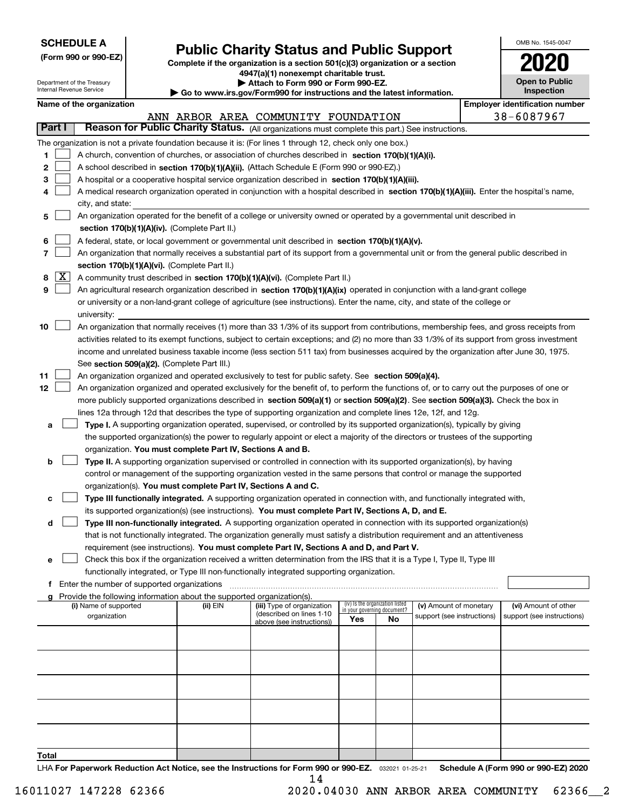| <b>SCHEDULE A</b> |
|-------------------|
|-------------------|

Department of the Treasury Internal Revenue Service

**(Form 990 or 990-EZ)**

# **Public Charity Status and Public Support**

**Complete if the organization is a section 501(c)(3) organization or a section 4947(a)(1) nonexempt charitable trust. | Attach to Form 990 or Form 990-EZ.** 

| Go to www.irs.gov/Form990 for instructions and the latest information. |  |  |
|------------------------------------------------------------------------|--|--|

| OMB No. 1545-0047                   |
|-------------------------------------|
| 2020                                |
| <b>Open to Public</b><br>Inspection |

|    |            |                                                                                                                                              |          | $\rightarrow$ Go to www.irs.gov/Form990 for instructions and the latest information. |                                                                |    |                            |                                       |
|----|------------|----------------------------------------------------------------------------------------------------------------------------------------------|----------|--------------------------------------------------------------------------------------|----------------------------------------------------------------|----|----------------------------|---------------------------------------|
|    |            | Name of the organization                                                                                                                     |          |                                                                                      |                                                                |    |                            | <b>Employer identification number</b> |
|    | Part I     | Reason for Public Charity Status. (All organizations must complete this part.) See instructions.                                             |          | ANN ARBOR AREA COMMUNITY FOUNDATION                                                  |                                                                |    |                            | 38-6087967                            |
|    |            |                                                                                                                                              |          |                                                                                      |                                                                |    |                            |                                       |
|    |            | The organization is not a private foundation because it is: (For lines 1 through 12, check only one box.)                                    |          |                                                                                      |                                                                |    |                            |                                       |
| 1  |            | A church, convention of churches, or association of churches described in section 170(b)(1)(A)(i).                                           |          |                                                                                      |                                                                |    |                            |                                       |
| 2  |            | A school described in section 170(b)(1)(A)(ii). (Attach Schedule E (Form 990 or 990-EZ).)                                                    |          |                                                                                      |                                                                |    |                            |                                       |
| з  |            | A hospital or a cooperative hospital service organization described in section 170(b)(1)(A)(iii).                                            |          |                                                                                      |                                                                |    |                            |                                       |
| 4  |            | A medical research organization operated in conjunction with a hospital described in section 170(b)(1)(A)(iii). Enter the hospital's name,   |          |                                                                                      |                                                                |    |                            |                                       |
|    |            | city, and state:                                                                                                                             |          |                                                                                      |                                                                |    |                            |                                       |
| 5  |            | An organization operated for the benefit of a college or university owned or operated by a governmental unit described in                    |          |                                                                                      |                                                                |    |                            |                                       |
|    |            | section 170(b)(1)(A)(iv). (Complete Part II.)                                                                                                |          |                                                                                      |                                                                |    |                            |                                       |
| 6  |            | A federal, state, or local government or governmental unit described in section 170(b)(1)(A)(v).                                             |          |                                                                                      |                                                                |    |                            |                                       |
| 7  |            | An organization that normally receives a substantial part of its support from a governmental unit or from the general public described in    |          |                                                                                      |                                                                |    |                            |                                       |
|    |            | section 170(b)(1)(A)(vi). (Complete Part II.)                                                                                                |          |                                                                                      |                                                                |    |                            |                                       |
| 8  | $\sqrt{X}$ | A community trust described in section 170(b)(1)(A)(vi). (Complete Part II.)                                                                 |          |                                                                                      |                                                                |    |                            |                                       |
| 9  |            | An agricultural research organization described in section 170(b)(1)(A)(ix) operated in conjunction with a land-grant college                |          |                                                                                      |                                                                |    |                            |                                       |
|    |            | or university or a non-land-grant college of agriculture (see instructions). Enter the name, city, and state of the college or               |          |                                                                                      |                                                                |    |                            |                                       |
|    |            | university:                                                                                                                                  |          |                                                                                      |                                                                |    |                            |                                       |
| 10 |            | An organization that normally receives (1) more than 33 1/3% of its support from contributions, membership fees, and gross receipts from     |          |                                                                                      |                                                                |    |                            |                                       |
|    |            | activities related to its exempt functions, subject to certain exceptions; and (2) no more than 33 1/3% of its support from gross investment |          |                                                                                      |                                                                |    |                            |                                       |
|    |            | income and unrelated business taxable income (less section 511 tax) from businesses acquired by the organization after June 30, 1975.        |          |                                                                                      |                                                                |    |                            |                                       |
|    |            | See section 509(a)(2). (Complete Part III.)                                                                                                  |          |                                                                                      |                                                                |    |                            |                                       |
| 11 |            | An organization organized and operated exclusively to test for public safety. See section 509(a)(4).                                         |          |                                                                                      |                                                                |    |                            |                                       |
| 12 |            | An organization organized and operated exclusively for the benefit of, to perform the functions of, or to carry out the purposes of one or   |          |                                                                                      |                                                                |    |                            |                                       |
|    |            | more publicly supported organizations described in section 509(a)(1) or section 509(a)(2). See section 509(a)(3). Check the box in           |          |                                                                                      |                                                                |    |                            |                                       |
|    |            | lines 12a through 12d that describes the type of supporting organization and complete lines 12e, 12f, and 12g.                               |          |                                                                                      |                                                                |    |                            |                                       |
| а  |            | Type I. A supporting organization operated, supervised, or controlled by its supported organization(s), typically by giving                  |          |                                                                                      |                                                                |    |                            |                                       |
|    |            | the supported organization(s) the power to regularly appoint or elect a majority of the directors or trustees of the supporting              |          |                                                                                      |                                                                |    |                            |                                       |
|    |            | organization. You must complete Part IV, Sections A and B.                                                                                   |          |                                                                                      |                                                                |    |                            |                                       |
| b  |            | Type II. A supporting organization supervised or controlled in connection with its supported organization(s), by having                      |          |                                                                                      |                                                                |    |                            |                                       |
|    |            | control or management of the supporting organization vested in the same persons that control or manage the supported                         |          |                                                                                      |                                                                |    |                            |                                       |
|    |            | organization(s). You must complete Part IV, Sections A and C.                                                                                |          |                                                                                      |                                                                |    |                            |                                       |
| с  |            | Type III functionally integrated. A supporting organization operated in connection with, and functionally integrated with,                   |          |                                                                                      |                                                                |    |                            |                                       |
|    |            | its supported organization(s) (see instructions). You must complete Part IV, Sections A, D, and E.                                           |          |                                                                                      |                                                                |    |                            |                                       |
| d  |            | Type III non-functionally integrated. A supporting organization operated in connection with its supported organization(s)                    |          |                                                                                      |                                                                |    |                            |                                       |
|    |            | that is not functionally integrated. The organization generally must satisfy a distribution requirement and an attentiveness                 |          |                                                                                      |                                                                |    |                            |                                       |
|    |            | requirement (see instructions). You must complete Part IV, Sections A and D, and Part V.                                                     |          |                                                                                      |                                                                |    |                            |                                       |
| е  |            | Check this box if the organization received a written determination from the IRS that it is a Type I, Type II, Type III                      |          |                                                                                      |                                                                |    |                            |                                       |
|    |            | functionally integrated, or Type III non-functionally integrated supporting organization.<br>f Enter the number of supported organizations   |          |                                                                                      |                                                                |    |                            |                                       |
|    |            | Provide the following information about the supported organization(s).                                                                       |          |                                                                                      |                                                                |    |                            |                                       |
|    |            | (i) Name of supported                                                                                                                        | (ii) EIN | (iii) Type of organization                                                           | (iv) Is the organization listed<br>in your governing document? |    | (v) Amount of monetary     | (vi) Amount of other                  |
|    |            | organization                                                                                                                                 |          | (described on lines 1-10<br>above (see instructions))                                | Yes                                                            | No | support (see instructions) | support (see instructions)            |
|    |            |                                                                                                                                              |          |                                                                                      |                                                                |    |                            |                                       |
|    |            |                                                                                                                                              |          |                                                                                      |                                                                |    |                            |                                       |
|    |            |                                                                                                                                              |          |                                                                                      |                                                                |    |                            |                                       |
|    |            |                                                                                                                                              |          |                                                                                      |                                                                |    |                            |                                       |
|    |            |                                                                                                                                              |          |                                                                                      |                                                                |    |                            |                                       |
|    |            |                                                                                                                                              |          |                                                                                      |                                                                |    |                            |                                       |
|    |            |                                                                                                                                              |          |                                                                                      |                                                                |    |                            |                                       |
|    |            |                                                                                                                                              |          |                                                                                      |                                                                |    |                            |                                       |
|    |            |                                                                                                                                              |          |                                                                                      |                                                                |    |                            |                                       |
|    |            |                                                                                                                                              |          |                                                                                      |                                                                |    |                            |                                       |

**Total**

LHA For Paperwork Reduction Act Notice, see the Instructions for Form 990 or 990-EZ. <sub>032021</sub> o1-25-21 Schedule A (Form 990 or 990-EZ) 2020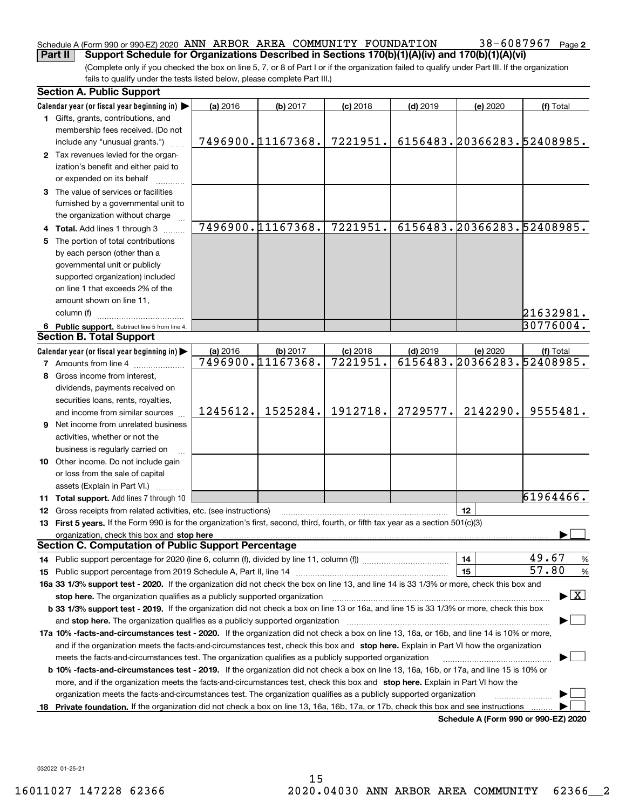### Schedule A (Form 990 or 990-EZ) 2020  $\,$  ANN  $\,$  ARBOR  $\,$  AREA  $\,$  COMMUNITY  $\,$  FOUNDATION  $\,$   $\,$  38  $-$  6087967  $\,$  Page **Part II Support Schedule for Organizations Described in Sections 170(b)(1)(A)(iv) and 170(b)(1)(A)(vi)**

(Complete only if you checked the box on line 5, 7, or 8 of Part I or if the organization failed to qualify under Part III. If the organization fails to qualify under the tests listed below, please complete Part III.)

|    | <b>Section A. Public Support</b>                                                                                                                                                                                               |          |                   |            |            |                            |                                          |
|----|--------------------------------------------------------------------------------------------------------------------------------------------------------------------------------------------------------------------------------|----------|-------------------|------------|------------|----------------------------|------------------------------------------|
|    | Calendar year (or fiscal year beginning in)                                                                                                                                                                                    | (a) 2016 | (b) 2017          | $(c)$ 2018 | $(d)$ 2019 | (e) 2020                   | (f) Total                                |
|    | 1 Gifts, grants, contributions, and<br>membership fees received. (Do not                                                                                                                                                       |          |                   |            |            |                            |                                          |
|    | include any "unusual grants.")                                                                                                                                                                                                 |          | 7496900.11167368. | 7221951.   |            | 6156483.20366283.52408985. |                                          |
|    | 2 Tax revenues levied for the organ-<br>ization's benefit and either paid to<br>or expended on its behalf                                                                                                                      |          |                   |            |            |                            |                                          |
|    | 3 The value of services or facilities<br>furnished by a governmental unit to                                                                                                                                                   |          |                   |            |            |                            |                                          |
|    | the organization without charge                                                                                                                                                                                                |          |                   |            |            |                            |                                          |
|    | 4 Total. Add lines 1 through 3                                                                                                                                                                                                 |          | 7496900.11167368. | 7221951.   |            | 6156483.20366283.52408985. |                                          |
| 5. | The portion of total contributions<br>by each person (other than a<br>governmental unit or publicly<br>supported organization) included<br>on line 1 that exceeds 2% of the                                                    |          |                   |            |            |                            |                                          |
|    | amount shown on line 11,                                                                                                                                                                                                       |          |                   |            |            |                            |                                          |
|    | column (f)                                                                                                                                                                                                                     |          |                   |            |            |                            | 21632981.                                |
|    | 6 Public support. Subtract line 5 from line 4.                                                                                                                                                                                 |          |                   |            |            |                            | 30776004.                                |
|    | <b>Section B. Total Support</b>                                                                                                                                                                                                |          |                   |            |            |                            |                                          |
|    | Calendar year (or fiscal year beginning in)                                                                                                                                                                                    | (a) 2016 | (b) 2017          | $(c)$ 2018 | $(d)$ 2019 | (e) 2020                   | (f) Total                                |
|    | <b>7</b> Amounts from line 4                                                                                                                                                                                                   |          | 7496900.11167368. | 7221951.   |            | 6156483.20366283.52408985. |                                          |
| 8  | Gross income from interest,                                                                                                                                                                                                    |          |                   |            |            |                            |                                          |
|    | dividends, payments received on                                                                                                                                                                                                |          |                   |            |            |                            |                                          |
|    | securities loans, rents, royalties,                                                                                                                                                                                            |          |                   |            |            |                            |                                          |
|    | and income from similar sources                                                                                                                                                                                                | 1245612. | 1525284.          | 1912718.   | 2729577.   | 2142290.                   | 9555481.                                 |
|    | <b>9</b> Net income from unrelated business                                                                                                                                                                                    |          |                   |            |            |                            |                                          |
|    | activities, whether or not the                                                                                                                                                                                                 |          |                   |            |            |                            |                                          |
|    | business is regularly carried on                                                                                                                                                                                               |          |                   |            |            |                            |                                          |
|    | 10 Other income. Do not include gain                                                                                                                                                                                           |          |                   |            |            |                            |                                          |
|    | or loss from the sale of capital                                                                                                                                                                                               |          |                   |            |            |                            |                                          |
|    | assets (Explain in Part VI.)                                                                                                                                                                                                   |          |                   |            |            |                            |                                          |
|    | 11 Total support. Add lines 7 through 10                                                                                                                                                                                       |          |                   |            |            |                            | 61964466.                                |
|    | <b>12</b> Gross receipts from related activities, etc. (see instructions)                                                                                                                                                      |          |                   |            |            | 12                         |                                          |
|    | 13 First 5 years. If the Form 990 is for the organization's first, second, third, fourth, or fifth tax year as a section 501(c)(3)                                                                                             |          |                   |            |            |                            |                                          |
|    | organization, check this box and stop here manufactured and stop here are all the contractions of the state of the state of the contraction of the contract of the contract of the contract of the contract of the contract of |          |                   |            |            |                            |                                          |
|    | <b>Section C. Computation of Public Support Percentage</b>                                                                                                                                                                     |          |                   |            |            |                            |                                          |
|    | 14 Public support percentage for 2020 (line 6, column (f), divided by line 11, column (f) <i>marroummaname</i>                                                                                                                 |          |                   |            |            | 14                         | 49.67<br>%                               |
|    |                                                                                                                                                                                                                                |          |                   |            |            | 15                         | 57.80<br>%                               |
|    | 16a 33 1/3% support test - 2020. If the organization did not check the box on line 13, and line 14 is 33 1/3% or more, check this box and                                                                                      |          |                   |            |            |                            |                                          |
|    | stop here. The organization qualifies as a publicly supported organization                                                                                                                                                     |          |                   |            |            |                            | $\blacktriangleright$ $\boxed{\text{X}}$ |
|    | b 33 1/3% support test - 2019. If the organization did not check a box on line 13 or 16a, and line 15 is 33 1/3% or more, check this box                                                                                       |          |                   |            |            |                            |                                          |
|    | and stop here. The organization qualifies as a publicly supported organization                                                                                                                                                 |          |                   |            |            |                            |                                          |
|    | 17a 10% -facts-and-circumstances test - 2020. If the organization did not check a box on line 13, 16a, or 16b, and line 14 is 10% or more,                                                                                     |          |                   |            |            |                            |                                          |
|    | and if the organization meets the facts-and-circumstances test, check this box and stop here. Explain in Part VI how the organization                                                                                          |          |                   |            |            |                            |                                          |
|    | meets the facts-and-circumstances test. The organization qualifies as a publicly supported organization                                                                                                                        |          |                   |            |            |                            |                                          |
|    | <b>b 10% -facts-and-circumstances test - 2019.</b> If the organization did not check a box on line 13, 16a, 16b, or 17a, and line 15 is 10% or                                                                                 |          |                   |            |            |                            |                                          |
|    | more, and if the organization meets the facts-and-circumstances test, check this box and stop here. Explain in Part VI how the                                                                                                 |          |                   |            |            |                            |                                          |
|    | organization meets the facts-and-circumstances test. The organization qualifies as a publicly supported organization                                                                                                           |          |                   |            |            |                            |                                          |
|    | 18 Private foundation. If the organization did not check a box on line 13, 16a, 16b, 17a, or 17b, check this box and see instructions                                                                                          |          |                   |            |            |                            |                                          |
|    |                                                                                                                                                                                                                                |          |                   |            |            |                            | Schedule A (Form 990 or 990-EZ) 2020     |

**Schedule A (Form 990 or 990-EZ) 2020**

032022 01-25-21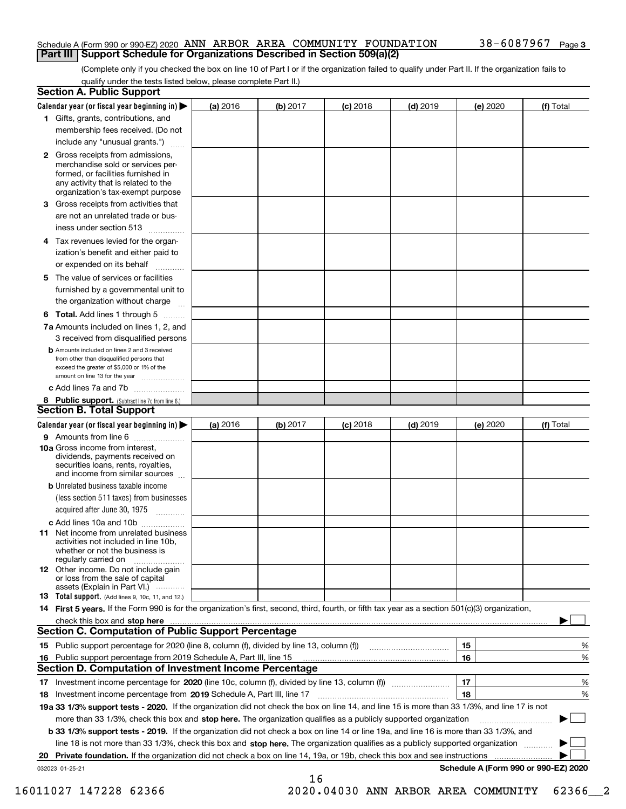## Schedule A (Form 990 or 990-EZ) 2020  $\,$  ANN  $\,$  ARBOR  $\,$  AREA  $\,$  COMMUNITY  $\,$  FOUNDATION  $\,$   $\,$  38  $-$  6087967  $\,$  Page **Part III Support Schedule for Organizations Described in Section 509(a)(2)**

(Complete only if you checked the box on line 10 of Part I or if the organization failed to qualify under Part II. If the organization fails to qualify under the tests listed below, please complete Part II.)

|     | <b>Section A. Public Support</b>                                                                                                                                                                                                                                                                  |          |          |            |            |          |                                      |
|-----|---------------------------------------------------------------------------------------------------------------------------------------------------------------------------------------------------------------------------------------------------------------------------------------------------|----------|----------|------------|------------|----------|--------------------------------------|
|     | Calendar year (or fiscal year beginning in) $\blacktriangleright$                                                                                                                                                                                                                                 | (a) 2016 | (b) 2017 | $(c)$ 2018 | $(d)$ 2019 | (e) 2020 | (f) Total                            |
|     | 1 Gifts, grants, contributions, and                                                                                                                                                                                                                                                               |          |          |            |            |          |                                      |
|     | membership fees received. (Do not                                                                                                                                                                                                                                                                 |          |          |            |            |          |                                      |
|     | include any "unusual grants.")                                                                                                                                                                                                                                                                    |          |          |            |            |          |                                      |
|     | <b>2</b> Gross receipts from admissions,<br>merchandise sold or services per-<br>formed, or facilities furnished in<br>any activity that is related to the<br>organization's tax-exempt purpose                                                                                                   |          |          |            |            |          |                                      |
|     | 3 Gross receipts from activities that<br>are not an unrelated trade or bus-                                                                                                                                                                                                                       |          |          |            |            |          |                                      |
|     | iness under section 513                                                                                                                                                                                                                                                                           |          |          |            |            |          |                                      |
|     | 4 Tax revenues levied for the organ-<br>ization's benefit and either paid to                                                                                                                                                                                                                      |          |          |            |            |          |                                      |
|     | or expended on its behalf                                                                                                                                                                                                                                                                         |          |          |            |            |          |                                      |
|     | 5 The value of services or facilities<br>furnished by a governmental unit to                                                                                                                                                                                                                      |          |          |            |            |          |                                      |
|     | the organization without charge                                                                                                                                                                                                                                                                   |          |          |            |            |          |                                      |
|     | <b>6 Total.</b> Add lines 1 through 5                                                                                                                                                                                                                                                             |          |          |            |            |          |                                      |
|     | 7a Amounts included on lines 1, 2, and<br>3 received from disqualified persons                                                                                                                                                                                                                    |          |          |            |            |          |                                      |
|     | <b>b</b> Amounts included on lines 2 and 3 received<br>from other than disqualified persons that<br>exceed the greater of \$5,000 or 1% of the<br>amount on line 13 for the year                                                                                                                  |          |          |            |            |          |                                      |
|     | c Add lines 7a and 7b                                                                                                                                                                                                                                                                             |          |          |            |            |          |                                      |
|     | 8 Public support. (Subtract line 7c from line 6.)<br><b>Section B. Total Support</b>                                                                                                                                                                                                              |          |          |            |            |          |                                      |
|     | Calendar year (or fiscal year beginning in)                                                                                                                                                                                                                                                       | (a) 2016 | (b) 2017 | $(c)$ 2018 | $(d)$ 2019 | (e) 2020 | (f) Total                            |
|     | 9 Amounts from line 6                                                                                                                                                                                                                                                                             |          |          |            |            |          |                                      |
|     | <b>10a</b> Gross income from interest,<br>dividends, payments received on<br>securities loans, rents, royalties,<br>and income from similar sources                                                                                                                                               |          |          |            |            |          |                                      |
|     | <b>b</b> Unrelated business taxable income                                                                                                                                                                                                                                                        |          |          |            |            |          |                                      |
|     | (less section 511 taxes) from businesses                                                                                                                                                                                                                                                          |          |          |            |            |          |                                      |
|     | acquired after June 30, 1975                                                                                                                                                                                                                                                                      |          |          |            |            |          |                                      |
|     | c Add lines 10a and 10b                                                                                                                                                                                                                                                                           |          |          |            |            |          |                                      |
|     | 11 Net income from unrelated business<br>activities not included in line 10b,<br>whether or not the business is<br>regularly carried on                                                                                                                                                           |          |          |            |            |          |                                      |
|     | <b>12</b> Other income. Do not include gain<br>or loss from the sale of capital<br>assets (Explain in Part VI.)                                                                                                                                                                                   |          |          |            |            |          |                                      |
|     | 13 Total support. (Add lines 9, 10c, 11, and 12.)                                                                                                                                                                                                                                                 |          |          |            |            |          |                                      |
|     | 14 First 5 years. If the Form 990 is for the organization's first, second, third, fourth, or fifth tax year as a section 501(c)(3) organization,                                                                                                                                                  |          |          |            |            |          |                                      |
|     | check this box and <b>stop here</b> with the continuum continuum continuum continuum continuum continuum continuum continuum continuum continuum continuum continuum continuum continuum continuum continuum continuum continuum co<br><b>Section C. Computation of Public Support Percentage</b> |          |          |            |            |          |                                      |
|     | 15 Public support percentage for 2020 (line 8, column (f), divided by line 13, column (f))                                                                                                                                                                                                        |          |          |            |            | 15       | %                                    |
| 16. | Public support percentage from 2019 Schedule A, Part III, line 15                                                                                                                                                                                                                                 |          |          |            |            | 16       | %                                    |
|     | Section D. Computation of Investment Income Percentage                                                                                                                                                                                                                                            |          |          |            |            |          |                                      |
|     | 17 Investment income percentage for 2020 (line 10c, column (f), divided by line 13, column (f))                                                                                                                                                                                                   |          |          |            |            | 17       | %                                    |
|     | 18 Investment income percentage from 2019 Schedule A, Part III, line 17                                                                                                                                                                                                                           |          |          |            |            | 18       | %                                    |
|     | 19a 33 1/3% support tests - 2020. If the organization did not check the box on line 14, and line 15 is more than 33 1/3%, and line 17 is not                                                                                                                                                      |          |          |            |            |          |                                      |
|     | more than 33 1/3%, check this box and stop here. The organization qualifies as a publicly supported organization                                                                                                                                                                                  |          |          |            |            |          |                                      |
|     | b 33 1/3% support tests - 2019. If the organization did not check a box on line 14 or line 19a, and line 16 is more than 33 1/3%, and                                                                                                                                                             |          |          |            |            |          |                                      |
|     | line 18 is not more than 33 1/3%, check this box and stop here. The organization qualifies as a publicly supported organization                                                                                                                                                                   |          |          |            |            |          |                                      |
| 20  | <b>Private foundation.</b> If the organization did not check a box on line 14, 19a, or 19b, check this box and see instructions                                                                                                                                                                   |          |          |            |            |          | .                                    |
|     | 032023 01-25-21                                                                                                                                                                                                                                                                                   |          | 16       |            |            |          | Schedule A (Form 990 or 990-EZ) 2020 |

16011027 147228 62366 2020.04030 ANN ARBOR AREA COMMUNITY 62366\_\_2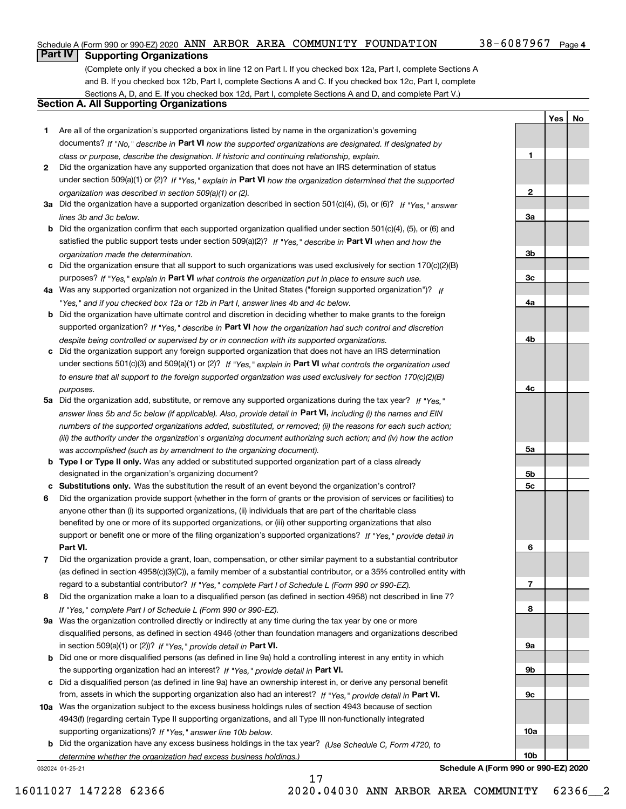## Schedule A (Form 990 or 990-EZ) 2020  $\,$  ANN  $\,$  ARBOR  $\,$  AREA  $\,$  COMMUNITY  $\,$  FOUNDATION  $\,$   $\,$  38  $-$  6087967  $\,$  Page

**1**

**YesNo**

# **Part IV Supporting Organizations**

(Complete only if you checked a box in line 12 on Part I. If you checked box 12a, Part I, complete Sections A and B. If you checked box 12b, Part I, complete Sections A and C. If you checked box 12c, Part I, complete Sections A, D, and E. If you checked box 12d, Part I, complete Sections A and D, and complete Part V.)

# **Section A. All Supporting Organizations**

- **1** Are all of the organization's supported organizations listed by name in the organization's governing documents? If "No," describe in **Part VI** how the supported organizations are designated. If designated by *class or purpose, describe the designation. If historic and continuing relationship, explain.*
- **2** Did the organization have any supported organization that does not have an IRS determination of status under section 509(a)(1) or (2)? If "Yes," explain in Part VI how the organization determined that the supported *organization was described in section 509(a)(1) or (2).*
- **3a** Did the organization have a supported organization described in section 501(c)(4), (5), or (6)? If "Yes," answer *lines 3b and 3c below.*
- **b** Did the organization confirm that each supported organization qualified under section 501(c)(4), (5), or (6) and satisfied the public support tests under section 509(a)(2)? If "Yes," describe in **Part VI** when and how the *organization made the determination.*
- **c**Did the organization ensure that all support to such organizations was used exclusively for section 170(c)(2)(B) purposes? If "Yes," explain in **Part VI** what controls the organization put in place to ensure such use.
- **4a***If* Was any supported organization not organized in the United States ("foreign supported organization")? *"Yes," and if you checked box 12a or 12b in Part I, answer lines 4b and 4c below.*
- **b** Did the organization have ultimate control and discretion in deciding whether to make grants to the foreign supported organization? If "Yes," describe in **Part VI** how the organization had such control and discretion *despite being controlled or supervised by or in connection with its supported organizations.*
- **c** Did the organization support any foreign supported organization that does not have an IRS determination under sections 501(c)(3) and 509(a)(1) or (2)? If "Yes," explain in **Part VI** what controls the organization used *to ensure that all support to the foreign supported organization was used exclusively for section 170(c)(2)(B) purposes.*
- **5a** Did the organization add, substitute, or remove any supported organizations during the tax year? If "Yes," answer lines 5b and 5c below (if applicable). Also, provide detail in **Part VI,** including (i) the names and EIN *numbers of the supported organizations added, substituted, or removed; (ii) the reasons for each such action; (iii) the authority under the organization's organizing document authorizing such action; and (iv) how the action was accomplished (such as by amendment to the organizing document).*
- **b** Type I or Type II only. Was any added or substituted supported organization part of a class already designated in the organization's organizing document?
- **cSubstitutions only.**  Was the substitution the result of an event beyond the organization's control?
- **6** Did the organization provide support (whether in the form of grants or the provision of services or facilities) to **Part VI.** *If "Yes," provide detail in* support or benefit one or more of the filing organization's supported organizations? anyone other than (i) its supported organizations, (ii) individuals that are part of the charitable class benefited by one or more of its supported organizations, or (iii) other supporting organizations that also
- **7**Did the organization provide a grant, loan, compensation, or other similar payment to a substantial contributor *If "Yes," complete Part I of Schedule L (Form 990 or 990-EZ).* regard to a substantial contributor? (as defined in section 4958(c)(3)(C)), a family member of a substantial contributor, or a 35% controlled entity with
- **8** Did the organization make a loan to a disqualified person (as defined in section 4958) not described in line 7? *If "Yes," complete Part I of Schedule L (Form 990 or 990-EZ).*
- **9a** Was the organization controlled directly or indirectly at any time during the tax year by one or more in section 509(a)(1) or (2))? If "Yes," *provide detail in* <code>Part VI.</code> disqualified persons, as defined in section 4946 (other than foundation managers and organizations described
- **b** Did one or more disqualified persons (as defined in line 9a) hold a controlling interest in any entity in which the supporting organization had an interest? If "Yes," provide detail in P**art VI**.
- **c**Did a disqualified person (as defined in line 9a) have an ownership interest in, or derive any personal benefit from, assets in which the supporting organization also had an interest? If "Yes," provide detail in P**art VI.**
- **10a** Was the organization subject to the excess business holdings rules of section 4943 because of section supporting organizations)? If "Yes," answer line 10b below. 4943(f) (regarding certain Type II supporting organizations, and all Type III non-functionally integrated
- **b** Did the organization have any excess business holdings in the tax year? (Use Schedule C, Form 4720, to *determine whether the organization had excess business holdings.)*

17

032024 01-25-21

**23a3b3c4a4b4c5a 5b5c6789a 9b9c10a10b**

**Schedule A (Form 990 or 990-EZ) 2020**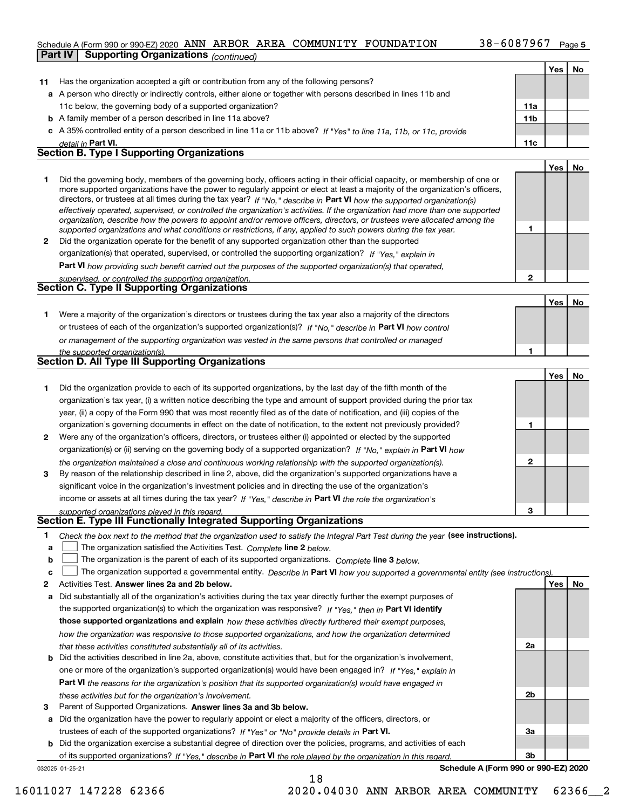# Schedule A (Form 990 or 990-EZ) 2020  $\,$  ANN  $\,$  ARBOR  $\,$  AREA  $\,$  COMMUNITY  $\,$  FOUNDATION  $\,$   $\,$  38  $-$  6087967  $\,$  Page

|        | <b>Supporting Organizations (continued)</b><br>Part IV                                                                                                                                                                                                      |                 |     |    |
|--------|-------------------------------------------------------------------------------------------------------------------------------------------------------------------------------------------------------------------------------------------------------------|-----------------|-----|----|
|        |                                                                                                                                                                                                                                                             |                 | Yes | No |
| 11     | Has the organization accepted a gift or contribution from any of the following persons?                                                                                                                                                                     |                 |     |    |
|        | a A person who directly or indirectly controls, either alone or together with persons described in lines 11b and                                                                                                                                            |                 |     |    |
|        | 11c below, the governing body of a supported organization?                                                                                                                                                                                                  | 11a             |     |    |
|        | <b>b</b> A family member of a person described in line 11a above?                                                                                                                                                                                           | 11 <sub>b</sub> |     |    |
|        | c A 35% controlled entity of a person described in line 11a or 11b above? If "Yes" to line 11a, 11b, or 11c, provide                                                                                                                                        |                 |     |    |
|        | detail in Part VI.                                                                                                                                                                                                                                          | 11c             |     |    |
|        | <b>Section B. Type I Supporting Organizations</b>                                                                                                                                                                                                           |                 |     |    |
|        |                                                                                                                                                                                                                                                             |                 | Yes | No |
| 1      | Did the governing body, members of the governing body, officers acting in their official capacity, or membership of one or<br>more supported organizations have the power to regularly appoint or elect at least a majority of the organization's officers, |                 |     |    |
|        | directors, or trustees at all times during the tax year? If "No," describe in Part VI how the supported organization(s)<br>effectively operated, supervised, or controlled the organization's activities. If the organization had more than one supported   |                 |     |    |
|        | organization, describe how the powers to appoint and/or remove officers, directors, or trustees were allocated among the<br>supported organizations and what conditions or restrictions, if any, applied to such powers during the tax year.                | 1               |     |    |
| 2      | Did the organization operate for the benefit of any supported organization other than the supported                                                                                                                                                         |                 |     |    |
|        | organization(s) that operated, supervised, or controlled the supporting organization? If "Yes," explain in                                                                                                                                                  |                 |     |    |
|        | Part VI how providing such benefit carried out the purposes of the supported organization(s) that operated,                                                                                                                                                 | $\overline{2}$  |     |    |
|        | supervised, or controlled the supporting organization.<br>Section C. Type II Supporting Organizations                                                                                                                                                       |                 |     |    |
|        |                                                                                                                                                                                                                                                             |                 | Yes | No |
| 1.     | Were a majority of the organization's directors or trustees during the tax year also a majority of the directors                                                                                                                                            |                 |     |    |
|        | or trustees of each of the organization's supported organization(s)? If "No," describe in Part VI how control                                                                                                                                               |                 |     |    |
|        | or management of the supporting organization was vested in the same persons that controlled or managed                                                                                                                                                      |                 |     |    |
|        | the supported organization(s).                                                                                                                                                                                                                              | 1               |     |    |
|        | Section D. All Type III Supporting Organizations                                                                                                                                                                                                            |                 |     |    |
|        |                                                                                                                                                                                                                                                             |                 | Yes | No |
| 1      | Did the organization provide to each of its supported organizations, by the last day of the fifth month of the                                                                                                                                              |                 |     |    |
|        | organization's tax year, (i) a written notice describing the type and amount of support provided during the prior tax                                                                                                                                       |                 |     |    |
|        | year, (ii) a copy of the Form 990 that was most recently filed as of the date of notification, and (iii) copies of the                                                                                                                                      |                 |     |    |
|        | organization's governing documents in effect on the date of notification, to the extent not previously provided?                                                                                                                                            | 1               |     |    |
| 2      | Were any of the organization's officers, directors, or trustees either (i) appointed or elected by the supported                                                                                                                                            |                 |     |    |
|        | organization(s) or (ii) serving on the governing body of a supported organization? If "No," explain in Part VI how                                                                                                                                          |                 |     |    |
|        | the organization maintained a close and continuous working relationship with the supported organization(s).                                                                                                                                                 | $\mathbf{2}$    |     |    |
| 3      | By reason of the relationship described in line 2, above, did the organization's supported organizations have a                                                                                                                                             |                 |     |    |
|        | significant voice in the organization's investment policies and in directing the use of the organization's                                                                                                                                                  |                 |     |    |
|        | income or assets at all times during the tax year? If "Yes," describe in Part VI the role the organization's                                                                                                                                                |                 |     |    |
|        | supported organizations played in this regard.<br>Section E. Type III Functionally Integrated Supporting Organizations                                                                                                                                      | 3               |     |    |
|        |                                                                                                                                                                                                                                                             |                 |     |    |
| 1<br>а | Check the box next to the method that the organization used to satisfy the Integral Part Test during the year (see instructions).<br>The organization satisfied the Activities Test. Complete line 2 below.                                                 |                 |     |    |
| b      | The organization is the parent of each of its supported organizations. Complete line 3 below.                                                                                                                                                               |                 |     |    |
| с      | The organization supported a governmental entity. Describe in Part VI how you supported a governmental entity (see instructions)                                                                                                                            |                 |     |    |
| 2      | Activities Test. Answer lines 2a and 2b below.                                                                                                                                                                                                              |                 | Yes | No |
| а      | Did substantially all of the organization's activities during the tax year directly further the exempt purposes of                                                                                                                                          |                 |     |    |
|        | the supported organization(s) to which the organization was responsive? If "Yes," then in Part VI identify                                                                                                                                                  |                 |     |    |
|        | those supported organizations and explain how these activities directly furthered their exempt purposes,                                                                                                                                                    |                 |     |    |
|        | how the organization was responsive to those supported organizations, and how the organization determined                                                                                                                                                   |                 |     |    |
|        | that these activities constituted substantially all of its activities.                                                                                                                                                                                      | 2a              |     |    |

| <b>b</b> Did the activities described in line 2a, above, constitute activities that, but for the organization's involvement, |
|------------------------------------------------------------------------------------------------------------------------------|
| one or more of the organization's supported organization(s) would have been engaged in? If "Yes," explain in                 |
| <b>Part VI</b> the reasons for the organization's position that its supported organization(s) would have engaged in          |
| these activities but for the organization's involvement.                                                                     |

**3** Parent of Supported Organizations. Answer lines 3a and 3b below.

**a** Did the organization have the power to regularly appoint or elect a majority of the officers, directors, or trustees of each of the supported organizations? If "Yes" or "No" provide details in **Part VI.** 

032025 01-25-21 **b** Did the organization exercise a substantial degree of direction over the policies, programs, and activities of each of its supported organizations? If "Yes," describe in Part VI the role played by the organization in this regard.

**Schedule A (Form 990 or 990-EZ) 2020**

**2b**

**3a**

**3b**

18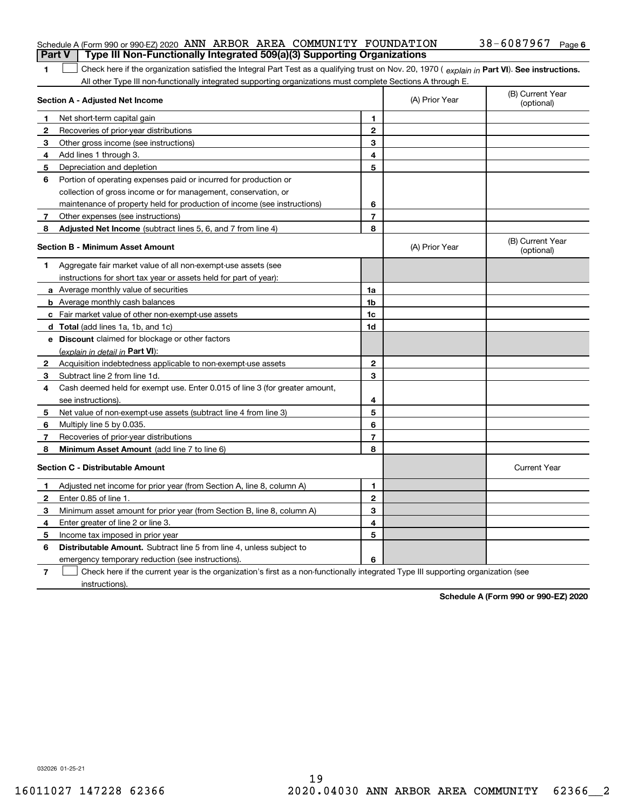| <b>Part V</b> Type III Non-Functionally Integrated 509(a)(3) Supporting Organizations |  |  |                       |  |
|---------------------------------------------------------------------------------------|--|--|-----------------------|--|
| Schedule A (Form 990 or 990-EZ) 2020 ANN ARBOR AREA COMMUNITY FOUNDATION              |  |  | $38 - 6087967$ Page 6 |  |

1 Check here if the organization satisfied the Integral Part Test as a qualifying trust on Nov. 20, 1970 (explain in Part VI). See instructions. All other Type III non-functionally integrated supporting organizations must complete Sections A through E.

|    | Section A - Adjusted Net Income                                                                                                   | (A) Prior Year | (B) Current Year<br>(optional) |                                |
|----|-----------------------------------------------------------------------------------------------------------------------------------|----------------|--------------------------------|--------------------------------|
| 1  | Net short-term capital gain                                                                                                       | 1              |                                |                                |
| 2  | Recoveries of prior-year distributions                                                                                            | $\mathbf{2}$   |                                |                                |
| 3  | Other gross income (see instructions)                                                                                             | 3              |                                |                                |
| 4  | Add lines 1 through 3.                                                                                                            | 4              |                                |                                |
| 5  | Depreciation and depletion                                                                                                        | 5              |                                |                                |
| 6  | Portion of operating expenses paid or incurred for production or                                                                  |                |                                |                                |
|    | collection of gross income or for management, conservation, or                                                                    |                |                                |                                |
|    | maintenance of property held for production of income (see instructions)                                                          | 6              |                                |                                |
| 7  | Other expenses (see instructions)                                                                                                 | $\overline{7}$ |                                |                                |
| 8  | Adjusted Net Income (subtract lines 5, 6, and 7 from line 4)                                                                      | 8              |                                |                                |
|    | <b>Section B - Minimum Asset Amount</b>                                                                                           |                | (A) Prior Year                 | (B) Current Year<br>(optional) |
| 1  | Aggregate fair market value of all non-exempt-use assets (see                                                                     |                |                                |                                |
|    | instructions for short tax year or assets held for part of year):                                                                 |                |                                |                                |
|    | <b>a</b> Average monthly value of securities                                                                                      | 1a             |                                |                                |
|    | <b>b</b> Average monthly cash balances                                                                                            | 1 <sub>b</sub> |                                |                                |
|    | c Fair market value of other non-exempt-use assets                                                                                | 1c             |                                |                                |
|    | d Total (add lines 1a, 1b, and 1c)                                                                                                | 1d             |                                |                                |
|    | e Discount claimed for blockage or other factors                                                                                  |                |                                |                                |
|    | (explain in detail in Part VI):                                                                                                   |                |                                |                                |
| 2  | Acquisition indebtedness applicable to non-exempt-use assets                                                                      | $\mathbf{2}$   |                                |                                |
| З. | Subtract line 2 from line 1d.                                                                                                     | 3              |                                |                                |
| 4  | Cash deemed held for exempt use. Enter 0.015 of line 3 (for greater amount,                                                       |                |                                |                                |
|    | see instructions).                                                                                                                | 4              |                                |                                |
| 5  | Net value of non-exempt-use assets (subtract line 4 from line 3)                                                                  | 5              |                                |                                |
| 6  | Multiply line 5 by 0.035.                                                                                                         | 6              |                                |                                |
| 7  | Recoveries of prior-year distributions                                                                                            | $\overline{7}$ |                                |                                |
| 8  | Minimum Asset Amount (add line 7 to line 6)                                                                                       | 8              |                                |                                |
|    | <b>Section C - Distributable Amount</b>                                                                                           |                |                                | <b>Current Year</b>            |
| 1  | Adjusted net income for prior year (from Section A, line 8, column A)                                                             | 1              |                                |                                |
| 2  | Enter 0.85 of line 1.                                                                                                             | $\mathbf{2}$   |                                |                                |
| 3  | Minimum asset amount for prior year (from Section B, line 8, column A)                                                            | 3              |                                |                                |
| 4  | Enter greater of line 2 or line 3.                                                                                                | 4              |                                |                                |
| 5  | Income tax imposed in prior year                                                                                                  | 5              |                                |                                |
| 6  | <b>Distributable Amount.</b> Subtract line 5 from line 4, unless subject to                                                       |                |                                |                                |
|    | emergency temporary reduction (see instructions).                                                                                 | 6              |                                |                                |
| 7  | Check here if the current year is the organization's first as a non-functionally integrated Type III supporting organization (see |                |                                |                                |

instructions).

**1**

**Schedule A (Form 990 or 990-EZ) 2020**

032026 01-25-21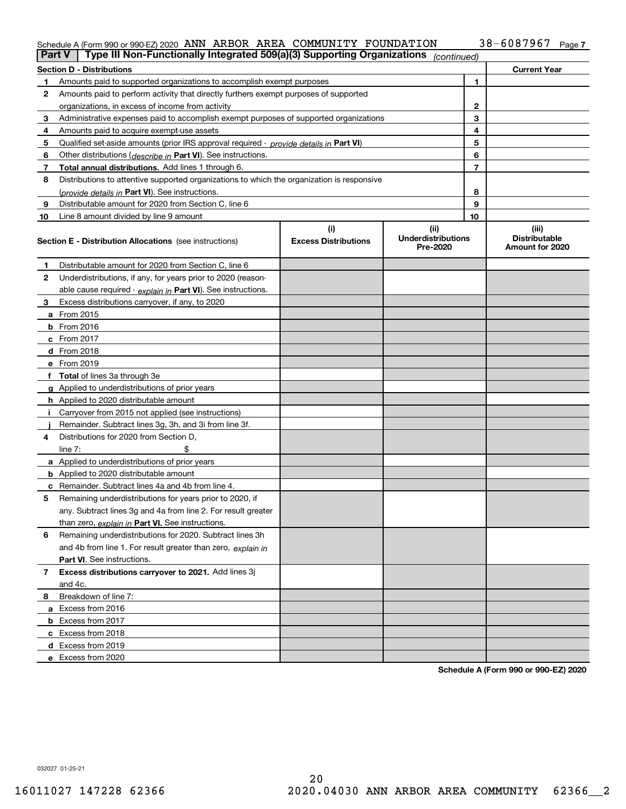#### Schedule A (Form 990 or 990-EZ) 2020 ANN ARBOR AREA COMMUNITY FOUNDATIION 3 8 = 6 U 8 7 9 6 7 Page ANN ARBOR AREA COMMUNITY FOUNDATION 38-6087967

|    | Type III Non-Functionally Integrated 509(a)(3) Supporting Organizations<br>Part V          |                             | (continued)                           |    |                                         |
|----|--------------------------------------------------------------------------------------------|-----------------------------|---------------------------------------|----|-----------------------------------------|
|    | <b>Section D - Distributions</b>                                                           |                             |                                       |    | <b>Current Year</b>                     |
|    | Amounts paid to supported organizations to accomplish exempt purposes                      |                             |                                       | 1  |                                         |
| 2  | Amounts paid to perform activity that directly furthers exempt purposes of supported       |                             |                                       |    |                                         |
|    | organizations, in excess of income from activity                                           |                             | 2                                     |    |                                         |
| 3  | Administrative expenses paid to accomplish exempt purposes of supported organizations      |                             |                                       | 3  |                                         |
| 4  | Amounts paid to acquire exempt-use assets                                                  |                             |                                       | 4  |                                         |
| 5  | Qualified set aside amounts (prior IRS approval required - provide details in Part VI)     |                             |                                       | 5  |                                         |
| 6  | Other distributions (describe in Part VI). See instructions.                               |                             |                                       | 6  |                                         |
| 7  | Total annual distributions. Add lines 1 through 6.                                         |                             |                                       | 7  |                                         |
| 8  | Distributions to attentive supported organizations to which the organization is responsive |                             |                                       |    |                                         |
|    | (provide details in Part VI). See instructions.                                            |                             |                                       | 8  |                                         |
| 9  | Distributable amount for 2020 from Section C, line 6                                       |                             |                                       | 9  |                                         |
| 10 | Line 8 amount divided by line 9 amount                                                     |                             |                                       | 10 |                                         |
|    |                                                                                            | (i)                         | (ii)                                  |    | (iii)                                   |
|    | <b>Section E - Distribution Allocations</b> (see instructions)                             | <b>Excess Distributions</b> | <b>Underdistributions</b><br>Pre-2020 |    | <b>Distributable</b><br>Amount for 2020 |
| 1  | Distributable amount for 2020 from Section C, line 6                                       |                             |                                       |    |                                         |
| 2  | Underdistributions, if any, for years prior to 2020 (reason-                               |                             |                                       |    |                                         |
|    | able cause required - explain in Part VI). See instructions.                               |                             |                                       |    |                                         |
| 3  | Excess distributions carryover, if any, to 2020                                            |                             |                                       |    |                                         |
|    | a From 2015                                                                                |                             |                                       |    |                                         |
|    | $b$ From 2016                                                                              |                             |                                       |    |                                         |
|    | $c$ From 2017                                                                              |                             |                                       |    |                                         |
|    | <b>d</b> From 2018                                                                         |                             |                                       |    |                                         |
|    | e From 2019                                                                                |                             |                                       |    |                                         |
|    | f Total of lines 3a through 3e                                                             |                             |                                       |    |                                         |
|    | g Applied to underdistributions of prior years                                             |                             |                                       |    |                                         |
|    | <b>h</b> Applied to 2020 distributable amount                                              |                             |                                       |    |                                         |
|    | Carryover from 2015 not applied (see instructions)                                         |                             |                                       |    |                                         |
|    | Remainder. Subtract lines 3g, 3h, and 3i from line 3f.                                     |                             |                                       |    |                                         |
| 4  | Distributions for 2020 from Section D.                                                     |                             |                                       |    |                                         |
|    | line $7:$                                                                                  |                             |                                       |    |                                         |
|    | a Applied to underdistributions of prior years                                             |                             |                                       |    |                                         |
|    | <b>b</b> Applied to 2020 distributable amount                                              |                             |                                       |    |                                         |
|    | <b>c</b> Remainder. Subtract lines 4a and 4b from line 4.                                  |                             |                                       |    |                                         |
| 5  | Remaining underdistributions for years prior to 2020, if                                   |                             |                                       |    |                                         |
|    | any. Subtract lines 3g and 4a from line 2. For result greater                              |                             |                                       |    |                                         |
|    | than zero, explain in Part VI. See instructions.                                           |                             |                                       |    |                                         |
| 6  | Remaining underdistributions for 2020. Subtract lines 3h                                   |                             |                                       |    |                                         |
|    | and 4b from line 1. For result greater than zero, explain in                               |                             |                                       |    |                                         |
|    | <b>Part VI.</b> See instructions.                                                          |                             |                                       |    |                                         |
| 7  | Excess distributions carryover to 2021. Add lines 3j                                       |                             |                                       |    |                                         |
|    | and 4c.                                                                                    |                             |                                       |    |                                         |
| 8  | Breakdown of line 7:                                                                       |                             |                                       |    |                                         |
|    | a Excess from 2016                                                                         |                             |                                       |    |                                         |
|    | <b>b</b> Excess from 2017                                                                  |                             |                                       |    |                                         |
|    | c Excess from 2018                                                                         |                             |                                       |    |                                         |
|    | d Excess from 2019                                                                         |                             |                                       |    |                                         |
|    | e Excess from 2020                                                                         |                             |                                       |    |                                         |

**Schedule A (Form 990 or 990-EZ) 2020**

032027 01-25-21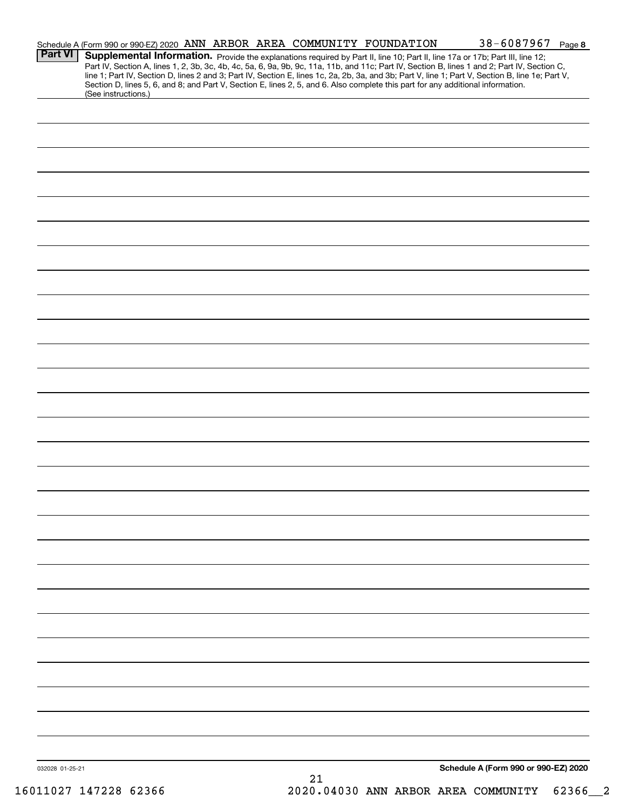| <b>Part VI</b>  | Schedule A (Form 990 or 990-EZ) 2020 ANN ARBOR AREA COMMUNITY FOUNDATION |  |    | 38-6087967 Page 8<br>Supplemental Information. Provide the explanations required by Part II, line 10; Part II, line 17a or 17b; Part III, line 12;                                                                                                                                                                                                                                                                                  |  |
|-----------------|--------------------------------------------------------------------------|--|----|-------------------------------------------------------------------------------------------------------------------------------------------------------------------------------------------------------------------------------------------------------------------------------------------------------------------------------------------------------------------------------------------------------------------------------------|--|
|                 | (See instructions.)                                                      |  |    | Part IV, Section A, lines 1, 2, 3b, 3c, 4b, 4c, 5a, 6, 9a, 9b, 9c, 11a, 11b, and 11c; Part IV, Section B, lines 1 and 2; Part IV, Section C,<br>line 1; Part IV, Section D, lines 2 and 3; Part IV, Section E, lines 1c, 2a, 2b, 3a, and 3b; Part V, line 1; Part V, Section B, line 1e; Part V,<br>Section D, lines 5, 6, and 8; and Part V, Section E, lines 2, 5, and 6. Also complete this part for any additional information. |  |
|                 |                                                                          |  |    |                                                                                                                                                                                                                                                                                                                                                                                                                                     |  |
|                 |                                                                          |  |    |                                                                                                                                                                                                                                                                                                                                                                                                                                     |  |
|                 |                                                                          |  |    |                                                                                                                                                                                                                                                                                                                                                                                                                                     |  |
|                 |                                                                          |  |    |                                                                                                                                                                                                                                                                                                                                                                                                                                     |  |
|                 |                                                                          |  |    |                                                                                                                                                                                                                                                                                                                                                                                                                                     |  |
|                 |                                                                          |  |    |                                                                                                                                                                                                                                                                                                                                                                                                                                     |  |
|                 |                                                                          |  |    |                                                                                                                                                                                                                                                                                                                                                                                                                                     |  |
|                 |                                                                          |  |    |                                                                                                                                                                                                                                                                                                                                                                                                                                     |  |
|                 |                                                                          |  |    |                                                                                                                                                                                                                                                                                                                                                                                                                                     |  |
|                 |                                                                          |  |    |                                                                                                                                                                                                                                                                                                                                                                                                                                     |  |
|                 |                                                                          |  |    |                                                                                                                                                                                                                                                                                                                                                                                                                                     |  |
|                 |                                                                          |  |    |                                                                                                                                                                                                                                                                                                                                                                                                                                     |  |
|                 |                                                                          |  |    |                                                                                                                                                                                                                                                                                                                                                                                                                                     |  |
|                 |                                                                          |  |    |                                                                                                                                                                                                                                                                                                                                                                                                                                     |  |
|                 |                                                                          |  |    |                                                                                                                                                                                                                                                                                                                                                                                                                                     |  |
|                 |                                                                          |  |    |                                                                                                                                                                                                                                                                                                                                                                                                                                     |  |
|                 |                                                                          |  |    |                                                                                                                                                                                                                                                                                                                                                                                                                                     |  |
|                 |                                                                          |  |    |                                                                                                                                                                                                                                                                                                                                                                                                                                     |  |
|                 |                                                                          |  |    |                                                                                                                                                                                                                                                                                                                                                                                                                                     |  |
|                 |                                                                          |  |    |                                                                                                                                                                                                                                                                                                                                                                                                                                     |  |
|                 |                                                                          |  |    |                                                                                                                                                                                                                                                                                                                                                                                                                                     |  |
|                 |                                                                          |  |    |                                                                                                                                                                                                                                                                                                                                                                                                                                     |  |
|                 |                                                                          |  |    |                                                                                                                                                                                                                                                                                                                                                                                                                                     |  |
|                 |                                                                          |  |    |                                                                                                                                                                                                                                                                                                                                                                                                                                     |  |
|                 |                                                                          |  |    |                                                                                                                                                                                                                                                                                                                                                                                                                                     |  |
|                 |                                                                          |  |    |                                                                                                                                                                                                                                                                                                                                                                                                                                     |  |
|                 |                                                                          |  |    |                                                                                                                                                                                                                                                                                                                                                                                                                                     |  |
|                 |                                                                          |  |    | Schedule A (Form 990 or 990-EZ) 2020                                                                                                                                                                                                                                                                                                                                                                                                |  |
| 032028 01-25-21 |                                                                          |  | 21 |                                                                                                                                                                                                                                                                                                                                                                                                                                     |  |

16011027 147228 62366 2020.04030 ANN ARBOR AREA COMMUNITY 62366\_\_2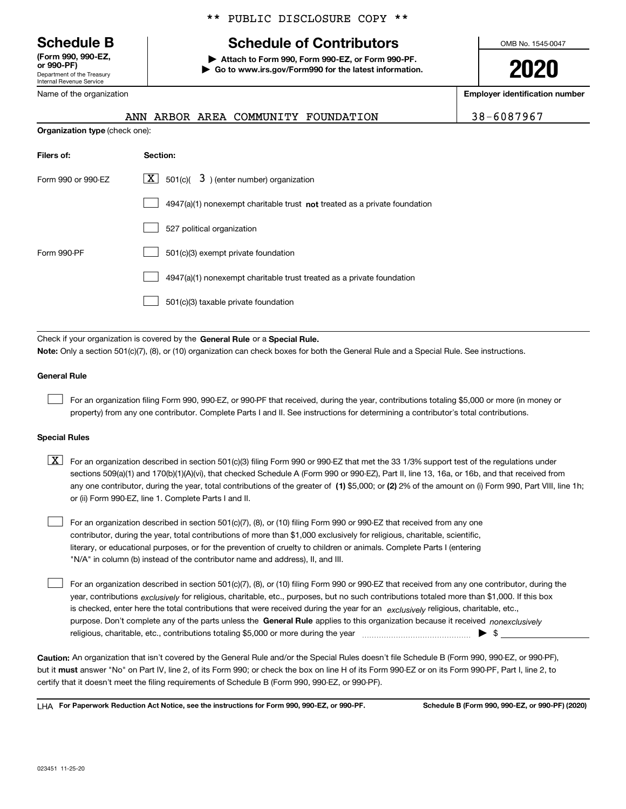Department of the Treasury Internal Revenue Service **(Form 990, 990-EZ, or 990-PF)**

**Organization ty** 

**Filers of:** 

Name of the organization

# \*\* PUBLIC DISCLOSURE COPY \*\*

# **Schedule B Schedule of Contributors**

**| Attach to Form 990, Form 990-EZ, or Form 990-PF. | Go to www.irs.gov/Form990 for the latest information.** OMB No. 1545-0047

**2020**

**Employer identification number**

| 38-6087967 |  |  |  |  |
|------------|--|--|--|--|
|            |  |  |  |  |

|                        |          |  | ANN ARBOR AREA COMMUNITY FOUNDATION | 38-6087967 |
|------------------------|----------|--|-------------------------------------|------------|
| <b>pe</b> (check one): |          |  |                                     |            |
|                        | Section: |  |                                     |            |
|                        |          |  |                                     |            |

| Form 990 or 990-EZ | $\boxed{\mathbf{X}}$ 501(c)( 3) (enter number) organization                        |
|--------------------|------------------------------------------------------------------------------------|
|                    | $4947(a)(1)$ nonexempt charitable trust <b>not</b> treated as a private foundation |
|                    | 527 political organization                                                         |
| Form 990-PF        | 501(c)(3) exempt private foundation                                                |
|                    | 4947(a)(1) nonexempt charitable trust treated as a private foundation              |
|                    | 501(c)(3) taxable private foundation                                               |

Check if your organization is covered by the **General Rule** or a **Special Rule. Note:**  Only a section 501(c)(7), (8), or (10) organization can check boxes for both the General Rule and a Special Rule. See instructions.

### **General Rule**

 $\mathcal{L}^{\text{max}}$ 

For an organization filing Form 990, 990-EZ, or 990-PF that received, during the year, contributions totaling \$5,000 or more (in money or property) from any one contributor. Complete Parts I and II. See instructions for determining a contributor's total contributions.

#### **Special Rules**

any one contributor, during the year, total contributions of the greater of  $\,$  (1) \$5,000; or **(2)** 2% of the amount on (i) Form 990, Part VIII, line 1h;  $\boxed{\textbf{X}}$  For an organization described in section 501(c)(3) filing Form 990 or 990-EZ that met the 33 1/3% support test of the regulations under sections 509(a)(1) and 170(b)(1)(A)(vi), that checked Schedule A (Form 990 or 990-EZ), Part II, line 13, 16a, or 16b, and that received from or (ii) Form 990-EZ, line 1. Complete Parts I and II.

For an organization described in section 501(c)(7), (8), or (10) filing Form 990 or 990-EZ that received from any one contributor, during the year, total contributions of more than \$1,000 exclusively for religious, charitable, scientific, literary, or educational purposes, or for the prevention of cruelty to children or animals. Complete Parts I (entering "N/A" in column (b) instead of the contributor name and address), II, and III.  $\mathcal{L}^{\text{max}}$ 

purpose. Don't complete any of the parts unless the **General Rule** applies to this organization because it received *nonexclusively* year, contributions <sub>exclusively</sub> for religious, charitable, etc., purposes, but no such contributions totaled more than \$1,000. If this box is checked, enter here the total contributions that were received during the year for an  $\;$ exclusively religious, charitable, etc., For an organization described in section 501(c)(7), (8), or (10) filing Form 990 or 990-EZ that received from any one contributor, during the religious, charitable, etc., contributions totaling \$5,000 or more during the year  $\Box$ — $\Box$   $\Box$  $\mathcal{L}^{\text{max}}$ 

**Caution:**  An organization that isn't covered by the General Rule and/or the Special Rules doesn't file Schedule B (Form 990, 990-EZ, or 990-PF),  **must** but it answer "No" on Part IV, line 2, of its Form 990; or check the box on line H of its Form 990-EZ or on its Form 990-PF, Part I, line 2, to certify that it doesn't meet the filing requirements of Schedule B (Form 990, 990-EZ, or 990-PF).

**For Paperwork Reduction Act Notice, see the instructions for Form 990, 990-EZ, or 990-PF. Schedule B (Form 990, 990-EZ, or 990-PF) (2020)** LHA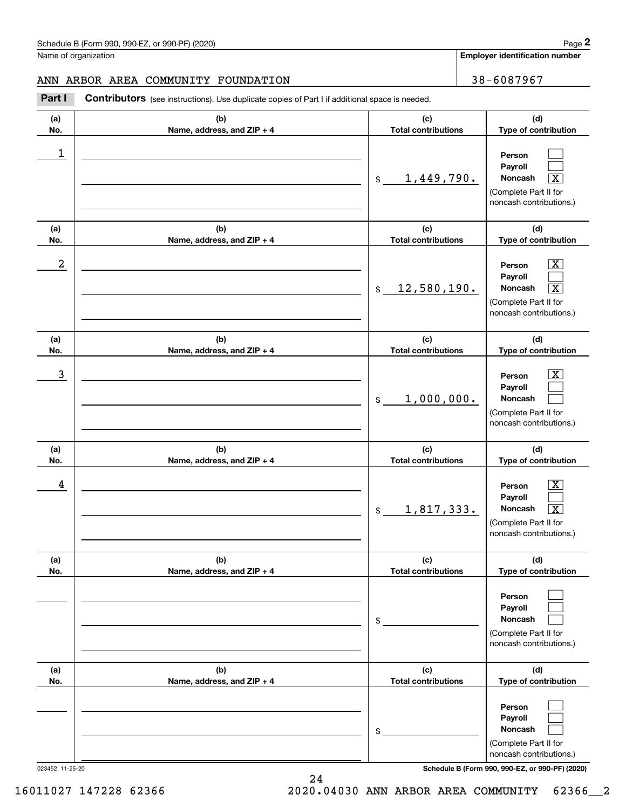**Employer identification number**

## ANN ARBOR AREA COMMUNITY FOUNDATION | 38-6087967

Contributors (see instructions). Use duplicate copies of Part I if additional space is needed. Chedule B (Form 990, 990-EZ, or 990-PF) (2020)<br>Iame of organization<br>**2Part I 2Part I Contributors** (see instructions). Use duplicate copies of Part I if additional space is needed.

| (a)<br>No. | (b)<br>Name, address, and ZIP + 4 | (c)<br><b>Total contributions</b>  | (d)<br>Type of contribution                                                                                                  |
|------------|-----------------------------------|------------------------------------|------------------------------------------------------------------------------------------------------------------------------|
| 1          |                                   | <u>1,449,790.</u><br>$\frac{1}{2}$ | Person<br>Payroll<br>Noncash<br>$\overline{\mathbf{x}}$<br>(Complete Part II for<br>noncash contributions.)                  |
| (a)<br>No. | (b)<br>Name, address, and ZIP + 4 | (c)<br><b>Total contributions</b>  | (d)<br>Type of contribution                                                                                                  |
| 2          |                                   | 12,580,190.<br>$\frac{1}{2}$       | $\boxed{\text{X}}$<br>Person<br>Payroll<br>Noncash<br>$\boxed{\text{X}}$<br>(Complete Part II for<br>noncash contributions.) |
| (a)<br>No. | (b)<br>Name, address, and ZIP + 4 | (c)<br><b>Total contributions</b>  | (d)<br>Type of contribution                                                                                                  |
| 3          |                                   | 1,000,000.<br>$\frac{1}{2}$        | $\boxed{\text{X}}$<br>Person<br>Payroll<br><b>Noncash</b><br>(Complete Part II for<br>noncash contributions.)                |
| (a)<br>No. | (b)<br>Name, address, and ZIP + 4 | (c)<br><b>Total contributions</b>  | (d)<br>Type of contribution                                                                                                  |
| 4          |                                   | 1,817,333.<br>$\frac{1}{2}$        | $\boxed{\text{X}}$<br>Person<br>Payroll<br>$\boxed{\text{X}}$<br>Noncash<br>(Complete Part II for<br>noncash contributions.) |
| (a)<br>No. | (b)<br>Name, address, and ZIP + 4 | (c)<br><b>Total contributions</b>  | (d)<br>Type of contribution                                                                                                  |
|            |                                   | \$                                 | Person<br>Payroll<br>Noncash<br>(Complete Part II for<br>noncash contributions.)                                             |
| (a)<br>No. | (b)<br>Name, address, and ZIP + 4 | (c)<br><b>Total contributions</b>  | (d)<br>Type of contribution                                                                                                  |
|            |                                   | \$                                 | Person<br>Payroll<br>Noncash<br>(Complete Part II for<br>noncash contributions.)                                             |

023452 11-25-20 **Schedule B (Form 990, 990-EZ, or 990-PF) (2020)**

24

16011027 147228 62366 2020.04030 ANN ARBOR AREA COMMUNITY 62366\_\_2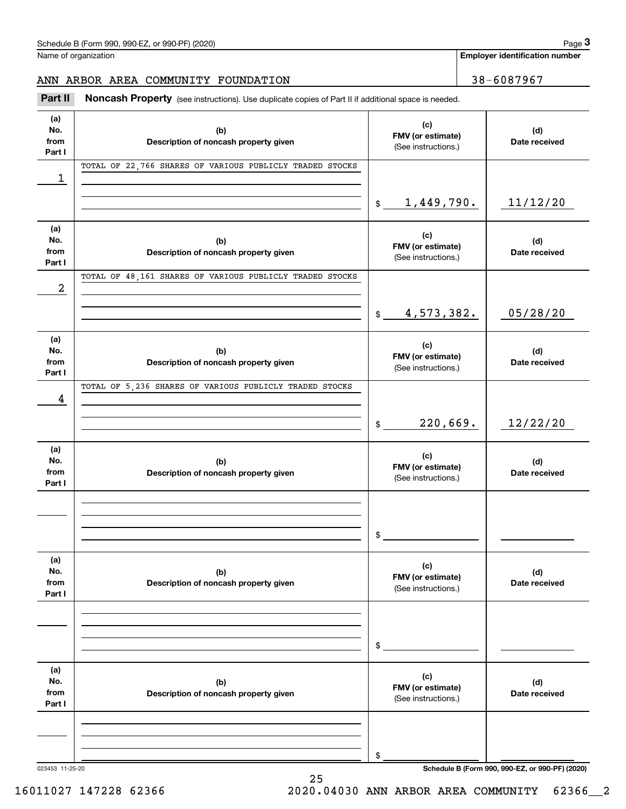Name of organization

**Employer identification number**

# ANN ARBOR AREA COMMUNITY FOUNDATION | 38-6087967

(see instructions). Use duplicate copies of Part II if additional space is needed.<br> **2Part II Noncash Property** (see instructions). Use duplicate copies of Part II if additional space is needed.<br> **2Part II Noncash Prop** 

| (a)<br>No.<br>from<br>Part I | (b)<br>Description of noncash property given             | (c)<br>FMV (or estimate)<br>(See instructions.) | (d)<br>Date received                            |
|------------------------------|----------------------------------------------------------|-------------------------------------------------|-------------------------------------------------|
| 1                            | TOTAL OF 22,766 SHARES OF VARIOUS PUBLICLY TRADED STOCKS |                                                 |                                                 |
|                              |                                                          | <u>1,449,790.</u><br>$\frac{1}{2}$              | 11/12/20                                        |
| (a)<br>No.<br>from<br>Part I | (b)<br>Description of noncash property given             | (c)<br>FMV (or estimate)<br>(See instructions.) | (d)<br>Date received                            |
| 2                            | TOTAL OF 48,161 SHARES OF VARIOUS PUBLICLY TRADED STOCKS |                                                 |                                                 |
|                              |                                                          | 4,573,382.<br>$\frac{1}{2}$                     | 05/28/20                                        |
| (a)<br>No.<br>from<br>Part I | (b)<br>Description of noncash property given             | (c)<br>FMV (or estimate)<br>(See instructions.) | (d)<br>Date received                            |
| 4                            | TOTAL OF 5,236 SHARES OF VARIOUS PUBLICLY TRADED STOCKS  |                                                 |                                                 |
|                              |                                                          | 220,669.<br>$\mathsf{\$}$                       | 12/22/20                                        |
| (a)<br>No.<br>from<br>Part I | (b)<br>Description of noncash property given             | (c)<br>FMV (or estimate)<br>(See instructions.) | (d)<br>Date received                            |
|                              |                                                          |                                                 |                                                 |
|                              |                                                          | \$                                              |                                                 |
| (a)<br>No.<br>from<br>Part I | (b)<br>Description of noncash property given             | (c)<br>FMV (or estimate)<br>(See instructions.) | (d)<br>Date received                            |
|                              |                                                          |                                                 |                                                 |
|                              |                                                          | \$                                              |                                                 |
| (a)<br>No.<br>from<br>Part I | (b)<br>Description of noncash property given             | (c)<br>FMV (or estimate)<br>(See instructions.) | (d)<br>Date received                            |
|                              |                                                          |                                                 |                                                 |
| 023453 11-25-20              |                                                          | \$                                              | Schedule B (Form 990, 990-EZ, or 990-PF) (2020) |

25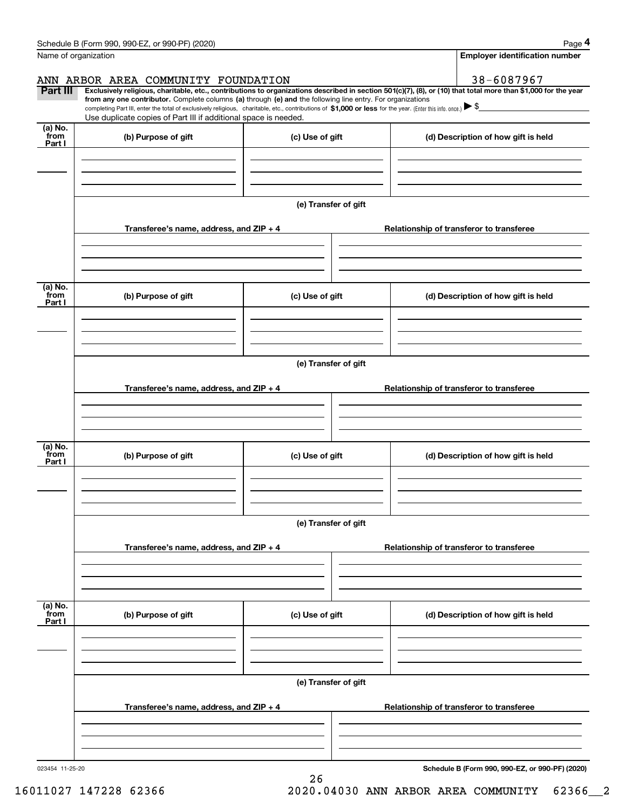|                                               | Schedule B (Form 990, 990-EZ, or 990-PF) (2020)                                                                                                                                                                                                      |                      | Page 4                                                                                                                                                         |  |  |  |  |  |  |
|-----------------------------------------------|------------------------------------------------------------------------------------------------------------------------------------------------------------------------------------------------------------------------------------------------------|----------------------|----------------------------------------------------------------------------------------------------------------------------------------------------------------|--|--|--|--|--|--|
| Name of organization                          |                                                                                                                                                                                                                                                      |                      | <b>Employer identification number</b>                                                                                                                          |  |  |  |  |  |  |
|                                               | ANN ARBOR AREA COMMUNITY FOUNDATION                                                                                                                                                                                                                  |                      | 38-6087967                                                                                                                                                     |  |  |  |  |  |  |
| Part III                                      | from any one contributor. Complete columns (a) through (e) and the following line entry. For organizations                                                                                                                                           |                      | Exclusively religious, charitable, etc., contributions to organizations described in section 501(c)(7), (8), or (10) that total more than \$1,000 for the year |  |  |  |  |  |  |
|                                               | completing Part III, enter the total of exclusively religious, charitable, etc., contributions of \$1,000 or less for the year. (Enter this info. once.) $\blacktriangleright$ \$<br>Use duplicate copies of Part III if additional space is needed. |                      |                                                                                                                                                                |  |  |  |  |  |  |
| (a) No.                                       |                                                                                                                                                                                                                                                      |                      |                                                                                                                                                                |  |  |  |  |  |  |
| from<br>Part I                                | (b) Purpose of gift                                                                                                                                                                                                                                  | (c) Use of gift      | (d) Description of how gift is held                                                                                                                            |  |  |  |  |  |  |
|                                               |                                                                                                                                                                                                                                                      |                      |                                                                                                                                                                |  |  |  |  |  |  |
|                                               |                                                                                                                                                                                                                                                      |                      |                                                                                                                                                                |  |  |  |  |  |  |
|                                               |                                                                                                                                                                                                                                                      |                      |                                                                                                                                                                |  |  |  |  |  |  |
|                                               |                                                                                                                                                                                                                                                      | (e) Transfer of gift |                                                                                                                                                                |  |  |  |  |  |  |
|                                               | Transferee's name, address, and ZIP + 4                                                                                                                                                                                                              |                      | Relationship of transferor to transferee                                                                                                                       |  |  |  |  |  |  |
|                                               |                                                                                                                                                                                                                                                      |                      |                                                                                                                                                                |  |  |  |  |  |  |
|                                               |                                                                                                                                                                                                                                                      |                      |                                                                                                                                                                |  |  |  |  |  |  |
| (a) No.                                       |                                                                                                                                                                                                                                                      |                      |                                                                                                                                                                |  |  |  |  |  |  |
| from<br>Part I                                | (b) Purpose of gift                                                                                                                                                                                                                                  | (c) Use of gift      | (d) Description of how gift is held                                                                                                                            |  |  |  |  |  |  |
|                                               |                                                                                                                                                                                                                                                      |                      |                                                                                                                                                                |  |  |  |  |  |  |
|                                               |                                                                                                                                                                                                                                                      |                      |                                                                                                                                                                |  |  |  |  |  |  |
|                                               |                                                                                                                                                                                                                                                      |                      |                                                                                                                                                                |  |  |  |  |  |  |
|                                               | (e) Transfer of gift                                                                                                                                                                                                                                 |                      |                                                                                                                                                                |  |  |  |  |  |  |
|                                               | Transferee's name, address, and ZIP + 4                                                                                                                                                                                                              |                      | Relationship of transferor to transferee                                                                                                                       |  |  |  |  |  |  |
|                                               |                                                                                                                                                                                                                                                      |                      |                                                                                                                                                                |  |  |  |  |  |  |
|                                               |                                                                                                                                                                                                                                                      |                      |                                                                                                                                                                |  |  |  |  |  |  |
|                                               |                                                                                                                                                                                                                                                      |                      |                                                                                                                                                                |  |  |  |  |  |  |
| (a) $\overline{\text{No.}}$<br>from<br>Part I | (b) Purpose of gift                                                                                                                                                                                                                                  | (c) Use of gift      | (d) Description of how gift is held                                                                                                                            |  |  |  |  |  |  |
|                                               |                                                                                                                                                                                                                                                      |                      |                                                                                                                                                                |  |  |  |  |  |  |
|                                               |                                                                                                                                                                                                                                                      |                      |                                                                                                                                                                |  |  |  |  |  |  |
|                                               |                                                                                                                                                                                                                                                      |                      |                                                                                                                                                                |  |  |  |  |  |  |
|                                               |                                                                                                                                                                                                                                                      | (e) Transfer of gift |                                                                                                                                                                |  |  |  |  |  |  |
|                                               | Transferee's name, address, and $ZIP + 4$                                                                                                                                                                                                            |                      | Relationship of transferor to transferee                                                                                                                       |  |  |  |  |  |  |
|                                               |                                                                                                                                                                                                                                                      |                      |                                                                                                                                                                |  |  |  |  |  |  |
|                                               |                                                                                                                                                                                                                                                      |                      |                                                                                                                                                                |  |  |  |  |  |  |
|                                               |                                                                                                                                                                                                                                                      |                      |                                                                                                                                                                |  |  |  |  |  |  |
| (a) No.<br>from                               | (b) Purpose of gift                                                                                                                                                                                                                                  | (c) Use of gift      | (d) Description of how gift is held                                                                                                                            |  |  |  |  |  |  |
| Part I                                        |                                                                                                                                                                                                                                                      |                      |                                                                                                                                                                |  |  |  |  |  |  |
|                                               |                                                                                                                                                                                                                                                      |                      |                                                                                                                                                                |  |  |  |  |  |  |
|                                               |                                                                                                                                                                                                                                                      |                      |                                                                                                                                                                |  |  |  |  |  |  |
|                                               | (e) Transfer of gift                                                                                                                                                                                                                                 |                      |                                                                                                                                                                |  |  |  |  |  |  |
|                                               |                                                                                                                                                                                                                                                      |                      |                                                                                                                                                                |  |  |  |  |  |  |
|                                               | Transferee's name, address, and $ZIP + 4$                                                                                                                                                                                                            |                      | Relationship of transferor to transferee                                                                                                                       |  |  |  |  |  |  |
|                                               |                                                                                                                                                                                                                                                      |                      |                                                                                                                                                                |  |  |  |  |  |  |
|                                               |                                                                                                                                                                                                                                                      |                      |                                                                                                                                                                |  |  |  |  |  |  |

26

Schedule B (Form 990, 990-EZ, or 990-PF) (2020) Page 4

023454 11-25-20

**Schedule B (Form 990, 990-EZ, or 990-PF) (2020)**

16011027 147228 62366 2020.04030 ANN ARBOR AREA COMMUNITY 62366\_\_2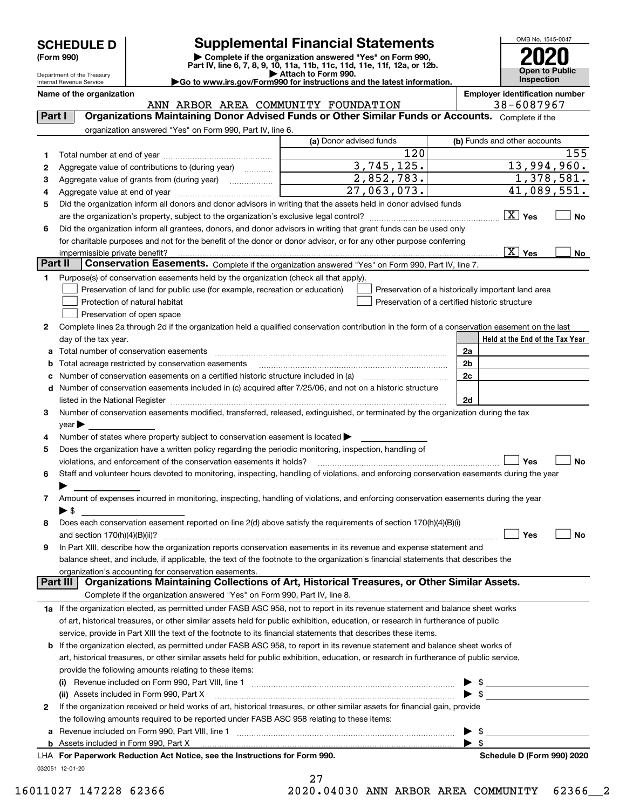| <b>SCHEDULE D</b> |  |
|-------------------|--|
|-------------------|--|

Department of the Treasury Internal Revenue Service

# **Supplemental Financial Statements**

(Form 990)<br>
Pepartment of the Treasury<br>
Department of the Treasury<br>
Department of the Treasury<br>
Department of the Treasury<br> **Co to www.irs.gov/Form990 for instructions and the latest information.**<br> **Co to www.irs.gov/Form9** 

OMB No. 1545-0047 **Open to Public Inspection2020**

| $\blacktriangleright$ Go to www.irs.gov/Form990 for instructions and the latest informat |  |  |  |
|------------------------------------------------------------------------------------------|--|--|--|
|                                                                                          |  |  |  |

**Name of the organization Employer identification number**

|         | ANN ARBOR AREA COMMUNITY FOUNDATION                                                                                                            |                                                | 38-6087967                                         |
|---------|------------------------------------------------------------------------------------------------------------------------------------------------|------------------------------------------------|----------------------------------------------------|
| Part I  | Organizations Maintaining Donor Advised Funds or Other Similar Funds or Accounts. Complete if the                                              |                                                |                                                    |
|         | organization answered "Yes" on Form 990, Part IV, line 6.                                                                                      |                                                |                                                    |
|         |                                                                                                                                                | (a) Donor advised funds                        | (b) Funds and other accounts                       |
| 1       |                                                                                                                                                | 120                                            | 155                                                |
| 2       | Aggregate value of contributions to (during year)                                                                                              | 3,745,125.                                     | 13,994,960.                                        |
| з       | Aggregate value of grants from (during year)                                                                                                   | 2,852,783.                                     | $\overline{1}$ , 378, 581.                         |
| 4       |                                                                                                                                                | 27,063,073.                                    | 41,089,551.                                        |
| 5       | Did the organization inform all donors and donor advisors in writing that the assets held in donor advised funds                               |                                                |                                                    |
|         |                                                                                                                                                |                                                | $\boxed{\text{X}}$ Yes<br>No                       |
| 6       | Did the organization inform all grantees, donors, and donor advisors in writing that grant funds can be used only                              |                                                |                                                    |
|         | for charitable purposes and not for the benefit of the donor or donor advisor, or for any other purpose conferring                             |                                                |                                                    |
|         | impermissible private benefit?                                                                                                                 |                                                | $\boxed{\text{X}}$ Yes<br>No                       |
| Part II | Conservation Easements. Complete if the organization answered "Yes" on Form 990, Part IV, line 7.                                              |                                                |                                                    |
| 1.      | Purpose(s) of conservation easements held by the organization (check all that apply).                                                          |                                                |                                                    |
|         |                                                                                                                                                |                                                |                                                    |
|         | Preservation of land for public use (for example, recreation or education)                                                                     | Preservation of a certified historic structure | Preservation of a historically important land area |
|         | Protection of natural habitat                                                                                                                  |                                                |                                                    |
|         | Preservation of open space                                                                                                                     |                                                |                                                    |
| 2       | Complete lines 2a through 2d if the organization held a qualified conservation contribution in the form of a conservation easement on the last |                                                |                                                    |
|         | day of the tax year.                                                                                                                           |                                                | Held at the End of the Tax Year                    |
|         | Total number of conservation easements                                                                                                         |                                                | 2a                                                 |
|         | Total acreage restricted by conservation easements                                                                                             |                                                | 2 <sub>b</sub>                                     |
|         | Number of conservation easements on a certified historic structure included in (a) <i>manumumumumum</i>                                        |                                                | 2c                                                 |
|         | d Number of conservation easements included in (c) acquired after 7/25/06, and not on a historic structure                                     |                                                |                                                    |
|         |                                                                                                                                                |                                                | 2d                                                 |
| з       | Number of conservation easements modified, transferred, released, extinguished, or terminated by the organization during the tax               |                                                |                                                    |
|         | $year \triangleright$                                                                                                                          |                                                |                                                    |
| 4       | Number of states where property subject to conservation easement is located >                                                                  |                                                |                                                    |
| 5       | Does the organization have a written policy regarding the periodic monitoring, inspection, handling of                                         |                                                |                                                    |
|         | violations, and enforcement of the conservation easements it holds?                                                                            |                                                | Yes<br>No                                          |
| 6       | Staff and volunteer hours devoted to monitoring, inspecting, handling of violations, and enforcing conservation easements during the year      |                                                |                                                    |
|         |                                                                                                                                                |                                                |                                                    |
| 7       | Amount of expenses incurred in monitoring, inspecting, handling of violations, and enforcing conservation easements during the year            |                                                |                                                    |
|         | ► \$                                                                                                                                           |                                                |                                                    |
| 8       | Does each conservation easement reported on line 2(d) above satisfy the requirements of section 170(h)(4)(B)(i)                                |                                                |                                                    |
|         | and section $170(h)(4)(B)(ii)?$                                                                                                                |                                                | Yes<br>No                                          |
| 9       | In Part XIII, describe how the organization reports conservation easements in its revenue and expense statement and                            |                                                |                                                    |
|         | balance sheet, and include, if applicable, the text of the footnote to the organization's financial statements that describes the              |                                                |                                                    |
|         | organization's accounting for conservation easements.                                                                                          |                                                |                                                    |
|         | Organizations Maintaining Collections of Art, Historical Treasures, or Other Similar Assets.<br>Part III                                       |                                                |                                                    |
|         | Complete if the organization answered "Yes" on Form 990, Part IV, line 8.                                                                      |                                                |                                                    |
|         | 1a If the organization elected, as permitted under FASB ASC 958, not to report in its revenue statement and balance sheet works                |                                                |                                                    |
|         | of art, historical treasures, or other similar assets held for public exhibition, education, or research in furtherance of public              |                                                |                                                    |
|         | service, provide in Part XIII the text of the footnote to its financial statements that describes these items.                                 |                                                |                                                    |
|         | <b>b</b> If the organization elected, as permitted under FASB ASC 958, to report in its revenue statement and balance sheet works of           |                                                |                                                    |
|         | art, historical treasures, or other similar assets held for public exhibition, education, or research in furtherance of public service,        |                                                |                                                    |
|         | provide the following amounts relating to these items:                                                                                         |                                                |                                                    |
|         |                                                                                                                                                |                                                |                                                    |
|         | (ii) Assets included in Form 990, Part X                                                                                                       |                                                | - \$                                               |
| 2       | If the organization received or held works of art, historical treasures, or other similar assets for financial gain, provide                   |                                                |                                                    |
|         | the following amounts required to be reported under FASB ASC 958 relating to these items:                                                      |                                                |                                                    |
|         |                                                                                                                                                |                                                |                                                    |
| а       |                                                                                                                                                |                                                | \$<br>$\blacktriangleright$ s                      |
|         |                                                                                                                                                |                                                |                                                    |
|         | LHA For Paperwork Reduction Act Notice, see the Instructions for Form 990.                                                                     |                                                | Schedule D (Form 990) 2020                         |
|         | 032051 12-01-20                                                                                                                                |                                                |                                                    |

27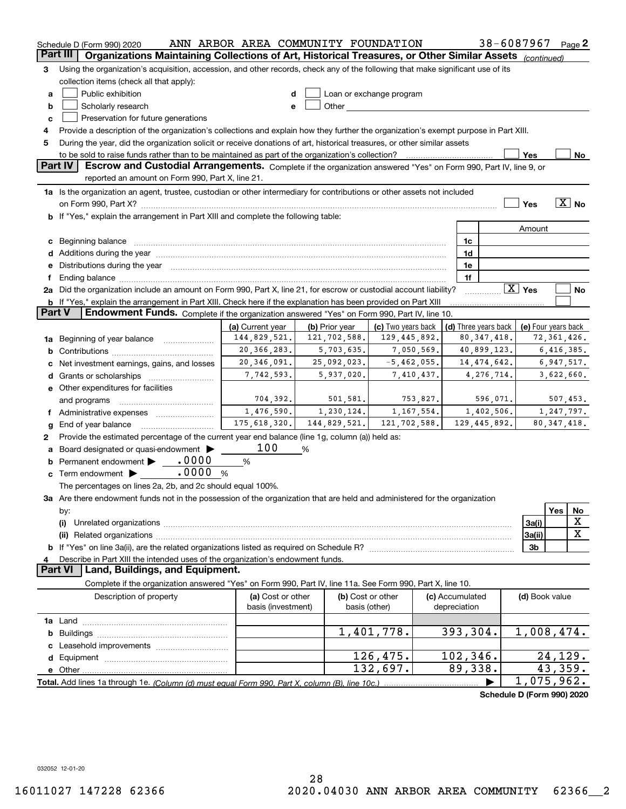|               | Schedule D (Form 990) 2020                                                                                                           | ANN ARBOR AREA COMMUNITY FOUNDATION |                |              |                          |          |                 |                      | 38-6087967                 |               | $Page$ 2          |
|---------------|--------------------------------------------------------------------------------------------------------------------------------------|-------------------------------------|----------------|--------------|--------------------------|----------|-----------------|----------------------|----------------------------|---------------|-------------------|
| Part III      | Organizations Maintaining Collections of Art, Historical Treasures, or Other Similar Assets (continued)                              |                                     |                |              |                          |          |                 |                      |                            |               |                   |
| З             | Using the organization's acquisition, accession, and other records, check any of the following that make significant use of its      |                                     |                |              |                          |          |                 |                      |                            |               |                   |
|               | collection items (check all that apply):                                                                                             |                                     |                |              |                          |          |                 |                      |                            |               |                   |
| а             | Public exhibition                                                                                                                    | d                                   |                |              | Loan or exchange program |          |                 |                      |                            |               |                   |
| b             | Scholarly research                                                                                                                   | е                                   |                |              |                          |          |                 |                      |                            |               |                   |
| C             | Preservation for future generations                                                                                                  |                                     |                |              |                          |          |                 |                      |                            |               |                   |
| 4             | Provide a description of the organization's collections and explain how they further the organization's exempt purpose in Part XIII. |                                     |                |              |                          |          |                 |                      |                            |               |                   |
| 5             | During the year, did the organization solicit or receive donations of art, historical treasures, or other similar assets             |                                     |                |              |                          |          |                 |                      |                            |               |                   |
|               |                                                                                                                                      |                                     |                |              |                          |          |                 |                      | Yes                        |               | No                |
|               | Part IV<br>Escrow and Custodial Arrangements. Complete if the organization answered "Yes" on Form 990, Part IV, line 9, or           |                                     |                |              |                          |          |                 |                      |                            |               |                   |
|               | reported an amount on Form 990, Part X, line 21.                                                                                     |                                     |                |              |                          |          |                 |                      |                            |               |                   |
|               | 1a Is the organization an agent, trustee, custodian or other intermediary for contributions or other assets not included             |                                     |                |              |                          |          |                 |                      |                            |               |                   |
|               |                                                                                                                                      |                                     |                |              |                          |          |                 |                      |                            |               | $\overline{X}$ No |
|               |                                                                                                                                      |                                     |                |              |                          |          |                 |                      | Yes                        |               |                   |
|               | b If "Yes," explain the arrangement in Part XIII and complete the following table:                                                   |                                     |                |              |                          |          |                 |                      |                            |               |                   |
|               |                                                                                                                                      |                                     |                |              |                          |          |                 |                      | Amount                     |               |                   |
| c             |                                                                                                                                      |                                     |                |              |                          |          | 1c              |                      |                            |               |                   |
|               |                                                                                                                                      |                                     |                |              |                          |          | 1d              |                      |                            |               |                   |
|               | Distributions during the year manufactured and continuum and contact the year manufactured and contact the year                      |                                     |                |              |                          |          | 1e              |                      |                            |               |                   |
| f             |                                                                                                                                      |                                     |                |              |                          |          | 1f              |                      |                            |               |                   |
|               | 2a Did the organization include an amount on Form 990, Part X, line 21, for escrow or custodial account liability?                   |                                     |                |              |                          |          |                 |                      | $\boxed{\text{X}}$ Yes     |               | No                |
|               | <b>b</b> If "Yes," explain the arrangement in Part XIII. Check here if the explanation has been provided on Part XIII                |                                     |                |              |                          |          |                 |                      |                            |               |                   |
| <b>Part V</b> | <b>Endowment Funds.</b> Complete if the organization answered "Yes" on Form 990, Part IV, line 10.                                   |                                     |                |              |                          |          |                 |                      |                            |               |                   |
|               |                                                                                                                                      | (a) Current year                    | (b) Prior year |              | (c) Two years back       |          |                 | (d) Three years back | (e) Four years back        |               |                   |
|               | 1a Beginning of year balance                                                                                                         | 144,829,521.                        |                | 121,702,588. | 129,445,892.             |          |                 | 80, 347, 418.        |                            | 72, 361, 426. |                   |
| b             |                                                                                                                                      | 20, 366, 283.                       |                | 5,703,635.   | 7,050,569.               |          |                 | 40,899,123.          |                            | 6,416,385.    |                   |
| с             | Net investment earnings, gains, and losses                                                                                           | 20, 346, 091.                       |                | 25,092,023.  | $-5,462,055.$            |          |                 | 14, 474, 642.        |                            | 6,947,517.    |                   |
| d             |                                                                                                                                      | 7,742,593.                          |                | 5,937,020.   | 7,410,437.               |          |                 | 4,276,714.           |                            | 3,622,660.    |                   |
|               | e Other expenditures for facilities                                                                                                  |                                     |                |              |                          |          |                 |                      |                            |               |                   |
|               | and programs                                                                                                                         | 704,392.                            |                | 501,581.     |                          | 753,827. |                 | 596,071.             |                            | 507,453.      |                   |
| Ť.            | Administrative expenses                                                                                                              | 1,476,590.                          |                | 1,230,124.   | 1, 167, 554.             |          |                 | 1,402,506.           |                            | 1,247,797.    |                   |
| g             | End of year balance                                                                                                                  | 175,618,320.                        |                | 144,829,521. | 121,702,588.             |          |                 | 129,445,892.         |                            | 80, 347, 418. |                   |
| 2             | Provide the estimated percentage of the current year end balance (line 1g, column (a)) held as:                                      |                                     |                |              |                          |          |                 |                      |                            |               |                   |
| а             | Board designated or quasi-endowment                                                                                                  | 100                                 | %              |              |                          |          |                 |                      |                            |               |                   |
| b             | Permanent endowment > 0000                                                                                                           | %                                   |                |              |                          |          |                 |                      |                            |               |                   |
| c             | Term endowment <b>b</b> . 0000                                                                                                       | %                                   |                |              |                          |          |                 |                      |                            |               |                   |
|               | The percentages on lines 2a, 2b, and 2c should equal 100%.                                                                           |                                     |                |              |                          |          |                 |                      |                            |               |                   |
|               | 3a Are there endowment funds not in the possession of the organization that are held and administered for the organization           |                                     |                |              |                          |          |                 |                      |                            |               |                   |
|               |                                                                                                                                      |                                     |                |              |                          |          |                 |                      |                            | Yes           | No                |
|               | by:<br>(i)                                                                                                                           |                                     |                |              |                          |          |                 |                      | 3a(i)                      |               | X                 |
|               |                                                                                                                                      |                                     |                |              |                          |          |                 |                      | 3a(ii)                     |               | $\mathbf X$       |
|               |                                                                                                                                      |                                     |                |              |                          |          |                 |                      | 3 <sub>b</sub>             |               |                   |
|               |                                                                                                                                      |                                     |                |              |                          |          |                 |                      |                            |               |                   |
| 4             | Describe in Part XIII the intended uses of the organization's endowment funds.<br><b>Part VI</b><br>Land, Buildings, and Equipment.  |                                     |                |              |                          |          |                 |                      |                            |               |                   |
|               |                                                                                                                                      |                                     |                |              |                          |          |                 |                      |                            |               |                   |
|               | Complete if the organization answered "Yes" on Form 990, Part IV, line 11a. See Form 990, Part X, line 10.                           |                                     |                |              |                          |          |                 |                      |                            |               |                   |
|               | Description of property                                                                                                              | (a) Cost or other                   |                |              | (b) Cost or other        |          | (c) Accumulated |                      | (d) Book value             |               |                   |
|               |                                                                                                                                      | basis (investment)                  |                |              | basis (other)            |          | depreciation    |                      |                            |               |                   |
|               |                                                                                                                                      |                                     |                |              |                          |          |                 |                      |                            |               |                   |
| b             |                                                                                                                                      |                                     |                |              | 1,401,778.               |          | 393,304.        |                      | 1,008,474.                 |               |                   |
|               |                                                                                                                                      |                                     |                |              |                          |          |                 |                      |                            |               |                   |
|               |                                                                                                                                      |                                     |                |              | 126,475.                 |          | 102, 346.       |                      |                            | 24,129.       |                   |
|               |                                                                                                                                      |                                     |                |              | 132,697.                 |          | 89,338.         |                      |                            | 43,359.       |                   |
|               |                                                                                                                                      |                                     |                |              |                          |          |                 |                      | 1,075,962.                 |               |                   |
|               |                                                                                                                                      |                                     |                |              |                          |          |                 |                      | Schedule D (Form 990) 2020 |               |                   |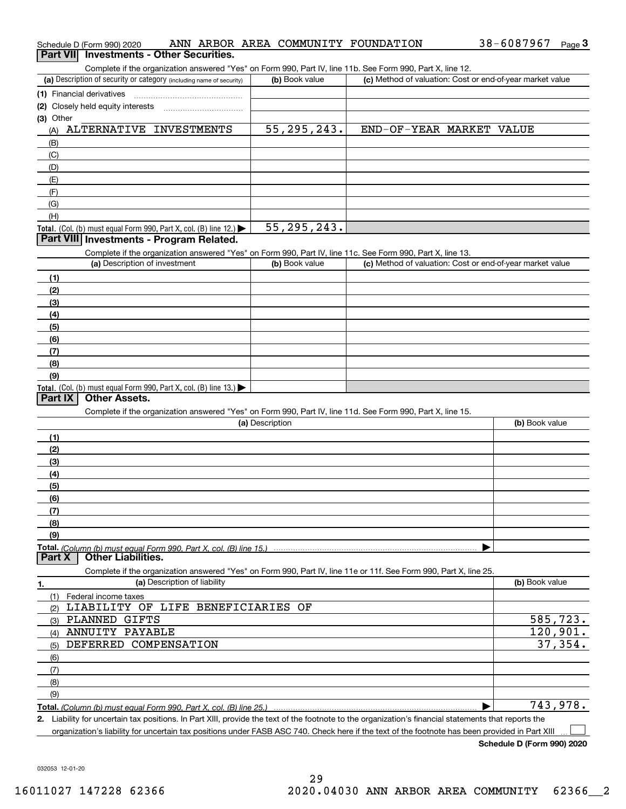| Schedule D (Form 990) 2020                                                                                                                           | ANN ARBOR AREA COMMUNITY FOUNDATION |                          | 38-6087967<br>Page $3$                                    |
|------------------------------------------------------------------------------------------------------------------------------------------------------|-------------------------------------|--------------------------|-----------------------------------------------------------|
| Part VII Investments - Other Securities.                                                                                                             |                                     |                          |                                                           |
| Complete if the organization answered "Yes" on Form 990, Part IV, line 11b. See Form 990, Part X, line 12.                                           |                                     |                          |                                                           |
| (a) Description of security or category (including name of security)                                                                                 | (b) Book value                      |                          | (c) Method of valuation: Cost or end-of-year market value |
| (1) Financial derivatives                                                                                                                            |                                     |                          |                                                           |
| (2) Closely held equity interests                                                                                                                    |                                     |                          |                                                           |
| (3) Other                                                                                                                                            |                                     |                          |                                                           |
| ALTERNATIVE INVESTMENTS<br>(A)                                                                                                                       | 55, 295, 243.                       | END-OF-YEAR MARKET VALUE |                                                           |
| (B)                                                                                                                                                  |                                     |                          |                                                           |
| (C)                                                                                                                                                  |                                     |                          |                                                           |
| (D)                                                                                                                                                  |                                     |                          |                                                           |
| (E)                                                                                                                                                  |                                     |                          |                                                           |
| (F)<br>(G)                                                                                                                                           |                                     |                          |                                                           |
| (H)                                                                                                                                                  |                                     |                          |                                                           |
| Total. (Col. (b) must equal Form 990, Part X, col. (B) line 12.)                                                                                     | 55, 295, 243.                       |                          |                                                           |
| Part VIII Investments - Program Related.                                                                                                             |                                     |                          |                                                           |
| Complete if the organization answered "Yes" on Form 990, Part IV, line 11c. See Form 990, Part X, line 13.                                           |                                     |                          |                                                           |
| (a) Description of investment                                                                                                                        | (b) Book value                      |                          | (c) Method of valuation: Cost or end-of-year market value |
| (1)                                                                                                                                                  |                                     |                          |                                                           |
| (2)                                                                                                                                                  |                                     |                          |                                                           |
| (3)                                                                                                                                                  |                                     |                          |                                                           |
| (4)                                                                                                                                                  |                                     |                          |                                                           |
| (5)                                                                                                                                                  |                                     |                          |                                                           |
| (6)                                                                                                                                                  |                                     |                          |                                                           |
| (7)                                                                                                                                                  |                                     |                          |                                                           |
| (8)                                                                                                                                                  |                                     |                          |                                                           |
| (9)                                                                                                                                                  |                                     |                          |                                                           |
| Total. (Col. (b) must equal Form 990, Part X, col. (B) line 13.)                                                                                     |                                     |                          |                                                           |
| <b>Other Assets.</b><br>Part IX                                                                                                                      |                                     |                          |                                                           |
| Complete if the organization answered "Yes" on Form 990, Part IV, line 11d. See Form 990, Part X, line 15.                                           |                                     |                          |                                                           |
|                                                                                                                                                      | (a) Description                     |                          | (b) Book value                                            |
| (1)                                                                                                                                                  |                                     |                          |                                                           |
| (2)                                                                                                                                                  |                                     |                          |                                                           |
| (3)                                                                                                                                                  |                                     |                          |                                                           |
| (4)<br>(5)                                                                                                                                           |                                     |                          |                                                           |
| (6)                                                                                                                                                  |                                     |                          |                                                           |
| (7)                                                                                                                                                  |                                     |                          |                                                           |
| (8)                                                                                                                                                  |                                     |                          |                                                           |
| (9)                                                                                                                                                  |                                     |                          |                                                           |
| <b>Other Liabilities.</b><br>Part X                                                                                                                  |                                     |                          |                                                           |
| Complete if the organization answered "Yes" on Form 990, Part IV, line 11e or 11f. See Form 990, Part X, line 25.                                    |                                     |                          |                                                           |
| (a) Description of liability<br>1.                                                                                                                   |                                     |                          | (b) Book value                                            |
| (1)<br>Federal income taxes                                                                                                                          |                                     |                          |                                                           |
| LIABILITY OF LIFE BENEFICIARIES OF<br>(2)                                                                                                            |                                     |                          |                                                           |
| PLANNED GIFTS<br>(3)                                                                                                                                 |                                     |                          | $\overline{585}$ , 723.                                   |
| ANNUITY PAYABLE<br>(4)                                                                                                                               |                                     |                          | 120,901.                                                  |
| DEFERRED COMPENSATION<br>(5)                                                                                                                         |                                     |                          |                                                           |
| (6)                                                                                                                                                  |                                     |                          |                                                           |
| (7)                                                                                                                                                  |                                     |                          |                                                           |
| (8)                                                                                                                                                  |                                     |                          |                                                           |
| (9)                                                                                                                                                  |                                     |                          |                                                           |
| Total. (Column (b) must equal Form 990. Part X, col. (B) line 25.)                                                                                   |                                     |                          |                                                           |
| 2. Lightlify for upcortain tax positions, In Part YIII, provide the toyt of the footpote to the erganization's financial statements that reports the |                                     |                          | 37,354.<br>743,978.                                       |

**2.**Liability for uncertain tax positions. In Part XIII, provide the text of the footnote to the organization's financial statements that reports the organization's liability for uncertain tax positions under FASB ASC 740. Check here if the text of the footnote has been provided in Part XIII

38-6087967 Page 3

 $\mathcal{L}^{\text{max}}$ 

032053 12-01-20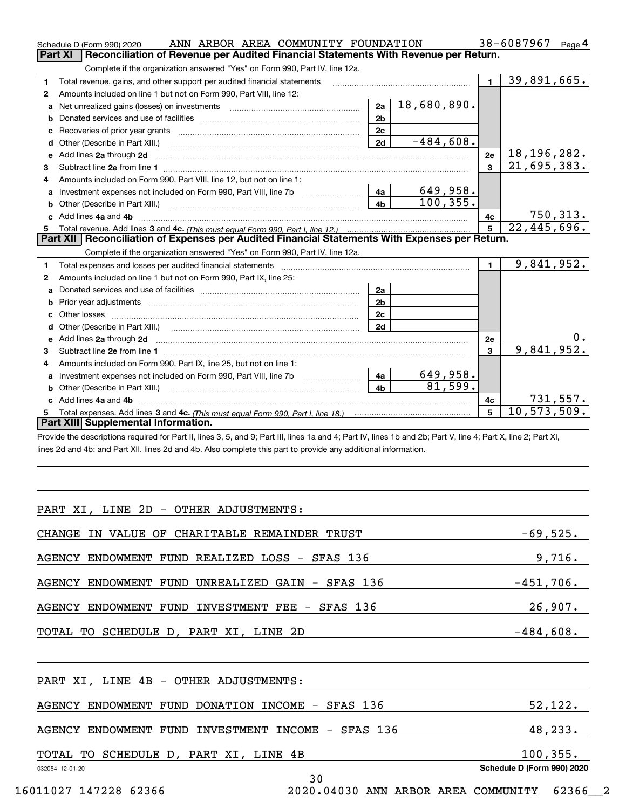|    | ANN ARBOR AREA COMMUNITY FOUNDATION<br>Schedule D (Form 990) 2020                                                                                                                                                              |                |             |                | 38-6087967<br>Page $4$      |
|----|--------------------------------------------------------------------------------------------------------------------------------------------------------------------------------------------------------------------------------|----------------|-------------|----------------|-----------------------------|
|    | Reconciliation of Revenue per Audited Financial Statements With Revenue per Return.<br><b>Part XI</b>                                                                                                                          |                |             |                |                             |
|    | Complete if the organization answered "Yes" on Form 990, Part IV, line 12a.                                                                                                                                                    |                |             |                |                             |
| 1  | Total revenue, gains, and other support per audited financial statements                                                                                                                                                       |                |             | $\blacksquare$ | 39,891,665.                 |
| 2  | Amounts included on line 1 but not on Form 990, Part VIII, line 12:                                                                                                                                                            |                |             |                |                             |
| a  | Net unrealized gains (losses) on investments [11] matter contracts and the unrealized gains (losses) on investments                                                                                                            | 2a             | 18,680,890. |                |                             |
| b  |                                                                                                                                                                                                                                | 2 <sub>b</sub> |             |                |                             |
| c  | Recoveries of prior year grants [11,111] Recoveries of prior year grants [11,111] Recoveries of prior year grants                                                                                                              | 2c             |             |                |                             |
| d  |                                                                                                                                                                                                                                | 2d             | $-484,608.$ |                |                             |
| е  | Add lines 2a through 2d                                                                                                                                                                                                        |                |             | 2e             | 18, 196, 282.               |
| 3  |                                                                                                                                                                                                                                |                |             | $\mathbf{a}$   | 21,695,383.                 |
| 4  | Amounts included on Form 990, Part VIII, line 12, but not on line 1:                                                                                                                                                           |                |             |                |                             |
|    |                                                                                                                                                                                                                                | 4a             | 649,958.    |                |                             |
| b  | Other (Describe in Part XIII.) <b>Construction Contract Construction</b> Chemistry Chemistry Chemistry Chemistry Chemistry                                                                                                     | 4 <sub>h</sub> | 100, 355.   |                |                             |
|    | Add lines 4a and 4b                                                                                                                                                                                                            |                |             | 4с             | 750, 313.                   |
| c. |                                                                                                                                                                                                                                |                |             |                |                             |
| 5  |                                                                                                                                                                                                                                |                |             | 5              | $\overline{22, 445, 696}$ . |
|    | Part XII   Reconciliation of Expenses per Audited Financial Statements With Expenses per Return.                                                                                                                               |                |             |                |                             |
|    | Complete if the organization answered "Yes" on Form 990, Part IV, line 12a.                                                                                                                                                    |                |             |                |                             |
| 1  | Total expenses and losses per audited financial statements [11] [12] contraction control in the statements [11] [12] and the statements [12] and the statements [12] and the statements [12] and the statements [12] and the s |                |             | $\blacksquare$ | 9,841,952.                  |
| 2  | Amounts included on line 1 but not on Form 990, Part IX, line 25:                                                                                                                                                              |                |             |                |                             |
| a  |                                                                                                                                                                                                                                | 2a             |             |                |                             |
| b  |                                                                                                                                                                                                                                | 2 <sub>b</sub> |             |                |                             |
| c  |                                                                                                                                                                                                                                | 2 <sub>c</sub> |             |                |                             |
|    |                                                                                                                                                                                                                                | 2d             |             |                |                             |
|    |                                                                                                                                                                                                                                |                |             | 2e             | 0.                          |
| 3  |                                                                                                                                                                                                                                |                |             | $\mathbf{3}$   | 9,841,952.                  |
| 4  | Amounts included on Form 990, Part IX, line 25, but not on line 1:                                                                                                                                                             |                |             |                |                             |
| a  | Investment expenses not included on Form 990, Part VIII, line 7b [1000000000000000000000000000000000                                                                                                                           | 4a             | 649,958.    |                |                             |
| b  |                                                                                                                                                                                                                                | 4 <sub>b</sub> | 81,599.     |                |                             |
|    | c Add lines 4a and 4b                                                                                                                                                                                                          |                |             | 4с             | 731,557.                    |
|    | Part XIII Supplemental Information.                                                                                                                                                                                            |                |             | 5              | 10, 573, 509.               |

Provide the descriptions required for Part II, lines 3, 5, and 9; Part III, lines 1a and 4; Part IV, lines 1b and 2b; Part V, line 4; Part X, line 2; Part XI, lines 2d and 4b; and Part XII, lines 2d and 4b. Also complete this part to provide any additional information.

| PART XI, LINE 2D - OTHER ADJUSTMENTS:                        |                            |
|--------------------------------------------------------------|----------------------------|
| CHANGE IN VALUE OF CHARITABLE REMAINDER TRUST                | $-69,525.$                 |
| AGENCY ENDOWMENT FUND REALIZED LOSS - SFAS 136               | 9,716.                     |
| AGENCY ENDOWMENT FUND UNREALIZED GAIN - SFAS 136             | $-451,706.$                |
| AGENCY ENDOWMENT FUND INVESTMENT FEE - SFAS 136              | 26,907.                    |
| TOTAL TO SCHEDULE D, PART XI, LINE 2D                        | $-484,608.$                |
|                                                              |                            |
| PART XI, LINE 4B - OTHER ADJUSTMENTS:                        |                            |
| AGENCY ENDOWMENT FUND DONATION INCOME - SFAS 136             | 52,122.                    |
| AGENCY ENDOWMENT FUND INVESTMENT INCOME - SFAS 136           | 48,233.                    |
| TOTAL TO SCHEDULE D, PART XI, LINE 4B                        | 100, 355.                  |
| 032054 12-01-20<br>30                                        | Schedule D (Form 990) 2020 |
| 16011027 147228 62366<br>2020.04030 ANN ARBOR AREA COMMUNITY | 62366 2                    |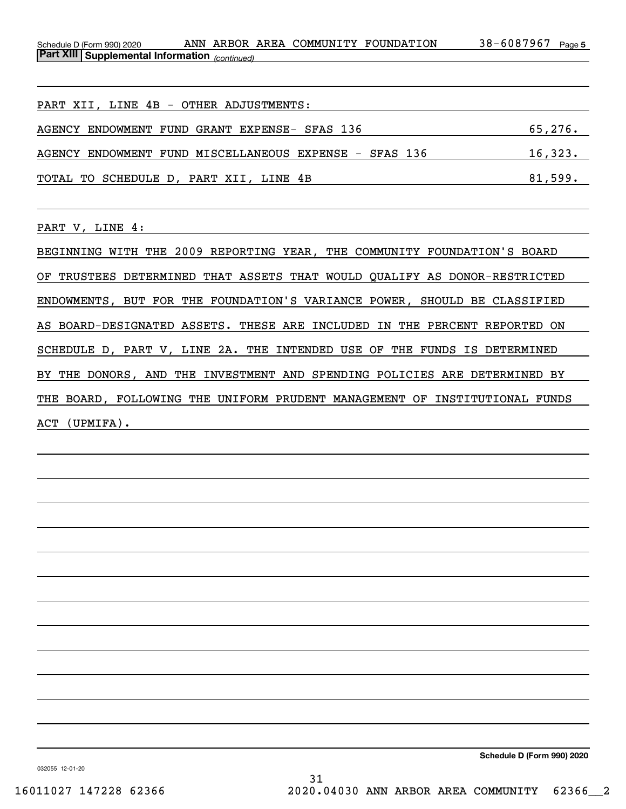38-6087967 Page 5 *(continued)* **Part XIII Supplemental Information**  Schedule D (Form 990) 2020 ANN ARBOR AREA COMMUNITY FOUNDATION 38-6087967 Page

PART XII, LINE 4B - OTHER ADJUSTMENTS: AGENCY ENDOWMENT FUND GRANT EXPENSE- SFAS 136 65,276. AGENCY ENDOWMENT FUND MISCELLANEOUS EXPENSE - SFAS 136 16,323. TOTAL TO SCHEDULE D, PART XII, LINE 4B 81,599.

PART V, LINE 4:

BEGINNING WITH THE 2009 REPORTING YEAR, THE COMMUNITY FOUNDATION'S BOARD OF TRUSTEES DETERMINED THAT ASSETS THAT WOULD QUALIFY AS DONOR-RESTRICTED ENDOWMENTS, BUT FOR THE FOUNDATION'S VARIANCE POWER, SHOULD BE CLASSIFIED AS BOARD-DESIGNATED ASSETS. THESE ARE INCLUDED IN THE PERCENT REPORTED ON SCHEDULE D, PART V, LINE 2A. THE INTENDED USE OF THE FUNDS IS DETERMINED BY THE DONORS, AND THE INVESTMENT AND SPENDING POLICIES ARE DETERMINED BY THE BOARD, FOLLOWING THE UNIFORM PRUDENT MANAGEMENT OF INSTITUTIONAL FUNDS ACT (UPMIFA).

**Schedule D (Form 990) 2020**

032055 12-01-20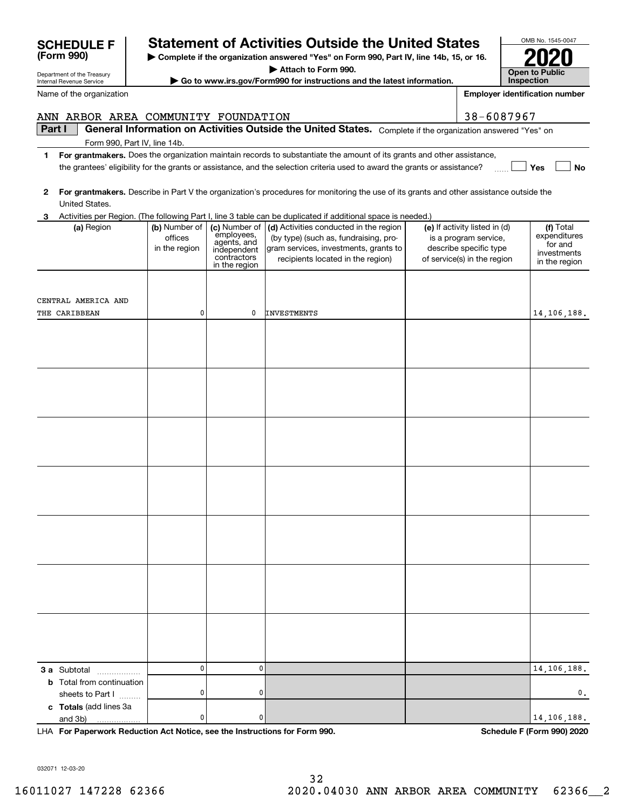# F **Reduce Statement of Activities Outside the United States**

**| Complete if the organization answered "Yes" on Form 990, Part IV, line 14b, 15, or 16.**

**| Attach to Form 990.**

**| Go to www.irs.gov/Form990 for instructions and the latest information.**

| $\mathbf{2}$ |                                                      |                                           |                                                                          | For grantmakers. Describe in Part V the organization's procedures for monitoring the use of its grants and other assistance outside the                                             |                                                                                                                 |                                                                      |
|--------------|------------------------------------------------------|-------------------------------------------|--------------------------------------------------------------------------|-------------------------------------------------------------------------------------------------------------------------------------------------------------------------------------|-----------------------------------------------------------------------------------------------------------------|----------------------------------------------------------------------|
|              | United States.                                       |                                           |                                                                          |                                                                                                                                                                                     |                                                                                                                 |                                                                      |
|              |                                                      |                                           |                                                                          | 3 Activities per Region. (The following Part I, line 3 table can be duplicated if additional space is needed.)                                                                      |                                                                                                                 |                                                                      |
|              | (a) Region                                           | (b) Number of<br>offices<br>in the region | employees,<br>agents, and<br>independent<br>contractors<br>in the region | (c) Number of $\vert$ (d) Activities conducted in the region<br>(by type) (such as, fundraising, pro-<br>gram services, investments, grants to<br>recipients located in the region) | (e) If activity listed in (d)<br>is a program service,<br>describe specific type<br>of service(s) in the region | (f) Total<br>expenditures<br>for and<br>investments<br>in the region |
|              |                                                      |                                           |                                                                          |                                                                                                                                                                                     |                                                                                                                 |                                                                      |
|              | CENTRAL AMERICA AND                                  |                                           |                                                                          |                                                                                                                                                                                     |                                                                                                                 |                                                                      |
|              | THE CARIBBEAN                                        | 0                                         | 0                                                                        | <b>INVESTMENTS</b>                                                                                                                                                                  |                                                                                                                 | 14, 106, 188.                                                        |
|              |                                                      |                                           |                                                                          |                                                                                                                                                                                     |                                                                                                                 |                                                                      |
|              |                                                      |                                           |                                                                          |                                                                                                                                                                                     |                                                                                                                 |                                                                      |
|              |                                                      |                                           |                                                                          |                                                                                                                                                                                     |                                                                                                                 |                                                                      |
|              |                                                      |                                           |                                                                          |                                                                                                                                                                                     |                                                                                                                 |                                                                      |
|              |                                                      |                                           |                                                                          |                                                                                                                                                                                     |                                                                                                                 |                                                                      |
|              |                                                      |                                           |                                                                          |                                                                                                                                                                                     |                                                                                                                 |                                                                      |
|              |                                                      |                                           |                                                                          |                                                                                                                                                                                     |                                                                                                                 |                                                                      |
|              | 3 a Subtotal<br>.                                    | $\overline{0}$                            | $\mathbf 0$                                                              |                                                                                                                                                                                     |                                                                                                                 | 14, 106, 188.                                                        |
|              | <b>b</b> Total from continuation<br>sheets to Part I | $\pmb{0}$                                 | 0                                                                        |                                                                                                                                                                                     |                                                                                                                 | $\mathbf 0$ .                                                        |
|              | c Totals (add lines 3a<br>and 3b)                    | $\pmb{0}$                                 | 0                                                                        |                                                                                                                                                                                     |                                                                                                                 | 14, 106, 188.                                                        |

**For Paperwork Reduction Act Notice, see the Instructions for Form 990. Schedule F (Form 990) 2020** LHA

OMB No. 1545-0047 **Open to Public Inspection2020**

**Employer identification number**

| <b>SCHEDULE F</b> |  |
|-------------------|--|
| (Form 990)        |  |

Department of the Treasury Internal Revenue Service

Name of the organization

# ANN ARBOR AREA COMMUNITY FOUNDATION | 38-6087967

**Part I**  $\parallel$  General Information on Activities Outside the United States. Complete if the organization answered "Yes" on

Form 990, Part IV, line 14b.

- **1For grantmakers.**  Does the organization maintain records to substantiate the amount of its grants and other assistance, **Yes No** the grantees' eligibility for the grants or assistance, and the selection criteria used to award the grants or assistance?  $\frac{1}{\sqrt{2}}$
- 

|  |  | 3 Activities per Region. (The following Part I, line 3 table can be duplicated if additional space is needed.) |
|--|--|----------------------------------------------------------------------------------------------------------------|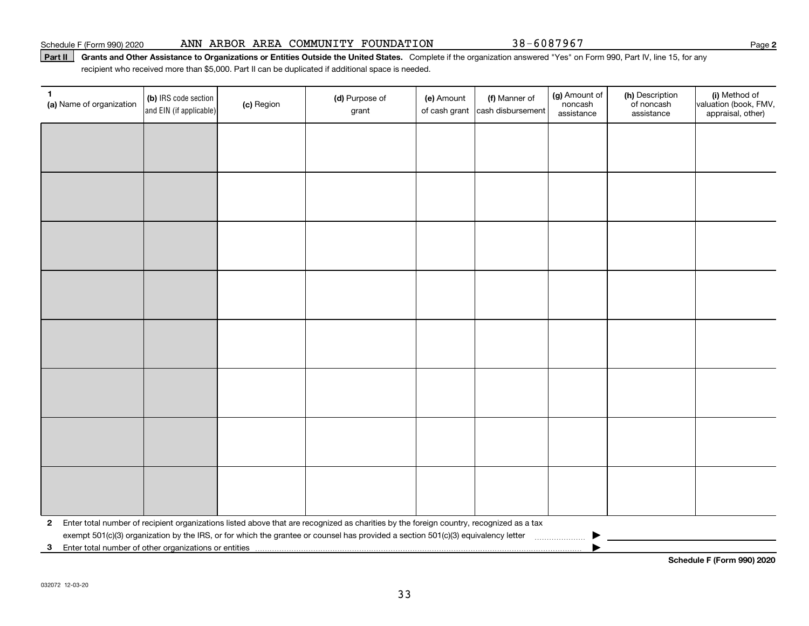#### Schedule F (Form 990) 2020 Page ANN ARBOR AREA COMMUNITY FOUNDATION 38-6087967

### Part II | Grants and Other Assistance to Organizations or Entities Outside the United States. Complete if the organization answered "Yes" on Form 990, Part IV, line 15, for any recipient who received more than \$5,000. Part II can be duplicated if additional space is needed.

| $\mathbf{1}$<br>(a) Name of organization | (b) IRS code section<br>and EIN (if applicable) | (c) Region | (d) Purpose of<br>grant                                                                                                                 | (e) Amount<br>of cash grant | (f) Manner of<br>cash disbursement | (g) Amount of<br>noncash<br>assistance | (h) Description<br>of noncash<br>assistance | (i) Method of<br>valuation (book, FMV,<br>appraisal, other) |
|------------------------------------------|-------------------------------------------------|------------|-----------------------------------------------------------------------------------------------------------------------------------------|-----------------------------|------------------------------------|----------------------------------------|---------------------------------------------|-------------------------------------------------------------|
|                                          |                                                 |            |                                                                                                                                         |                             |                                    |                                        |                                             |                                                             |
|                                          |                                                 |            |                                                                                                                                         |                             |                                    |                                        |                                             |                                                             |
|                                          |                                                 |            |                                                                                                                                         |                             |                                    |                                        |                                             |                                                             |
|                                          |                                                 |            |                                                                                                                                         |                             |                                    |                                        |                                             |                                                             |
|                                          |                                                 |            |                                                                                                                                         |                             |                                    |                                        |                                             |                                                             |
|                                          |                                                 |            |                                                                                                                                         |                             |                                    |                                        |                                             |                                                             |
|                                          |                                                 |            |                                                                                                                                         |                             |                                    |                                        |                                             |                                                             |
|                                          |                                                 |            |                                                                                                                                         |                             |                                    |                                        |                                             |                                                             |
|                                          |                                                 |            |                                                                                                                                         |                             |                                    |                                        |                                             |                                                             |
|                                          |                                                 |            |                                                                                                                                         |                             |                                    |                                        |                                             |                                                             |
|                                          |                                                 |            |                                                                                                                                         |                             |                                    |                                        |                                             |                                                             |
|                                          |                                                 |            |                                                                                                                                         |                             |                                    |                                        |                                             |                                                             |
|                                          |                                                 |            |                                                                                                                                         |                             |                                    |                                        |                                             |                                                             |
|                                          |                                                 |            |                                                                                                                                         |                             |                                    |                                        |                                             |                                                             |
|                                          |                                                 |            |                                                                                                                                         |                             |                                    |                                        |                                             |                                                             |
|                                          |                                                 |            |                                                                                                                                         |                             |                                    |                                        |                                             |                                                             |
| $\mathbf{2}$                             |                                                 |            | Enter total number of recipient organizations listed above that are recognized as charities by the foreign country, recognized as a tax |                             |                                    |                                        |                                             |                                                             |
|                                          |                                                 |            |                                                                                                                                         |                             |                                    |                                        |                                             |                                                             |
| $\mathbf{3}$                             |                                                 |            |                                                                                                                                         |                             |                                    |                                        |                                             |                                                             |

**Schedule F (Form 990) 2020**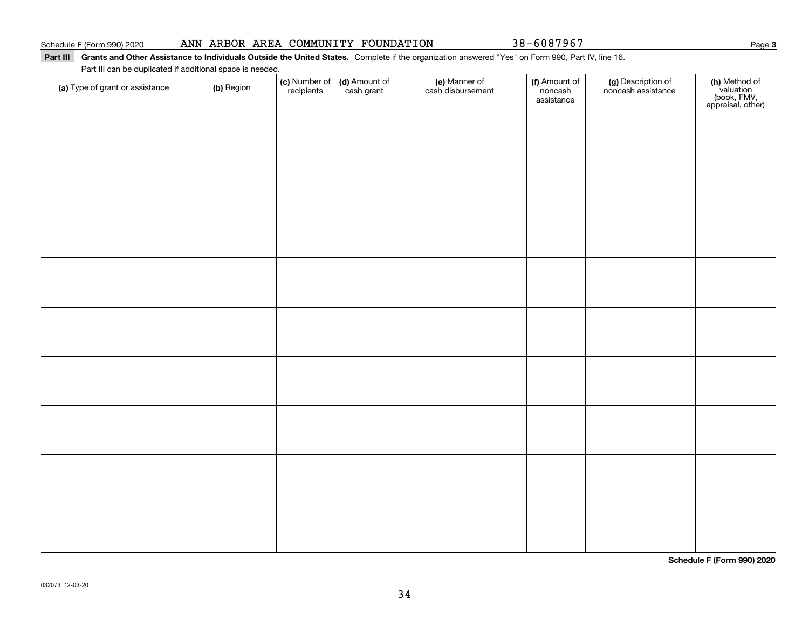# Part III Grants and Other Assistance to Individuals Outside the United States. Complete if the organization answered "Yes" on Form 990, Part IV, line 16.

Part III can be duplicated if additional space is needed.

| (a) Type of grant or assistance | (b) Region | (c) Number of<br>recipients | (d) Amount of<br>cash grant | (e) Manner of<br>cash disbursement | (f) Amount of<br>noncash<br>assistance | (g) Description of<br>noncash assistance | (h) Method of<br>valuation<br>(book, FMV,<br>appraisal, other) |
|---------------------------------|------------|-----------------------------|-----------------------------|------------------------------------|----------------------------------------|------------------------------------------|----------------------------------------------------------------|
|                                 |            |                             |                             |                                    |                                        |                                          |                                                                |
|                                 |            |                             |                             |                                    |                                        |                                          |                                                                |
|                                 |            |                             |                             |                                    |                                        |                                          |                                                                |
|                                 |            |                             |                             |                                    |                                        |                                          |                                                                |
|                                 |            |                             |                             |                                    |                                        |                                          |                                                                |
|                                 |            |                             |                             |                                    |                                        |                                          |                                                                |
|                                 |            |                             |                             |                                    |                                        |                                          |                                                                |
|                                 |            |                             |                             |                                    |                                        |                                          |                                                                |
|                                 |            |                             |                             |                                    |                                        |                                          |                                                                |
|                                 |            |                             |                             |                                    |                                        |                                          |                                                                |
|                                 |            |                             |                             |                                    |                                        |                                          |                                                                |
|                                 |            |                             |                             |                                    |                                        |                                          |                                                                |
|                                 |            |                             |                             |                                    |                                        |                                          |                                                                |
|                                 |            |                             |                             |                                    |                                        |                                          |                                                                |

**Schedule F (Form 990) 2020**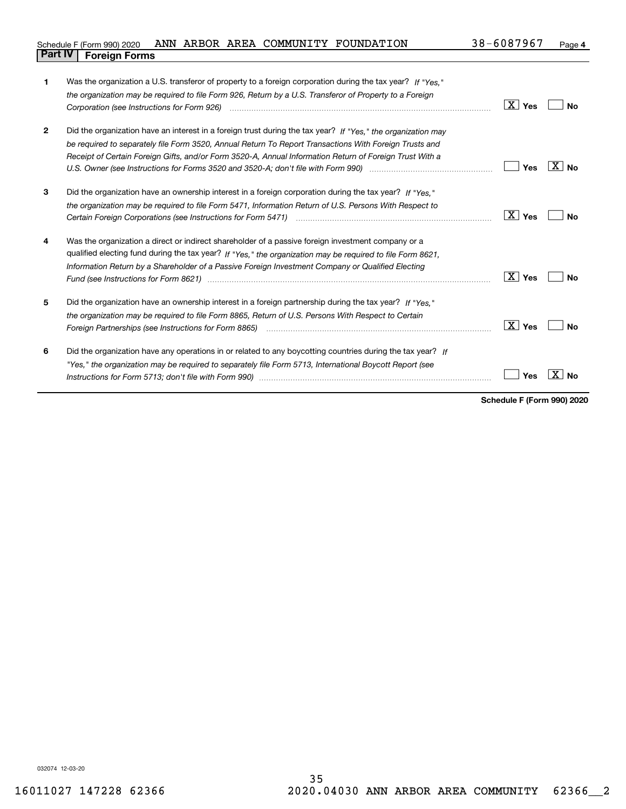| F (Form 990) 2020<br>Schedule F        | ANN | ARBOR | AREA | COMMUNITY | FOUNDATION | 7608796−د<br>38 | Page |
|----------------------------------------|-----|-------|------|-----------|------------|-----------------|------|
| <b>Part IV</b><br><b>Foreign Forms</b> |     |       |      |           |            |                 |      |

| 1            | Was the organization a U.S. transferor of property to a foreign corporation during the tax year? If "Yes."<br>the organization may be required to file Form 926, Return by a U.S. Transferor of Property to a Foreign                                                                                                                                                                                                                               | $\boxed{\text{X}}$ Yes | No                |
|--------------|-----------------------------------------------------------------------------------------------------------------------------------------------------------------------------------------------------------------------------------------------------------------------------------------------------------------------------------------------------------------------------------------------------------------------------------------------------|------------------------|-------------------|
| $\mathbf{2}$ | Did the organization have an interest in a foreign trust during the tax year? If "Yes," the organization may<br>be required to separately file Form 3520, Annual Return To Report Transactions With Foreign Trusts and<br>Receipt of Certain Foreign Gifts, and/or Form 3520-A, Annual Information Return of Foreign Trust With a<br>U.S. Owner (see Instructions for Forms 3520 and 3520-A; don't file with Form 990) manufactured uncontroller to | Yes                    | $\overline{X}$ No |
| 3            | Did the organization have an ownership interest in a foreign corporation during the tax year? If "Yes."<br>the organization may be required to file Form 5471, Information Return of U.S. Persons With Respect to                                                                                                                                                                                                                                   | $\boxed{\text{X}}$ Yes | Nο                |
| 4            | Was the organization a direct or indirect shareholder of a passive foreign investment company or a<br>qualified electing fund during the tax year? If "Yes," the organization may be required to file Form 8621,<br>Information Return by a Shareholder of a Passive Foreign Investment Company or Qualified Electing<br>Fund (see Instructions for Form 8621) manufactured control to the control of the control of the control of the             | $\vert X \vert$ Yes    | Nο                |
| 5            | Did the organization have an ownership interest in a foreign partnership during the tax year? If "Yes."<br>the organization may be required to file Form 8865, Return of U.S. Persons With Respect to Certain<br>Foreign Partnerships (see Instructions for Form 8865)                                                                                                                                                                              | $\boxed{\text{X}}$ Yes | No                |
| 6            | Did the organization have any operations in or related to any boycotting countries during the tax year? If<br>"Yes," the organization may be required to separately file Form 5713, International Boycott Report (see<br>Instructions for Form 5713; don't file with Form 990) manufactured and the control of the control of the with                                                                                                              | Yes                    | Nο                |

**Schedule F (Form 990) 2020**

032074 12-03-20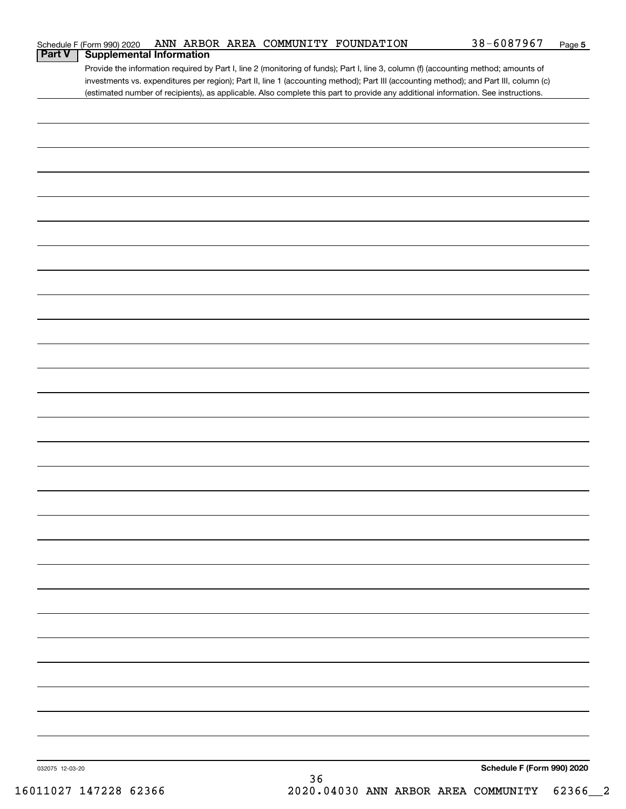|                 | Schedule F (Form 990) 2020 |                                 |    | ANN ARBOR AREA COMMUNITY FOUNDATION | 38-6087967                                                                                                                            | Page 5 |
|-----------------|----------------------------|---------------------------------|----|-------------------------------------|---------------------------------------------------------------------------------------------------------------------------------------|--------|
| <b>Part V</b>   |                            | <b>Supplemental Information</b> |    |                                     |                                                                                                                                       |        |
|                 |                            |                                 |    |                                     | Provide the information required by Part I, line 2 (monitoring of funds); Part I, line 3, column (f) (accounting method; amounts of   |        |
|                 |                            |                                 |    |                                     | investments vs. expenditures per region); Part II, line 1 (accounting method); Part III (accounting method); and Part III, column (c) |        |
|                 |                            |                                 |    |                                     | (estimated number of recipients), as applicable. Also complete this part to provide any additional information. See instructions.     |        |
|                 |                            |                                 |    |                                     |                                                                                                                                       |        |
|                 |                            |                                 |    |                                     |                                                                                                                                       |        |
|                 |                            |                                 |    |                                     |                                                                                                                                       |        |
|                 |                            |                                 |    |                                     |                                                                                                                                       |        |
|                 |                            |                                 |    |                                     |                                                                                                                                       |        |
|                 |                            |                                 |    |                                     |                                                                                                                                       |        |
|                 |                            |                                 |    |                                     |                                                                                                                                       |        |
|                 |                            |                                 |    |                                     |                                                                                                                                       |        |
|                 |                            |                                 |    |                                     |                                                                                                                                       |        |
|                 |                            |                                 |    |                                     |                                                                                                                                       |        |
|                 |                            |                                 |    |                                     |                                                                                                                                       |        |
|                 |                            |                                 |    |                                     |                                                                                                                                       |        |
|                 |                            |                                 |    |                                     |                                                                                                                                       |        |
|                 |                            |                                 |    |                                     |                                                                                                                                       |        |
|                 |                            |                                 |    |                                     |                                                                                                                                       |        |
|                 |                            |                                 |    |                                     |                                                                                                                                       |        |
|                 |                            |                                 |    |                                     |                                                                                                                                       |        |
|                 |                            |                                 |    |                                     |                                                                                                                                       |        |
|                 |                            |                                 |    |                                     |                                                                                                                                       |        |
|                 |                            |                                 |    |                                     |                                                                                                                                       |        |
|                 |                            |                                 |    |                                     |                                                                                                                                       |        |
|                 |                            |                                 |    |                                     |                                                                                                                                       |        |
|                 |                            |                                 |    |                                     |                                                                                                                                       |        |
|                 |                            |                                 |    |                                     |                                                                                                                                       |        |
|                 |                            |                                 |    |                                     |                                                                                                                                       |        |
|                 |                            |                                 |    |                                     |                                                                                                                                       |        |
|                 |                            |                                 |    |                                     |                                                                                                                                       |        |
|                 |                            |                                 |    |                                     |                                                                                                                                       |        |
|                 |                            |                                 |    |                                     |                                                                                                                                       |        |
|                 |                            |                                 |    |                                     |                                                                                                                                       |        |
|                 |                            |                                 |    |                                     |                                                                                                                                       |        |
|                 |                            |                                 |    |                                     |                                                                                                                                       |        |
|                 |                            |                                 |    |                                     |                                                                                                                                       |        |
|                 |                            |                                 |    |                                     |                                                                                                                                       |        |
|                 |                            |                                 |    |                                     |                                                                                                                                       |        |
|                 |                            |                                 |    |                                     |                                                                                                                                       |        |
|                 |                            |                                 |    |                                     |                                                                                                                                       |        |
|                 |                            |                                 |    |                                     |                                                                                                                                       |        |
|                 |                            |                                 |    |                                     |                                                                                                                                       |        |
|                 |                            |                                 |    |                                     |                                                                                                                                       |        |
|                 |                            |                                 |    |                                     |                                                                                                                                       |        |
|                 |                            |                                 |    |                                     |                                                                                                                                       |        |
|                 |                            |                                 |    |                                     |                                                                                                                                       |        |
|                 |                            |                                 |    |                                     |                                                                                                                                       |        |
|                 |                            |                                 |    |                                     |                                                                                                                                       |        |
|                 |                            |                                 |    |                                     |                                                                                                                                       |        |
|                 |                            |                                 |    |                                     |                                                                                                                                       |        |
|                 |                            |                                 |    |                                     |                                                                                                                                       |        |
|                 |                            |                                 |    |                                     |                                                                                                                                       |        |
|                 |                            |                                 |    |                                     |                                                                                                                                       |        |
|                 |                            |                                 |    |                                     |                                                                                                                                       |        |
|                 |                            |                                 |    |                                     |                                                                                                                                       |        |
|                 |                            |                                 |    |                                     |                                                                                                                                       |        |
|                 |                            |                                 |    |                                     |                                                                                                                                       |        |
|                 |                            |                                 |    |                                     |                                                                                                                                       |        |
|                 |                            |                                 |    |                                     |                                                                                                                                       |        |
|                 |                            |                                 |    |                                     |                                                                                                                                       |        |
|                 |                            |                                 |    |                                     |                                                                                                                                       |        |
|                 |                            |                                 |    |                                     |                                                                                                                                       |        |
|                 |                            |                                 |    |                                     |                                                                                                                                       |        |
| 032075 12-03-20 |                            |                                 |    |                                     | Schedule F (Form 990) 2020                                                                                                            |        |
|                 |                            |                                 | 36 |                                     |                                                                                                                                       |        |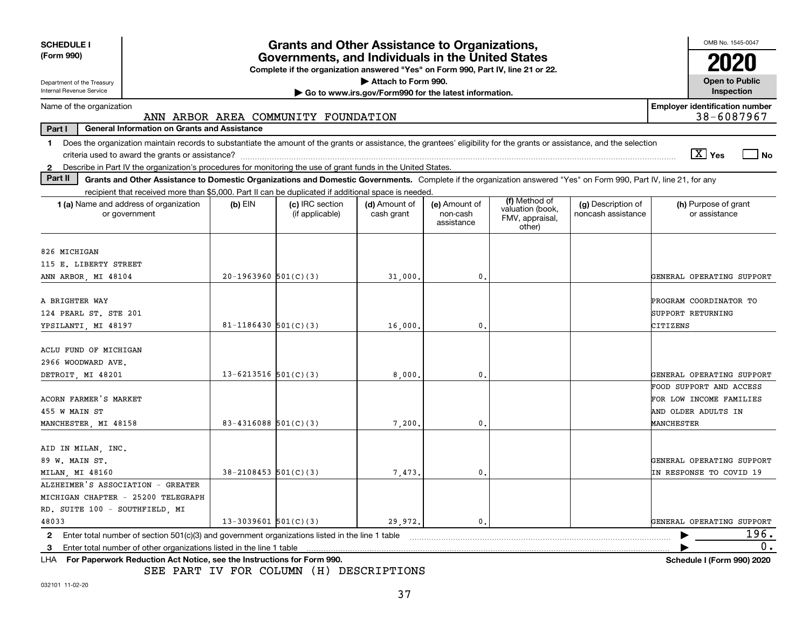| <b>SCHEDULE I</b>                                                                                                                                                              |                          | <b>Grants and Other Assistance to Organizations,</b> |                             |                                         |                                               |                                          | OMB No. 1545-0047                                   |  |
|--------------------------------------------------------------------------------------------------------------------------------------------------------------------------------|--------------------------|------------------------------------------------------|-----------------------------|-----------------------------------------|-----------------------------------------------|------------------------------------------|-----------------------------------------------------|--|
| (Form 990)<br>Governments, and Individuals in the United States<br>Complete if the organization answered "Yes" on Form 990, Part IV, line 21 or 22.                            |                          |                                                      |                             |                                         |                                               |                                          |                                                     |  |
| Department of the Treasury                                                                                                                                                     |                          |                                                      | Attach to Form 990.         |                                         |                                               |                                          | <b>Open to Public</b>                               |  |
| Internal Revenue Service<br><b>Inspection</b><br>Go to www.irs.gov/Form990 for the latest information.                                                                         |                          |                                                      |                             |                                         |                                               |                                          |                                                     |  |
| Name of the organization                                                                                                                                                       |                          | ANN ARBOR AREA COMMUNITY FOUNDATION                  |                             |                                         |                                               |                                          | <b>Employer identification number</b><br>38-6087967 |  |
| Part I<br><b>General Information on Grants and Assistance</b>                                                                                                                  |                          |                                                      |                             |                                         |                                               |                                          |                                                     |  |
| Does the organization maintain records to substantiate the amount of the grants or assistance, the grantees' eligibility for the grants or assistance, and the selection<br>1. |                          |                                                      |                             |                                         |                                               |                                          | $\boxed{\text{X}}$ Yes<br>$ $ No                    |  |
| Describe in Part IV the organization's procedures for monitoring the use of grant funds in the United States.<br>$\mathbf{2}$                                                  |                          |                                                      |                             |                                         |                                               |                                          |                                                     |  |
| Part II<br>Grants and Other Assistance to Domestic Organizations and Domestic Governments. Complete if the organization answered "Yes" on Form 990, Part IV, line 21, for any  |                          |                                                      |                             |                                         |                                               |                                          |                                                     |  |
| recipient that received more than \$5,000. Part II can be duplicated if additional space is needed.                                                                            |                          |                                                      |                             |                                         | (f) Method of                                 |                                          |                                                     |  |
| 1 (a) Name and address of organization<br>or government                                                                                                                        | $(b)$ EIN                | (c) IRC section<br>(if applicable)                   | (d) Amount of<br>cash grant | (e) Amount of<br>non-cash<br>assistance | valuation (book,<br>FMV, appraisal,<br>other) | (g) Description of<br>noncash assistance | (h) Purpose of grant<br>or assistance               |  |
| 826 MICHIGAN                                                                                                                                                                   |                          |                                                      |                             |                                         |                                               |                                          |                                                     |  |
| 115 E. LIBERTY STREET                                                                                                                                                          |                          |                                                      |                             |                                         |                                               |                                          |                                                     |  |
| ANN ARBOR, MI 48104                                                                                                                                                            | $20-1963960$ $501(C)(3)$ |                                                      | 31,000.                     | 0.                                      |                                               |                                          | GENERAL OPERATING SUPPORT                           |  |
|                                                                                                                                                                                |                          |                                                      |                             |                                         |                                               |                                          |                                                     |  |
| A BRIGHTER WAY                                                                                                                                                                 |                          |                                                      |                             |                                         |                                               |                                          | PROGRAM COORDINATOR TO                              |  |
| 124 PEARL ST. STE 201                                                                                                                                                          |                          |                                                      |                             |                                         |                                               |                                          | <b>SUPPORT RETURNING</b>                            |  |
| YPSILANTI, MI 48197                                                                                                                                                            | $81 - 1186430$ 501(C)(3) |                                                      | 16,000.                     | 0.                                      |                                               |                                          | CITIZENS                                            |  |
| ACLU FUND OF MICHIGAN                                                                                                                                                          |                          |                                                      |                             |                                         |                                               |                                          |                                                     |  |
| 2966 WOODWARD AVE.                                                                                                                                                             |                          |                                                      |                             |                                         |                                               |                                          |                                                     |  |
| DETROIT, MI 48201                                                                                                                                                              | $13 - 6213516$ 501(C)(3) |                                                      | 8,000                       | 0                                       |                                               |                                          | GENERAL OPERATING SUPPORT                           |  |
|                                                                                                                                                                                |                          |                                                      |                             |                                         |                                               |                                          | FOOD SUPPORT AND ACCESS                             |  |
| ACORN FARMER'S MARKET                                                                                                                                                          |                          |                                                      |                             |                                         |                                               |                                          | FOR LOW INCOME FAMILIES                             |  |
| 455 W MAIN ST                                                                                                                                                                  |                          |                                                      |                             |                                         |                                               |                                          | AND OLDER ADULTS IN                                 |  |
| MANCHESTER, MI 48158                                                                                                                                                           | 83-4316088 $501(C)(3)$   |                                                      | 7,200                       | 0.                                      |                                               |                                          | <b>MANCHESTER</b>                                   |  |
|                                                                                                                                                                                |                          |                                                      |                             |                                         |                                               |                                          |                                                     |  |
| AID IN MILAN, INC.                                                                                                                                                             |                          |                                                      |                             |                                         |                                               |                                          |                                                     |  |
| 89 W. MAIN ST.                                                                                                                                                                 |                          |                                                      |                             |                                         |                                               |                                          | GENERAL OPERATING SUPPORT                           |  |
| MILAN, MI 48160                                                                                                                                                                | $38 - 2108453$ 501(C)(3) |                                                      | 7,473                       | $\mathbf{0}$ .                          |                                               |                                          | IN RESPONSE TO COVID 19                             |  |
| ALZHEIMER'S ASSOCIATION - GREATER                                                                                                                                              |                          |                                                      |                             |                                         |                                               |                                          |                                                     |  |
| MICHIGAN CHAPTER - 25200 TELEGRAPH                                                                                                                                             |                          |                                                      |                             |                                         |                                               |                                          |                                                     |  |
| RD. SUITE 100 - SOUTHFIELD, MI<br>48033                                                                                                                                        | $13-3039601$ $501(C)(3)$ |                                                      | 29,972.                     | $\mathbf{0}$ .                          |                                               |                                          | GENERAL OPERATING SUPPORT                           |  |
| Enter total number of section 501(c)(3) and government organizations listed in the line 1 table<br>$\mathbf{2}$                                                                |                          |                                                      |                             |                                         |                                               |                                          | 196.                                                |  |
| Enter total number of other organizations listed in the line 1 table<br>3                                                                                                      |                          |                                                      |                             |                                         |                                               |                                          | 0.                                                  |  |
| LHA For Paperwork Reduction Act Notice, see the Instructions for Form 990.                                                                                                     |                          |                                                      |                             |                                         |                                               |                                          | <b>Schedule I (Form 990) 2020</b>                   |  |

SEE PART IV FOR COLUMN (H) DESCRIPTIONS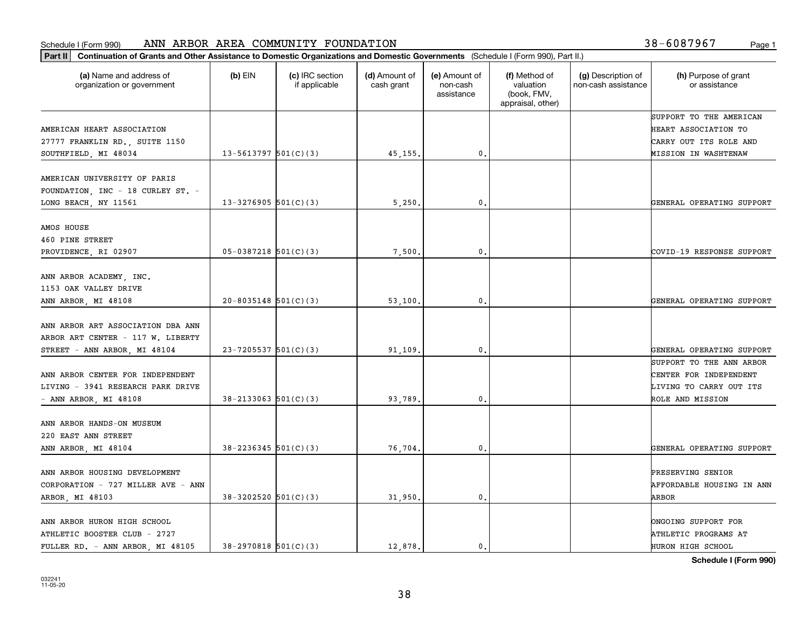#### Schedule I (Form 990) ANN ARBOR AREA COMMUNITY FOUNDATION Page 1

| (a) Name and address of<br>organization or government                                     | $(b)$ EIN                  | (c) IRC section<br>if applicable | (d) Amount of<br>cash grant | (e) Amount of<br>non-cash<br>assistance | (f) Method of<br>valuation<br>(book, FMV,<br>appraisal, other) | (g) Description of<br>non-cash assistance | (h) Purpose of grant<br>or assistance                                         |
|-------------------------------------------------------------------------------------------|----------------------------|----------------------------------|-----------------------------|-----------------------------------------|----------------------------------------------------------------|-------------------------------------------|-------------------------------------------------------------------------------|
| AMERICAN HEART ASSOCIATION<br>27777 FRANKLIN RD., SUITE 1150                              |                            |                                  |                             |                                         |                                                                |                                           | SUPPORT TO THE AMERICAN<br>HEART ASSOCIATION TO<br>CARRY OUT ITS ROLE AND     |
| SOUTHFIELD, MI 48034                                                                      | $13 - 5613797$ $501(C)(3)$ |                                  | 45, 155.                    | 0.                                      |                                                                |                                           | <b>MISSION IN WASHTENAW</b>                                                   |
| AMERICAN UNIVERSITY OF PARIS<br>FOUNDATION, INC - 18 CURLEY ST. -<br>LONG BEACH, NY 11561 | $13 - 3276905$ 501(C)(3)   |                                  | 5,250.                      | $\mathbf{0}$ .                          |                                                                |                                           | GENERAL OPERATING SUPPORT                                                     |
|                                                                                           |                            |                                  |                             |                                         |                                                                |                                           |                                                                               |
| AMOS HOUSE<br>460 PINE STREET                                                             |                            |                                  |                             |                                         |                                                                |                                           |                                                                               |
| PROVIDENCE, RI 02907                                                                      | $05-0387218$ 501(C)(3)     |                                  | 7,500.                      | 0.                                      |                                                                |                                           | COVID-19 RESPONSE SUPPORT                                                     |
| ANN ARBOR ACADEMY, INC.<br>1153 OAK VALLEY DRIVE                                          |                            |                                  |                             |                                         |                                                                |                                           |                                                                               |
| ANN ARBOR, MI 48108                                                                       | $20 - 8035148$ 501(C)(3)   |                                  | 53,100.                     | 0.                                      |                                                                |                                           | GENERAL OPERATING SUPPORT                                                     |
| ANN ARBOR ART ASSOCIATION DBA ANN<br>ARBOR ART CENTER - 117 W. LIBERTY                    |                            |                                  |                             |                                         |                                                                |                                           |                                                                               |
| STREET - ANN ARBOR, MI 48104                                                              | $23 - 7205537$ 501(C)(3)   |                                  | 91,109.                     | $\mathbf{0}$                            |                                                                |                                           | GENERAL OPERATING SUPPORT                                                     |
| ANN ARBOR CENTER FOR INDEPENDENT<br>LIVING - 3941 RESEARCH PARK DRIVE                     |                            |                                  |                             |                                         |                                                                |                                           | SUPPORT TO THE ANN ARBOR<br>CENTER FOR INDEPENDENT<br>LIVING TO CARRY OUT ITS |
| - ANN ARBOR, MI $48108$                                                                   | $38 - 2133063$ $501(C)(3)$ |                                  | 93,789.                     | 0.                                      |                                                                |                                           | ROLE AND MISSION                                                              |
| ANN ARBOR HANDS-ON MUSEUM<br>220 EAST ANN STREET                                          |                            |                                  |                             |                                         |                                                                |                                           |                                                                               |
| ANN ARBOR, MI 48104                                                                       | $38 - 2236345$ 501(C)(3)   |                                  | 76,704.                     | $\mathbf{0}$ .                          |                                                                |                                           | GENERAL OPERATING SUPPORT                                                     |
| ANN ARBOR HOUSING DEVELOPMENT                                                             |                            |                                  |                             |                                         |                                                                |                                           | PRESERVING SENIOR                                                             |
| CORPORATION - 727 MILLER AVE - ANN<br>ARBOR, MI 48103                                     | 38-3202520 501(C)(3)       |                                  | 31,950.                     | 0.                                      |                                                                |                                           | <b>AFFORDABLE HOUSING IN ANN</b><br>ARBOR                                     |
| ANN ARBOR HURON HIGH SCHOOL<br>ATHLETIC BOOSTER CLUB - 2727                               |                            |                                  |                             |                                         |                                                                |                                           | ONGOING SUPPORT FOR<br>ATHLETIC PROGRAMS AT                                   |
| FULLER RD. - ANN ARBOR, MI 48105                                                          | $38-2970818$ 501(C)(3)     |                                  | 12,878.                     | 0.                                      |                                                                |                                           | <b>HURON HIGH SCHOOL</b>                                                      |

**Schedule I (Form 990)**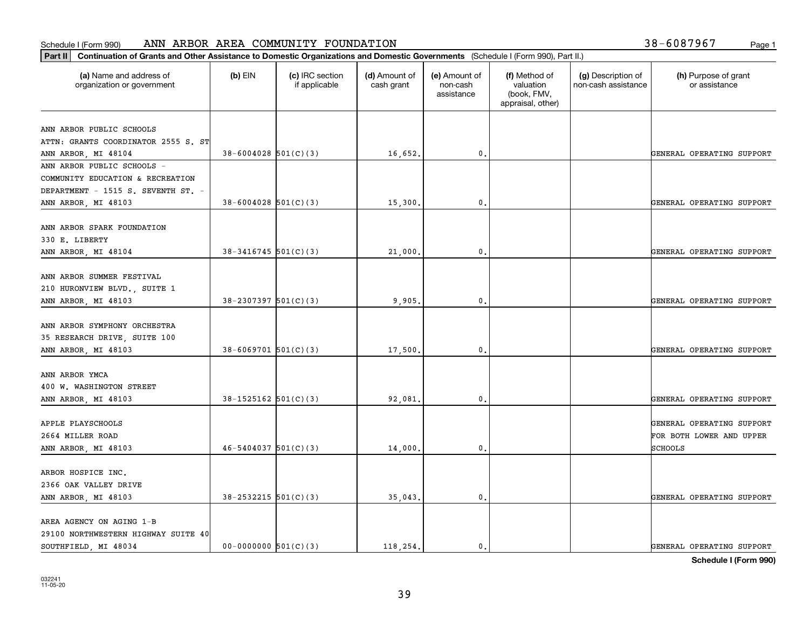#### Schedule I (Form 990) Page 1 ANN ARBOR AREA COMMUNITY FOUNDATION 38-6087967

| 38-6087967 | Page 1 |
|------------|--------|
|            |        |

| (a) Name and address of<br>organization or government       | $(b)$ EIN                  | (c) IRC section<br>if applicable | (d) Amount of<br>cash grant | (e) Amount of<br>non-cash<br>assistance | (f) Method of<br>valuation<br>(book, FMV,<br>appraisal, other) | (g) Description of<br>non-cash assistance | (h) Purpose of grant<br>or assistance |
|-------------------------------------------------------------|----------------------------|----------------------------------|-----------------------------|-----------------------------------------|----------------------------------------------------------------|-------------------------------------------|---------------------------------------|
|                                                             |                            |                                  |                             |                                         |                                                                |                                           |                                       |
| ANN ARBOR PUBLIC SCHOOLS                                    |                            |                                  |                             |                                         |                                                                |                                           |                                       |
| ATTN: GRANTS COORDINATOR 2555 S. ST<br>ANN ARBOR, MI 48104  | $38 - 6004028$ 501(C)(3)   |                                  | 16,652.                     | 0.                                      |                                                                |                                           | GENERAL OPERATING SUPPORT             |
| ANN ARBOR PUBLIC SCHOOLS -                                  |                            |                                  |                             |                                         |                                                                |                                           |                                       |
| COMMUNITY EDUCATION & RECREATION                            |                            |                                  |                             |                                         |                                                                |                                           |                                       |
| DEPARTMENT - 1515 S. SEVENTH ST. -                          |                            |                                  |                             |                                         |                                                                |                                           |                                       |
| ANN ARBOR, MI 48103                                         | $38 - 6004028$ 501(C)(3)   |                                  | 15,300                      | 0.                                      |                                                                |                                           | GENERAL OPERATING SUPPORT             |
|                                                             |                            |                                  |                             |                                         |                                                                |                                           |                                       |
| ANN ARBOR SPARK FOUNDATION                                  |                            |                                  |                             |                                         |                                                                |                                           |                                       |
| 330 E. LIBERTY                                              |                            |                                  |                             |                                         |                                                                |                                           |                                       |
| ANN ARBOR, MI 48104                                         | $38 - 3416745$ 501(C)(3)   |                                  | 21,000.                     | 0.                                      |                                                                |                                           | GENERAL OPERATING SUPPORT             |
|                                                             |                            |                                  |                             |                                         |                                                                |                                           |                                       |
| ANN ARBOR SUMMER FESTIVAL                                   |                            |                                  |                             |                                         |                                                                |                                           |                                       |
| 210 HURONVIEW BLVD., SUITE 1                                |                            |                                  |                             |                                         |                                                                |                                           |                                       |
| ANN ARBOR, MI 48103                                         | $38 - 2307397$ 501(C)(3)   |                                  | 9,905                       | 0.                                      |                                                                |                                           | GENERAL OPERATING SUPPORT             |
|                                                             |                            |                                  |                             |                                         |                                                                |                                           |                                       |
| ANN ARBOR SYMPHONY ORCHESTRA                                |                            |                                  |                             |                                         |                                                                |                                           |                                       |
| 35 RESEARCH DRIVE, SUITE 100                                | $38 - 6069701$ 501(C)(3)   |                                  |                             | $\mathbf{0}$                            |                                                                |                                           | GENERAL OPERATING SUPPORT             |
| ANN ARBOR, MI 48103                                         |                            |                                  | 17,500                      |                                         |                                                                |                                           |                                       |
| ANN ARBOR YMCA                                              |                            |                                  |                             |                                         |                                                                |                                           |                                       |
| 400 W. WASHINGTON STREET                                    |                            |                                  |                             |                                         |                                                                |                                           |                                       |
| ANN ARBOR, MI 48103                                         | $38-1525162$ $501(C)(3)$   |                                  | 92,081.                     | 0.                                      |                                                                |                                           | GENERAL OPERATING SUPPORT             |
|                                                             |                            |                                  |                             |                                         |                                                                |                                           |                                       |
| APPLE PLAYSCHOOLS                                           |                            |                                  |                             |                                         |                                                                |                                           | GENERAL OPERATING SUPPORT             |
| 2664 MILLER ROAD                                            |                            |                                  |                             |                                         |                                                                |                                           | FOR BOTH LOWER AND UPPER              |
| ANN ARBOR, MI 48103                                         | $46 - 5404037$ 501(C)(3)   |                                  | 14,000                      | 0.                                      |                                                                |                                           | SCHOOLS                               |
|                                                             |                            |                                  |                             |                                         |                                                                |                                           |                                       |
| ARBOR HOSPICE INC.                                          |                            |                                  |                             |                                         |                                                                |                                           |                                       |
| 2366 OAK VALLEY DRIVE                                       |                            |                                  |                             |                                         |                                                                |                                           |                                       |
| ANN ARBOR, MI 48103                                         | $38 - 2532215$ $501(C)(3)$ |                                  | 35,043.                     | 0.                                      |                                                                |                                           | GENERAL OPERATING SUPPORT             |
|                                                             |                            |                                  |                             |                                         |                                                                |                                           |                                       |
| AREA AGENCY ON AGING 1-B                                    |                            |                                  |                             |                                         |                                                                |                                           |                                       |
| 29100 NORTHWESTERN HIGHWAY SUITE 40<br>SOUTHFIELD, MI 48034 | $00-0000000$ $501(C)(3)$   |                                  | 118.254.                    | $\mathfrak{o}$ .                        |                                                                |                                           | GENERAL OPERATING SUPPORT             |
|                                                             |                            |                                  |                             |                                         |                                                                |                                           |                                       |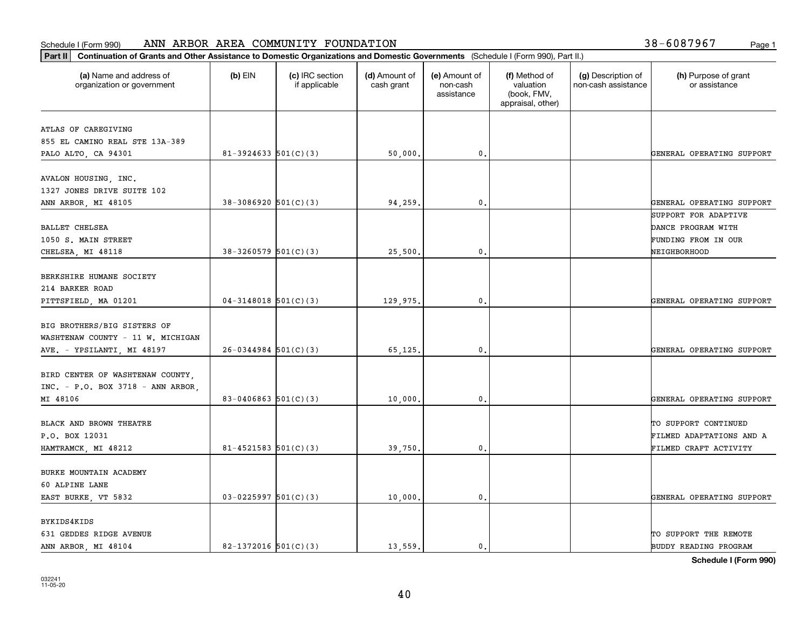| (a) Name and address of<br>organization or government                 | $(b)$ EIN                  | (c) IRC section<br>if applicable | (d) Amount of<br>cash grant | (e) Amount of<br>non-cash<br>assistance | (f) Method of<br>valuation<br>(book, FMV,<br>appraisal, other) | (g) Description of<br>non-cash assistance | (h) Purpose of grant<br>or assistance            |
|-----------------------------------------------------------------------|----------------------------|----------------------------------|-----------------------------|-----------------------------------------|----------------------------------------------------------------|-------------------------------------------|--------------------------------------------------|
| ATLAS OF CAREGIVING                                                   |                            |                                  |                             |                                         |                                                                |                                           |                                                  |
| 855 EL CAMINO REAL STE 13A-389                                        |                            |                                  |                             |                                         |                                                                |                                           |                                                  |
| PALO ALTO, CA 94301                                                   | $81 - 3924633$ $501(C)(3)$ |                                  | 50,000.                     | 0.                                      |                                                                |                                           | GENERAL OPERATING SUPPORT                        |
| AVALON HOUSING, INC.<br>1327 JONES DRIVE SUITE 102                    |                            |                                  |                             |                                         |                                                                |                                           |                                                  |
| ANN ARBOR, MI 48105                                                   | $38-3086920$ 501(C)(3)     |                                  | 94,259.                     | $\mathbf{0}$ .                          |                                                                |                                           | GENERAL OPERATING SUPPORT                        |
|                                                                       |                            |                                  |                             |                                         |                                                                |                                           | SUPPORT FOR ADAPTIVE                             |
| BALLET CHELSEA                                                        |                            |                                  |                             |                                         |                                                                |                                           | DANCE PROGRAM WITH                               |
| 1050 S. MAIN STREET<br>CHELSEA, MI 48118                              | $38-3260579$ 501(C)(3)     |                                  | 25,500.                     | $\mathbf{0}$ .                          |                                                                |                                           | FUNDING FROM IN OUR<br>NEIGHBORHOOD              |
|                                                                       |                            |                                  |                             |                                         |                                                                |                                           |                                                  |
| BERKSHIRE HUMANE SOCIETY                                              |                            |                                  |                             |                                         |                                                                |                                           |                                                  |
| 214 BARKER ROAD                                                       |                            |                                  |                             |                                         |                                                                |                                           |                                                  |
| PITTSFIELD, MA 01201                                                  | $04-3148018$ 501(C)(3)     |                                  | 129,975.                    | 0.                                      |                                                                |                                           | GENERAL OPERATING SUPPORT                        |
| BIG BROTHERS/BIG SISTERS OF<br>WASHTENAW COUNTY - 11 W. MICHIGAN      |                            |                                  |                             |                                         |                                                                |                                           |                                                  |
| AVE. - YPSILANTI, MI 48197                                            | $26-0344984$ 501(C)(3)     |                                  | 65,125.                     | $\mathbf{0}$                            |                                                                |                                           | GENERAL OPERATING SUPPORT                        |
| BIRD CENTER OF WASHTENAW COUNTY,<br>INC. - P.O. BOX 3718 - ANN ARBOR, |                            |                                  |                             |                                         |                                                                |                                           |                                                  |
| MI 48106                                                              | 83-0406863 $501(C)(3)$     |                                  | 10,000.                     | 0.                                      |                                                                |                                           | GENERAL OPERATING SUPPORT                        |
| BLACK AND BROWN THEATRE<br>P.O. BOX 12031                             |                            |                                  |                             |                                         |                                                                |                                           | TO SUPPORT CONTINUED<br>FILMED ADAPTATIONS AND A |
| HAMTRAMCK, MI 48212                                                   | $81 - 4521583$ $501(C)(3)$ |                                  | 39,750.                     | $\mathbf{0}$ .                          |                                                                |                                           | FILMED CRAFT ACTIVITY                            |
| BURKE MOUNTAIN ACADEMY<br>60 ALPINE LANE                              |                            |                                  |                             |                                         |                                                                |                                           |                                                  |
| EAST BURKE, VT 5832                                                   | $03 - 0225997$ 501(C)(3)   |                                  | 10,000.                     | $\mathbf{0}$ .                          |                                                                |                                           | GENERAL OPERATING SUPPORT                        |
| BYKIDS4KIDS<br>631 GEDDES RIDGE AVENUE                                |                            |                                  |                             |                                         |                                                                |                                           | TO SUPPORT THE REMOTE                            |
| ANN ARBOR, MI 48104                                                   | 82-1372016 $501(C)(3)$     |                                  | 13.559.                     | $\mathbf{0}$ .                          |                                                                |                                           | BUDDY READING PROGRAM                            |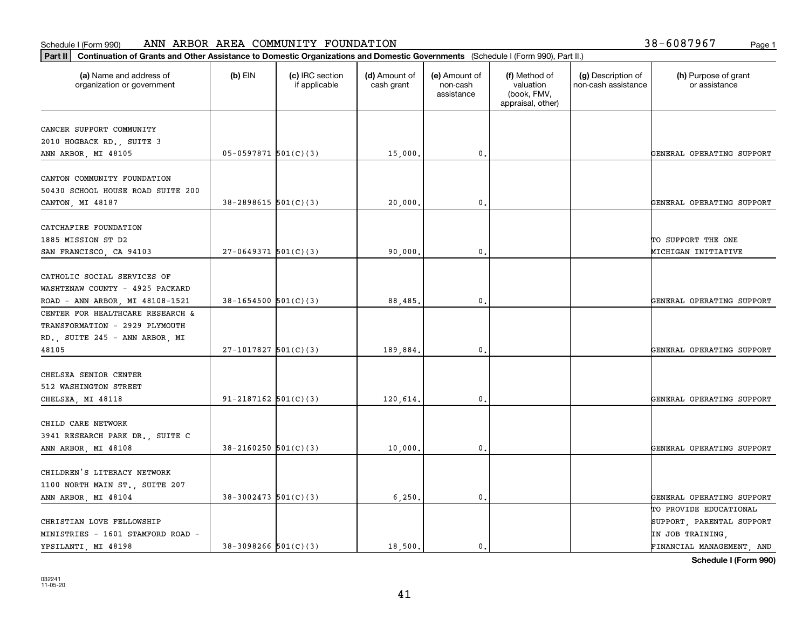#### Schedule I (Form 990) Page 1 ANN ARBOR AREA COMMUNITY FOUNDATION 38-6087967

| 38-6087967 | Page 1 |
|------------|--------|
|------------|--------|

| Part II   Continuation of Grants and Other Assistance to Domestic Organizations and Domestic Governments (Schedule I (Form 990), Part II.)<br>(a) Name and address of | $(b)$ EIN                  | (c) IRC section | (d) Amount of | (e) Amount of          | (f) Method of                                 | (g) Description of  | (h) Purpose of grant      |
|-----------------------------------------------------------------------------------------------------------------------------------------------------------------------|----------------------------|-----------------|---------------|------------------------|-----------------------------------------------|---------------------|---------------------------|
| organization or government                                                                                                                                            |                            | if applicable   | cash grant    | non-cash<br>assistance | valuation<br>(book, FMV,<br>appraisal, other) | non-cash assistance | or assistance             |
| CANCER SUPPORT COMMUNITY                                                                                                                                              |                            |                 |               |                        |                                               |                     |                           |
| 2010 HOGBACK RD., SUITE 3                                                                                                                                             |                            |                 |               |                        |                                               |                     |                           |
| ANN ARBOR, MI 48105                                                                                                                                                   | $05-0597871$ 501(C)(3)     |                 | 15,000.       | 0.                     |                                               |                     | GENERAL OPERATING SUPPORT |
| CANTON COMMUNITY FOUNDATION                                                                                                                                           |                            |                 |               |                        |                                               |                     |                           |
| 50430 SCHOOL HOUSE ROAD SUITE 200                                                                                                                                     |                            |                 |               |                        |                                               |                     |                           |
| CANTON, MI 48187                                                                                                                                                      | $38 - 2898615$ $501(C)(3)$ |                 | 20,000        | 0.                     |                                               |                     | GENERAL OPERATING SUPPORT |
| CATCHAFIRE FOUNDATION                                                                                                                                                 |                            |                 |               |                        |                                               |                     |                           |
| 1885 MISSION ST D2                                                                                                                                                    |                            |                 |               |                        |                                               |                     | TO SUPPORT THE ONE        |
| SAN FRANCISCO, CA 94103                                                                                                                                               | $27-0649371$ 501(C)(3)     |                 | 90,000,       | 0.                     |                                               |                     | MICHIGAN INITIATIVE       |
|                                                                                                                                                                       |                            |                 |               |                        |                                               |                     |                           |
| CATHOLIC SOCIAL SERVICES OF                                                                                                                                           |                            |                 |               |                        |                                               |                     |                           |
| WASHTENAW COUNTY - 4925 PACKARD                                                                                                                                       | $38-1654500$ $501(C)(3)$   |                 | 88,485.       | 0.                     |                                               |                     | GENERAL OPERATING SUPPORT |
| ROAD - ANN ARBOR, MI 48108-1521<br>CENTER FOR HEALTHCARE RESEARCH &                                                                                                   |                            |                 |               |                        |                                               |                     |                           |
| TRANSFORMATION - 2929 PLYMOUTH                                                                                                                                        |                            |                 |               |                        |                                               |                     |                           |
| RD., SUITE 245 - ANN ARBOR, MI                                                                                                                                        |                            |                 |               |                        |                                               |                     |                           |
| 48105                                                                                                                                                                 | $27-1017827$ 501(C)(3)     |                 | 189,884.      | $\mathbf{0}$           |                                               |                     | GENERAL OPERATING SUPPORT |
| CHELSEA SENIOR CENTER                                                                                                                                                 |                            |                 |               |                        |                                               |                     |                           |
| 512 WASHINGTON STREET                                                                                                                                                 |                            |                 |               |                        |                                               |                     |                           |
| CHELSEA, MI 48118                                                                                                                                                     | 91-2187162 $501(C)(3)$     |                 | 120,614.      | 0.                     |                                               |                     | GENERAL OPERATING SUPPORT |
| CHILD CARE NETWORK                                                                                                                                                    |                            |                 |               |                        |                                               |                     |                           |
| 3941 RESEARCH PARK DR., SUITE C                                                                                                                                       |                            |                 |               |                        |                                               |                     |                           |
| ANN ARBOR, MI 48108                                                                                                                                                   | $38 - 2160250$ 501(C)(3)   |                 | 10,000.       | 0.                     |                                               |                     | GENERAL OPERATING SUPPORT |
|                                                                                                                                                                       |                            |                 |               |                        |                                               |                     |                           |
| CHILDREN'S LITERACY NETWORK                                                                                                                                           |                            |                 |               |                        |                                               |                     |                           |
| 1100 NORTH MAIN ST., SUITE 207<br>ANN ARBOR, MI 48104                                                                                                                 | $38-3002473$ 501(C)(3)     |                 | 6,250.        | 0.                     |                                               |                     | GENERAL OPERATING SUPPORT |
|                                                                                                                                                                       |                            |                 |               |                        |                                               |                     | TO PROVIDE EDUCATIONAL    |
| CHRISTIAN LOVE FELLOWSHIP                                                                                                                                             |                            |                 |               |                        |                                               |                     | SUPPORT, PARENTAL SUPPORT |
| MINISTRIES - 1601 STAMFORD ROAD -                                                                                                                                     |                            |                 |               |                        |                                               |                     | IN JOB TRAINING,          |
| YPSILANTI, MI 48198                                                                                                                                                   | $38-3098266$ $501(C)(3)$   |                 | 18,500.       | $\mathbf{0}$ .         |                                               |                     | FINANCIAL MANAGEMENT, AND |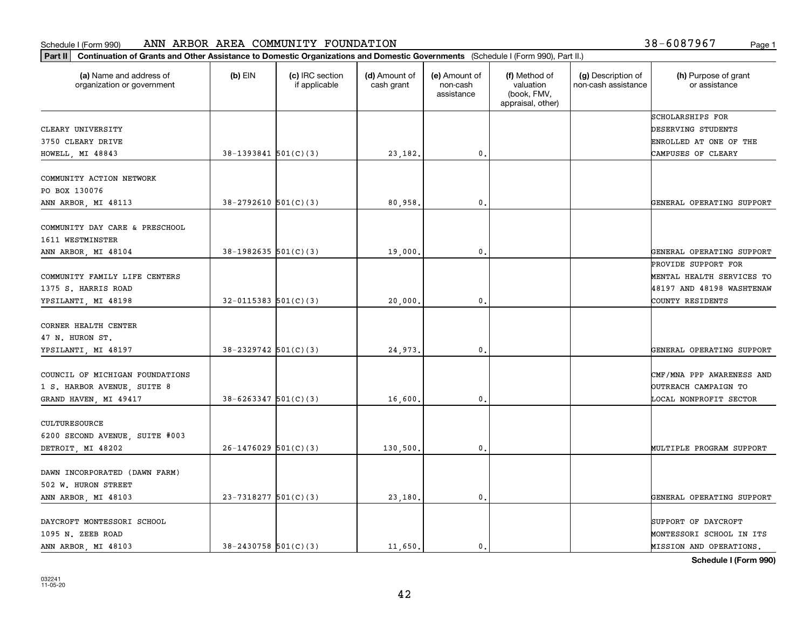| Part II   Continuation of Grants and Other Assistance to Domestic Organizations and Domestic Governments (Schedule I (Form 990), Part II.) |                            |                                  |                             |                                         |                                                                |                                           |                                       |
|--------------------------------------------------------------------------------------------------------------------------------------------|----------------------------|----------------------------------|-----------------------------|-----------------------------------------|----------------------------------------------------------------|-------------------------------------------|---------------------------------------|
| (a) Name and address of<br>organization or government                                                                                      | $(b)$ EIN                  | (c) IRC section<br>if applicable | (d) Amount of<br>cash grant | (e) Amount of<br>non-cash<br>assistance | (f) Method of<br>valuation<br>(book, FMV,<br>appraisal, other) | (g) Description of<br>non-cash assistance | (h) Purpose of grant<br>or assistance |
|                                                                                                                                            |                            |                                  |                             |                                         |                                                                |                                           | SCHOLARSHIPS FOR                      |
| CLEARY UNIVERSITY                                                                                                                          |                            |                                  |                             |                                         |                                                                |                                           | DESERVING STUDENTS                    |
| 3750 CLEARY DRIVE                                                                                                                          |                            |                                  |                             |                                         |                                                                |                                           | ENROLLED AT ONE OF THE                |
| HOWELL, MI 48843                                                                                                                           | $38-1393841$ $501(C)(3)$   |                                  | 23,182.                     | 0.                                      |                                                                |                                           | CAMPUSES OF CLEARY                    |
| COMMUNITY ACTION NETWORK                                                                                                                   |                            |                                  |                             |                                         |                                                                |                                           |                                       |
| PO BOX 130076                                                                                                                              |                            |                                  |                             |                                         |                                                                |                                           |                                       |
| ANN ARBOR, MI 48113                                                                                                                        | $38 - 2792610$ $501(C)(3)$ |                                  | 80,958                      | 0.                                      |                                                                |                                           | GENERAL OPERATING SUPPORT             |
|                                                                                                                                            |                            |                                  |                             |                                         |                                                                |                                           |                                       |
| COMMUNITY DAY CARE & PRESCHOOL                                                                                                             |                            |                                  |                             |                                         |                                                                |                                           |                                       |
| 1611 WESTMINSTER                                                                                                                           |                            |                                  |                             |                                         |                                                                |                                           |                                       |
| ANN ARBOR, MI 48104                                                                                                                        | $38-1982635$ 501(C)(3)     |                                  | 19,000.                     | $\mathbf{0}$ .                          |                                                                |                                           | GENERAL OPERATING SUPPORT             |
|                                                                                                                                            |                            |                                  |                             |                                         |                                                                |                                           | PROVIDE SUPPORT FOR                   |
| COMMUNITY FAMILY LIFE CENTERS                                                                                                              |                            |                                  |                             |                                         |                                                                |                                           | MENTAL HEALTH SERVICES TO             |
| 1375 S. HARRIS ROAD                                                                                                                        |                            |                                  |                             |                                         |                                                                |                                           | 48197 AND 48198 WASHTENAW             |
| YPSILANTI, MI 48198                                                                                                                        | $32 - 0115383$ $501(C)(3)$ |                                  | 20,000.                     | $\mathbf{0}$ .                          |                                                                |                                           | COUNTY RESIDENTS                      |
|                                                                                                                                            |                            |                                  |                             |                                         |                                                                |                                           |                                       |
| CORNER HEALTH CENTER                                                                                                                       |                            |                                  |                             |                                         |                                                                |                                           |                                       |
| 47 N. HURON ST.                                                                                                                            |                            |                                  |                             |                                         |                                                                |                                           |                                       |
| YPSILANTI, MI 48197                                                                                                                        | $38 - 2329742$ 501(C)(3)   |                                  | 24,973.                     | $\mathbf{0}$                            |                                                                |                                           | GENERAL OPERATING SUPPORT             |
| COUNCIL OF MICHIGAN FOUNDATIONS                                                                                                            |                            |                                  |                             |                                         |                                                                |                                           | CMF/MNA PPP AWARENESS AND             |
| 1 S. HARBOR AVENUE, SUITE 8                                                                                                                |                            |                                  |                             |                                         |                                                                |                                           | OUTREACH CAMPAIGN TO                  |
| GRAND HAVEN, MI 49417                                                                                                                      | $38 - 6263347$ $501(C)(3)$ |                                  | 16,600.                     | 0.                                      |                                                                |                                           | LOCAL NONPROFIT SECTOR                |
|                                                                                                                                            |                            |                                  |                             |                                         |                                                                |                                           |                                       |
| CULTURESOURCE                                                                                                                              |                            |                                  |                             |                                         |                                                                |                                           |                                       |
| 6200 SECOND AVENUE, SUITE #003                                                                                                             |                            |                                  |                             |                                         |                                                                |                                           |                                       |
| DETROIT, MI 48202                                                                                                                          | $26-1476029$ 501(C)(3)     |                                  | 130,500,                    | $\mathbf{0}$ .                          |                                                                |                                           | MULTIPLE PROGRAM SUPPORT              |
|                                                                                                                                            |                            |                                  |                             |                                         |                                                                |                                           |                                       |
| DAWN INCORPORATED (DAWN FARM)                                                                                                              |                            |                                  |                             |                                         |                                                                |                                           |                                       |
| 502 W. HURON STREET                                                                                                                        |                            |                                  |                             |                                         |                                                                |                                           |                                       |
| ANN ARBOR, MI 48103                                                                                                                        | 23-7318277 501(C)(3)       |                                  | 23,180.                     | $\mathfrak o$ .                         |                                                                |                                           | GENERAL OPERATING SUPPORT             |
| DAYCROFT MONTESSORI SCHOOL                                                                                                                 |                            |                                  |                             |                                         |                                                                |                                           | SUPPORT OF DAYCROFT                   |
| 1095 N. ZEEB ROAD                                                                                                                          |                            |                                  |                             |                                         |                                                                |                                           | MONTESSORI SCHOOL IN ITS              |
| ANN ARBOR, MI 48103                                                                                                                        | $38 - 2430758$ 501(C)(3)   |                                  | 11,650.                     | $\mathbf{0}$ .                          |                                                                |                                           | MISSION AND OPERATIONS,               |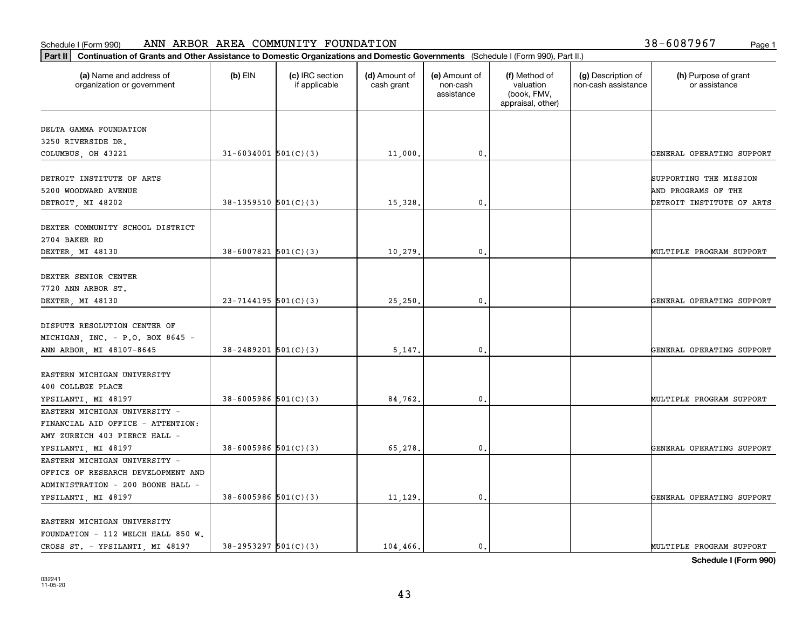#### **Part II Continuation of Grants and Other Assistance to Domestic Organizations and Domestic Continuation of Grants and Other Assistance to Domestic Organizations and Domestic Continuation of Grants and Other Assistance t** Schedule I (Form 990) ANN ARBOR AREA COMMUNITY FOUNDATION Page 1

|  |  |  |  | 38-6087967 | Page: |
|--|--|--|--|------------|-------|
|--|--|--|--|------------|-------|

| Continuation of Grants and Other Assistance to Domestic Organizations and Domestic Governments (Schedule I (Form 990), Part II.)<br>Part II |                            |                                  |                             |                                         |                                                                |                                           |                                       |
|---------------------------------------------------------------------------------------------------------------------------------------------|----------------------------|----------------------------------|-----------------------------|-----------------------------------------|----------------------------------------------------------------|-------------------------------------------|---------------------------------------|
| (a) Name and address of<br>organization or government                                                                                       | $(b)$ EIN                  | (c) IRC section<br>if applicable | (d) Amount of<br>cash grant | (e) Amount of<br>non-cash<br>assistance | (f) Method of<br>valuation<br>(book, FMV,<br>appraisal, other) | (g) Description of<br>non-cash assistance | (h) Purpose of grant<br>or assistance |
|                                                                                                                                             |                            |                                  |                             |                                         |                                                                |                                           |                                       |
| DELTA GAMMA FOUNDATION                                                                                                                      |                            |                                  |                             |                                         |                                                                |                                           |                                       |
| 3250 RIVERSIDE DR.                                                                                                                          |                            |                                  |                             |                                         |                                                                |                                           |                                       |
| COLUMBUS, OH 43221                                                                                                                          | $31 - 6034001$ $501(C)(3)$ |                                  | 11,000.                     | $\mathbf{0}$ .                          |                                                                |                                           | GENERAL OPERATING SUPPORT             |
| DETROIT INSTITUTE OF ARTS                                                                                                                   |                            |                                  |                             |                                         |                                                                |                                           | SUPPORTING THE MISSION                |
| 5200 WOODWARD AVENUE                                                                                                                        |                            |                                  |                             |                                         |                                                                |                                           | AND PROGRAMS OF THE                   |
|                                                                                                                                             | $38-1359510$ $501(C)(3)$   |                                  | 15,328.                     | 0.                                      |                                                                |                                           |                                       |
| DETROIT, MI 48202                                                                                                                           |                            |                                  |                             |                                         |                                                                |                                           | DETROIT INSTITUTE OF ARTS             |
| DEXTER COMMUNITY SCHOOL DISTRICT                                                                                                            |                            |                                  |                             |                                         |                                                                |                                           |                                       |
| 2704 BAKER RD                                                                                                                               |                            |                                  |                             |                                         |                                                                |                                           |                                       |
| DEXTER, MI 48130                                                                                                                            | $38 - 6007821$ 501(C)(3)   |                                  | 10,279                      | $\mathbf{0}$                            |                                                                |                                           | MULTIPLE PROGRAM SUPPORT              |
|                                                                                                                                             |                            |                                  |                             |                                         |                                                                |                                           |                                       |
| DEXTER SENIOR CENTER                                                                                                                        |                            |                                  |                             |                                         |                                                                |                                           |                                       |
| 7720 ANN ARBOR ST.                                                                                                                          |                            |                                  |                             |                                         |                                                                |                                           |                                       |
| DEXTER, MI 48130                                                                                                                            | $23 - 7144195$ 501(C)(3)   |                                  | 25,250.                     | $\mathbf{0}$ .                          |                                                                |                                           | GENERAL OPERATING SUPPORT             |
|                                                                                                                                             |                            |                                  |                             |                                         |                                                                |                                           |                                       |
| DISPUTE RESOLUTION CENTER OF                                                                                                                |                            |                                  |                             |                                         |                                                                |                                           |                                       |
| MICHIGAN, INC. - P.O. BOX 8645 -                                                                                                            |                            |                                  |                             |                                         |                                                                |                                           |                                       |
| ANN ARBOR, MI 48107-8645                                                                                                                    | $38 - 2489201$ $501(C)(3)$ |                                  | 5,147.                      | $\mathbf{0}$ .                          |                                                                |                                           | GENERAL OPERATING SUPPORT             |
|                                                                                                                                             |                            |                                  |                             |                                         |                                                                |                                           |                                       |
| EASTERN MICHIGAN UNIVERSITY                                                                                                                 |                            |                                  |                             |                                         |                                                                |                                           |                                       |
| 400 COLLEGE PLACE                                                                                                                           |                            |                                  |                             |                                         |                                                                |                                           |                                       |
| YPSILANTI, MI 48197                                                                                                                         | $38 - 6005986$ $501(C)(3)$ |                                  | 84,762.                     | 0.                                      |                                                                |                                           | MULTIPLE PROGRAM SUPPORT              |
| EASTERN MICHIGAN UNIVERSITY -                                                                                                               |                            |                                  |                             |                                         |                                                                |                                           |                                       |
| FINANCIAL AID OFFICE - ATTENTION:                                                                                                           |                            |                                  |                             |                                         |                                                                |                                           |                                       |
| AMY ZUREICH 403 PIERCE HALL -                                                                                                               |                            |                                  |                             |                                         |                                                                |                                           |                                       |
| YPSILANTI, MI 48197                                                                                                                         | $38 - 6005986$ $501(C)(3)$ |                                  | 65,278.                     | $\mathbf{0}$ .                          |                                                                |                                           | GENERAL OPERATING SUPPORT             |
| EASTERN MICHIGAN UNIVERSITY -                                                                                                               |                            |                                  |                             |                                         |                                                                |                                           |                                       |
| OFFICE OF RESEARCH DEVELOPMENT AND                                                                                                          |                            |                                  |                             |                                         |                                                                |                                           |                                       |
| ADMINISTRATION - 200 BOONE HALL -                                                                                                           |                            |                                  |                             |                                         |                                                                |                                           |                                       |
|                                                                                                                                             | $38 - 6005986$ 501(C)(3)   |                                  | 11,129.                     | $\mathbf{0}$ .                          |                                                                |                                           | GENERAL OPERATING SUPPORT             |
| YPSILANTI, MI 48197                                                                                                                         |                            |                                  |                             |                                         |                                                                |                                           |                                       |
| EASTERN MICHIGAN UNIVERSITY                                                                                                                 |                            |                                  |                             |                                         |                                                                |                                           |                                       |
| FOUNDATION - 112 WELCH HALL 850 W.                                                                                                          |                            |                                  |                             |                                         |                                                                |                                           |                                       |
| CROSS ST. - YPSILANTI, MI 48197                                                                                                             | $38 - 2953297$ $501(C)(3)$ |                                  | 104,466.                    | $\mathbf{0}$ .                          |                                                                |                                           | MULTIPLE PROGRAM SUPPORT              |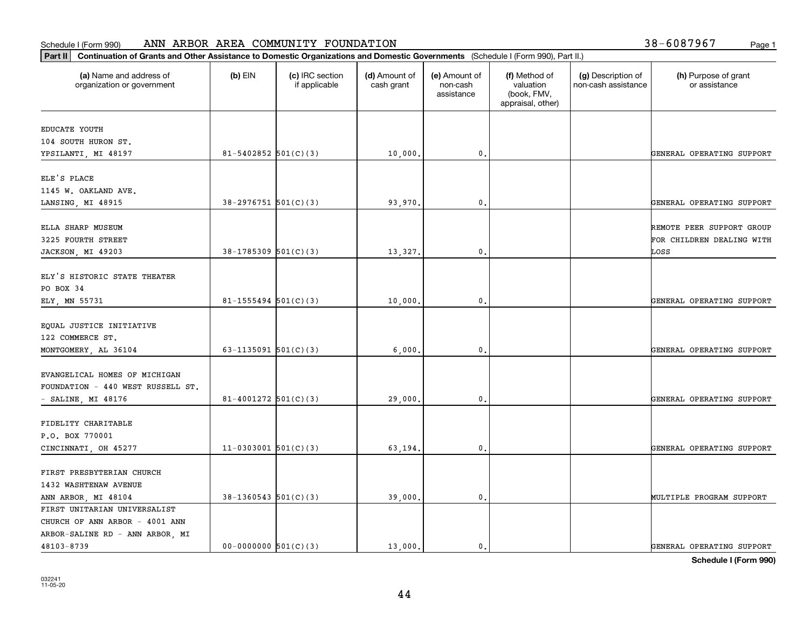## **Part II Continuation of Grants and Other AREA COMMUNITY FOUN**<br>**Part II** Continuation of Grants and Other Assistance to Domestic Organizations Schedule I (Form 990) ANN ARBOR AREA COMMUNITY FOUNDATION Page 1

|  | 38-6087967 | Page 1 |
|--|------------|--------|
|  |            |        |

| Continuation of Grants and Other Assistance to Domestic Organizations and Domestic Governments (Schedule I (Form 990), Part II.)<br>Part II |                            |                                  |                             |                                         |                                                                |                                           |                                       |
|---------------------------------------------------------------------------------------------------------------------------------------------|----------------------------|----------------------------------|-----------------------------|-----------------------------------------|----------------------------------------------------------------|-------------------------------------------|---------------------------------------|
| (a) Name and address of<br>organization or government                                                                                       | $(b)$ EIN                  | (c) IRC section<br>if applicable | (d) Amount of<br>cash grant | (e) Amount of<br>non-cash<br>assistance | (f) Method of<br>valuation<br>(book, FMV,<br>appraisal, other) | (g) Description of<br>non-cash assistance | (h) Purpose of grant<br>or assistance |
| EDUCATE YOUTH                                                                                                                               |                            |                                  |                             |                                         |                                                                |                                           |                                       |
| 104 SOUTH HURON ST.                                                                                                                         |                            |                                  |                             |                                         |                                                                |                                           |                                       |
| YPSILANTI, MI 48197                                                                                                                         | $81 - 5402852$ $501(C)(3)$ |                                  | 10,000.                     | 0.                                      |                                                                |                                           | GENERAL OPERATING SUPPORT             |
| ELE'S PLACE                                                                                                                                 |                            |                                  |                             |                                         |                                                                |                                           |                                       |
| 1145 W. OAKLAND AVE.                                                                                                                        |                            |                                  |                             |                                         |                                                                |                                           |                                       |
| LANSING, MI 48915                                                                                                                           | $38-2976751$ 501(C)(3)     |                                  | 93,970.                     | 0.                                      |                                                                |                                           | GENERAL OPERATING SUPPORT             |
|                                                                                                                                             |                            |                                  |                             |                                         |                                                                |                                           |                                       |
| ELLA SHARP MUSEUM                                                                                                                           |                            |                                  |                             |                                         |                                                                |                                           | REMOTE PEER SUPPORT GROUP             |
| 3225 FOURTH STREET                                                                                                                          |                            |                                  |                             |                                         |                                                                |                                           | FOR CHILDREN DEALING WITH             |
| JACKSON, MI 49203                                                                                                                           | $38-1785309$ $501(C)(3)$   |                                  | 13,327.                     | 0.                                      |                                                                |                                           | LOSS                                  |
| ELY'S HISTORIC STATE THEATER                                                                                                                |                            |                                  |                             |                                         |                                                                |                                           |                                       |
| PO BOX 34                                                                                                                                   |                            |                                  |                             |                                         |                                                                |                                           |                                       |
| ELY, MN 55731                                                                                                                               | $81 - 1555494$ $501(C)(3)$ |                                  | 10,000.                     | 0.                                      |                                                                |                                           | GENERAL OPERATING SUPPORT             |
|                                                                                                                                             |                            |                                  |                             |                                         |                                                                |                                           |                                       |
| EQUAL JUSTICE INITIATIVE                                                                                                                    |                            |                                  |                             |                                         |                                                                |                                           |                                       |
| 122 COMMERCE ST.                                                                                                                            |                            |                                  |                             |                                         |                                                                |                                           |                                       |
| MONTGOMERY, AL 36104                                                                                                                        | 63-1135091 $501(C)(3)$     |                                  | 6,000,                      | 0.                                      |                                                                |                                           | GENERAL OPERATING SUPPORT             |
|                                                                                                                                             |                            |                                  |                             |                                         |                                                                |                                           |                                       |
| EVANGELICAL HOMES OF MICHIGAN                                                                                                               |                            |                                  |                             |                                         |                                                                |                                           |                                       |
| FOUNDATION - 440 WEST RUSSELL ST.                                                                                                           |                            |                                  |                             |                                         |                                                                |                                           |                                       |
| $-$ SALINE, MI 48176                                                                                                                        | $81 - 4001272$ $501(C)(3)$ |                                  | 29,000                      | 0.                                      |                                                                |                                           | GENERAL OPERATING SUPPORT             |
|                                                                                                                                             |                            |                                  |                             |                                         |                                                                |                                           |                                       |
| FIDELITY CHARITABLE                                                                                                                         |                            |                                  |                             |                                         |                                                                |                                           |                                       |
| P.O. BOX 770001                                                                                                                             |                            |                                  |                             |                                         |                                                                |                                           |                                       |
| CINCINNATI, OH 45277                                                                                                                        | $11-0303001$ 501(C)(3)     |                                  | 63,194.                     | 0.                                      |                                                                |                                           | GENERAL OPERATING SUPPORT             |
| FIRST PRESBYTERIAN CHURCH                                                                                                                   |                            |                                  |                             |                                         |                                                                |                                           |                                       |
| 1432 WASHTENAW AVENUE                                                                                                                       |                            |                                  |                             |                                         |                                                                |                                           |                                       |
| ANN ARBOR, MI 48104                                                                                                                         | $38-1360543$ 501(C)(3)     |                                  | 39,000.                     | 0.                                      |                                                                |                                           | MULTIPLE PROGRAM SUPPORT              |
| FIRST UNITARIAN UNIVERSALIST                                                                                                                |                            |                                  |                             |                                         |                                                                |                                           |                                       |
| CHURCH OF ANN ARBOR - 4001 ANN                                                                                                              |                            |                                  |                             |                                         |                                                                |                                           |                                       |
| ARBOR-SALINE RD - ANN ARBOR, MI                                                                                                             |                            |                                  |                             |                                         |                                                                |                                           |                                       |
| 48103-8739                                                                                                                                  | $00-0000000$ $501(C)(3)$   |                                  | 13,000.                     | $\mathfrak{o}$ .                        |                                                                |                                           | GENERAL OPERATING SUPPORT             |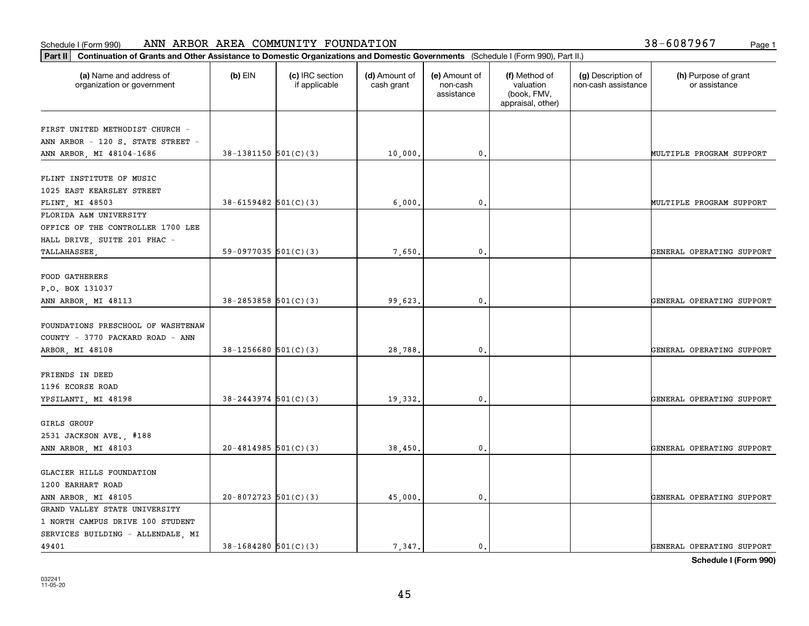#### Schedule I (Form 990) Page 1 ANN ARBOR AREA COMMUNITY FOUNDATION 38-6087967

| 38-6087967<br>Page 1 |  |
|----------------------|--|
|----------------------|--|

| Part II   Continuation of Grants and Other Assistance to Domestic Organizations and Domestic Governments (Schedule I (Form 990), Part II.) |                            |                                  |                             |                                         |                                                                |                                           |                                       |
|--------------------------------------------------------------------------------------------------------------------------------------------|----------------------------|----------------------------------|-----------------------------|-----------------------------------------|----------------------------------------------------------------|-------------------------------------------|---------------------------------------|
| (a) Name and address of<br>organization or government                                                                                      | $(b)$ EIN                  | (c) IRC section<br>if applicable | (d) Amount of<br>cash grant | (e) Amount of<br>non-cash<br>assistance | (f) Method of<br>valuation<br>(book, FMV,<br>appraisal, other) | (g) Description of<br>non-cash assistance | (h) Purpose of grant<br>or assistance |
| FIRST UNITED METHODIST CHURCH -                                                                                                            |                            |                                  |                             |                                         |                                                                |                                           |                                       |
| ANN ARBOR - 120 S. STATE STREET -                                                                                                          |                            |                                  |                             |                                         |                                                                |                                           |                                       |
| ANN ARBOR, MI 48104-1686                                                                                                                   | $38-1381150$ $501(C)(3)$   |                                  | 10,000.                     | 0.                                      |                                                                |                                           | MULTIPLE PROGRAM SUPPORT              |
|                                                                                                                                            |                            |                                  |                             |                                         |                                                                |                                           |                                       |
| FLINT INSTITUTE OF MUSIC                                                                                                                   |                            |                                  |                             |                                         |                                                                |                                           |                                       |
| 1025 EAST KEARSLEY STREET                                                                                                                  |                            |                                  |                             |                                         |                                                                |                                           |                                       |
| FLINT, MI 48503                                                                                                                            | $38 - 6159482$ 501(C)(3)   |                                  | 6,000                       | 0.                                      |                                                                |                                           | MULTIPLE PROGRAM SUPPORT              |
| FLORIDA A&M UNIVERSITY                                                                                                                     |                            |                                  |                             |                                         |                                                                |                                           |                                       |
| OFFICE OF THE CONTROLLER 1700 LEE                                                                                                          |                            |                                  |                             |                                         |                                                                |                                           |                                       |
| HALL DRIVE, SUITE 201 FHAC -                                                                                                               |                            |                                  |                             |                                         |                                                                |                                           |                                       |
| TALLAHASSEE                                                                                                                                | 59-0977035 $501(C)(3)$     |                                  | 7,650.                      | 0.                                      |                                                                |                                           | GENERAL OPERATING SUPPORT             |
|                                                                                                                                            |                            |                                  |                             |                                         |                                                                |                                           |                                       |
| <b>FOOD GATHERERS</b>                                                                                                                      |                            |                                  |                             |                                         |                                                                |                                           |                                       |
| P.O. BOX 131037                                                                                                                            |                            |                                  |                             |                                         |                                                                |                                           |                                       |
| ANN ARBOR, MI 48113                                                                                                                        | $38 - 2853858$ $501(C)(3)$ |                                  | 99,623.                     | 0.                                      |                                                                |                                           | GENERAL OPERATING SUPPORT             |
|                                                                                                                                            |                            |                                  |                             |                                         |                                                                |                                           |                                       |
| FOUNDATIONS PRESCHOOL OF WASHTENAW                                                                                                         |                            |                                  |                             |                                         |                                                                |                                           |                                       |
| COUNTY - 3770 PACKARD ROAD - ANN                                                                                                           |                            |                                  |                             |                                         |                                                                |                                           |                                       |
| ARBOR, MI 48108                                                                                                                            | $38-1256680$ 501(C)(3)     |                                  | 28,788                      | $\mathbf{0}$                            |                                                                |                                           | GENERAL OPERATING SUPPORT             |
|                                                                                                                                            |                            |                                  |                             |                                         |                                                                |                                           |                                       |
| FRIENDS IN DEED<br>1196 ECORSE ROAD                                                                                                        |                            |                                  |                             |                                         |                                                                |                                           |                                       |
| YPSILANTI, MI 48198                                                                                                                        | $38 - 2443974$ 501(C)(3)   |                                  | 19,332.                     | 0.                                      |                                                                |                                           | GENERAL OPERATING SUPPORT             |
|                                                                                                                                            |                            |                                  |                             |                                         |                                                                |                                           |                                       |
| GIRLS GROUP                                                                                                                                |                            |                                  |                             |                                         |                                                                |                                           |                                       |
| 2531 JACKSON AVE., #188                                                                                                                    |                            |                                  |                             |                                         |                                                                |                                           |                                       |
| ANN ARBOR, MI 48103                                                                                                                        | $20 - 4814985$ 501(C)(3)   |                                  | 38,450.                     | 0.                                      |                                                                |                                           | GENERAL OPERATING SUPPORT             |
|                                                                                                                                            |                            |                                  |                             |                                         |                                                                |                                           |                                       |
| GLACIER HILLS FOUNDATION                                                                                                                   |                            |                                  |                             |                                         |                                                                |                                           |                                       |
| 1200 EARHART ROAD                                                                                                                          |                            |                                  |                             |                                         |                                                                |                                           |                                       |
| ANN ARBOR, MI 48105                                                                                                                        | $20 - 8072723$ 501(C)(3)   |                                  | 45,000                      | 0.                                      |                                                                |                                           | GENERAL OPERATING SUPPORT             |
| GRAND VALLEY STATE UNIVERSITY                                                                                                              |                            |                                  |                             |                                         |                                                                |                                           |                                       |
| 1 NORTH CAMPUS DRIVE 100 STUDENT                                                                                                           |                            |                                  |                             |                                         |                                                                |                                           |                                       |
| SERVICES BUILDING - ALLENDALE, MI                                                                                                          |                            |                                  |                             |                                         |                                                                |                                           |                                       |
| 49401                                                                                                                                      | $38-1684280$ $501(C)(3)$   |                                  | 7,347.                      | $\mathbf{0}$ .                          |                                                                |                                           | GENERAL OPERATING SUPPORT             |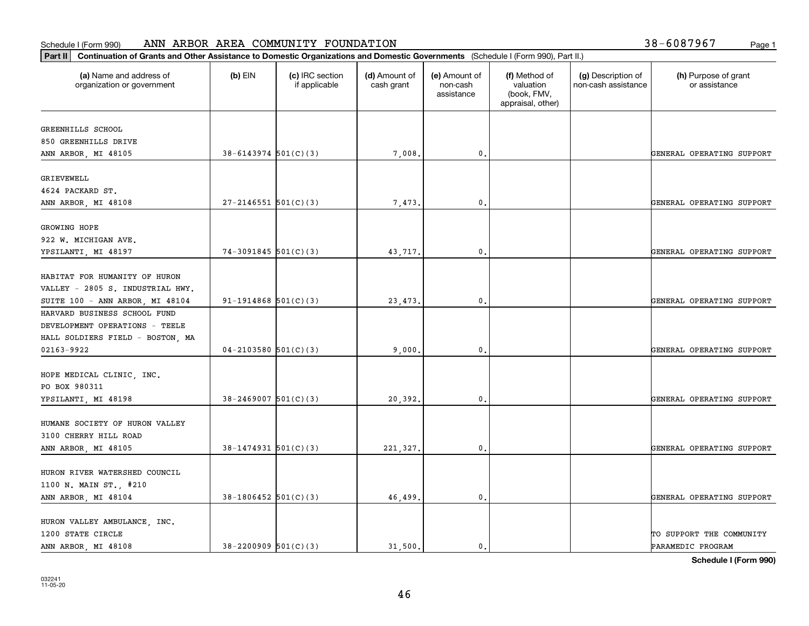## **Part II Continuation of Grants and Other AREA COMMUNITY FOUL**<br>**Part II** Continuation of Grants and Other Assistance to Domestic Organization Schedule I (Form 990) ANN ARBOR AREA COMMUNITY FOUNDATION Page 1

| 38-6087967 | Page 1 |
|------------|--------|
|            |        |

| Continuation of Grants and Other Assistance to Domestic Organizations and Domestic Governments (Schedule I (Form 990), Part II.)<br>Part II |                            |                                  |                             |                                         |                                                                |                                           |                                       |
|---------------------------------------------------------------------------------------------------------------------------------------------|----------------------------|----------------------------------|-----------------------------|-----------------------------------------|----------------------------------------------------------------|-------------------------------------------|---------------------------------------|
| (a) Name and address of<br>organization or government                                                                                       | $(b)$ EIN                  | (c) IRC section<br>if applicable | (d) Amount of<br>cash grant | (e) Amount of<br>non-cash<br>assistance | (f) Method of<br>valuation<br>(book, FMV,<br>appraisal, other) | (g) Description of<br>non-cash assistance | (h) Purpose of grant<br>or assistance |
| GREENHILLS SCHOOL                                                                                                                           |                            |                                  |                             |                                         |                                                                |                                           |                                       |
| 850 GREENHILLS DRIVE                                                                                                                        |                            |                                  |                             |                                         |                                                                |                                           |                                       |
| ANN ARBOR, MI 48105                                                                                                                         | $38 - 6143974$ $501(C)(3)$ |                                  | 7,008.                      | 0.                                      |                                                                |                                           | GENERAL OPERATING SUPPORT             |
|                                                                                                                                             |                            |                                  |                             |                                         |                                                                |                                           |                                       |
| GRIEVEWELL<br>4624 PACKARD ST.                                                                                                              |                            |                                  |                             |                                         |                                                                |                                           |                                       |
| ANN ARBOR, MI 48108                                                                                                                         | $27 - 2146551$ 501(C)(3)   |                                  | 7,473.                      | $\mathfrak{o}$ .                        |                                                                |                                           | GENERAL OPERATING SUPPORT             |
|                                                                                                                                             |                            |                                  |                             |                                         |                                                                |                                           |                                       |
| GROWING HOPE                                                                                                                                |                            |                                  |                             |                                         |                                                                |                                           |                                       |
| 922 W. MICHIGAN AVE.                                                                                                                        |                            |                                  |                             |                                         |                                                                |                                           |                                       |
| YPSILANTI, MI 48197                                                                                                                         | $74-3091845$ 501(C)(3)     |                                  | 43,717.                     | 0                                       |                                                                |                                           | GENERAL OPERATING SUPPORT             |
|                                                                                                                                             |                            |                                  |                             |                                         |                                                                |                                           |                                       |
| HABITAT FOR HUMANITY OF HURON                                                                                                               |                            |                                  |                             |                                         |                                                                |                                           |                                       |
| VALLEY - 2805 S. INDUSTRIAL HWY.                                                                                                            |                            |                                  |                             |                                         |                                                                |                                           |                                       |
| SUITE 100 - ANN ARBOR, MI 48104                                                                                                             | $91-1914868$ $501(C)(3)$   |                                  | 23, 473.                    | $\mathfrak o$ .                         |                                                                |                                           | GENERAL OPERATING SUPPORT             |
| HARVARD BUSINESS SCHOOL FUND                                                                                                                |                            |                                  |                             |                                         |                                                                |                                           |                                       |
| DEVELOPMENT OPERATIONS - TEELE                                                                                                              |                            |                                  |                             |                                         |                                                                |                                           |                                       |
| HALL SOLDIERS FIELD - BOSTON, MA                                                                                                            |                            |                                  |                             |                                         |                                                                |                                           |                                       |
| 02163-9922                                                                                                                                  | $04 - 2103580$ 501(C)(3)   |                                  | 9,000.                      | $\mathfrak{o}$ .                        |                                                                |                                           | GENERAL OPERATING SUPPORT             |
| HOPE MEDICAL CLINIC, INC.                                                                                                                   |                            |                                  |                             |                                         |                                                                |                                           |                                       |
| PO BOX 980311                                                                                                                               |                            |                                  |                             |                                         |                                                                |                                           |                                       |
| YPSILANTI, MI 48198                                                                                                                         | $38 - 2469007$ 501(C)(3)   |                                  | 20,392                      | 0                                       |                                                                |                                           | GENERAL OPERATING SUPPORT             |
|                                                                                                                                             |                            |                                  |                             |                                         |                                                                |                                           |                                       |
| HUMANE SOCIETY OF HURON VALLEY                                                                                                              |                            |                                  |                             |                                         |                                                                |                                           |                                       |
| 3100 CHERRY HILL ROAD                                                                                                                       |                            |                                  |                             |                                         |                                                                |                                           |                                       |
| ANN ARBOR, MI 48105                                                                                                                         | $38 - 1474931$ 501(C)(3)   |                                  | 221,327.                    | $\mathfrak o$ .                         |                                                                |                                           | GENERAL OPERATING SUPPORT             |
|                                                                                                                                             |                            |                                  |                             |                                         |                                                                |                                           |                                       |
| HURON RIVER WATERSHED COUNCIL                                                                                                               |                            |                                  |                             |                                         |                                                                |                                           |                                       |
| 1100 N. MAIN ST., #210                                                                                                                      |                            |                                  |                             |                                         |                                                                |                                           |                                       |
| ANN ARBOR, MI 48104                                                                                                                         | $38-1806452$ 501(C)(3)     |                                  | 46,499.                     | $\mathbf 0$ .                           |                                                                |                                           | GENERAL OPERATING SUPPORT             |
| HURON VALLEY AMBULANCE, INC.                                                                                                                |                            |                                  |                             |                                         |                                                                |                                           |                                       |
| 1200 STATE CIRCLE                                                                                                                           |                            |                                  |                             |                                         |                                                                |                                           | TO SUPPORT THE COMMUNITY              |
| ANN ARBOR, MI 48108                                                                                                                         | $38 - 2200909$ $501(C)(3)$ |                                  | 31.500.                     | $\mathfrak{o}$ .                        |                                                                |                                           | PARAMEDIC PROGRAM                     |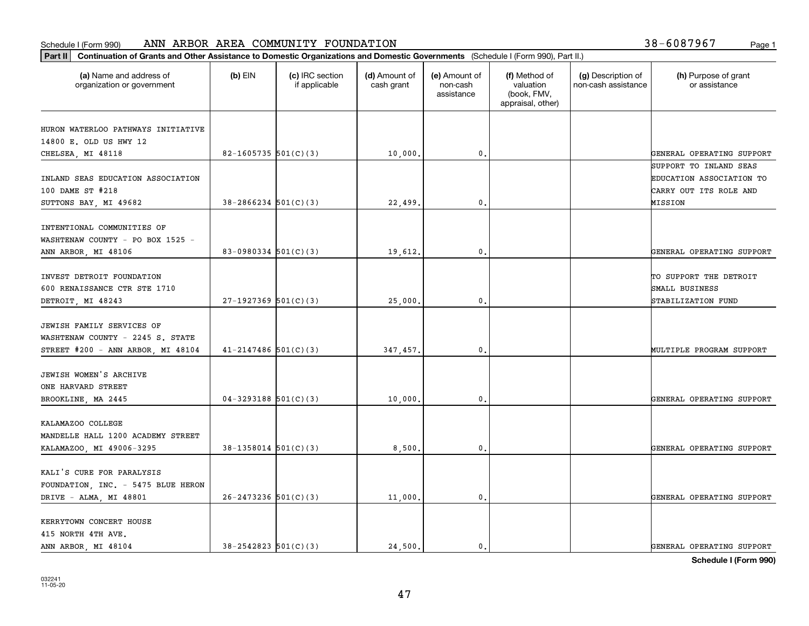| (a) Name and address of<br>organization or government          | $(b)$ EIN                  | (c) IRC section<br>if applicable | (d) Amount of<br>cash grant | (e) Amount of<br>non-cash<br>assistance | (f) Method of<br>valuation<br>(book, FMV,<br>appraisal, other) | (g) Description of<br>non-cash assistance | (h) Purpose of grant<br>or assistance |
|----------------------------------------------------------------|----------------------------|----------------------------------|-----------------------------|-----------------------------------------|----------------------------------------------------------------|-------------------------------------------|---------------------------------------|
| HURON WATERLOO PATHWAYS INITIATIVE                             |                            |                                  |                             |                                         |                                                                |                                           |                                       |
| 14800 E. OLD US HWY 12                                         |                            |                                  |                             |                                         |                                                                |                                           |                                       |
| CHELSEA, MI 48118                                              | 82-1605735 $501(C)(3)$     |                                  | 10,000.                     | 0.                                      |                                                                |                                           | GENERAL OPERATING SUPPORT             |
|                                                                |                            |                                  |                             |                                         |                                                                |                                           | SUPPORT TO INLAND SEAS                |
| INLAND SEAS EDUCATION ASSOCIATION                              |                            |                                  |                             |                                         |                                                                |                                           | EDUCATION ASSOCIATION TO              |
| 100 DAME ST #218                                               |                            |                                  |                             |                                         |                                                                |                                           | CARRY OUT ITS ROLE AND                |
| SUTTONS BAY, MI 49682                                          | $38 - 2866234$ $501(C)(3)$ |                                  | 22,499                      | 0.                                      |                                                                |                                           | MISSION                               |
| INTENTIONAL COMMUNITIES OF<br>WASHTENAW COUNTY - PO BOX 1525 - |                            |                                  |                             |                                         |                                                                |                                           |                                       |
| ANN ARBOR, MI 48106                                            | 83-0980334 $501(C)(3)$     |                                  | 19,612.                     | $\mathfrak{o}$ .                        |                                                                |                                           | GENERAL OPERATING SUPPORT             |
|                                                                |                            |                                  |                             |                                         |                                                                |                                           |                                       |
| INVEST DETROIT FOUNDATION                                      |                            |                                  |                             |                                         |                                                                |                                           | TO SUPPORT THE DETROIT                |
| 600 RENAISSANCE CTR STE 1710                                   |                            |                                  |                             |                                         |                                                                |                                           | SMALL BUSINESS                        |
| DETROIT, MI 48243                                              | $27-1927369$ 501(C)(3)     |                                  | 25,000                      | 0.                                      |                                                                |                                           | STABILIZATION FUND                    |
| JEWISH FAMILY SERVICES OF<br>WASHTENAW COUNTY - 2245 S. STATE  |                            |                                  |                             |                                         |                                                                |                                           |                                       |
| STREET #200 - ANN ARBOR, MI 48104                              | $41 - 2147486$ 501(C)(3)   |                                  | 347,457.                    | $\mathbf 0$ .                           |                                                                |                                           | MULTIPLE PROGRAM SUPPORT              |
| JEWISH WOMEN'S ARCHIVE<br>ONE HARVARD STREET                   |                            |                                  |                             |                                         |                                                                |                                           |                                       |
| BROOKLINE, MA 2445                                             | $04-3293188$ 501(C)(3)     |                                  | 10,000                      | 0.                                      |                                                                |                                           | GENERAL OPERATING SUPPORT             |
| KALAMAZOO COLLEGE<br>MANDELLE HALL 1200 ACADEMY STREET         |                            |                                  |                             |                                         |                                                                |                                           |                                       |
| KALAMAZOO, MI 49006-3295                                       | $38-1358014$ $501(C)(3)$   |                                  | 8,500                       | 0.                                      |                                                                |                                           | GENERAL OPERATING SUPPORT             |
| KALI'S CURE FOR PARALYSIS                                      |                            |                                  |                             |                                         |                                                                |                                           |                                       |
| FOUNDATION, INC. - 5475 BLUE HERON<br>DRIVE - ALMA, MI 48801   | $26 - 2473236$ 501(C)(3)   |                                  | 11,000                      | $\mathbf{0}$ .                          |                                                                |                                           | GENERAL OPERATING SUPPORT             |
| KERRYTOWN CONCERT HOUSE<br>415 NORTH 4TH AVE.                  |                            |                                  |                             |                                         |                                                                |                                           |                                       |
| ANN ARBOR, MI 48104                                            | $38 - 2542823$ $501(C)(3)$ |                                  | 24,500.                     | $\mathbf{0}$ .                          |                                                                |                                           | GENERAL OPERATING SUPPORT             |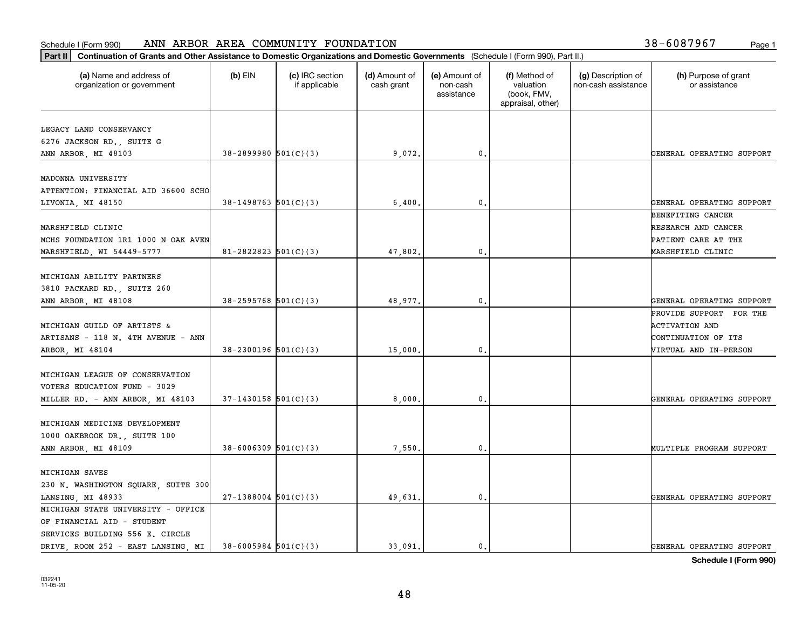#### **Part II Continuation of Grants and Other AREA COMMUNITY FOUNDATION**<br> **Part II** Continuation of Grants and Other Assistance to Domestic Organizations and Domestic Conservations and Domestic Conservations and Domestic Schedule I (Form 990) ANN ARBOR AREA COMMUNITY FOUNDATION Page 1

| 38-6087967 | Page 1 |
|------------|--------|
|------------|--------|

| Continuation of Grants and Other Assistance to Domestic Organizations and Domestic Governments (Schedule I (Form 990), Part II.)<br>Part II |                            |                                  |                             |                                         |                                                                |                                           |                                                                                                  |
|---------------------------------------------------------------------------------------------------------------------------------------------|----------------------------|----------------------------------|-----------------------------|-----------------------------------------|----------------------------------------------------------------|-------------------------------------------|--------------------------------------------------------------------------------------------------|
| (a) Name and address of<br>organization or government                                                                                       | $(b)$ EIN                  | (c) IRC section<br>if applicable | (d) Amount of<br>cash grant | (e) Amount of<br>non-cash<br>assistance | (f) Method of<br>valuation<br>(book, FMV,<br>appraisal, other) | (g) Description of<br>non-cash assistance | (h) Purpose of grant<br>or assistance                                                            |
| LEGACY LAND CONSERVANCY<br>6276 JACKSON RD., SUITE G<br>ANN ARBOR, MI 48103                                                                 | $38 - 2899980$ $501(C)(3)$ |                                  | 9,072.                      | 0.                                      |                                                                |                                           | GENERAL OPERATING SUPPORT                                                                        |
| MADONNA UNIVERSITY<br>ATTENTION: FINANCIAL AID 36600 SCHO<br>LIVONIA, MI 48150                                                              | $38-1498763$ 501(C)(3)     |                                  | 6,400.                      | $\mathbf 0$ .                           |                                                                |                                           | GENERAL OPERATING SUPPORT                                                                        |
| MARSHFIELD CLINIC<br>MCHS FOUNDATION 1R1 1000 N OAK AVEN<br>MARSHFIELD, WI 54449-5777                                                       | $81 - 2822823$ 501(C)(3)   |                                  | 47,802                      | 0.                                      |                                                                |                                           | BENEFITING CANCER<br>RESEARCH AND CANCER<br>PATIENT CARE AT THE<br>MARSHFIELD CLINIC             |
| MICHIGAN ABILITY PARTNERS<br>3810 PACKARD RD., SUITE 260<br>ANN ARBOR, MI 48108                                                             | $38 - 2595768$ $501(C)(3)$ |                                  | 48,977.                     | 0.                                      |                                                                |                                           | GENERAL OPERATING SUPPORT                                                                        |
| MICHIGAN GUILD OF ARTISTS &<br>ARTISANS - 118 N. 4TH AVENUE - ANN<br>ARBOR, MI 48104                                                        | $38 - 2300196$ 501(C)(3)   |                                  | 15,000.                     | $^{\circ}$ .                            |                                                                |                                           | PROVIDE SUPPORT FOR THE<br><b>ACTIVATION AND</b><br>CONTINUATION OF ITS<br>VIRTUAL AND IN-PERSON |
| MICHIGAN LEAGUE OF CONSERVATION<br>VOTERS EDUCATION FUND - 3029<br>MILLER RD. - ANN ARBOR, MI 48103                                         | $37-1430158$ $501(C)(3)$   |                                  | 8,000                       | $\mathbf{0}$                            |                                                                |                                           | GENERAL OPERATING SUPPORT                                                                        |
| MICHIGAN MEDICINE DEVELOPMENT<br>1000 OAKBROOK DR., SUITE 100<br>ANN ARBOR, MI 48109                                                        | $38 - 6006309$ $501(C)(3)$ |                                  | 7,550                       | 0.                                      |                                                                |                                           | MULTIPLE PROGRAM SUPPORT                                                                         |
| MICHIGAN SAVES<br>230 N. WASHINGTON SQUARE, SUITE 300<br>LANSING, MI 48933                                                                  | $27-1388004$ 501(C)(3)     |                                  | 49,631.                     | $^{\circ}$ .                            |                                                                |                                           | GENERAL OPERATING SUPPORT                                                                        |
| MICHIGAN STATE UNIVERSITY - OFFICE<br>OF FINANCIAL AID - STUDENT<br>SERVICES BUILDING 556 E. CIRCLE<br>DRIVE, ROOM 252 - EAST LANSING, MI   | $38 - 6005984$ 501(C)(3)   |                                  | 33.091.                     | $\mathfrak{o}$ .                        |                                                                |                                           | GENERAL OPERATING SUPPORT                                                                        |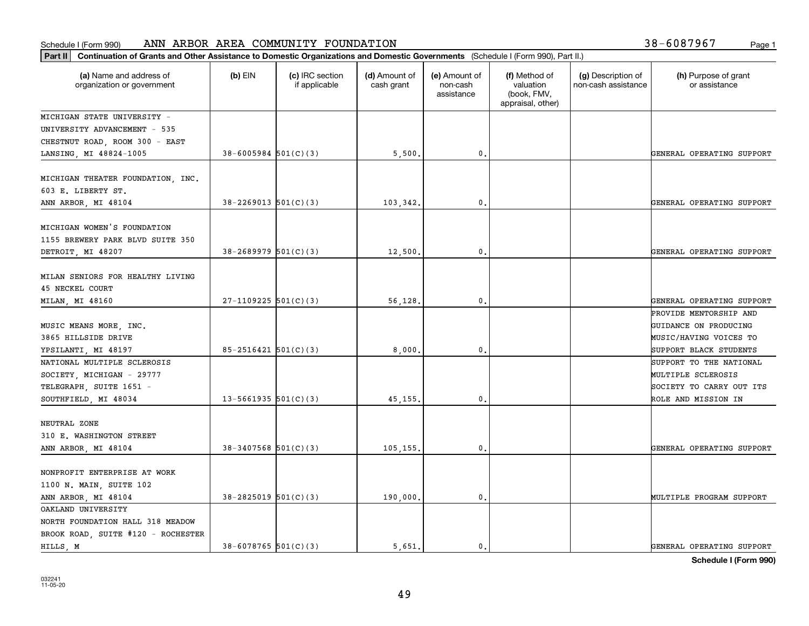| Part II   Continuation of Grants and Other Assistance to Domestic Organizations and Domestic Governments (Schedule I (Form 990), Part II.) |                            |                                  |                             |                                         |                                                                |                                           |                                       |
|--------------------------------------------------------------------------------------------------------------------------------------------|----------------------------|----------------------------------|-----------------------------|-----------------------------------------|----------------------------------------------------------------|-------------------------------------------|---------------------------------------|
| (a) Name and address of<br>organization or government                                                                                      | $(b)$ EIN                  | (c) IRC section<br>if applicable | (d) Amount of<br>cash grant | (e) Amount of<br>non-cash<br>assistance | (f) Method of<br>valuation<br>(book, FMV,<br>appraisal, other) | (g) Description of<br>non-cash assistance | (h) Purpose of grant<br>or assistance |
| MICHIGAN STATE UNIVERSITY -                                                                                                                |                            |                                  |                             |                                         |                                                                |                                           |                                       |
| UNIVERSITY ADVANCEMENT - 535                                                                                                               |                            |                                  |                             |                                         |                                                                |                                           |                                       |
| CHESTNUT ROAD, ROOM 300 - EAST                                                                                                             |                            |                                  |                             |                                         |                                                                |                                           |                                       |
| LANSING, MI 48824-1005                                                                                                                     | $38 - 6005984$ 501(C)(3)   |                                  | 5,500.                      | 0.                                      |                                                                |                                           | GENERAL OPERATING SUPPORT             |
| MICHIGAN THEATER FOUNDATION, INC.<br>603 E. LIBERTY ST.                                                                                    |                            |                                  |                             |                                         |                                                                |                                           |                                       |
| ANN ARBOR, MI 48104                                                                                                                        | $38 - 2269013$ $501(C)(3)$ |                                  | 103,342.                    | 0.                                      |                                                                |                                           | GENERAL OPERATING SUPPORT             |
| MICHIGAN WOMEN'S FOUNDATION<br>1155 BREWERY PARK BLVD SUITE 350                                                                            |                            |                                  |                             |                                         |                                                                |                                           |                                       |
| DETROIT, MI 48207                                                                                                                          | $38 - 2689979$ 501(C)(3)   |                                  | 12,500.                     | $\mathbf{0}$ .                          |                                                                |                                           | GENERAL OPERATING SUPPORT             |
| MILAN SENIORS FOR HEALTHY LIVING<br><b>45 NECKEL COURT</b>                                                                                 |                            |                                  |                             |                                         |                                                                |                                           |                                       |
| MILAN, MI 48160                                                                                                                            | $27-1109225$ 501(C)(3)     |                                  | 56,128.                     | $\mathbf{0}$ .                          |                                                                |                                           | GENERAL OPERATING SUPPORT             |
|                                                                                                                                            |                            |                                  |                             |                                         |                                                                |                                           | PROVIDE MENTORSHIP AND                |
| MUSIC MEANS MORE, INC.                                                                                                                     |                            |                                  |                             |                                         |                                                                |                                           | GUIDANCE ON PRODUCING                 |
| 3865 HILLSIDE DRIVE                                                                                                                        |                            |                                  |                             |                                         |                                                                |                                           | MUSIC/HAVING VOICES TO                |
| YPSILANTI, MI 48197                                                                                                                        | $85 - 2516421$ $501(C)(3)$ |                                  | 8,000.                      | 0.                                      |                                                                |                                           | SUPPORT BLACK STUDENTS                |
| NATIONAL MULTIPLE SCLEROSIS                                                                                                                |                            |                                  |                             |                                         |                                                                |                                           | SUPPORT TO THE NATIONAL               |
| SOCIETY, MICHIGAN - 29777                                                                                                                  |                            |                                  |                             |                                         |                                                                |                                           | MULTIPLE SCLEROSIS                    |
| TELEGRAPH, SUITE 1651 -                                                                                                                    |                            |                                  |                             |                                         |                                                                |                                           | SOCIETY TO CARRY OUT ITS              |
| SOUTHFIELD, MI 48034                                                                                                                       | 13-5661935 $501(C)(3)$     |                                  | 45, 155.                    | 0.                                      |                                                                |                                           | ROLE AND MISSION IN                   |
| NEUTRAL ZONE<br>310 E. WASHINGTON STREET                                                                                                   |                            |                                  |                             |                                         |                                                                |                                           |                                       |
| ANN ARBOR, MI 48104                                                                                                                        | $38-3407568$ 501(C)(3)     |                                  | 105,155.                    | $\mathbf{0}$ .                          |                                                                |                                           | GENERAL OPERATING SUPPORT             |
| NONPROFIT ENTERPRISE AT WORK<br>1100 N. MAIN, SUITE 102                                                                                    |                            |                                  |                             |                                         |                                                                |                                           |                                       |
| ANN ARBOR, MI 48104                                                                                                                        | $38 - 2825019$ 501(C)(3)   |                                  | 190,000.                    | 0.                                      |                                                                |                                           | MULTIPLE PROGRAM SUPPORT              |
| OAKLAND UNIVERSITY                                                                                                                         |                            |                                  |                             |                                         |                                                                |                                           |                                       |
| NORTH FOUNDATION HALL 318 MEADOW<br>BROOK ROAD, SUITE #120 - ROCHESTER                                                                     |                            |                                  |                             |                                         |                                                                |                                           |                                       |
| HILLS, M                                                                                                                                   | 38-6078765 501(C)(3)       |                                  | 5.651.                      | $\mathbf{0}$ .                          |                                                                |                                           | GENERAL OPERATING SUPPORT             |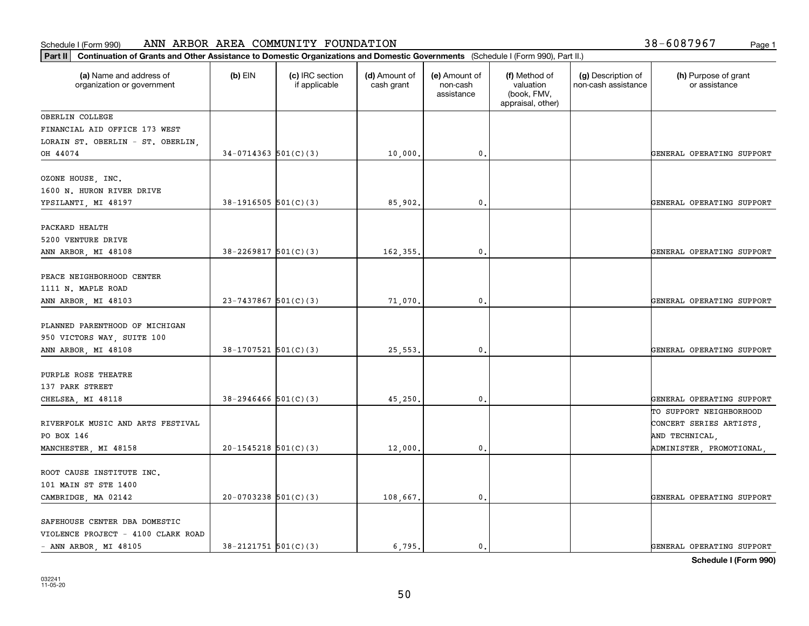| Part II   Continuation of Grants and Other Assistance to Domestic Organizations and Domestic Governments (Schedule I (Form 990), Part II.) |                            |                                  |                             |                                         |                                                                |                                           |                                                                      |
|--------------------------------------------------------------------------------------------------------------------------------------------|----------------------------|----------------------------------|-----------------------------|-----------------------------------------|----------------------------------------------------------------|-------------------------------------------|----------------------------------------------------------------------|
| (a) Name and address of<br>organization or government                                                                                      | $(b)$ EIN                  | (c) IRC section<br>if applicable | (d) Amount of<br>cash grant | (e) Amount of<br>non-cash<br>assistance | (f) Method of<br>valuation<br>(book, FMV,<br>appraisal, other) | (g) Description of<br>non-cash assistance | (h) Purpose of grant<br>or assistance                                |
| OBERLIN COLLEGE                                                                                                                            |                            |                                  |                             |                                         |                                                                |                                           |                                                                      |
| FINANCIAL AID OFFICE 173 WEST                                                                                                              |                            |                                  |                             |                                         |                                                                |                                           |                                                                      |
| LORAIN ST. OBERLIN - ST. OBERLIN,                                                                                                          |                            |                                  |                             |                                         |                                                                |                                           |                                                                      |
| OH 44074                                                                                                                                   | $34-0714363$ $501(C)(3)$   |                                  | 10,000.                     | 0.                                      |                                                                |                                           | GENERAL OPERATING SUPPORT                                            |
| OZONE HOUSE, INC.<br>1600 N. HURON RIVER DRIVE<br>YPSILANTI, MI 48197                                                                      | $38-1916505$ $501(C)(3)$   |                                  | 85,902.                     | 0.                                      |                                                                |                                           | GENERAL OPERATING SUPPORT                                            |
|                                                                                                                                            |                            |                                  |                             |                                         |                                                                |                                           |                                                                      |
| PACKARD HEALTH<br>5200 VENTURE DRIVE<br>ANN ARBOR, MI 48108                                                                                | $38 - 2269817$ 501(C)(3)   |                                  | 162,355.                    | 0.                                      |                                                                |                                           | GENERAL OPERATING SUPPORT                                            |
|                                                                                                                                            |                            |                                  |                             |                                         |                                                                |                                           |                                                                      |
| PEACE NEIGHBORHOOD CENTER<br>1111 N. MAPLE ROAD                                                                                            |                            |                                  |                             |                                         |                                                                |                                           |                                                                      |
| ANN ARBOR, MI 48103                                                                                                                        | $23 - 7437867$ 501(C)(3)   |                                  | 71,070.                     | 0.                                      |                                                                |                                           | GENERAL OPERATING SUPPORT                                            |
| PLANNED PARENTHOOD OF MICHIGAN<br>950 VICTORS WAY, SUITE 100                                                                               |                            |                                  |                             |                                         |                                                                |                                           |                                                                      |
| ANN ARBOR, MI 48108                                                                                                                        | $38-1707521$ 501(C)(3)     |                                  | 25,553                      | 0.                                      |                                                                |                                           | GENERAL OPERATING SUPPORT                                            |
| PURPLE ROSE THEATRE<br>137 PARK STREET                                                                                                     |                            |                                  |                             |                                         |                                                                |                                           |                                                                      |
| CHELSEA, MI 48118                                                                                                                          | $38 - 2946466$ $501(C)(3)$ |                                  | 45,250                      | 0.                                      |                                                                |                                           | GENERAL OPERATING SUPPORT                                            |
| RIVERFOLK MUSIC AND ARTS FESTIVAL<br>PO BOX 146                                                                                            |                            |                                  |                             |                                         |                                                                |                                           | TO SUPPORT NEIGHBORHOOD<br>CONCERT SERIES ARTISTS,<br>AND TECHNICAL, |
| MANCHESTER, MI 48158                                                                                                                       | $20-1545218$ 501(C)(3)     |                                  | 12,000.                     | 0.                                      |                                                                |                                           | ADMINISTER, PROMOTIONAL,                                             |
| ROOT CAUSE INSTITUTE INC.<br>101 MAIN ST STE 1400                                                                                          |                            |                                  |                             |                                         |                                                                |                                           |                                                                      |
| CAMBRIDGE, MA 02142                                                                                                                        | $20-0703238$ 501(C)(3)     |                                  | 108,667.                    | 0.                                      |                                                                |                                           | GENERAL OPERATING SUPPORT                                            |
| SAFEHOUSE CENTER DBA DOMESTIC<br>VIOLENCE PROJECT - 4100 CLARK ROAD                                                                        |                            |                                  |                             |                                         |                                                                |                                           |                                                                      |
| - ANN ARBOR, MI 48105                                                                                                                      | $38 - 2121751$ $501(C)(3)$ |                                  | 6.795.                      | $\mathfrak{o}$ .                        |                                                                |                                           | GENERAL OPERATING SUPPORT                                            |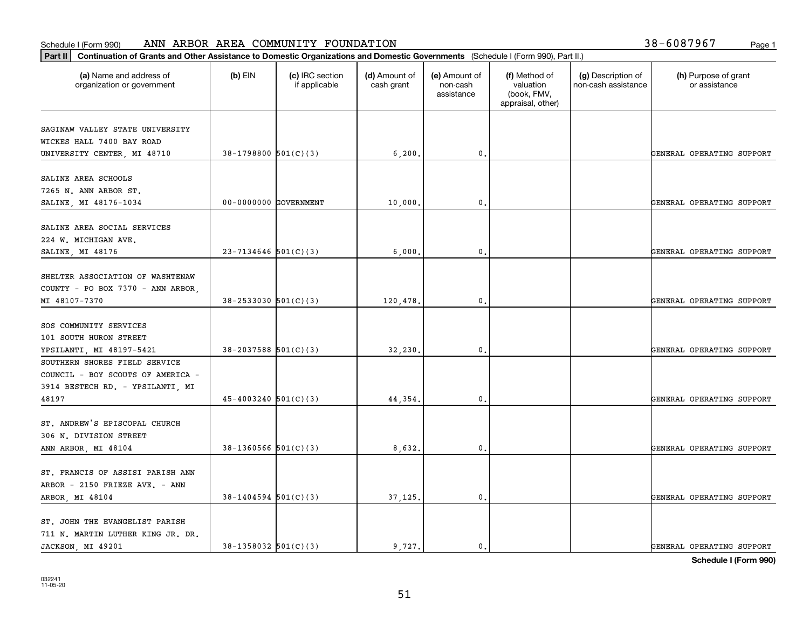| Part II   Continuation of Grants and Other Assistance to Domestic Organizations and Domestic Governments (Schedule I (Form 990), Part II.) |                            |                                  |                             |                                         |                                                                |                                           |                                       |
|--------------------------------------------------------------------------------------------------------------------------------------------|----------------------------|----------------------------------|-----------------------------|-----------------------------------------|----------------------------------------------------------------|-------------------------------------------|---------------------------------------|
| (a) Name and address of<br>organization or government                                                                                      | $(b)$ EIN                  | (c) IRC section<br>if applicable | (d) Amount of<br>cash grant | (e) Amount of<br>non-cash<br>assistance | (f) Method of<br>valuation<br>(book, FMV,<br>appraisal, other) | (g) Description of<br>non-cash assistance | (h) Purpose of grant<br>or assistance |
| SAGINAW VALLEY STATE UNIVERSITY                                                                                                            |                            |                                  |                             |                                         |                                                                |                                           |                                       |
| WICKES HALL 7400 BAY ROAD                                                                                                                  |                            |                                  |                             |                                         |                                                                |                                           |                                       |
| UNIVERSITY CENTER, MI 48710                                                                                                                | $38-1798800$ 501(C)(3)     |                                  | 6, 200.                     | $\mathbf 0$ .                           |                                                                |                                           | GENERAL OPERATING SUPPORT             |
|                                                                                                                                            |                            |                                  |                             |                                         |                                                                |                                           |                                       |
| SALINE AREA SCHOOLS                                                                                                                        |                            |                                  |                             |                                         |                                                                |                                           |                                       |
| 7265 N. ANN ARBOR ST.                                                                                                                      |                            |                                  |                             |                                         |                                                                |                                           |                                       |
| SALINE, MI 48176-1034                                                                                                                      | 00-0000000 GOVERNMENT      |                                  | 10,000                      | $\mathfrak{o}$ .                        |                                                                |                                           | GENERAL OPERATING SUPPORT             |
|                                                                                                                                            |                            |                                  |                             |                                         |                                                                |                                           |                                       |
| SALINE AREA SOCIAL SERVICES                                                                                                                |                            |                                  |                             |                                         |                                                                |                                           |                                       |
| 224 W. MICHIGAN AVE.                                                                                                                       |                            |                                  |                             |                                         |                                                                |                                           |                                       |
| SALINE, MI 48176                                                                                                                           | $23 - 7134646$ 501(C)(3)   |                                  | 6,000.                      | $\mathfrak{o}$ .                        |                                                                |                                           | GENERAL OPERATING SUPPORT             |
|                                                                                                                                            |                            |                                  |                             |                                         |                                                                |                                           |                                       |
| SHELTER ASSOCIATION OF WASHTENAW                                                                                                           |                            |                                  |                             |                                         |                                                                |                                           |                                       |
| COUNTY - PO BOX 7370 - ANN ARBOR,                                                                                                          |                            |                                  |                             |                                         |                                                                |                                           |                                       |
| MI 48107-7370                                                                                                                              | $38 - 2533030$ $501(C)(3)$ |                                  | 120,478.                    | 0.                                      |                                                                |                                           | GENERAL OPERATING SUPPORT             |
|                                                                                                                                            |                            |                                  |                             |                                         |                                                                |                                           |                                       |
| SOS COMMUNITY SERVICES                                                                                                                     |                            |                                  |                             |                                         |                                                                |                                           |                                       |
| 101 SOUTH HURON STREET                                                                                                                     |                            |                                  |                             |                                         |                                                                |                                           |                                       |
| YPSILANTI, MI 48197-5421                                                                                                                   | $38 - 2037588$ 501(C)(3)   |                                  | 32,230                      | $\mathbf{0}$                            |                                                                |                                           | GENERAL OPERATING SUPPORT             |
| SOUTHERN SHORES FIELD SERVICE                                                                                                              |                            |                                  |                             |                                         |                                                                |                                           |                                       |
| COUNCIL - BOY SCOUTS OF AMERICA -                                                                                                          |                            |                                  |                             |                                         |                                                                |                                           |                                       |
| 3914 BESTECH RD. - YPSILANTI, MI                                                                                                           |                            |                                  |                             |                                         |                                                                |                                           |                                       |
| 48197                                                                                                                                      | $45 - 4003240$ 501(C)(3)   |                                  | 44,354.                     | $\mathbf{0}$                            |                                                                |                                           | GENERAL OPERATING SUPPORT             |
|                                                                                                                                            |                            |                                  |                             |                                         |                                                                |                                           |                                       |
| ST. ANDREW'S EPISCOPAL CHURCH                                                                                                              |                            |                                  |                             |                                         |                                                                |                                           |                                       |
| 306 N. DIVISION STREET                                                                                                                     |                            |                                  |                             |                                         |                                                                |                                           |                                       |
| ANN ARBOR, MI 48104                                                                                                                        | $38-1360566$ $501(C)(3)$   |                                  | 8,632                       | $\mathbf{0}$ .                          |                                                                |                                           | GENERAL OPERATING SUPPORT             |
|                                                                                                                                            |                            |                                  |                             |                                         |                                                                |                                           |                                       |
| ST. FRANCIS OF ASSISI PARISH ANN<br>ARBOR - 2150 FRIEZE AVE. - ANN                                                                         |                            |                                  |                             |                                         |                                                                |                                           |                                       |
|                                                                                                                                            | $38 - 1404594$ 501(C)(3)   |                                  | 37,125.                     | $\mathfrak o$ .                         |                                                                |                                           | GENERAL OPERATING SUPPORT             |
| ARBOR, MI 48104                                                                                                                            |                            |                                  |                             |                                         |                                                                |                                           |                                       |
| ST. JOHN THE EVANGELIST PARISH                                                                                                             |                            |                                  |                             |                                         |                                                                |                                           |                                       |
| 711 N. MARTIN LUTHER KING JR. DR.                                                                                                          |                            |                                  |                             |                                         |                                                                |                                           |                                       |
| JACKSON, MI 49201                                                                                                                          | $38-1358032$ $501(C)(3)$   |                                  | 9.727.                      | $\mathbf{0}$ .                          |                                                                |                                           | GENERAL OPERATING SUPPORT             |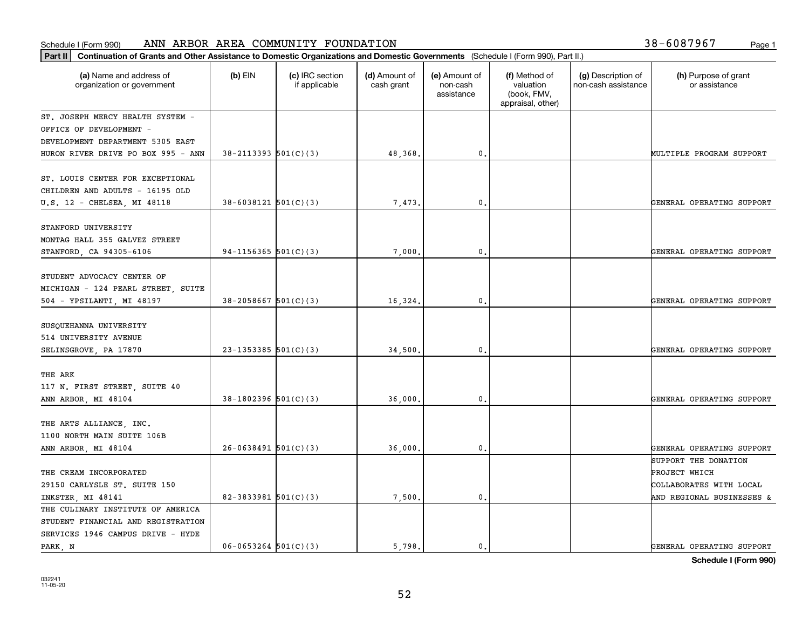#### Schedule I (Form 990) Page 1 ANN ARBOR AREA COMMUNITY FOUNDATION 38-6087967

| Part II   Continuation of Grants and Other Assistance to Domestic Organizations and Domestic Governments (Schedule I (Form 990), Part II.) |                            |                                  |                             |                                         |                                                                |                                           |                                       |
|--------------------------------------------------------------------------------------------------------------------------------------------|----------------------------|----------------------------------|-----------------------------|-----------------------------------------|----------------------------------------------------------------|-------------------------------------------|---------------------------------------|
| (a) Name and address of<br>organization or government                                                                                      | $(b)$ EIN                  | (c) IRC section<br>if applicable | (d) Amount of<br>cash grant | (e) Amount of<br>non-cash<br>assistance | (f) Method of<br>valuation<br>(book, FMV,<br>appraisal, other) | (g) Description of<br>non-cash assistance | (h) Purpose of grant<br>or assistance |
| ST. JOSEPH MERCY HEALTH SYSTEM -                                                                                                           |                            |                                  |                             |                                         |                                                                |                                           |                                       |
| OFFICE OF DEVELOPMENT -                                                                                                                    |                            |                                  |                             |                                         |                                                                |                                           |                                       |
| DEVELOPMENT DEPARTMENT 5305 EAST                                                                                                           |                            |                                  |                             |                                         |                                                                |                                           |                                       |
| HURON RIVER DRIVE PO BOX 995 - ANN                                                                                                         | $38 - 2113393$ $501(C)(3)$ |                                  | 48,368.                     | $\mathbf{0}$ .                          |                                                                |                                           | MULTIPLE PROGRAM SUPPORT              |
| ST. LOUIS CENTER FOR EXCEPTIONAL<br>CHILDREN AND ADULTS - 16195 OLD                                                                        |                            |                                  |                             |                                         |                                                                |                                           |                                       |
| U.S. 12 - CHELSEA, MI 48118                                                                                                                | $38 - 6038121$ $501(C)(3)$ |                                  | 7,473                       | 0.                                      |                                                                |                                           | GENERAL OPERATING SUPPORT             |
| STANFORD UNIVERSITY<br>MONTAG HALL 355 GALVEZ STREET<br>STANFORD, CA 94305-6106                                                            | 94-1156365 $501(C)(3)$     |                                  | 7,000.                      | $\mathbf{0}$ .                          |                                                                |                                           | GENERAL OPERATING SUPPORT             |
|                                                                                                                                            |                            |                                  |                             |                                         |                                                                |                                           |                                       |
| STUDENT ADVOCACY CENTER OF<br>MICHIGAN - 124 PEARL STREET, SUITE                                                                           |                            |                                  |                             |                                         |                                                                |                                           |                                       |
| 504 - YPSILANTI, MI 48197                                                                                                                  | $38 - 2058667$ 501(C)(3)   |                                  | 16,324.                     | 0.                                      |                                                                |                                           | GENERAL OPERATING SUPPORT             |
| SUSQUEHANNA UNIVERSITY<br>514 UNIVERSITY AVENUE                                                                                            |                            |                                  |                             |                                         |                                                                |                                           |                                       |
| SELINSGROVE, PA 17870                                                                                                                      | $23 - 1353385$ 501(C)(3)   |                                  | 34,500.                     | 0.                                      |                                                                |                                           | GENERAL OPERATING SUPPORT             |
| THE ARK<br>117 N. FIRST STREET, SUITE 40<br>ANN ARBOR, MI 48104                                                                            | $38-1802396$ $501(C)(3)$   |                                  | 36,000                      | 0.                                      |                                                                |                                           | GENERAL OPERATING SUPPORT             |
|                                                                                                                                            |                            |                                  |                             |                                         |                                                                |                                           |                                       |
| THE ARTS ALLIANCE, INC.<br>1100 NORTH MAIN SUITE 106B                                                                                      |                            |                                  |                             |                                         |                                                                |                                           |                                       |
| ANN ARBOR, MI 48104                                                                                                                        | $26-0638491$ 501(C)(3)     |                                  | 36,000.                     | $\mathbf{0}$ .                          |                                                                |                                           | GENERAL OPERATING SUPPORT             |
|                                                                                                                                            |                            |                                  |                             |                                         |                                                                |                                           | SUPPORT THE DONATION                  |
| THE CREAM INCORPORATED                                                                                                                     |                            |                                  |                             |                                         |                                                                |                                           | PROJECT WHICH                         |
| 29150 CARLYSLE ST. SUITE 150                                                                                                               |                            |                                  |                             |                                         |                                                                |                                           | COLLABORATES WITH LOCAL               |
| INKSTER, MI 48141                                                                                                                          | 82-3833981 $501(C)(3)$     |                                  | 7,500.                      | 0.                                      |                                                                |                                           | AND REGIONAL BUSINESSES &             |
| THE CULINARY INSTITUTE OF AMERICA                                                                                                          |                            |                                  |                             |                                         |                                                                |                                           |                                       |
| STUDENT FINANCIAL AND REGISTRATION                                                                                                         |                            |                                  |                             |                                         |                                                                |                                           |                                       |
| SERVICES 1946 CAMPUS DRIVE - HYDE                                                                                                          |                            |                                  |                             |                                         |                                                                |                                           |                                       |
| PARK, N                                                                                                                                    | $06 - 0653264$ 501(C)(3)   |                                  | 5.798.                      | $\mathbf{0}$ .                          |                                                                |                                           | GENERAL OPERATING SUPPORT             |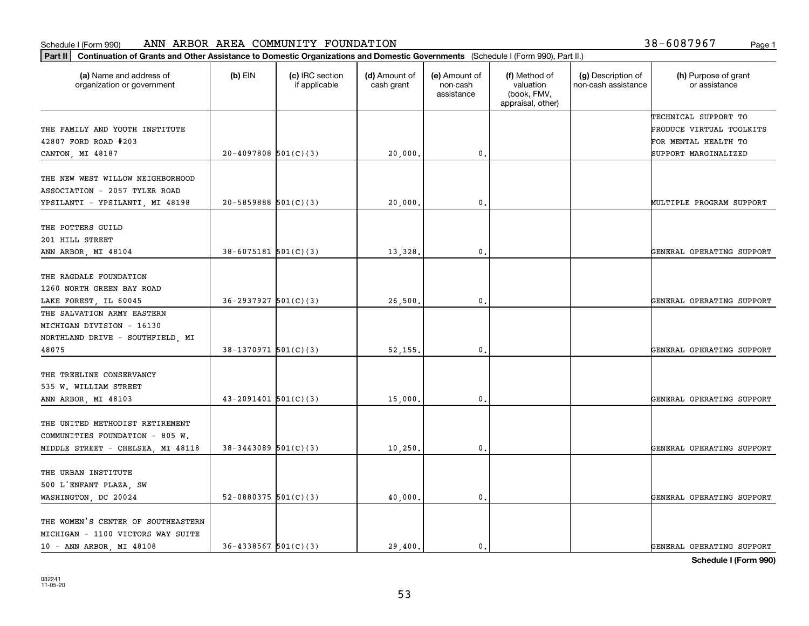|  |  | 38-6087967 | Page |
|--|--|------------|------|
|--|--|------------|------|

| Part II   Continuation of Grants and Other Assistance to Domestic Organizations and Domestic Governments (Schedule I (Form 990), Part II.) |                            |                                  |                             |                                         |                                                                |                                           |                                       |
|--------------------------------------------------------------------------------------------------------------------------------------------|----------------------------|----------------------------------|-----------------------------|-----------------------------------------|----------------------------------------------------------------|-------------------------------------------|---------------------------------------|
| (a) Name and address of<br>organization or government                                                                                      | $(b)$ EIN                  | (c) IRC section<br>if applicable | (d) Amount of<br>cash grant | (e) Amount of<br>non-cash<br>assistance | (f) Method of<br>valuation<br>(book, FMV,<br>appraisal, other) | (g) Description of<br>non-cash assistance | (h) Purpose of grant<br>or assistance |
|                                                                                                                                            |                            |                                  |                             |                                         |                                                                |                                           | TECHNICAL SUPPORT TO                  |
| THE FAMILY AND YOUTH INSTITUTE                                                                                                             |                            |                                  |                             |                                         |                                                                |                                           | PRODUCE VIRTUAL TOOLKITS              |
| 42807 FORD ROAD #203                                                                                                                       |                            |                                  |                             |                                         |                                                                |                                           | FOR MENTAL HEALTH TO                  |
| CANTON, MI 48187                                                                                                                           | $20-4097808$ 501(C)(3)     |                                  | 20,000.                     | 0.                                      |                                                                |                                           | SUPPORT MARGINALIZED                  |
| THE NEW WEST WILLOW NEIGHBORHOOD<br>ASSOCIATION - 2057 TYLER ROAD                                                                          |                            |                                  |                             |                                         |                                                                |                                           |                                       |
| YPSILANTI - YPSILANTI, MI 48198                                                                                                            | $20 - 5859888$ $501(C)(3)$ |                                  | 20,000.                     | 0.                                      |                                                                |                                           | MULTIPLE PROGRAM SUPPORT              |
| THE POTTERS GUILD<br>201 HILL STREET                                                                                                       |                            |                                  |                             |                                         |                                                                |                                           |                                       |
| ANN ARBOR, MI 48104                                                                                                                        | $38 - 6075181$ $501(C)(3)$ |                                  | 13,328.                     | 0.                                      |                                                                |                                           | GENERAL OPERATING SUPPORT             |
| THE RAGDALE FOUNDATION<br>1260 NORTH GREEN BAY ROAD<br>LAKE FOREST, IL 60045                                                               | $36 - 2937927$ $501(C)(3)$ |                                  | 26,500.                     | 0.                                      |                                                                |                                           | GENERAL OPERATING SUPPORT             |
| THE SALVATION ARMY EASTERN                                                                                                                 |                            |                                  |                             |                                         |                                                                |                                           |                                       |
| MICHIGAN DIVISION - 16130                                                                                                                  |                            |                                  |                             |                                         |                                                                |                                           |                                       |
| NORTHLAND DRIVE - SOUTHFIELD, MI                                                                                                           |                            |                                  |                             |                                         |                                                                |                                           |                                       |
| 48075                                                                                                                                      | $38-1370971$ 501(C)(3)     |                                  | 52,155.                     | 0.                                      |                                                                |                                           | GENERAL OPERATING SUPPORT             |
| THE TREELINE CONSERVANCY<br>535 W. WILLIAM STREET                                                                                          |                            |                                  |                             |                                         |                                                                |                                           |                                       |
| ANN ARBOR, MI 48103                                                                                                                        | $43 - 2091401$ $501(C)(3)$ |                                  | 15,000.                     | 0.                                      |                                                                |                                           | GENERAL OPERATING SUPPORT             |
| THE UNITED METHODIST RETIREMENT<br>COMMUNITIES FOUNDATION - 805 W.                                                                         |                            |                                  |                             |                                         |                                                                |                                           |                                       |
| MIDDLE STREET - CHELSEA, MI 48118                                                                                                          | $38 - 3443089$ 501(C)(3)   |                                  | 10, 250,                    | 0.                                      |                                                                |                                           | GENERAL OPERATING SUPPORT             |
| THE URBAN INSTITUTE<br>500 L'ENFANT PLAZA, SW<br>WASHINGTON, DC 20024                                                                      | 52-0880375 $501(C)(3)$     |                                  | 40,000.                     | 0.                                      |                                                                |                                           | GENERAL OPERATING SUPPORT             |
| THE WOMEN'S CENTER OF SOUTHEASTERN<br>MICHIGAN - 1100 VICTORS WAY SUITE<br>10 - ANN ARBOR, MI 48108                                        | $36 - 4338567$ $501(C)(3)$ |                                  | 29.400.                     | $\mathbf{0}$ .                          |                                                                |                                           | GENERAL OPERATING SUPPORT             |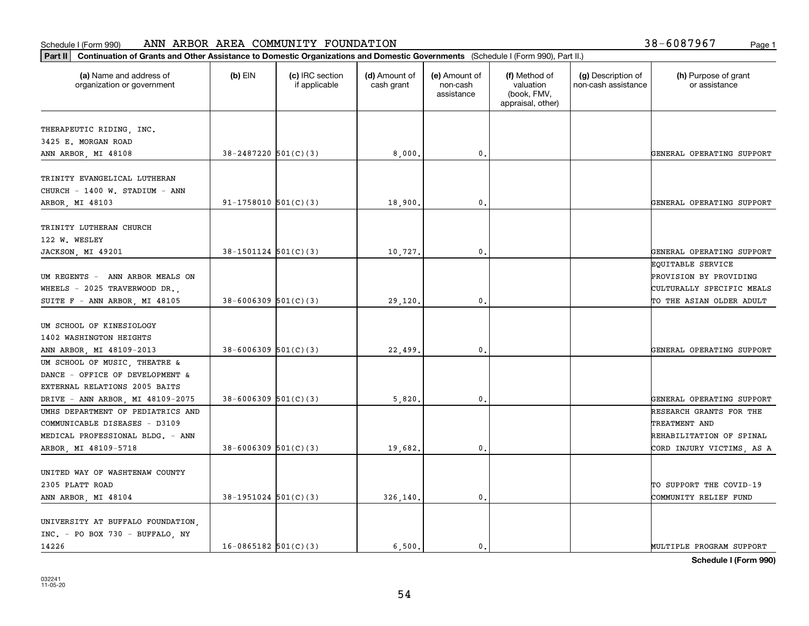#### Schedule I (Form 990) Page 1 ANN ARBOR AREA COMMUNITY FOUNDATION 38-6087967

| 38-6087967<br>Page 1 |  |
|----------------------|--|
|----------------------|--|

| Part II   Continuation of Grants and Other Assistance to Domestic Organizations and Domestic Governments (Schedule I (Form 990), Part II.) |                            |                                  |                             |                                         |                                                                |                                           |                                       |
|--------------------------------------------------------------------------------------------------------------------------------------------|----------------------------|----------------------------------|-----------------------------|-----------------------------------------|----------------------------------------------------------------|-------------------------------------------|---------------------------------------|
| (a) Name and address of<br>organization or government                                                                                      | $(b)$ EIN                  | (c) IRC section<br>if applicable | (d) Amount of<br>cash grant | (e) Amount of<br>non-cash<br>assistance | (f) Method of<br>valuation<br>(book, FMV,<br>appraisal, other) | (g) Description of<br>non-cash assistance | (h) Purpose of grant<br>or assistance |
| THERAPEUTIC RIDING, INC.                                                                                                                   |                            |                                  |                             |                                         |                                                                |                                           |                                       |
| 3425 E. MORGAN ROAD                                                                                                                        |                            |                                  |                             |                                         |                                                                |                                           |                                       |
| ANN ARBOR, MI 48108                                                                                                                        | $38 - 2487220$ 501(C)(3)   |                                  | 8,000.                      | $\mathbf{0}$ .                          |                                                                |                                           | GENERAL OPERATING SUPPORT             |
|                                                                                                                                            |                            |                                  |                             |                                         |                                                                |                                           |                                       |
| TRINITY EVANGELICAL LUTHERAN                                                                                                               |                            |                                  |                             |                                         |                                                                |                                           |                                       |
| CHURCH - 1400 W. STADIUM - ANN                                                                                                             |                            |                                  |                             |                                         |                                                                |                                           |                                       |
| ARBOR, MI 48103                                                                                                                            | $91-1758010$ $501(C)(3)$   |                                  | 18,900                      | 0.                                      |                                                                |                                           | GENERAL OPERATING SUPPORT             |
|                                                                                                                                            |                            |                                  |                             |                                         |                                                                |                                           |                                       |
| TRINITY LUTHERAN CHURCH                                                                                                                    |                            |                                  |                             |                                         |                                                                |                                           |                                       |
| 122 W. WESLEY                                                                                                                              |                            |                                  |                             |                                         |                                                                |                                           |                                       |
| JACKSON, MI 49201                                                                                                                          | $38-1501124$ $501(C)(3)$   |                                  | 10,727.                     | $\mathbf{0}$ .                          |                                                                |                                           | GENERAL OPERATING SUPPORT             |
|                                                                                                                                            |                            |                                  |                             |                                         |                                                                |                                           | EQUITABLE SERVICE                     |
| UM REGENTS - ANN ARBOR MEALS ON                                                                                                            |                            |                                  |                             |                                         |                                                                |                                           | PROVISION BY PROVIDING                |
| WHEELS - 2025 TRAVERWOOD DR.,                                                                                                              |                            |                                  |                             |                                         |                                                                |                                           | CULTURALLY SPECIFIC MEALS             |
| SUITE F - ANN ARBOR, MI 48105                                                                                                              | $38 - 6006309$ $501(C)(3)$ |                                  | 29,120.                     | 0.                                      |                                                                |                                           | TO THE ASIAN OLDER ADULT              |
|                                                                                                                                            |                            |                                  |                             |                                         |                                                                |                                           |                                       |
| UM SCHOOL OF KINESIOLOGY                                                                                                                   |                            |                                  |                             |                                         |                                                                |                                           |                                       |
| 1402 WASHINGTON HEIGHTS                                                                                                                    |                            |                                  |                             |                                         |                                                                |                                           |                                       |
| ANN ARBOR, MI 48109-2013                                                                                                                   | $38 - 6006309$ 501(C)(3)   |                                  | 22,499.                     | $\mathbf{0}$                            |                                                                |                                           | GENERAL OPERATING SUPPORT             |
| UM SCHOOL OF MUSIC, THEATRE &                                                                                                              |                            |                                  |                             |                                         |                                                                |                                           |                                       |
| DANCE - OFFICE OF DEVELOPMENT &                                                                                                            |                            |                                  |                             |                                         |                                                                |                                           |                                       |
| EXTERNAL RELATIONS 2005 BAITS                                                                                                              |                            |                                  |                             |                                         |                                                                |                                           |                                       |
| DRIVE - ANN ARBOR, MI 48109-2075                                                                                                           | $38 - 6006309$ 501(C)(3)   |                                  | 5,820,                      | 0.                                      |                                                                |                                           | GENERAL OPERATING SUPPORT             |
| UMHS DEPARTMENT OF PEDIATRICS AND                                                                                                          |                            |                                  |                             |                                         |                                                                |                                           | RESEARCH GRANTS FOR THE               |
| COMMUNICABLE DISEASES - D3109                                                                                                              |                            |                                  |                             |                                         |                                                                |                                           | TREATMENT AND                         |
| MEDICAL PROFESSIONAL BLDG. - ANN                                                                                                           |                            |                                  |                             |                                         |                                                                |                                           | REHABILITATION OF SPINAL              |
| ARBOR, MI 48109-5718                                                                                                                       | $38 - 6006309$ 501(C)(3)   |                                  | 19,682.                     | 0.                                      |                                                                |                                           | CORD INJURY VICTIMS, AS A             |
|                                                                                                                                            |                            |                                  |                             |                                         |                                                                |                                           |                                       |
| UNITED WAY OF WASHTENAW COUNTY                                                                                                             |                            |                                  |                             |                                         |                                                                |                                           |                                       |
| 2305 PLATT ROAD                                                                                                                            |                            |                                  |                             |                                         |                                                                |                                           | TO SUPPORT THE COVID-19               |
| ANN ARBOR, MI 48104                                                                                                                        | $38-1951024$ $501(C)(3)$   |                                  | 326,140.                    | $\mathbf{0}$ .                          |                                                                |                                           | COMMUNITY RELIEF FUND                 |
|                                                                                                                                            |                            |                                  |                             |                                         |                                                                |                                           |                                       |
| UNIVERSITY AT BUFFALO FOUNDATION,                                                                                                          |                            |                                  |                             |                                         |                                                                |                                           |                                       |
| INC. - PO BOX 730 - BUFFALO, NY                                                                                                            |                            |                                  |                             |                                         |                                                                |                                           |                                       |
| 14226                                                                                                                                      | $16-0865182$ $501(C)(3)$   |                                  | 6.500.                      | $\mathbf{0}$ .                          |                                                                |                                           | MULTIPLE PROGRAM SUPPORT              |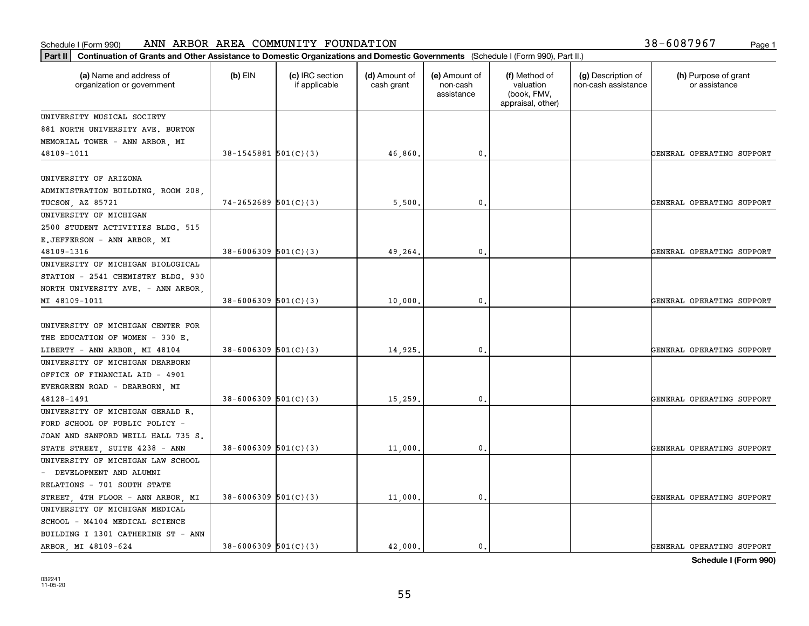| Part II   Continuation of Grants and Other Assistance to Domestic Organizations and Domestic Governments (Schedule I (Form 990), Part II.) |                            |                                  |                             |                                         |                                                                |                                           |                                       |
|--------------------------------------------------------------------------------------------------------------------------------------------|----------------------------|----------------------------------|-----------------------------|-----------------------------------------|----------------------------------------------------------------|-------------------------------------------|---------------------------------------|
| (a) Name and address of<br>organization or government                                                                                      | $(b)$ EIN                  | (c) IRC section<br>if applicable | (d) Amount of<br>cash grant | (e) Amount of<br>non-cash<br>assistance | (f) Method of<br>valuation<br>(book, FMV,<br>appraisal, other) | (g) Description of<br>non-cash assistance | (h) Purpose of grant<br>or assistance |
| UNIVERSITY MUSICAL SOCIETY                                                                                                                 |                            |                                  |                             |                                         |                                                                |                                           |                                       |
| 881 NORTH UNIVERSITY AVE. BURTON                                                                                                           |                            |                                  |                             |                                         |                                                                |                                           |                                       |
| MEMORIAL TOWER - ANN ARBOR, MI                                                                                                             |                            |                                  |                             |                                         |                                                                |                                           |                                       |
| 48109-1011                                                                                                                                 | $38 - 1545881$ $501(C)(3)$ |                                  | 46,860.                     | $\mathbf{0}$                            |                                                                |                                           | GENERAL OPERATING SUPPORT             |
|                                                                                                                                            |                            |                                  |                             |                                         |                                                                |                                           |                                       |
| UNIVERSITY OF ARIZONA                                                                                                                      |                            |                                  |                             |                                         |                                                                |                                           |                                       |
| ADMINISTRATION BUILDING, ROOM 208,                                                                                                         |                            |                                  |                             |                                         |                                                                |                                           |                                       |
| <b>TUCSON, AZ 85721</b>                                                                                                                    | $74 - 2652689$ 501(C)(3)   |                                  | 5,500                       | $\mathbf{0}$                            |                                                                |                                           | GENERAL OPERATING SUPPORT             |
| UNIVERSITY OF MICHIGAN                                                                                                                     |                            |                                  |                             |                                         |                                                                |                                           |                                       |
| 2500 STUDENT ACTIVITIES BLDG. 515                                                                                                          |                            |                                  |                             |                                         |                                                                |                                           |                                       |
| E.JEFFERSON - ANN ARBOR, MI                                                                                                                |                            |                                  |                             |                                         |                                                                |                                           |                                       |
| 48109-1316                                                                                                                                 | $38 - 6006309$ 501(C)(3)   |                                  | 49,264                      | $\mathbf 0$ .                           |                                                                |                                           | GENERAL OPERATING SUPPORT             |
| UNIVERSITY OF MICHIGAN BIOLOGICAL                                                                                                          |                            |                                  |                             |                                         |                                                                |                                           |                                       |
| STATION - 2541 CHEMISTRY BLDG. 930                                                                                                         |                            |                                  |                             |                                         |                                                                |                                           |                                       |
| NORTH UNIVERSITY AVE. - ANN ARBOR,                                                                                                         |                            |                                  |                             |                                         |                                                                |                                           |                                       |
| MI 48109-1011                                                                                                                              | $38 - 6006309$ 501(C)(3)   |                                  | 10,000                      | $\mathbf{0}$                            |                                                                |                                           | GENERAL OPERATING SUPPORT             |
|                                                                                                                                            |                            |                                  |                             |                                         |                                                                |                                           |                                       |
| UNIVERSITY OF MICHIGAN CENTER FOR                                                                                                          |                            |                                  |                             |                                         |                                                                |                                           |                                       |
| THE EDUCATION OF WOMEN - 330 E.                                                                                                            |                            |                                  |                             |                                         |                                                                |                                           |                                       |
| LIBERTY - ANN ARBOR, MI 48104                                                                                                              | $38 - 6006309$ $501(C)(3)$ |                                  | 14,925                      | 0                                       |                                                                |                                           | GENERAL OPERATING SUPPORT             |
| UNIVERSITY OF MICHIGAN DEARBORN                                                                                                            |                            |                                  |                             |                                         |                                                                |                                           |                                       |
| OFFICE OF FINANCIAL AID - 4901                                                                                                             |                            |                                  |                             |                                         |                                                                |                                           |                                       |
| EVERGREEN ROAD - DEARBORN, MI                                                                                                              |                            |                                  |                             |                                         |                                                                |                                           |                                       |
| 48128-1491<br>UNIVERSITY OF MICHIGAN GERALD R.                                                                                             | $38 - 6006309$ $501(C)(3)$ |                                  | 15,259                      | $\mathbf{0}$                            |                                                                |                                           | GENERAL OPERATING SUPPORT             |
| FORD SCHOOL OF PUBLIC POLICY -                                                                                                             |                            |                                  |                             |                                         |                                                                |                                           |                                       |
| JOAN AND SANFORD WEILL HALL 735 S.                                                                                                         |                            |                                  |                             |                                         |                                                                |                                           |                                       |
| STATE STREET, SUITE 4238 - ANN                                                                                                             | $38 - 6006309$ 501(C)(3)   |                                  | 11,000                      | 0.                                      |                                                                |                                           | GENERAL OPERATING SUPPORT             |
| UNIVERSITY OF MICHIGAN LAW SCHOOL                                                                                                          |                            |                                  |                             |                                         |                                                                |                                           |                                       |
| - DEVELOPMENT AND ALUMNI                                                                                                                   |                            |                                  |                             |                                         |                                                                |                                           |                                       |
| RELATIONS - 701 SOUTH STATE                                                                                                                |                            |                                  |                             |                                         |                                                                |                                           |                                       |
| STREET, 4TH FLOOR - ANN ARBOR, MI                                                                                                          | $38 - 6006309$ $501(C)(3)$ |                                  | 11,000.                     | $\mathfrak o$ .                         |                                                                |                                           | GENERAL OPERATING SUPPORT             |
| UNIVERSITY OF MICHIGAN MEDICAL                                                                                                             |                            |                                  |                             |                                         |                                                                |                                           |                                       |
| SCHOOL - M4104 MEDICAL SCIENCE                                                                                                             |                            |                                  |                             |                                         |                                                                |                                           |                                       |
| BUILDING I 1301 CATHERINE ST - ANN                                                                                                         |                            |                                  |                             |                                         |                                                                |                                           |                                       |
| ARBOR, MI 48109-624                                                                                                                        | $38 - 6006309$ 501(C)(3)   |                                  | 42.000.                     | $\mathbf{0}$ .                          |                                                                |                                           | GENERAL OPERATING SUPPORT             |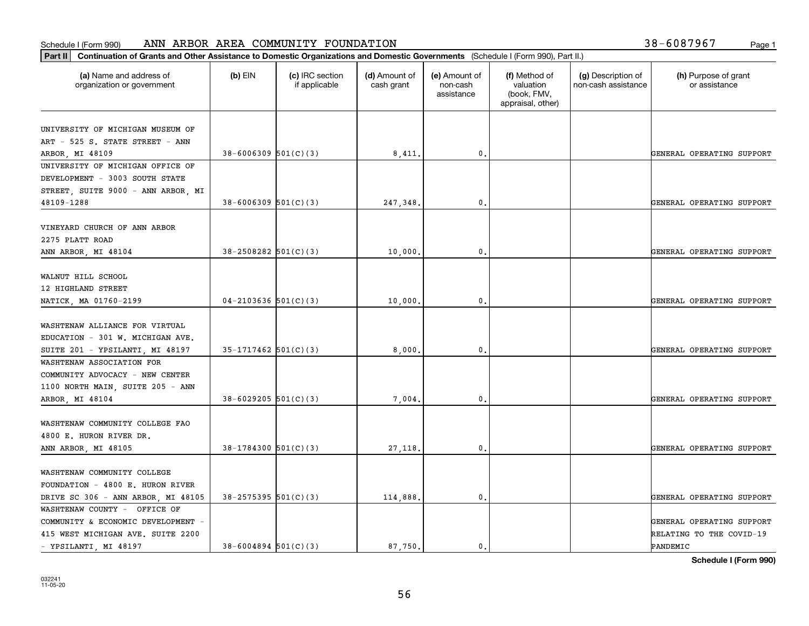| Part II   Continuation of Grants and Other Assistance to Domestic Organizations and Domestic Governments (Schedule I (Form 990), Part II.) |                            |                                  |                             |                                         |                                                                |                                           |                                       |
|--------------------------------------------------------------------------------------------------------------------------------------------|----------------------------|----------------------------------|-----------------------------|-----------------------------------------|----------------------------------------------------------------|-------------------------------------------|---------------------------------------|
| (a) Name and address of<br>organization or government                                                                                      | $(b)$ EIN                  | (c) IRC section<br>if applicable | (d) Amount of<br>cash grant | (e) Amount of<br>non-cash<br>assistance | (f) Method of<br>valuation<br>(book, FMV,<br>appraisal, other) | (g) Description of<br>non-cash assistance | (h) Purpose of grant<br>or assistance |
|                                                                                                                                            |                            |                                  |                             |                                         |                                                                |                                           |                                       |
| UNIVERSITY OF MICHIGAN MUSEUM OF                                                                                                           |                            |                                  |                             |                                         |                                                                |                                           |                                       |
| ART - 525 S. STATE STREET - ANN                                                                                                            |                            |                                  |                             |                                         |                                                                |                                           |                                       |
| ARBOR, MI 48109<br>UNIVERSITY OF MICHIGAN OFFICE OF                                                                                        | $38 - 6006309$ $501(C)(3)$ |                                  | 8,411.                      | 0.                                      |                                                                |                                           | GENERAL OPERATING SUPPORT             |
| DEVELOPMENT - 3003 SOUTH STATE                                                                                                             |                            |                                  |                             |                                         |                                                                |                                           |                                       |
| STREET, SUITE 9000 - ANN ARBOR, MI                                                                                                         |                            |                                  |                             |                                         |                                                                |                                           |                                       |
| 48109-1288                                                                                                                                 | $38 - 6006309$ $501(C)(3)$ |                                  | 247,348.                    | 0.                                      |                                                                |                                           | GENERAL OPERATING SUPPORT             |
|                                                                                                                                            |                            |                                  |                             |                                         |                                                                |                                           |                                       |
| VINEYARD CHURCH OF ANN ARBOR                                                                                                               |                            |                                  |                             |                                         |                                                                |                                           |                                       |
| 2275 PLATT ROAD                                                                                                                            |                            |                                  |                             |                                         |                                                                |                                           |                                       |
| ANN ARBOR, MI 48104                                                                                                                        | $38 - 2508282$ 501(C)(3)   |                                  | 10,000,                     | $\mathbf{0}$ .                          |                                                                |                                           | GENERAL OPERATING SUPPORT             |
|                                                                                                                                            |                            |                                  |                             |                                         |                                                                |                                           |                                       |
| WALNUT HILL SCHOOL                                                                                                                         |                            |                                  |                             |                                         |                                                                |                                           |                                       |
| 12 HIGHLAND STREET                                                                                                                         |                            |                                  |                             |                                         |                                                                |                                           |                                       |
| NATICK, MA 01760-2199                                                                                                                      | $04 - 2103636$ 501(C)(3)   |                                  | 10,000.                     | $\mathbf{0}$ .                          |                                                                |                                           | GENERAL OPERATING SUPPORT             |
|                                                                                                                                            |                            |                                  |                             |                                         |                                                                |                                           |                                       |
| WASHTENAW ALLIANCE FOR VIRTUAL                                                                                                             |                            |                                  |                             |                                         |                                                                |                                           |                                       |
| EDUCATION - 301 W. MICHIGAN AVE.                                                                                                           |                            |                                  |                             |                                         |                                                                |                                           |                                       |
| SUITE 201 - YPSILANTI, MI 48197                                                                                                            | $35-1717462$ $501(C)(3)$   |                                  | 8,000.                      | 0.                                      |                                                                |                                           | GENERAL OPERATING SUPPORT             |
| WASHTENAW ASSOCIATION FOR                                                                                                                  |                            |                                  |                             |                                         |                                                                |                                           |                                       |
| COMMUNITY ADVOCACY - NEW CENTER                                                                                                            |                            |                                  |                             |                                         |                                                                |                                           |                                       |
| 1100 NORTH MAIN, SUITE 205 - ANN                                                                                                           |                            |                                  |                             |                                         |                                                                |                                           |                                       |
| ARBOR, MI 48104                                                                                                                            | $38 - 6029205$ $501(C)(3)$ |                                  | 7,004                       | 0.                                      |                                                                |                                           | GENERAL OPERATING SUPPORT             |
| WASHTENAW COMMUNITY COLLEGE FAO                                                                                                            |                            |                                  |                             |                                         |                                                                |                                           |                                       |
| 4800 E. HURON RIVER DR.                                                                                                                    |                            |                                  |                             |                                         |                                                                |                                           |                                       |
| ANN ARBOR, MI 48105                                                                                                                        | $38-1784300$ 501(C)(3)     |                                  | 27,118.                     | $\mathfrak{o}$ .                        |                                                                |                                           | GENERAL OPERATING SUPPORT             |
|                                                                                                                                            |                            |                                  |                             |                                         |                                                                |                                           |                                       |
| WASHTENAW COMMUNITY COLLEGE                                                                                                                |                            |                                  |                             |                                         |                                                                |                                           |                                       |
| FOUNDATION - 4800 E. HURON RIVER                                                                                                           |                            |                                  |                             |                                         |                                                                |                                           |                                       |
| DRIVE SC 306 - ANN ARBOR, MI 48105                                                                                                         | $38 - 2575395$ 501(C)(3)   |                                  | 114,888.                    | $\mathbf{0}$ .                          |                                                                |                                           | GENERAL OPERATING SUPPORT             |
| WASHTENAW COUNTY - OFFICE OF                                                                                                               |                            |                                  |                             |                                         |                                                                |                                           |                                       |
| COMMUNITY & ECONOMIC DEVELOPMENT -                                                                                                         |                            |                                  |                             |                                         |                                                                |                                           | GENERAL OPERATING SUPPORT             |
| 415 WEST MICHIGAN AVE. SUITE 2200                                                                                                          |                            |                                  |                             |                                         |                                                                |                                           | RELATING TO THE COVID-19              |
| - YPSILANTI, MI 48197                                                                                                                      | $38 - 6004894$ 501(C)(3)   |                                  | 87,750.                     | $\mathbf{0}$ .                          |                                                                |                                           | PANDEMIC                              |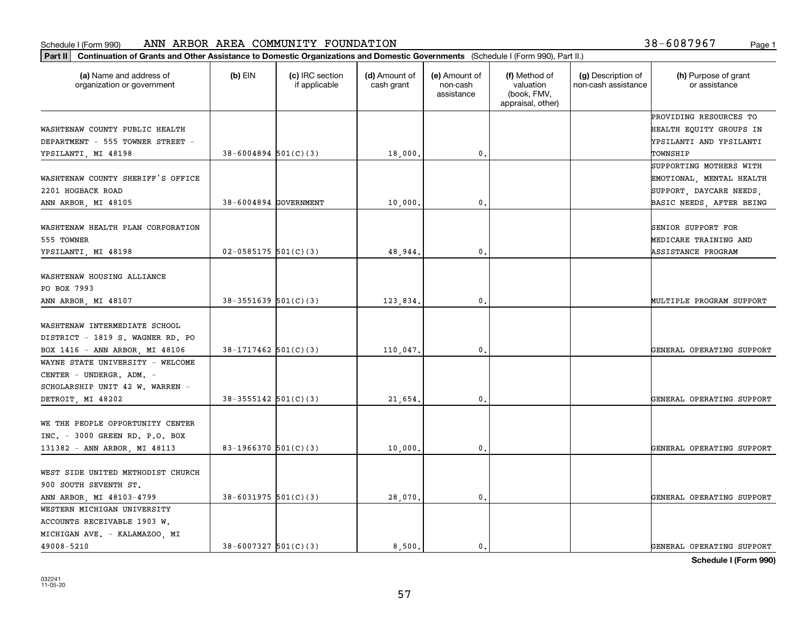| Part II   Continuation of Grants and Other Assistance to Domestic Organizations and Domestic Governments (Schedule I (Form 990), Part II.) |                          |                                  |                             |                                         |                                                                |                                           |                                       |
|--------------------------------------------------------------------------------------------------------------------------------------------|--------------------------|----------------------------------|-----------------------------|-----------------------------------------|----------------------------------------------------------------|-------------------------------------------|---------------------------------------|
| (a) Name and address of<br>organization or government                                                                                      | $(b)$ EIN                | (c) IRC section<br>if applicable | (d) Amount of<br>cash grant | (e) Amount of<br>non-cash<br>assistance | (f) Method of<br>valuation<br>(book, FMV,<br>appraisal, other) | (g) Description of<br>non-cash assistance | (h) Purpose of grant<br>or assistance |
|                                                                                                                                            |                          |                                  |                             |                                         |                                                                |                                           | PROVIDING RESOURCES TO                |
| WASHTENAW COUNTY PUBLIC HEALTH                                                                                                             |                          |                                  |                             |                                         |                                                                |                                           | HEALTH EQUITY GROUPS IN               |
| DEPARTMENT - 555 TOWNER STREET -                                                                                                           |                          |                                  |                             |                                         |                                                                |                                           | YPSILANTI AND YPSILANTI               |
| YPSILANTI, MI 48198                                                                                                                        | $38 - 6004894$ 501(C)(3) |                                  | 18,000,                     | 0.                                      |                                                                |                                           | TOWNSHIP                              |
|                                                                                                                                            |                          |                                  |                             |                                         |                                                                |                                           | SUPPORTING MOTHERS WITH               |
| WASHTENAW COUNTY SHERIFF'S OFFICE                                                                                                          |                          |                                  |                             |                                         |                                                                |                                           | EMOTIONAL, MENTAL HEALTH              |
| 2201 HOGBACK ROAD                                                                                                                          |                          |                                  |                             |                                         |                                                                |                                           | SUPPORT, DAYCARE NEEDS,               |
| ANN ARBOR, MI 48105                                                                                                                        | 38-6004894 GOVERNMENT    |                                  | 10,000                      | 0.                                      |                                                                |                                           | BASIC NEEDS, AFTER BEING              |
| WASHTENAW HEALTH PLAN CORPORATION                                                                                                          |                          |                                  |                             |                                         |                                                                |                                           | <b>SENIOR SUPPORT FOR</b>             |
| 555 TOWNER                                                                                                                                 |                          |                                  |                             |                                         |                                                                |                                           | MEDICARE TRAINING AND                 |
| YPSILANTI, MI 48198                                                                                                                        | $02 - 0585175$ 501(C)(3) |                                  | 48,944.                     | $\mathbf{0}$ .                          |                                                                |                                           | ASSISTANCE PROGRAM                    |
|                                                                                                                                            |                          |                                  |                             |                                         |                                                                |                                           |                                       |
| WASHTENAW HOUSING ALLIANCE                                                                                                                 |                          |                                  |                             |                                         |                                                                |                                           |                                       |
| PO BOX 7993                                                                                                                                |                          |                                  |                             |                                         |                                                                |                                           |                                       |
| ANN ARBOR, MI 48107                                                                                                                        | $38-3551639$ $501(C)(3)$ |                                  | 123,834.                    | 0.                                      |                                                                |                                           | MULTIPLE PROGRAM SUPPORT              |
|                                                                                                                                            |                          |                                  |                             |                                         |                                                                |                                           |                                       |
| WASHTENAW INTERMEDIATE SCHOOL                                                                                                              |                          |                                  |                             |                                         |                                                                |                                           |                                       |
| DISTRICT - 1819 S. WAGNER RD. PO                                                                                                           |                          |                                  |                             |                                         |                                                                |                                           |                                       |
| BOX 1416 - ANN ARBOR, MI 48106                                                                                                             | $38-1717462$ 501(C)(3)   |                                  | 110,047.                    | 0.                                      |                                                                |                                           | GENERAL OPERATING SUPPORT             |
| WAYNE STATE UNIVERSITY - WELCOME                                                                                                           |                          |                                  |                             |                                         |                                                                |                                           |                                       |
| CENTER - UNDERGR. ADM. -                                                                                                                   |                          |                                  |                             |                                         |                                                                |                                           |                                       |
| SCHOLARSHIP UNIT 42 W. WARREN -                                                                                                            |                          |                                  |                             |                                         |                                                                |                                           |                                       |
| DETROIT, MI 48202                                                                                                                          | $38-3555142$ $501(C)(3)$ |                                  | 21,654.                     | 0.                                      |                                                                |                                           | GENERAL OPERATING SUPPORT             |
|                                                                                                                                            |                          |                                  |                             |                                         |                                                                |                                           |                                       |
| WE THE PEOPLE OPPORTUNITY CENTER                                                                                                           |                          |                                  |                             |                                         |                                                                |                                           |                                       |
| INC. - 3000 GREEN RD. P.O. BOX                                                                                                             |                          |                                  |                             |                                         |                                                                |                                           |                                       |
| 131382 - ANN ARBOR, MI 48113                                                                                                               | 83-1966370 $501(C)(3)$   |                                  | 10,000                      | 0.                                      |                                                                |                                           | GENERAL OPERATING SUPPORT             |
| WEST SIDE UNITED METHODIST CHURCH                                                                                                          |                          |                                  |                             |                                         |                                                                |                                           |                                       |
| 900 SOUTH SEVENTH ST.                                                                                                                      |                          |                                  |                             |                                         |                                                                |                                           |                                       |
| ANN ARBOR, MI 48103-4799                                                                                                                   | $38 - 6031975$ 501(C)(3) |                                  | 28,070.                     | $\mathbf{0}$ .                          |                                                                |                                           | GENERAL OPERATING SUPPORT             |
| WESTERN MICHIGAN UNIVERSITY                                                                                                                |                          |                                  |                             |                                         |                                                                |                                           |                                       |
| ACCOUNTS RECEIVABLE 1903 W.                                                                                                                |                          |                                  |                             |                                         |                                                                |                                           |                                       |
| MICHIGAN AVE. - KALAMAZOO, MI                                                                                                              |                          |                                  |                             |                                         |                                                                |                                           |                                       |
| 49008-5210                                                                                                                                 | $38 - 6007327$ 501(C)(3) |                                  | 8,500.                      | $\mathbf{0}$ .                          |                                                                |                                           | GENERAL OPERATING SUPPORT             |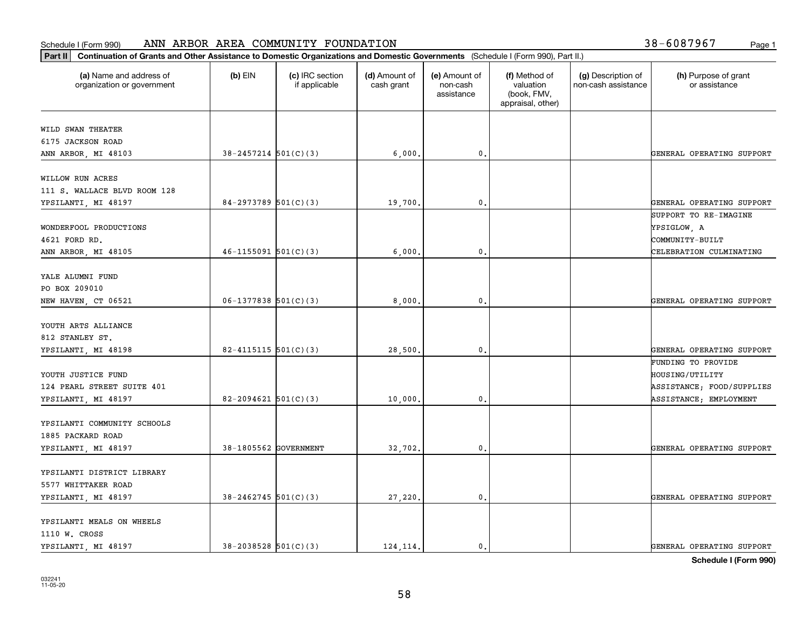#### **Part II Continuation of Grants and Other Assistance to Domestic Organization**<br> **Part II** Continuation of Grants and Other Assistance to Domestic Organization Schedule I (Form 990) ANN ARBOR AREA COMMUNITY FOUNDATION Page 1

| Continuation of Grants and Other Assistance to Domestic Organizations and Domestic Governments (Schedule I (Form 990), Part II.)<br>$ $ Part II |                            |                                  |                             |                                         |                                                                |                                           |                                       |
|-------------------------------------------------------------------------------------------------------------------------------------------------|----------------------------|----------------------------------|-----------------------------|-----------------------------------------|----------------------------------------------------------------|-------------------------------------------|---------------------------------------|
| (a) Name and address of<br>organization or government                                                                                           | $(b)$ EIN                  | (c) IRC section<br>if applicable | (d) Amount of<br>cash grant | (e) Amount of<br>non-cash<br>assistance | (f) Method of<br>valuation<br>(book, FMV,<br>appraisal, other) | (g) Description of<br>non-cash assistance | (h) Purpose of grant<br>or assistance |
| WILD SWAN THEATER                                                                                                                               |                            |                                  |                             |                                         |                                                                |                                           |                                       |
| 6175 JACKSON ROAD                                                                                                                               |                            |                                  |                             |                                         |                                                                |                                           |                                       |
| ANN ARBOR, MI 48103                                                                                                                             | $38 - 2457214$ $501(C)(3)$ |                                  | 6,000.                      | 0.                                      |                                                                |                                           | GENERAL OPERATING SUPPORT             |
|                                                                                                                                                 |                            |                                  |                             |                                         |                                                                |                                           |                                       |
| WILLOW RUN ACRES                                                                                                                                |                            |                                  |                             |                                         |                                                                |                                           |                                       |
| 111 S. WALLACE BLVD ROOM 128                                                                                                                    |                            |                                  |                             |                                         |                                                                |                                           |                                       |
| YPSILANTI, MI 48197                                                                                                                             | $84-2973789$ 501(C)(3)     |                                  | 19,700.                     | $\mathbf{0}$ .                          |                                                                |                                           | GENERAL OPERATING SUPPORT             |
|                                                                                                                                                 |                            |                                  |                             |                                         |                                                                |                                           | SUPPORT TO RE-IMAGINE                 |
| WONDERFOOL PRODUCTIONS                                                                                                                          |                            |                                  |                             |                                         |                                                                |                                           | YPSIGLOW, A                           |
| 4621 FORD RD.                                                                                                                                   |                            |                                  |                             |                                         |                                                                |                                           | COMMUNITY-BUILT                       |
| ANN ARBOR, MI 48105                                                                                                                             | $46 - 1155091$ $501(C)(3)$ |                                  | 6,000                       | $\mathbf{0}$                            |                                                                |                                           | CELEBRATION CULMINATING               |
|                                                                                                                                                 |                            |                                  |                             |                                         |                                                                |                                           |                                       |
| YALE ALUMNI FUND<br>PO BOX 209010                                                                                                               |                            |                                  |                             |                                         |                                                                |                                           |                                       |
| NEW HAVEN, CT 06521                                                                                                                             | $06-1377838$ 501(C)(3)     |                                  | 8,000.                      | $\mathfrak o$ .                         |                                                                |                                           | GENERAL OPERATING SUPPORT             |
|                                                                                                                                                 |                            |                                  |                             |                                         |                                                                |                                           |                                       |
| YOUTH ARTS ALLIANCE                                                                                                                             |                            |                                  |                             |                                         |                                                                |                                           |                                       |
| 812 STANLEY ST.                                                                                                                                 |                            |                                  |                             |                                         |                                                                |                                           |                                       |
| YPSILANTI, MI 48198                                                                                                                             | $82 - 4115115$ 501(C)(3)   |                                  | 28,500.                     | $\mathbf 0$ .                           |                                                                |                                           | GENERAL OPERATING SUPPORT             |
|                                                                                                                                                 |                            |                                  |                             |                                         |                                                                |                                           | FUNDING TO PROVIDE                    |
| YOUTH JUSTICE FUND                                                                                                                              |                            |                                  |                             |                                         |                                                                |                                           | HOUSING/UTILITY                       |
| 124 PEARL STREET SUITE 401                                                                                                                      |                            |                                  |                             |                                         |                                                                |                                           | ASSISTANCE; FOOD/SUPPLIES             |
| YPSILANTI, MI 48197                                                                                                                             | $82 - 2094621$ 501(C)(3)   |                                  | 10,000                      | 0.                                      |                                                                |                                           | ASSISTANCE; EMPLOYMENT                |
|                                                                                                                                                 |                            |                                  |                             |                                         |                                                                |                                           |                                       |
| YPSILANTI COMMUNITY SCHOOLS                                                                                                                     |                            |                                  |                             |                                         |                                                                |                                           |                                       |
| 1885 PACKARD ROAD                                                                                                                               |                            |                                  |                             |                                         |                                                                |                                           |                                       |
| YPSILANTI, MI 48197                                                                                                                             | 38-1805562 GOVERNMENT      |                                  | 32,702.                     | $\mathfrak o$ .                         |                                                                |                                           | GENERAL OPERATING SUPPORT             |
|                                                                                                                                                 |                            |                                  |                             |                                         |                                                                |                                           |                                       |
| YPSILANTI DISTRICT LIBRARY<br>5577 WHITTAKER ROAD                                                                                               |                            |                                  |                             |                                         |                                                                |                                           |                                       |
| YPSILANTI, MI 48197                                                                                                                             | $38 - 2462745$ 501(C)(3)   |                                  | 27,220.                     | $\mathbf{0}$ .                          |                                                                |                                           | GENERAL OPERATING SUPPORT             |
|                                                                                                                                                 |                            |                                  |                             |                                         |                                                                |                                           |                                       |
| YPSILANTI MEALS ON WHEELS                                                                                                                       |                            |                                  |                             |                                         |                                                                |                                           |                                       |
| 1110 W. CROSS                                                                                                                                   |                            |                                  |                             |                                         |                                                                |                                           |                                       |
| YPSILANTI, MI 48197                                                                                                                             | $38 - 2038528$ $501(C)(3)$ |                                  | 124.114.                    | 0.                                      |                                                                |                                           | GENERAL OPERATING SUPPORT             |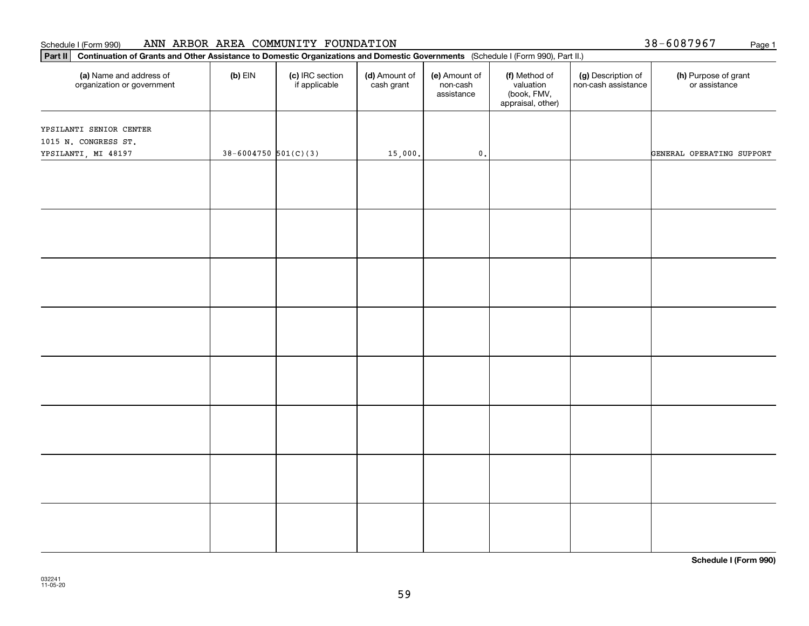#### Schedule I (Form 990) Page 1 ANN ARBOR AREA COMMUNITY FOUNDATION

38-6087967

| Part II   Continuation of Grants and Other Assistance to Domestic Organizations and Domestic Governments (Schedule I (Form 990), Part II.) |                          |                                  |                             |                                         |                                                                |                                           |                                       |
|--------------------------------------------------------------------------------------------------------------------------------------------|--------------------------|----------------------------------|-----------------------------|-----------------------------------------|----------------------------------------------------------------|-------------------------------------------|---------------------------------------|
| (a) Name and address of<br>organization or government                                                                                      | $(b)$ EIN                | (c) IRC section<br>if applicable | (d) Amount of<br>cash grant | (e) Amount of<br>non-cash<br>assistance | (f) Method of<br>valuation<br>(book, FMV,<br>appraisal, other) | (g) Description of<br>non-cash assistance | (h) Purpose of grant<br>or assistance |
|                                                                                                                                            |                          |                                  |                             |                                         |                                                                |                                           |                                       |
| YPSILANTI SENIOR CENTER<br>1015 N. CONGRESS ST.                                                                                            |                          |                                  |                             |                                         |                                                                |                                           |                                       |
| YPSILANTI, MI 48197                                                                                                                        | $38 - 6004750$ 501(C)(3) |                                  | 15,000.                     | $\mathfrak o$ .                         |                                                                |                                           | GENERAL OPERATING SUPPORT             |
|                                                                                                                                            |                          |                                  |                             |                                         |                                                                |                                           |                                       |
|                                                                                                                                            |                          |                                  |                             |                                         |                                                                |                                           |                                       |
|                                                                                                                                            |                          |                                  |                             |                                         |                                                                |                                           |                                       |
|                                                                                                                                            |                          |                                  |                             |                                         |                                                                |                                           |                                       |
|                                                                                                                                            |                          |                                  |                             |                                         |                                                                |                                           |                                       |
|                                                                                                                                            |                          |                                  |                             |                                         |                                                                |                                           |                                       |
|                                                                                                                                            |                          |                                  |                             |                                         |                                                                |                                           |                                       |
|                                                                                                                                            |                          |                                  |                             |                                         |                                                                |                                           |                                       |
|                                                                                                                                            |                          |                                  |                             |                                         |                                                                |                                           |                                       |
|                                                                                                                                            |                          |                                  |                             |                                         |                                                                |                                           |                                       |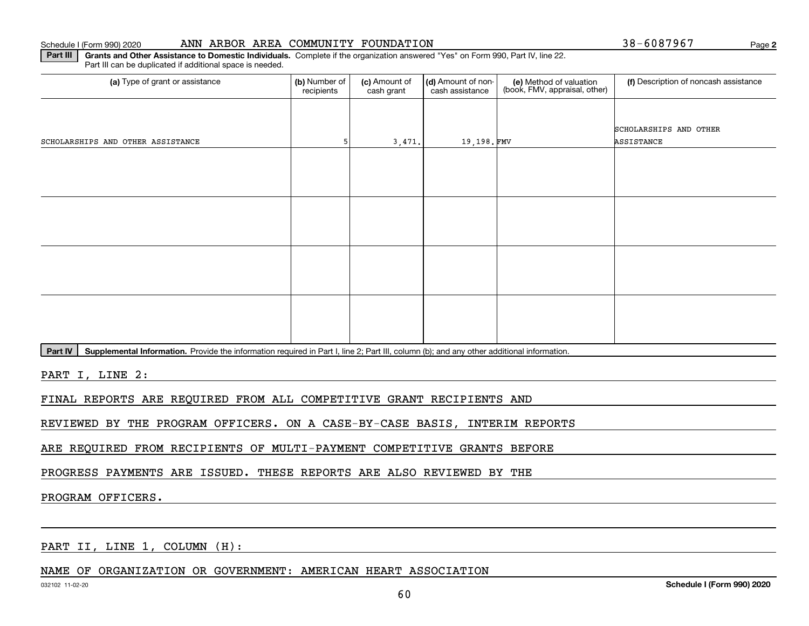#### Schedule I (Form 990) 2020 Page ANN ARBOR AREA COMMUNITY FOUNDATION 38-6087967

**2**

**Part III | Grants and Other Assistance to Domestic Individuals. Complete if the organization answered "Yes" on Form 990, Part IV, line 22.** Part III can be duplicated if additional space is needed.

| SCHOLARSHIPS AND OTHER   |
|--------------------------|
| 19,198.FMV<br>ASSISTANCE |
|                          |
|                          |
|                          |
|                          |
|                          |
|                          |
|                          |
|                          |
|                          |
|                          |
|                          |
|                          |
|                          |

Part IV | Supplemental Information. Provide the information required in Part I, line 2; Part III, column (b); and any other additional information.

PART I, LINE 2:

FINAL REPORTS ARE REQUIRED FROM ALL COMPETITIVE GRANT RECIPIENTS AND

REVIEWED BY THE PROGRAM OFFICERS. ON A CASE-BY-CASE BASIS, INTERIM REPORTS

ARE REQUIRED FROM RECIPIENTS OF MULTI-PAYMENT COMPETITIVE GRANTS BEFORE

PROGRESS PAYMENTS ARE ISSUED. THESE REPORTS ARE ALSO REVIEWED BY THE

## PROGRAM OFFICERS.

PART II, LINE 1, COLUMN (H):

NAME OF ORGANIZATION OR GOVERNMENT: AMERICAN HEART ASSOCIATION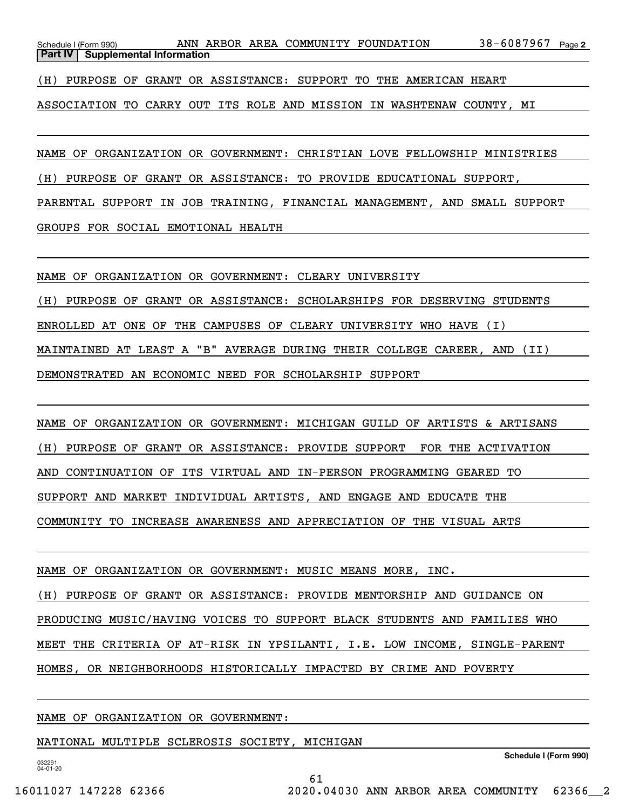38-6087967 Page 2 Schedule I (Form 990) ANN ARBOR AREA COMMUNITY FOUNDATION 38-6087967 Page **Part IV** | Supplemental Information

(H) PURPOSE OF GRANT OR ASSISTANCE: SUPPORT TO THE AMERICAN HEART

ASSOCIATION TO CARRY OUT ITS ROLE AND MISSION IN WASHTENAW COUNTY, MI

NAME OF ORGANIZATION OR GOVERNMENT: CHRISTIAN LOVE FELLOWSHIP MINISTRIES

(H) PURPOSE OF GRANT OR ASSISTANCE: TO PROVIDE EDUCATIONAL SUPPORT,

PARENTAL SUPPORT IN JOB TRAINING, FINANCIAL MANAGEMENT, AND SMALL SUPPORT

GROUPS FOR SOCIAL EMOTIONAL HEALTH

NAME OF ORGANIZATION OR GOVERNMENT: CLEARY UNIVERSITY

(H) PURPOSE OF GRANT OR ASSISTANCE: SCHOLARSHIPS FOR DESERVING STUDENTS ENROLLED AT ONE OF THE CAMPUSES OF CLEARY UNIVERSITY WHO HAVE (I) MAINTAINED AT LEAST A "B" AVERAGE DURING THEIR COLLEGE CAREER, AND (II) DEMONSTRATED AN ECONOMIC NEED FOR SCHOLARSHIP SUPPORT

NAME OF ORGANIZATION OR GOVERNMENT: MICHIGAN GUILD OF ARTISTS & ARTISANS (H) PURPOSE OF GRANT OR ASSISTANCE: PROVIDE SUPPORT FOR THE ACTIVATION AND CONTINUATION OF ITS VIRTUAL AND IN-PERSON PROGRAMMING GEARED TO SUPPORT AND MARKET INDIVIDUAL ARTISTS, AND ENGAGE AND EDUCATE THE COMMUNITY TO INCREASE AWARENESS AND APPRECIATION OF THE VISUAL ARTS

NAME OF ORGANIZATION OR GOVERNMENT: MUSIC MEANS MORE, INC. (H) PURPOSE OF GRANT OR ASSISTANCE: PROVIDE MENTORSHIP AND GUIDANCE ON PRODUCING MUSIC/HAVING VOICES TO SUPPORT BLACK STUDENTS AND FAMILIES WHO MEET THE CRITERIA OF AT-RISK IN YPSILANTI, I.E. LOW INCOME, SINGLE-PARENT HOMES, OR NEIGHBORHOODS HISTORICALLY IMPACTED BY CRIME AND POVERTY

61

NAME OF ORGANIZATION OR GOVERNMENT:

NATIONAL MULTIPLE SCLEROSIS SOCIETY, MICHIGAN

**Schedule I (Form 990)**

032291 04-01-20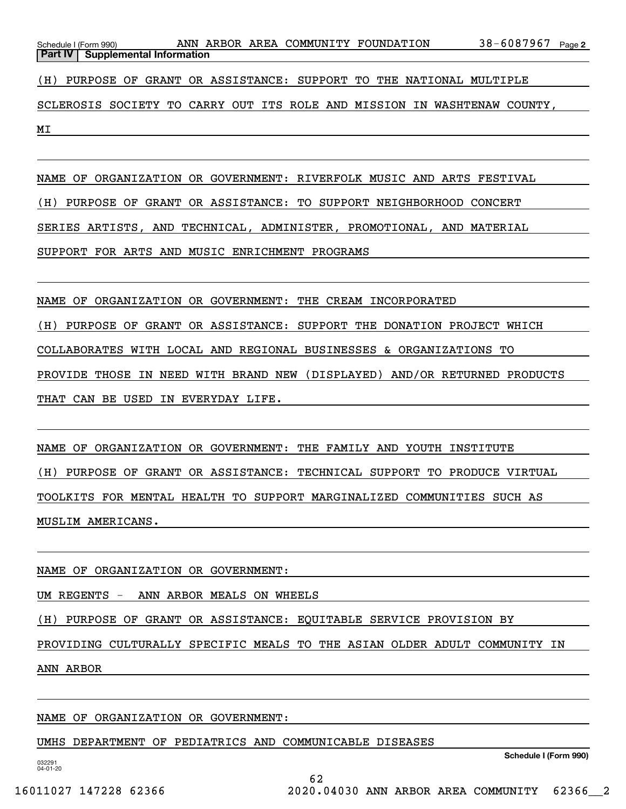| Schedule I (Form 990)                     |  | ANN ARBOR AREA COMMUNITY FOUNDATION |                                                                          | 38-6087967<br>Page 2 |
|-------------------------------------------|--|-------------------------------------|--------------------------------------------------------------------------|----------------------|
| <b>Part IV   Supplemental Information</b> |  |                                     |                                                                          |                      |
|                                           |  |                                     | (H) PURPOSE OF GRANT OR ASSISTANCE: SUPPORT TO THE NATIONAL MULTIPLE     |                      |
|                                           |  |                                     | SCLEROSIS SOCIETY TO CARRY OUT ITS ROLE AND MISSION IN WASHTENAW COUNTY, |                      |

NAME OF ORGANIZATION OR GOVERNMENT: RIVERFOLK MUSIC AND ARTS FESTIVAL (H) PURPOSE OF GRANT OR ASSISTANCE: TO SUPPORT NEIGHBORHOOD CONCERT SERIES ARTISTS, AND TECHNICAL, ADMINISTER, PROMOTIONAL, AND MATERIAL SUPPORT FOR ARTS AND MUSIC ENRICHMENT PROGRAMS

NAME OF ORGANIZATION OR GOVERNMENT: THE CREAM INCORPORATED (H) PURPOSE OF GRANT OR ASSISTANCE: SUPPORT THE DONATION PROJECT WHICH COLLABORATES WITH LOCAL AND REGIONAL BUSINESSES & ORGANIZATIONS TO PROVIDE THOSE IN NEED WITH BRAND NEW (DISPLAYED) AND/OR RETURNED PRODUCTS THAT CAN BE USED IN EVERYDAY LIFE.

NAME OF ORGANIZATION OR GOVERNMENT: THE FAMILY AND YOUTH INSTITUTE (H) PURPOSE OF GRANT OR ASSISTANCE: TECHNICAL SUPPORT TO PRODUCE VIRTUAL TOOLKITS FOR MENTAL HEALTH TO SUPPORT MARGINALIZED COMMUNITIES SUCH AS MUSLIM AMERICANS.

NAME OF ORGANIZATION OR GOVERNMENT:

UM REGENTS - ANN ARBOR MEALS ON WHEELS

(H) PURPOSE OF GRANT OR ASSISTANCE: EQUITABLE SERVICE PROVISION BY

PROVIDING CULTURALLY SPECIFIC MEALS TO THE ASIAN OLDER ADULT COMMUNITY IN

ANN ARBOR

NAME OF ORGANIZATION OR GOVERNMENT:

UMHS DEPARTMENT OF PEDIATRICS AND COMMUNICABLE DISEASES

**Schedule I (Form 990)**

032291 04-01-20

MI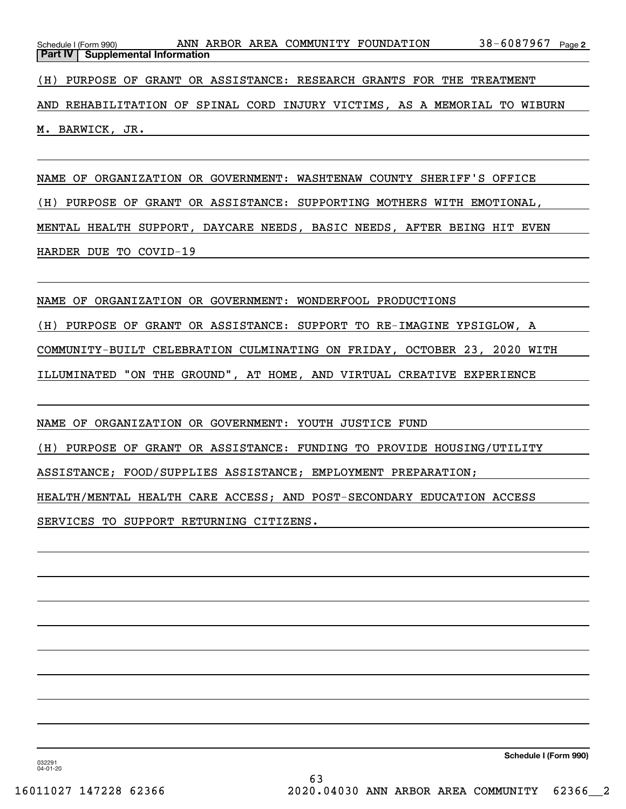| Schedule I (Form 990)                                                     |  |  | ANN ARBOR AREA COMMUNITY FOUNDATION |  |  | 38-6087967 <sub>Page 2</sub> |  |
|---------------------------------------------------------------------------|--|--|-------------------------------------|--|--|------------------------------|--|
| <b>Part IV   Supplemental Information</b>                                 |  |  |                                     |  |  |                              |  |
|                                                                           |  |  |                                     |  |  |                              |  |
| (H) PURPOSE OF GRANT OR ASSISTANCE: RESEARCH GRANTS FOR THE TREATMENT     |  |  |                                     |  |  |                              |  |
|                                                                           |  |  |                                     |  |  |                              |  |
| AND REHABILITATION OF SPINAL CORD INJURY VICTIMS, AS A MEMORIAL TO WIBURN |  |  |                                     |  |  |                              |  |

M. BARWICK, JR.

NAME OF ORGANIZATION OR GOVERNMENT: WASHTENAW COUNTY SHERIFF'S OFFICE (H) PURPOSE OF GRANT OR ASSISTANCE: SUPPORTING MOTHERS WITH EMOTIONAL, MENTAL HEALTH SUPPORT, DAYCARE NEEDS, BASIC NEEDS, AFTER BEING HIT EVEN HARDER DUE TO COVID-19

NAME OF ORGANIZATION OR GOVERNMENT: WONDERFOOL PRODUCTIONS (H) PURPOSE OF GRANT OR ASSISTANCE: SUPPORT TO RE-IMAGINE YPSIGLOW, A COMMUNITY-BUILT CELEBRATION CULMINATING ON FRIDAY, OCTOBER 23, 2020 WITH ILLUMINATED "ON THE GROUND", AT HOME, AND VIRTUAL CREATIVE EXPERIENCE

NAME OF ORGANIZATION OR GOVERNMENT: YOUTH JUSTICE FUND

(H) PURPOSE OF GRANT OR ASSISTANCE: FUNDING TO PROVIDE HOUSING/UTILITY

ASSISTANCE; FOOD/SUPPLIES ASSISTANCE; EMPLOYMENT PREPARATION;

HEALTH/MENTAL HEALTH CARE ACCESS; AND POST-SECONDARY EDUCATION ACCESS

SERVICES TO SUPPORT RETURNING CITIZENS.

**Schedule I (Form 990)**

032291 04-01-20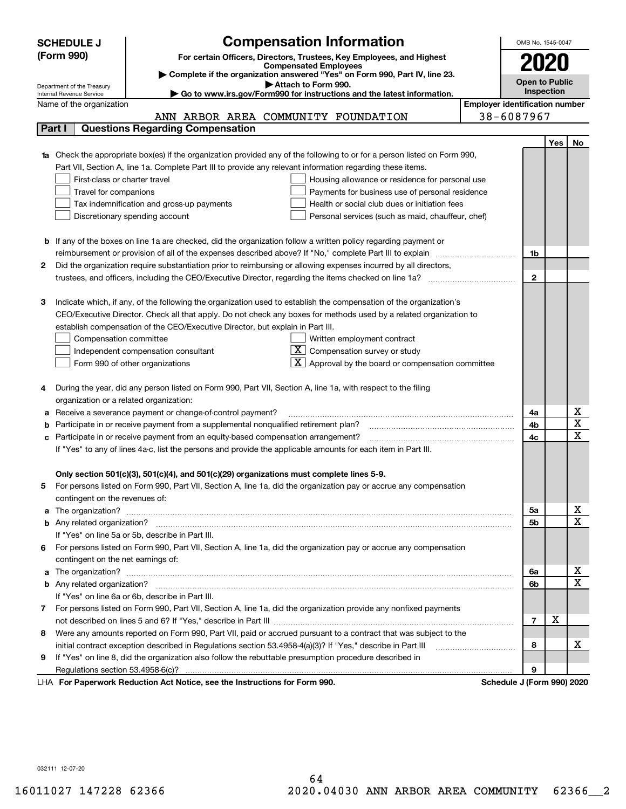|   | <b>SCHEDULE J</b>                                                                                       | <b>Compensation Information</b>                                                                                        |  | OMB No. 1545-0047                     |                       |    |  |  |
|---|---------------------------------------------------------------------------------------------------------|------------------------------------------------------------------------------------------------------------------------|--|---------------------------------------|-----------------------|----|--|--|
|   | (Form 990)                                                                                              | For certain Officers, Directors, Trustees, Key Employees, and Highest                                                  |  |                                       |                       |    |  |  |
|   |                                                                                                         | <b>Compensated Employees</b>                                                                                           |  |                                       | 2020                  |    |  |  |
|   |                                                                                                         | Complete if the organization answered "Yes" on Form 990, Part IV, line 23.                                             |  |                                       | <b>Open to Public</b> |    |  |  |
|   | Department of the Treasury<br>Internal Revenue Service                                                  | Attach to Form 990.<br>Go to www.irs.gov/Form990 for instructions and the latest information.                          |  |                                       | Inspection            |    |  |  |
|   | Name of the organization                                                                                |                                                                                                                        |  | <b>Employer identification number</b> |                       |    |  |  |
|   |                                                                                                         | ANN ARBOR AREA COMMUNITY FOUNDATION                                                                                    |  | 38-6087967                            |                       |    |  |  |
|   | Part I                                                                                                  | <b>Questions Regarding Compensation</b>                                                                                |  |                                       |                       |    |  |  |
|   |                                                                                                         |                                                                                                                        |  |                                       | Yes                   | No |  |  |
|   |                                                                                                         | Check the appropriate box(es) if the organization provided any of the following to or for a person listed on Form 990, |  |                                       |                       |    |  |  |
|   |                                                                                                         | Part VII, Section A, line 1a. Complete Part III to provide any relevant information regarding these items.             |  |                                       |                       |    |  |  |
|   | First-class or charter travel<br>Housing allowance or residence for personal use                        |                                                                                                                        |  |                                       |                       |    |  |  |
|   | Travel for companions                                                                                   | Payments for business use of personal residence                                                                        |  |                                       |                       |    |  |  |
|   |                                                                                                         | Tax indemnification and gross-up payments<br>Health or social club dues or initiation fees                             |  |                                       |                       |    |  |  |
|   |                                                                                                         | Discretionary spending account<br>Personal services (such as maid, chauffeur, chef)                                    |  |                                       |                       |    |  |  |
|   |                                                                                                         |                                                                                                                        |  |                                       |                       |    |  |  |
|   |                                                                                                         | <b>b</b> If any of the boxes on line 1a are checked, did the organization follow a written policy regarding payment or |  |                                       |                       |    |  |  |
|   |                                                                                                         |                                                                                                                        |  | 1b                                    |                       |    |  |  |
| 2 |                                                                                                         | Did the organization require substantiation prior to reimbursing or allowing expenses incurred by all directors,       |  |                                       |                       |    |  |  |
|   |                                                                                                         |                                                                                                                        |  | $\mathbf{2}$                          |                       |    |  |  |
|   |                                                                                                         |                                                                                                                        |  |                                       |                       |    |  |  |
| з |                                                                                                         | Indicate which, if any, of the following the organization used to establish the compensation of the organization's     |  |                                       |                       |    |  |  |
|   |                                                                                                         | CEO/Executive Director. Check all that apply. Do not check any boxes for methods used by a related organization to     |  |                                       |                       |    |  |  |
|   |                                                                                                         | establish compensation of the CEO/Executive Director, but explain in Part III.                                         |  |                                       |                       |    |  |  |
|   | Compensation committee<br>Written employment contract                                                   |                                                                                                                        |  |                                       |                       |    |  |  |
|   | $X$ Compensation survey or study<br>Independent compensation consultant                                 |                                                                                                                        |  |                                       |                       |    |  |  |
|   | $\boxed{\textbf{X}}$ Approval by the board or compensation committee<br>Form 990 of other organizations |                                                                                                                        |  |                                       |                       |    |  |  |
|   |                                                                                                         |                                                                                                                        |  |                                       |                       |    |  |  |
| 4 |                                                                                                         | During the year, did any person listed on Form 990, Part VII, Section A, line 1a, with respect to the filing           |  |                                       |                       |    |  |  |
|   | organization or a related organization:                                                                 |                                                                                                                        |  |                                       |                       |    |  |  |
| а |                                                                                                         | Receive a severance payment or change-of-control payment?                                                              |  | 4a                                    |                       | х  |  |  |
| b |                                                                                                         | Participate in or receive payment from a supplemental nonqualified retirement plan?                                    |  | 4b                                    |                       | X  |  |  |
| с |                                                                                                         | Participate in or receive payment from an equity-based compensation arrangement?                                       |  | 4c                                    |                       | X  |  |  |
|   |                                                                                                         | If "Yes" to any of lines 4a-c, list the persons and provide the applicable amounts for each item in Part III.          |  |                                       |                       |    |  |  |
|   |                                                                                                         |                                                                                                                        |  |                                       |                       |    |  |  |
|   |                                                                                                         | Only section 501(c)(3), 501(c)(4), and 501(c)(29) organizations must complete lines 5-9.                               |  |                                       |                       |    |  |  |
| 5 |                                                                                                         | For persons listed on Form 990, Part VII, Section A, line 1a, did the organization pay or accrue any compensation      |  |                                       |                       |    |  |  |
|   | contingent on the revenues of:                                                                          |                                                                                                                        |  |                                       |                       |    |  |  |
| a |                                                                                                         |                                                                                                                        |  | 5a                                    |                       | X  |  |  |
|   |                                                                                                         |                                                                                                                        |  | 5b                                    |                       | X  |  |  |
|   |                                                                                                         | If "Yes" on line 5a or 5b, describe in Part III.                                                                       |  |                                       |                       |    |  |  |
|   |                                                                                                         | 6 For persons listed on Form 990, Part VII, Section A, line 1a, did the organization pay or accrue any compensation    |  |                                       |                       |    |  |  |
|   | contingent on the net earnings of:                                                                      |                                                                                                                        |  | 6a                                    |                       | X  |  |  |
| a |                                                                                                         |                                                                                                                        |  |                                       |                       |    |  |  |
|   |                                                                                                         |                                                                                                                        |  |                                       |                       |    |  |  |
|   |                                                                                                         | If "Yes" on line 6a or 6b, describe in Part III.                                                                       |  |                                       |                       |    |  |  |
|   |                                                                                                         | 7 For persons listed on Form 990, Part VII, Section A, line 1a, did the organization provide any nonfixed payments     |  |                                       |                       |    |  |  |
|   |                                                                                                         |                                                                                                                        |  | 7                                     | х                     |    |  |  |
| 8 |                                                                                                         | Were any amounts reported on Form 990, Part VII, paid or accrued pursuant to a contract that was subject to the        |  |                                       |                       |    |  |  |
|   |                                                                                                         | initial contract exception described in Regulations section 53.4958-4(a)(3)? If "Yes," describe in Part III            |  | 8                                     |                       | х  |  |  |
| 9 |                                                                                                         | If "Yes" on line 8, did the organization also follow the rebuttable presumption procedure described in                 |  |                                       |                       |    |  |  |
|   |                                                                                                         |                                                                                                                        |  | 9                                     |                       |    |  |  |
|   |                                                                                                         | LHA For Paperwork Reduction Act Notice, see the Instructions for Form 990.                                             |  | Schedule J (Form 990) 2020            |                       |    |  |  |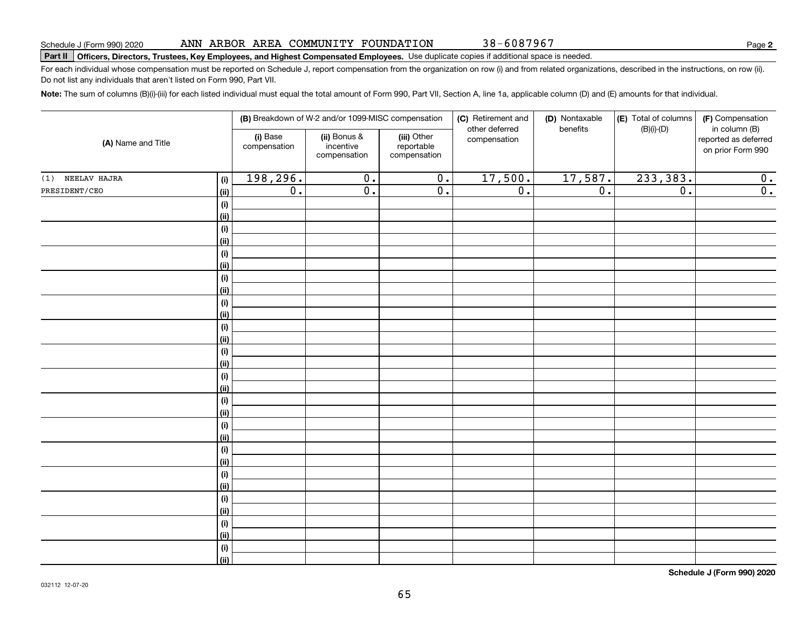|                    |            |                                                                       | (B) Breakdown of W-2 and/or 1099-MISC compensation |                                           | (C) Retirement and             | (D) Nontaxable<br>benefits | (E) Total of columns | (F) Compensation                                           |  |
|--------------------|------------|-----------------------------------------------------------------------|----------------------------------------------------|-------------------------------------------|--------------------------------|----------------------------|----------------------|------------------------------------------------------------|--|
| (A) Name and Title |            | (i) Base<br>(ii) Bonus &<br>incentive<br>compensation<br>compensation |                                                    | (iii) Other<br>reportable<br>compensation | other deferred<br>compensation |                            | $(B)(i)-(D)$         | in column (B)<br>reported as deferred<br>on prior Form 990 |  |
| (1) NEELAV HAJRA   | (i)        | 198,296.                                                              | $\overline{0}$ .                                   | $\overline{0}$ .                          | 17,500.                        | 17,587.                    | 233, 383.            | 0.                                                         |  |
| PRESIDENT/CEO      | (ii)       | $\overline{0}$ .                                                      | $\overline{\mathfrak{o}}$ .                        | $\overline{0}$ .                          | $\overline{0}$ .               | $\overline{0}$ .           | $\overline{0}$ .     | $\overline{0}$ .                                           |  |
|                    | (i)        |                                                                       |                                                    |                                           |                                |                            |                      |                                                            |  |
|                    | (ii)       |                                                                       |                                                    |                                           |                                |                            |                      |                                                            |  |
|                    | $(\sf{i})$ |                                                                       |                                                    |                                           |                                |                            |                      |                                                            |  |
|                    | (ii)       |                                                                       |                                                    |                                           |                                |                            |                      |                                                            |  |
|                    | $(\sf{i})$ |                                                                       |                                                    |                                           |                                |                            |                      |                                                            |  |
|                    | (ii)       |                                                                       |                                                    |                                           |                                |                            |                      |                                                            |  |
|                    | $(\sf{i})$ |                                                                       |                                                    |                                           |                                |                            |                      |                                                            |  |
|                    | (ii)       |                                                                       |                                                    |                                           |                                |                            |                      |                                                            |  |
|                    | $(\sf{i})$ |                                                                       |                                                    |                                           |                                |                            |                      |                                                            |  |
|                    | (ii)       |                                                                       |                                                    |                                           |                                |                            |                      |                                                            |  |
|                    | $(\sf{i})$ |                                                                       |                                                    |                                           |                                |                            |                      |                                                            |  |
|                    | (ii)       |                                                                       |                                                    |                                           |                                |                            |                      |                                                            |  |
|                    | $(\sf{i})$ |                                                                       |                                                    |                                           |                                |                            |                      |                                                            |  |
|                    | (ii)       |                                                                       |                                                    |                                           |                                |                            |                      |                                                            |  |
|                    | $(\sf{i})$ |                                                                       |                                                    |                                           |                                |                            |                      |                                                            |  |
|                    | (ii)       |                                                                       |                                                    |                                           |                                |                            |                      |                                                            |  |
|                    | $(\sf{i})$ |                                                                       |                                                    |                                           |                                |                            |                      |                                                            |  |
|                    | (ii)       |                                                                       |                                                    |                                           |                                |                            |                      |                                                            |  |
|                    | $(\sf{i})$ |                                                                       |                                                    |                                           |                                |                            |                      |                                                            |  |
|                    | (i)        |                                                                       |                                                    |                                           |                                |                            |                      |                                                            |  |
|                    | $(\sf{i})$ |                                                                       |                                                    |                                           |                                |                            |                      |                                                            |  |
|                    | (ii)       |                                                                       |                                                    |                                           |                                |                            |                      |                                                            |  |
|                    | $(\sf{i})$ |                                                                       |                                                    |                                           |                                |                            |                      |                                                            |  |
|                    | (ii)       |                                                                       |                                                    |                                           |                                |                            |                      |                                                            |  |
|                    | (i)        |                                                                       |                                                    |                                           |                                |                            |                      |                                                            |  |
|                    | (ii)       |                                                                       |                                                    |                                           |                                |                            |                      |                                                            |  |
|                    | $(\sf{i})$ |                                                                       |                                                    |                                           |                                |                            |                      |                                                            |  |
|                    | (ii)       |                                                                       |                                                    |                                           |                                |                            |                      |                                                            |  |
|                    | (i)        |                                                                       |                                                    |                                           |                                |                            |                      |                                                            |  |
|                    | (ii)       |                                                                       |                                                    |                                           |                                |                            |                      |                                                            |  |

65

## ANN ARBOR AREA COMMUNITY FOUNDATION

**Part II Officers, Directors, Trustees, Key Employees, and Highest Compensated Employees.**  Schedule J (Form 990) 2020 Page Use duplicate copies if additional space is needed.

For each individual whose compensation must be reported on Schedule J, report compensation from the organization on row (i) and from related organizations, described in the instructions, on row (ii). Do not list any individuals that aren't listed on Form 990, Part VII.

**Note:**  The sum of columns (B)(i)-(iii) for each listed individual must equal the total amount of Form 990, Part VII, Section A, line 1a, applicable column (D) and (E) amounts for that individual.

38-6087967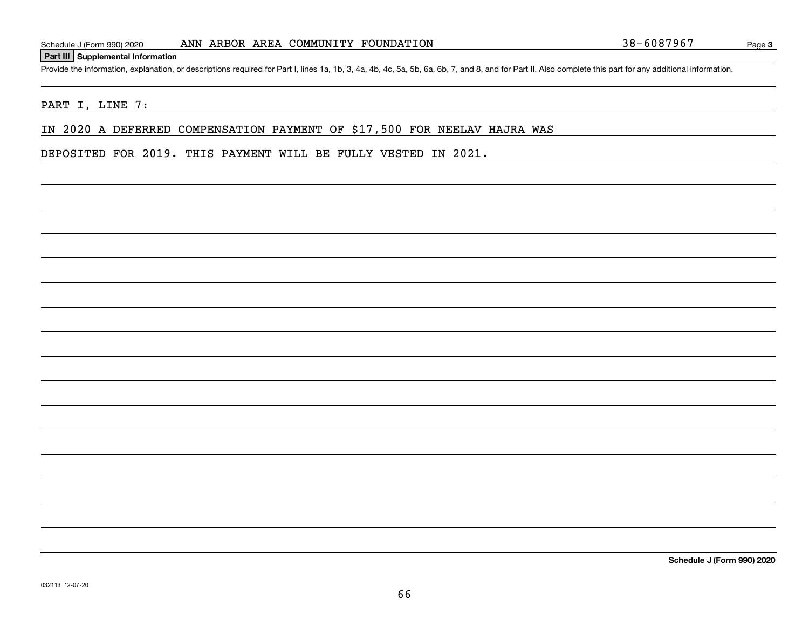#### **Part III Supplemental Information**

Schedule J (Form 990) 2020 ANN ARBOR AREA COMMUNITY FOUNDATION 38-6087967<br>Part III Supplemental Information<br>Provide the information, explanation, or descriptions required for Part I, lines 1a, 1b, 3, 4a, 4b, 4c, 5a, 5b, 6a

## PART I, LINE 7:

IN 2020 A DEFERRED COMPENSATION PAYMENT OF \$17,500 FOR NEELAV HAJRA WAS

DEPOSITED FOR 2019. THIS PAYMENT WILL BE FULLY VESTED IN 2021.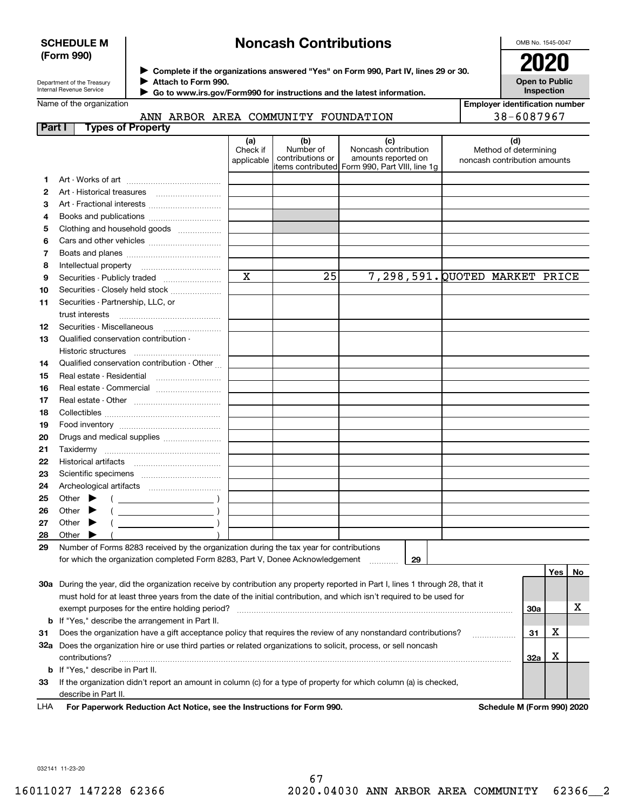## **SCHEDULE M (Form 990)**

# **Noncash Contributions**

OMB No. 1545-0047

| Department of the Treasury |
|----------------------------|
| Internal Revenue Service   |

**Complete if the organizations answered "Yes" on Form 990, Part IV, lines 29 or 30.** <sup>J</sup>**2020 Attach to Form 990.** J

 **Go to www.irs.gov/Form990 for instructions and the latest information.** J

| <b>Open to Public</b> |
|-----------------------|
| Inspection            |

|  | Name of the organization |
|--|--------------------------|
|--|--------------------------|

# ANN ARBOR AREA COMMUNITY FOUNDATION

**Employer identification number** 38-6087967

| (d)<br>(a)<br>(b)<br>(c)<br>Number of<br>Noncash contribution<br>Check if<br>Method of determining<br>contributions or<br>amounts reported on<br>applicable<br>noncash contribution amounts<br>Form 990, Part VIII, line 1g<br>items contributed <br>1<br>2<br>з<br>Art - Fractional interests<br>4<br>Books and publications<br>Clothing and household goods<br>5<br>6<br>7<br>8<br>$\mathbf x$<br>25<br>7,298,591. QUOTED MARKET PRICE<br>Securities - Publicly traded<br>9<br>Securities - Closely held stock<br>10<br>Securities - Partnership, LLC, or<br>11<br>trust interests<br>12<br>Qualified conservation contribution -<br>13<br>Qualified conservation contribution - Other<br>14<br>15<br>16<br>Real estate - Commercial<br>17<br>18<br>19<br>20<br>Drugs and medical supplies<br>21<br>22<br>23<br>24<br>Other<br>25<br>$\overline{\phantom{a}}$<br>26<br>Other<br>Other<br>27<br>28<br>Other<br>29<br>Number of Forms 8283 received by the organization during the tax year for contributions<br>for which the organization completed Form 8283, Part V, Donee Acknowledgement<br>29<br>Yes<br><u>No</u><br>30a During the year, did the organization receive by contribution any property reported in Part I, lines 1 through 28, that it<br>must hold for at least three years from the date of the initial contribution, and which isn't required to be used for<br>х<br>exempt purposes for the entire holding period?<br>30a<br><b>b</b> If "Yes," describe the arrangement in Part II.<br>х<br>Does the organization have a gift acceptance policy that requires the review of any nonstandard contributions?<br>31<br>31<br>32a Does the organization hire or use third parties or related organizations to solicit, process, or sell noncash<br>X<br>32a<br>contributions?<br><b>b</b> If "Yes," describe in Part II.<br>If the organization didn't report an amount in column (c) for a type of property for which column (a) is checked,<br>33 | Part I | <b>Types of Property</b> |  |  |  |  |
|--------------------------------------------------------------------------------------------------------------------------------------------------------------------------------------------------------------------------------------------------------------------------------------------------------------------------------------------------------------------------------------------------------------------------------------------------------------------------------------------------------------------------------------------------------------------------------------------------------------------------------------------------------------------------------------------------------------------------------------------------------------------------------------------------------------------------------------------------------------------------------------------------------------------------------------------------------------------------------------------------------------------------------------------------------------------------------------------------------------------------------------------------------------------------------------------------------------------------------------------------------------------------------------------------------------------------------------------------------------------------------------------------------------------------------------------------------------------------------------------------------------------------------------------------------------------------------------------------------------------------------------------------------------------------------------------------------------------------------------------------------------------------------------------------------------------------------------------------------------------------------------------------------------------------------------------------------------------------|--------|--------------------------|--|--|--|--|
|                                                                                                                                                                                                                                                                                                                                                                                                                                                                                                                                                                                                                                                                                                                                                                                                                                                                                                                                                                                                                                                                                                                                                                                                                                                                                                                                                                                                                                                                                                                                                                                                                                                                                                                                                                                                                                                                                                                                                                          |        |                          |  |  |  |  |
|                                                                                                                                                                                                                                                                                                                                                                                                                                                                                                                                                                                                                                                                                                                                                                                                                                                                                                                                                                                                                                                                                                                                                                                                                                                                                                                                                                                                                                                                                                                                                                                                                                                                                                                                                                                                                                                                                                                                                                          |        |                          |  |  |  |  |
|                                                                                                                                                                                                                                                                                                                                                                                                                                                                                                                                                                                                                                                                                                                                                                                                                                                                                                                                                                                                                                                                                                                                                                                                                                                                                                                                                                                                                                                                                                                                                                                                                                                                                                                                                                                                                                                                                                                                                                          |        |                          |  |  |  |  |
|                                                                                                                                                                                                                                                                                                                                                                                                                                                                                                                                                                                                                                                                                                                                                                                                                                                                                                                                                                                                                                                                                                                                                                                                                                                                                                                                                                                                                                                                                                                                                                                                                                                                                                                                                                                                                                                                                                                                                                          |        |                          |  |  |  |  |
|                                                                                                                                                                                                                                                                                                                                                                                                                                                                                                                                                                                                                                                                                                                                                                                                                                                                                                                                                                                                                                                                                                                                                                                                                                                                                                                                                                                                                                                                                                                                                                                                                                                                                                                                                                                                                                                                                                                                                                          |        |                          |  |  |  |  |
|                                                                                                                                                                                                                                                                                                                                                                                                                                                                                                                                                                                                                                                                                                                                                                                                                                                                                                                                                                                                                                                                                                                                                                                                                                                                                                                                                                                                                                                                                                                                                                                                                                                                                                                                                                                                                                                                                                                                                                          |        |                          |  |  |  |  |
|                                                                                                                                                                                                                                                                                                                                                                                                                                                                                                                                                                                                                                                                                                                                                                                                                                                                                                                                                                                                                                                                                                                                                                                                                                                                                                                                                                                                                                                                                                                                                                                                                                                                                                                                                                                                                                                                                                                                                                          |        |                          |  |  |  |  |
|                                                                                                                                                                                                                                                                                                                                                                                                                                                                                                                                                                                                                                                                                                                                                                                                                                                                                                                                                                                                                                                                                                                                                                                                                                                                                                                                                                                                                                                                                                                                                                                                                                                                                                                                                                                                                                                                                                                                                                          |        |                          |  |  |  |  |
|                                                                                                                                                                                                                                                                                                                                                                                                                                                                                                                                                                                                                                                                                                                                                                                                                                                                                                                                                                                                                                                                                                                                                                                                                                                                                                                                                                                                                                                                                                                                                                                                                                                                                                                                                                                                                                                                                                                                                                          |        |                          |  |  |  |  |
|                                                                                                                                                                                                                                                                                                                                                                                                                                                                                                                                                                                                                                                                                                                                                                                                                                                                                                                                                                                                                                                                                                                                                                                                                                                                                                                                                                                                                                                                                                                                                                                                                                                                                                                                                                                                                                                                                                                                                                          |        |                          |  |  |  |  |
|                                                                                                                                                                                                                                                                                                                                                                                                                                                                                                                                                                                                                                                                                                                                                                                                                                                                                                                                                                                                                                                                                                                                                                                                                                                                                                                                                                                                                                                                                                                                                                                                                                                                                                                                                                                                                                                                                                                                                                          |        |                          |  |  |  |  |
|                                                                                                                                                                                                                                                                                                                                                                                                                                                                                                                                                                                                                                                                                                                                                                                                                                                                                                                                                                                                                                                                                                                                                                                                                                                                                                                                                                                                                                                                                                                                                                                                                                                                                                                                                                                                                                                                                                                                                                          |        |                          |  |  |  |  |
|                                                                                                                                                                                                                                                                                                                                                                                                                                                                                                                                                                                                                                                                                                                                                                                                                                                                                                                                                                                                                                                                                                                                                                                                                                                                                                                                                                                                                                                                                                                                                                                                                                                                                                                                                                                                                                                                                                                                                                          |        |                          |  |  |  |  |
|                                                                                                                                                                                                                                                                                                                                                                                                                                                                                                                                                                                                                                                                                                                                                                                                                                                                                                                                                                                                                                                                                                                                                                                                                                                                                                                                                                                                                                                                                                                                                                                                                                                                                                                                                                                                                                                                                                                                                                          |        |                          |  |  |  |  |
|                                                                                                                                                                                                                                                                                                                                                                                                                                                                                                                                                                                                                                                                                                                                                                                                                                                                                                                                                                                                                                                                                                                                                                                                                                                                                                                                                                                                                                                                                                                                                                                                                                                                                                                                                                                                                                                                                                                                                                          |        |                          |  |  |  |  |
|                                                                                                                                                                                                                                                                                                                                                                                                                                                                                                                                                                                                                                                                                                                                                                                                                                                                                                                                                                                                                                                                                                                                                                                                                                                                                                                                                                                                                                                                                                                                                                                                                                                                                                                                                                                                                                                                                                                                                                          |        |                          |  |  |  |  |
|                                                                                                                                                                                                                                                                                                                                                                                                                                                                                                                                                                                                                                                                                                                                                                                                                                                                                                                                                                                                                                                                                                                                                                                                                                                                                                                                                                                                                                                                                                                                                                                                                                                                                                                                                                                                                                                                                                                                                                          |        |                          |  |  |  |  |
|                                                                                                                                                                                                                                                                                                                                                                                                                                                                                                                                                                                                                                                                                                                                                                                                                                                                                                                                                                                                                                                                                                                                                                                                                                                                                                                                                                                                                                                                                                                                                                                                                                                                                                                                                                                                                                                                                                                                                                          |        |                          |  |  |  |  |
|                                                                                                                                                                                                                                                                                                                                                                                                                                                                                                                                                                                                                                                                                                                                                                                                                                                                                                                                                                                                                                                                                                                                                                                                                                                                                                                                                                                                                                                                                                                                                                                                                                                                                                                                                                                                                                                                                                                                                                          |        |                          |  |  |  |  |
|                                                                                                                                                                                                                                                                                                                                                                                                                                                                                                                                                                                                                                                                                                                                                                                                                                                                                                                                                                                                                                                                                                                                                                                                                                                                                                                                                                                                                                                                                                                                                                                                                                                                                                                                                                                                                                                                                                                                                                          |        |                          |  |  |  |  |
|                                                                                                                                                                                                                                                                                                                                                                                                                                                                                                                                                                                                                                                                                                                                                                                                                                                                                                                                                                                                                                                                                                                                                                                                                                                                                                                                                                                                                                                                                                                                                                                                                                                                                                                                                                                                                                                                                                                                                                          |        |                          |  |  |  |  |
|                                                                                                                                                                                                                                                                                                                                                                                                                                                                                                                                                                                                                                                                                                                                                                                                                                                                                                                                                                                                                                                                                                                                                                                                                                                                                                                                                                                                                                                                                                                                                                                                                                                                                                                                                                                                                                                                                                                                                                          |        |                          |  |  |  |  |
|                                                                                                                                                                                                                                                                                                                                                                                                                                                                                                                                                                                                                                                                                                                                                                                                                                                                                                                                                                                                                                                                                                                                                                                                                                                                                                                                                                                                                                                                                                                                                                                                                                                                                                                                                                                                                                                                                                                                                                          |        |                          |  |  |  |  |
|                                                                                                                                                                                                                                                                                                                                                                                                                                                                                                                                                                                                                                                                                                                                                                                                                                                                                                                                                                                                                                                                                                                                                                                                                                                                                                                                                                                                                                                                                                                                                                                                                                                                                                                                                                                                                                                                                                                                                                          |        |                          |  |  |  |  |
|                                                                                                                                                                                                                                                                                                                                                                                                                                                                                                                                                                                                                                                                                                                                                                                                                                                                                                                                                                                                                                                                                                                                                                                                                                                                                                                                                                                                                                                                                                                                                                                                                                                                                                                                                                                                                                                                                                                                                                          |        |                          |  |  |  |  |
|                                                                                                                                                                                                                                                                                                                                                                                                                                                                                                                                                                                                                                                                                                                                                                                                                                                                                                                                                                                                                                                                                                                                                                                                                                                                                                                                                                                                                                                                                                                                                                                                                                                                                                                                                                                                                                                                                                                                                                          |        |                          |  |  |  |  |
|                                                                                                                                                                                                                                                                                                                                                                                                                                                                                                                                                                                                                                                                                                                                                                                                                                                                                                                                                                                                                                                                                                                                                                                                                                                                                                                                                                                                                                                                                                                                                                                                                                                                                                                                                                                                                                                                                                                                                                          |        |                          |  |  |  |  |
|                                                                                                                                                                                                                                                                                                                                                                                                                                                                                                                                                                                                                                                                                                                                                                                                                                                                                                                                                                                                                                                                                                                                                                                                                                                                                                                                                                                                                                                                                                                                                                                                                                                                                                                                                                                                                                                                                                                                                                          |        |                          |  |  |  |  |
|                                                                                                                                                                                                                                                                                                                                                                                                                                                                                                                                                                                                                                                                                                                                                                                                                                                                                                                                                                                                                                                                                                                                                                                                                                                                                                                                                                                                                                                                                                                                                                                                                                                                                                                                                                                                                                                                                                                                                                          |        |                          |  |  |  |  |
|                                                                                                                                                                                                                                                                                                                                                                                                                                                                                                                                                                                                                                                                                                                                                                                                                                                                                                                                                                                                                                                                                                                                                                                                                                                                                                                                                                                                                                                                                                                                                                                                                                                                                                                                                                                                                                                                                                                                                                          |        |                          |  |  |  |  |
|                                                                                                                                                                                                                                                                                                                                                                                                                                                                                                                                                                                                                                                                                                                                                                                                                                                                                                                                                                                                                                                                                                                                                                                                                                                                                                                                                                                                                                                                                                                                                                                                                                                                                                                                                                                                                                                                                                                                                                          |        |                          |  |  |  |  |
|                                                                                                                                                                                                                                                                                                                                                                                                                                                                                                                                                                                                                                                                                                                                                                                                                                                                                                                                                                                                                                                                                                                                                                                                                                                                                                                                                                                                                                                                                                                                                                                                                                                                                                                                                                                                                                                                                                                                                                          |        |                          |  |  |  |  |
|                                                                                                                                                                                                                                                                                                                                                                                                                                                                                                                                                                                                                                                                                                                                                                                                                                                                                                                                                                                                                                                                                                                                                                                                                                                                                                                                                                                                                                                                                                                                                                                                                                                                                                                                                                                                                                                                                                                                                                          |        |                          |  |  |  |  |
|                                                                                                                                                                                                                                                                                                                                                                                                                                                                                                                                                                                                                                                                                                                                                                                                                                                                                                                                                                                                                                                                                                                                                                                                                                                                                                                                                                                                                                                                                                                                                                                                                                                                                                                                                                                                                                                                                                                                                                          |        |                          |  |  |  |  |
|                                                                                                                                                                                                                                                                                                                                                                                                                                                                                                                                                                                                                                                                                                                                                                                                                                                                                                                                                                                                                                                                                                                                                                                                                                                                                                                                                                                                                                                                                                                                                                                                                                                                                                                                                                                                                                                                                                                                                                          |        |                          |  |  |  |  |
|                                                                                                                                                                                                                                                                                                                                                                                                                                                                                                                                                                                                                                                                                                                                                                                                                                                                                                                                                                                                                                                                                                                                                                                                                                                                                                                                                                                                                                                                                                                                                                                                                                                                                                                                                                                                                                                                                                                                                                          |        |                          |  |  |  |  |
|                                                                                                                                                                                                                                                                                                                                                                                                                                                                                                                                                                                                                                                                                                                                                                                                                                                                                                                                                                                                                                                                                                                                                                                                                                                                                                                                                                                                                                                                                                                                                                                                                                                                                                                                                                                                                                                                                                                                                                          |        |                          |  |  |  |  |
|                                                                                                                                                                                                                                                                                                                                                                                                                                                                                                                                                                                                                                                                                                                                                                                                                                                                                                                                                                                                                                                                                                                                                                                                                                                                                                                                                                                                                                                                                                                                                                                                                                                                                                                                                                                                                                                                                                                                                                          |        |                          |  |  |  |  |
|                                                                                                                                                                                                                                                                                                                                                                                                                                                                                                                                                                                                                                                                                                                                                                                                                                                                                                                                                                                                                                                                                                                                                                                                                                                                                                                                                                                                                                                                                                                                                                                                                                                                                                                                                                                                                                                                                                                                                                          |        |                          |  |  |  |  |
|                                                                                                                                                                                                                                                                                                                                                                                                                                                                                                                                                                                                                                                                                                                                                                                                                                                                                                                                                                                                                                                                                                                                                                                                                                                                                                                                                                                                                                                                                                                                                                                                                                                                                                                                                                                                                                                                                                                                                                          |        |                          |  |  |  |  |
|                                                                                                                                                                                                                                                                                                                                                                                                                                                                                                                                                                                                                                                                                                                                                                                                                                                                                                                                                                                                                                                                                                                                                                                                                                                                                                                                                                                                                                                                                                                                                                                                                                                                                                                                                                                                                                                                                                                                                                          |        |                          |  |  |  |  |
|                                                                                                                                                                                                                                                                                                                                                                                                                                                                                                                                                                                                                                                                                                                                                                                                                                                                                                                                                                                                                                                                                                                                                                                                                                                                                                                                                                                                                                                                                                                                                                                                                                                                                                                                                                                                                                                                                                                                                                          |        |                          |  |  |  |  |
|                                                                                                                                                                                                                                                                                                                                                                                                                                                                                                                                                                                                                                                                                                                                                                                                                                                                                                                                                                                                                                                                                                                                                                                                                                                                                                                                                                                                                                                                                                                                                                                                                                                                                                                                                                                                                                                                                                                                                                          |        |                          |  |  |  |  |
|                                                                                                                                                                                                                                                                                                                                                                                                                                                                                                                                                                                                                                                                                                                                                                                                                                                                                                                                                                                                                                                                                                                                                                                                                                                                                                                                                                                                                                                                                                                                                                                                                                                                                                                                                                                                                                                                                                                                                                          |        | describe in Part II.     |  |  |  |  |

For Paperwork Reduction Act Notice, see the Instructions for Form 990. **Schedule M (Form 990) 2020** LHA

032141 11-23-20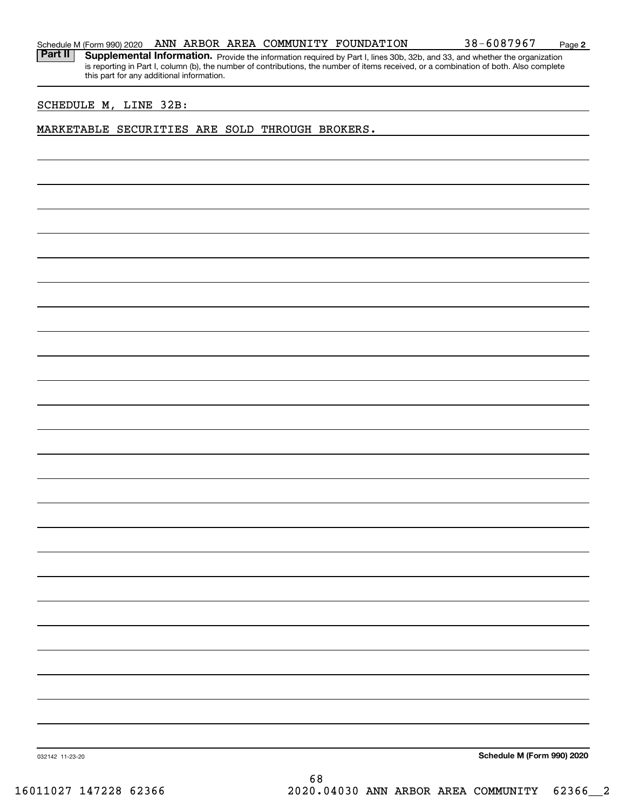**2**

Part II | Supplemental Information. Provide the information required by Part I, lines 30b, 32b, and 33, and whether the organization is reporting in Part I, column (b), the number of contributions, the number of items received, or a combination of both. Also complete this part for any additional information.

## SCHEDULE M, LINE 32B:

## MARKETABLE SECURITIES ARE SOLD THROUGH BROKERS.

**Schedule M (Form 990) 2020**

032142 11-23-20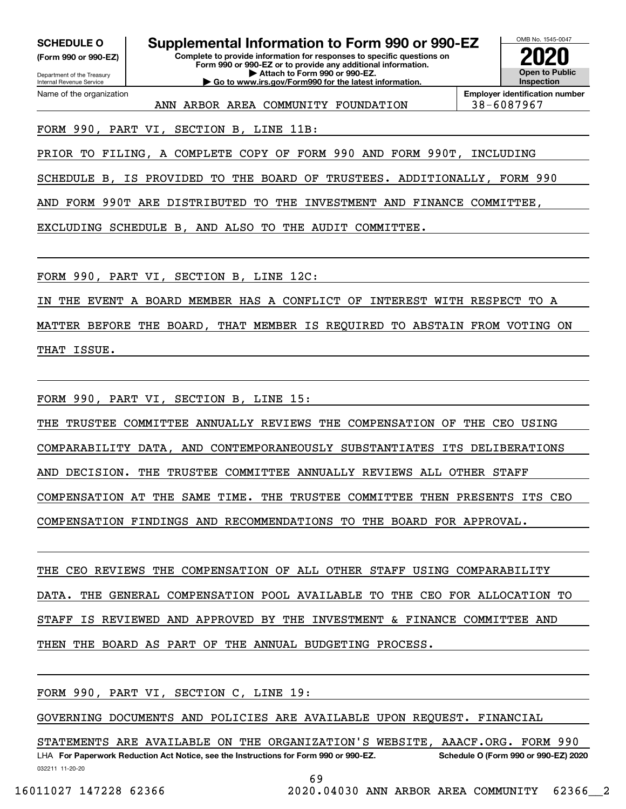**(Form 990 or 990-EZ)**

Department of the Treasury Internal Revenue Service Name of the organization

**Complete to provide information for responses to specific questions on Form 990 or 990-EZ or to provide any additional information. | Attach to Form 990 or 990-EZ. | Go to www.irs.gov/Form990 for the latest information. SCHEDULE O Supplemental Information to Form 990 or 990-EZ**



**Employer identification number** ANN ARBOR AREA COMMUNITY FOUNDATION 38-6087967

FORM 990, PART VI, SECTION B, LINE 11B:

PRIOR TO FILING, A COMPLETE COPY OF FORM 990 AND FORM 990T, INCLUDING

SCHEDULE B, IS PROVIDED TO THE BOARD OF TRUSTEES. ADDITIONALLY, FORM 990

AND FORM 990T ARE DISTRIBUTED TO THE INVESTMENT AND FINANCE COMMITTEE,

EXCLUDING SCHEDULE B, AND ALSO TO THE AUDIT COMMITTEE.

FORM 990, PART VI, SECTION B, LINE 12C:

IN THE EVENT A BOARD MEMBER HAS A CONFLICT OF INTEREST WITH RESPECT TO A

MATTER BEFORE THE BOARD, THAT MEMBER IS REQUIRED TO ABSTAIN FROM VOTING ON THAT ISSUE.

FORM 990, PART VI, SECTION B, LINE 15:

THE TRUSTEE COMMITTEE ANNUALLY REVIEWS THE COMPENSATION OF THE CEO USING

COMPARABILITY DATA, AND CONTEMPORANEOUSLY SUBSTANTIATES ITS DELIBERATIONS

AND DECISION. THE TRUSTEE COMMITTEE ANNUALLY REVIEWS ALL OTHER STAFF

COMPENSATION AT THE SAME TIME. THE TRUSTEE COMMITTEE THEN PRESENTS ITS CEO

COMPENSATION FINDINGS AND RECOMMENDATIONS TO THE BOARD FOR APPROVAL.

THE CEO REVIEWS THE COMPENSATION OF ALL OTHER STAFF USING COMPARABILITY DATA. THE GENERAL COMPENSATION POOL AVAILABLE TO THE CEO FOR ALLOCATION TO STAFF IS REVIEWED AND APPROVED BY THE INVESTMENT & FINANCE COMMITTEE AND THEN THE BOARD AS PART OF THE ANNUAL BUDGETING PROCESS.

FORM 990, PART VI, SECTION C, LINE 19:

GOVERNING DOCUMENTS AND POLICIES ARE AVAILABLE UPON REQUEST. FINANCIAL

032211 11-20-20 LHA For Paperwork Reduction Act Notice, see the Instructions for Form 990 or 990-EZ. Schedule O (Form 990 or 990-EZ) 2020 STATEMENTS ARE AVAILABLE ON THE ORGANIZATION'S WEBSITE, AAACF.ORG. FORM 990

69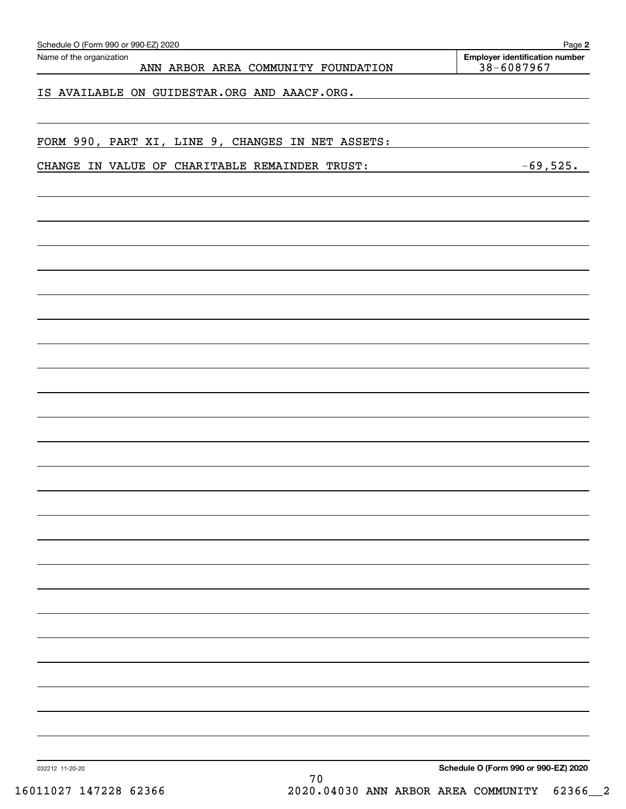| ANN ARBOR AREA COMMUNITY FOUNDATION<br>IS AVAILABLE ON GUIDESTAR.ORG AND AAACF.ORG.<br>FORM 990, PART XI, LINE 9, CHANGES IN NET ASSETS:<br>CHANGE IN VALUE OF CHARITABLE REMAINDER TRUST: |  | 38-6087967                           | $-69,525$ . |
|--------------------------------------------------------------------------------------------------------------------------------------------------------------------------------------------|--|--------------------------------------|-------------|
|                                                                                                                                                                                            |  |                                      |             |
|                                                                                                                                                                                            |  |                                      |             |
|                                                                                                                                                                                            |  |                                      |             |
|                                                                                                                                                                                            |  |                                      |             |
|                                                                                                                                                                                            |  |                                      |             |
|                                                                                                                                                                                            |  |                                      |             |
|                                                                                                                                                                                            |  |                                      |             |
|                                                                                                                                                                                            |  |                                      |             |
|                                                                                                                                                                                            |  |                                      |             |
|                                                                                                                                                                                            |  |                                      |             |
|                                                                                                                                                                                            |  |                                      |             |
|                                                                                                                                                                                            |  |                                      |             |
|                                                                                                                                                                                            |  |                                      |             |
|                                                                                                                                                                                            |  |                                      |             |
|                                                                                                                                                                                            |  |                                      |             |
|                                                                                                                                                                                            |  |                                      |             |
|                                                                                                                                                                                            |  |                                      |             |
|                                                                                                                                                                                            |  |                                      |             |
|                                                                                                                                                                                            |  |                                      |             |
|                                                                                                                                                                                            |  |                                      |             |
|                                                                                                                                                                                            |  |                                      |             |
|                                                                                                                                                                                            |  |                                      |             |
|                                                                                                                                                                                            |  |                                      |             |
|                                                                                                                                                                                            |  |                                      |             |
|                                                                                                                                                                                            |  |                                      |             |
|                                                                                                                                                                                            |  |                                      |             |
|                                                                                                                                                                                            |  |                                      |             |
|                                                                                                                                                                                            |  |                                      |             |
|                                                                                                                                                                                            |  |                                      |             |
|                                                                                                                                                                                            |  |                                      |             |
|                                                                                                                                                                                            |  |                                      |             |
|                                                                                                                                                                                            |  |                                      |             |
|                                                                                                                                                                                            |  |                                      |             |
|                                                                                                                                                                                            |  |                                      |             |
|                                                                                                                                                                                            |  |                                      |             |
|                                                                                                                                                                                            |  |                                      |             |
|                                                                                                                                                                                            |  |                                      |             |
|                                                                                                                                                                                            |  |                                      |             |
|                                                                                                                                                                                            |  |                                      |             |
|                                                                                                                                                                                            |  |                                      |             |
|                                                                                                                                                                                            |  |                                      |             |
| 032212 11-20-20                                                                                                                                                                            |  | Schedule O (Form 990 or 990-EZ) 2020 |             |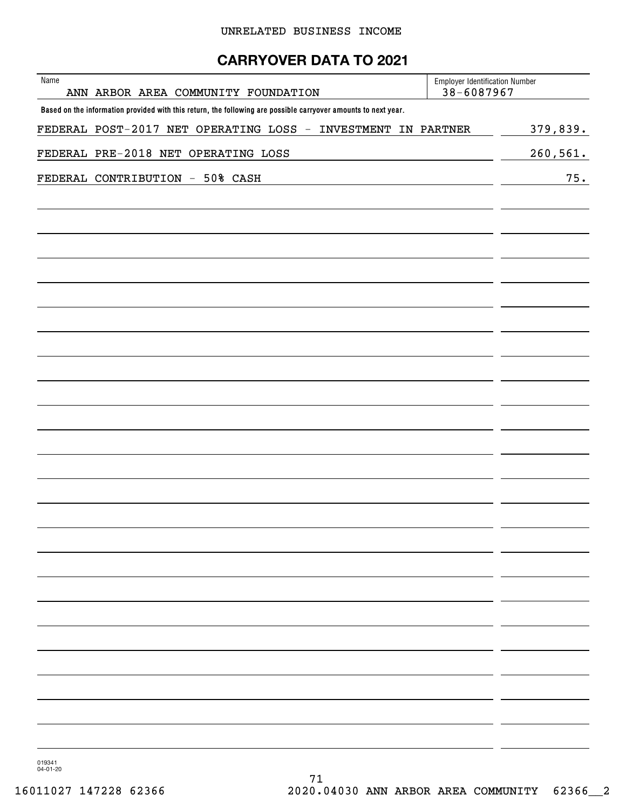# **CARRYOVER DATA TO 2021**

| Name | ANN ARBOR AREA COMMUNITY FOUNDATION                                                                            | <b>Employer Identification Number</b><br>38-6087967 |          |
|------|----------------------------------------------------------------------------------------------------------------|-----------------------------------------------------|----------|
|      | Based on the information provided with this return, the following are possible carryover amounts to next year. |                                                     |          |
|      | FEDERAL POST-2017 NET OPERATING LOSS - INVESTMENT IN PARTNER                                                   |                                                     | 379,839. |
|      | FEDERAL PRE-2018 NET OPERATING LOSS                                                                            |                                                     | 260,561. |
|      | FEDERAL CONTRIBUTION - 50% CASH                                                                                |                                                     | 75.      |
|      |                                                                                                                |                                                     |          |
|      |                                                                                                                |                                                     |          |
|      |                                                                                                                |                                                     |          |
|      |                                                                                                                |                                                     |          |
|      |                                                                                                                |                                                     |          |
|      |                                                                                                                |                                                     |          |
|      |                                                                                                                |                                                     |          |
|      |                                                                                                                |                                                     |          |
|      |                                                                                                                |                                                     |          |
|      |                                                                                                                |                                                     |          |
|      |                                                                                                                |                                                     |          |
|      |                                                                                                                |                                                     |          |
|      |                                                                                                                |                                                     |          |
|      |                                                                                                                |                                                     |          |
|      |                                                                                                                |                                                     |          |
|      |                                                                                                                |                                                     |          |
|      |                                                                                                                |                                                     |          |
|      |                                                                                                                |                                                     |          |
|      |                                                                                                                |                                                     |          |
|      |                                                                                                                |                                                     |          |
|      |                                                                                                                |                                                     |          |

019341 04-01-20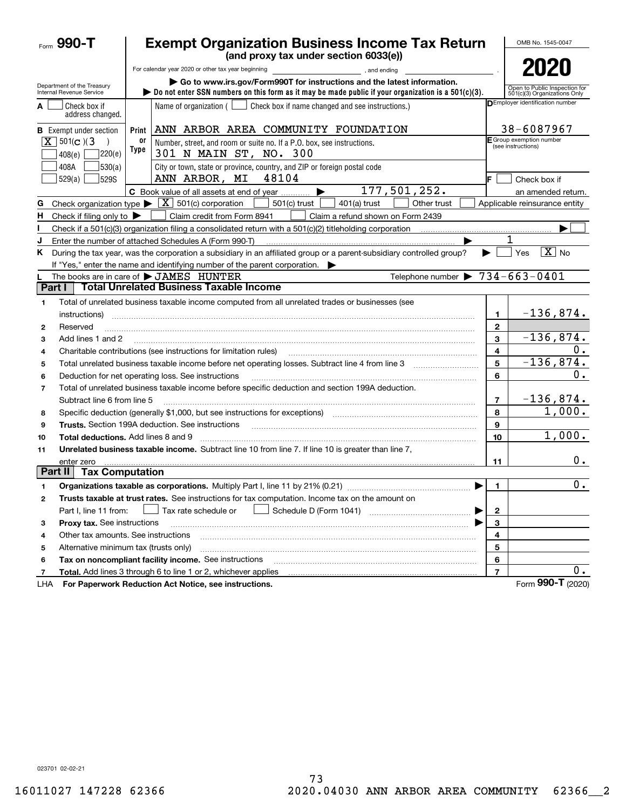|                          | <b>Exempt Organization Business Income Tax Return</b><br>Form 990-T<br>(and proxy tax under section 6033(e)) |                                                |                                                                                                                                                                                                                           |                |                                                               |  |  |  |
|--------------------------|--------------------------------------------------------------------------------------------------------------|------------------------------------------------|---------------------------------------------------------------------------------------------------------------------------------------------------------------------------------------------------------------------------|----------------|---------------------------------------------------------------|--|--|--|
|                          |                                                                                                              |                                                | For calendar year 2020 or other tax year beginning<br>and ending, and ending                                                                                                                                              |                | 2020                                                          |  |  |  |
|                          | Department of the Treasury<br>Internal Revenue Service                                                       |                                                | Go to www.irs.gov/Form990T for instructions and the latest information.<br>bo not enter SSN numbers on this form as it may be made public if your organization is a $501(c)(3)$ .                                         |                | Open to Public Inspection for<br>501(c)(3) Organizations Only |  |  |  |
| A                        | Check box if<br>address changed.                                                                             |                                                | Name of organization ( $\Box$ Check box if name changed and see instructions.)                                                                                                                                            |                | DEmployer identification number                               |  |  |  |
|                          | <b>B</b> Exempt under section                                                                                | Print                                          | ANN ARBOR AREA COMMUNITY FOUNDATION                                                                                                                                                                                       |                | 38-6087967                                                    |  |  |  |
|                          | $\overline{X}$ 501(c)(3)<br> 220(e) <br>408(e)                                                               | E Group exemption number<br>(see instructions) |                                                                                                                                                                                                                           |                |                                                               |  |  |  |
|                          | 408A<br>530(a)<br>529(a)<br>529S                                                                             |                                                | Check box if                                                                                                                                                                                                              |                |                                                               |  |  |  |
|                          |                                                                                                              |                                                | 177,501,252.<br>C Book value of all assets at end of year                                                                                                                                                                 |                | an amended return.                                            |  |  |  |
| G                        |                                                                                                              |                                                | Check organization type $\blacktriangleright \lfloor \underline{X} \rfloor$ 501(c) corporation<br>501(c) trust<br>$401(a)$ trust<br>Other trust                                                                           |                | Applicable reinsurance entity                                 |  |  |  |
| н.                       | Check if filing only to $\blacktriangleright$                                                                |                                                | Claim credit from Form 8941<br>Claim a refund shown on Form 2439                                                                                                                                                          |                |                                                               |  |  |  |
|                          |                                                                                                              |                                                |                                                                                                                                                                                                                           |                |                                                               |  |  |  |
| J                        |                                                                                                              |                                                | Enter the number of attached Schedules A (Form 990-T)                                                                                                                                                                     |                | 1                                                             |  |  |  |
| Κ                        |                                                                                                              |                                                | During the tax year, was the corporation a subsidiary in an affiliated group or a parent-subsidiary controlled group?<br>If "Yes," enter the name and identifying number of the parent corporation. $\blacktriangleright$ | ▶              | $\boxed{\text{X}}$ No<br>Yes                                  |  |  |  |
|                          |                                                                                                              |                                                | Telephone number $\triangleright$ 734-663-0401<br>The books are in care of $\blacktriangleright$ JAMES HUNTER                                                                                                             |                |                                                               |  |  |  |
| Part I                   |                                                                                                              |                                                | <b>Total Unrelated Business Taxable Income</b>                                                                                                                                                                            |                |                                                               |  |  |  |
| 1                        |                                                                                                              |                                                | Total of unrelated business taxable income computed from all unrelated trades or businesses (see                                                                                                                          |                |                                                               |  |  |  |
|                          | instructions)                                                                                                |                                                |                                                                                                                                                                                                                           | 1.             | $-136,874.$                                                   |  |  |  |
| 2                        | Reserved                                                                                                     |                                                |                                                                                                                                                                                                                           | $\mathbf{2}$   |                                                               |  |  |  |
| 3                        | Add lines 1 and 2                                                                                            |                                                |                                                                                                                                                                                                                           | 3              | $-136,874.$                                                   |  |  |  |
| 4                        |                                                                                                              |                                                | Charitable contributions (see instructions for limitation rules)                                                                                                                                                          | 4              | 0.                                                            |  |  |  |
| 5                        |                                                                                                              |                                                | Total unrelated business taxable income before net operating losses. Subtract line 4 from line 3                                                                                                                          | 5              | $-136,874.$                                                   |  |  |  |
| 6                        |                                                                                                              |                                                | Deduction for net operating loss. See instructions                                                                                                                                                                        | 6              | 0.                                                            |  |  |  |
| $\overline{\phantom{a}}$ | Subtract line 6 from line 5                                                                                  |                                                | Total of unrelated business taxable income before specific deduction and section 199A deduction.                                                                                                                          | $\overline{7}$ | $-136,874.$                                                   |  |  |  |
| 8                        |                                                                                                              |                                                | Specific deduction (generally \$1,000, but see instructions for exceptions) manufactured controller and the set                                                                                                           | 8              | 1,000.                                                        |  |  |  |
| 9                        |                                                                                                              |                                                |                                                                                                                                                                                                                           | 9              |                                                               |  |  |  |
| 10                       | <b>Total deductions.</b> Add lines 8 and 9                                                                   |                                                |                                                                                                                                                                                                                           | 10             | 1,000.                                                        |  |  |  |
|                          |                                                                                                              |                                                | Unrelated business taxable income. Subtract line 10 from line 7. If line 10 is greater than line 7,                                                                                                                       |                |                                                               |  |  |  |
| 11                       | enter zero                                                                                                   |                                                |                                                                                                                                                                                                                           | 11             | 0.                                                            |  |  |  |
|                          | Part II<br><b>Tax Computation</b>                                                                            |                                                |                                                                                                                                                                                                                           |                |                                                               |  |  |  |
|                          |                                                                                                              |                                                | Organizations taxable as corporations. Multiply Part I, line 11 by 21% (0.21)                                                                                                                                             | 1.             | $\overline{0}$ .                                              |  |  |  |
| 2                        |                                                                                                              |                                                | Trusts taxable at trust rates. See instructions for tax computation. Income tax on the amount on                                                                                                                          |                |                                                               |  |  |  |
|                          | Part I, line 11 from:                                                                                        |                                                | $\rfloor$ Tax rate schedule or<br>▶                                                                                                                                                                                       | 2              |                                                               |  |  |  |
| з                        | Proxy tax. See instructions                                                                                  |                                                |                                                                                                                                                                                                                           | 3              |                                                               |  |  |  |
| 4                        | Other tax amounts. See instructions                                                                          |                                                |                                                                                                                                                                                                                           | 4              |                                                               |  |  |  |
| 5                        | Alternative minimum tax (trusts only)                                                                        |                                                |                                                                                                                                                                                                                           | 5              |                                                               |  |  |  |
| 6                        |                                                                                                              |                                                | Tax on noncompliant facility income. See instructions                                                                                                                                                                     | 6              |                                                               |  |  |  |
| 7                        |                                                                                                              |                                                | Total. Add lines 3 through 6 to line 1 or 2, whichever applies                                                                                                                                                            | $\overline{7}$ | 0.                                                            |  |  |  |
| LHA                      |                                                                                                              |                                                | For Paperwork Reduction Act Notice, see instructions.                                                                                                                                                                     |                | Form 990-T (2020)                                             |  |  |  |

023701 02-02-21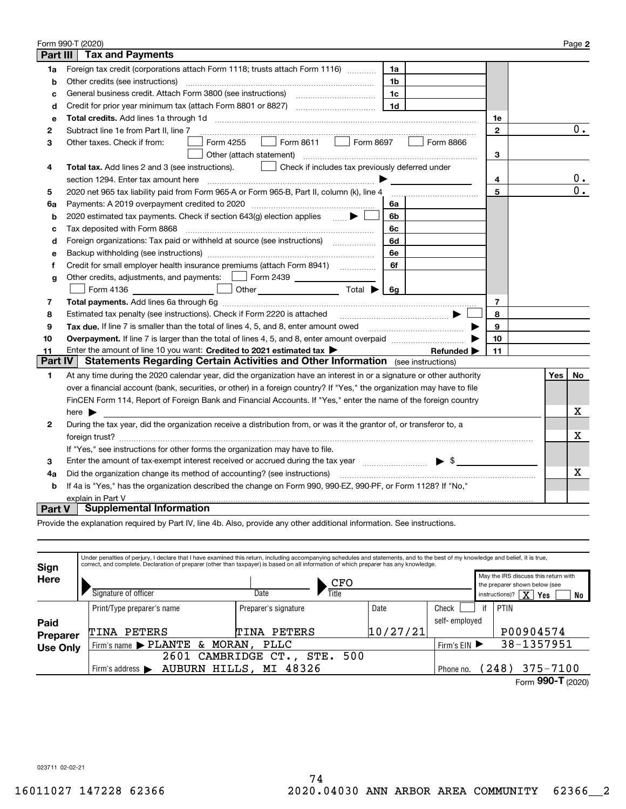|                 | Form 990-T (2020)                                                                                                                         |              |  |     | Page 2 |  |
|-----------------|-------------------------------------------------------------------------------------------------------------------------------------------|--------------|--|-----|--------|--|
| <b>Part III</b> | <b>Tax and Payments</b>                                                                                                                   |              |  |     |        |  |
| 1a              | Foreign tax credit (corporations attach Form 1118; trusts attach Form 1116) [[[[[[[[[[[[[[[[[[[[[[[[<br>1a                                |              |  |     |        |  |
| b               | Other credits (see instructions)<br>1b                                                                                                    |              |  |     |        |  |
| c               | 1c                                                                                                                                        |              |  |     |        |  |
| d               | 1 <sub>d</sub><br>Credit for prior year minimum tax (attach Form 8801 or 8827)                                                            |              |  |     |        |  |
| е               |                                                                                                                                           | 1e           |  |     |        |  |
| 2               | Subtract line 1e from Part II, line 7                                                                                                     | $\mathbf{2}$ |  |     | 0.     |  |
| 3               | Form 8611<br>Form 4255<br>Form 8697<br>Form 8866<br>Other taxes. Check if from:<br>$\mathbf{1}$                                           |              |  |     |        |  |
|                 | Other (attach statement)                                                                                                                  | 3            |  |     |        |  |
| 4               | Check if includes tax previously deferred under<br>Total tax. Add lines 2 and 3 (see instructions).                                       |              |  |     |        |  |
|                 | section 1294. Enter tax amount here<br>4                                                                                                  |              |  |     |        |  |
| 5               | 2020 net 965 tax liability paid from Form 965-A or Form 965-B, Part II, column (k), line 4                                                | 5            |  |     | 0.     |  |
| 6a              | Payments: A 2019 overpayment credited to 2020 [11] [11] maximum materials: A 2019 overpayment credited to 2020<br>6a                      |              |  |     |        |  |
| b               | 2020 estimated tax payments. Check if section 643(g) election applies $\blacktriangleright$<br>6b                                         |              |  |     |        |  |
| c               | Tax deposited with Form 8868<br>6с                                                                                                        |              |  |     |        |  |
| d               | Foreign organizations: Tax paid or withheld at source (see instructions) [<br>6d                                                          |              |  |     |        |  |
| e               | 6e                                                                                                                                        |              |  |     |        |  |
| f               | Credit for small employer health insurance premiums (attach Form 8941) [11, 2006]<br>6f                                                   |              |  |     |        |  |
| g               | Other credits, adjustments, and payments:   Form 2439                                                                                     |              |  |     |        |  |
|                 | <u> 1999 - Francis III e pre</u><br>Other $\overline{\hspace{1cm}}$ Total $\blacktriangleright$ $\overline{\hspace{1cm}}$ 6g<br>Form 4136 |              |  |     |        |  |
| 7               |                                                                                                                                           | 7            |  |     |        |  |
| 8               | Estimated tax penalty (see instructions). Check if Form 2220 is attached                                                                  | 8            |  |     |        |  |
| 9               | Tax due. If line 7 is smaller than the total of lines 4, 5, and 8, enter amount owed <b>Face and Conservers</b> in the                    | 9            |  |     |        |  |
| 10              |                                                                                                                                           | 10           |  |     |        |  |
| 11              | Enter the amount of line 10 you want: Credited to 2021 estimated tax<br>Refunded $\blacktriangleright$                                    | 11           |  |     |        |  |
| Part IV         | <b>Statements Regarding Certain Activities and Other Information</b> (see instructions)                                                   |              |  |     |        |  |
| 1               | At any time during the 2020 calendar year, did the organization have an interest in or a signature or other authority                     |              |  | Yes | No     |  |
|                 | over a financial account (bank, securities, or other) in a foreign country? If "Yes," the organization may have to file                   |              |  |     |        |  |
|                 | FinCEN Form 114, Report of Foreign Bank and Financial Accounts. If "Yes," enter the name of the foreign country                           |              |  |     |        |  |
|                 | here $\blacktriangleright$                                                                                                                |              |  |     | х      |  |
| 2               | During the tax year, did the organization receive a distribution from, or was it the grantor of, or transferor to, a                      |              |  |     | Х      |  |
|                 |                                                                                                                                           |              |  |     |        |  |
|                 | If "Yes," see instructions for other forms the organization may have to file.                                                             |              |  |     |        |  |
| 3               | Enter the amount of tax-exempt interest received or accrued during the tax year manufactured $\blacktriangleright$ \$                     |              |  |     |        |  |
| 4a              | Did the organization change its method of accounting? (see instructions)                                                                  |              |  |     |        |  |
| b               | If 4a is "Yes," has the organization described the change on Form 990, 990-EZ, 990-PF, or Form 1128? If "No,"                             |              |  |     |        |  |
|                 | explain in Part V                                                                                                                         |              |  |     |        |  |
| <b>Part V</b>   | <b>Supplemental Information</b>                                                                                                           |              |  |     |        |  |

Provide the explanation required by Part IV, line 4b. Also, provide any other additional information. See instructions.

| Sign            | Under penalties of perjury, I declare that I have examined this return, including accompanying schedules and statements, and to the best of my knowledge and belief, it is true,<br>correct, and complete. Declaration of preparer (other than taxpayer) is based on all information of which preparer has any knowledge. |                                 |          |                       |    |                                                                       |  |  |  |
|-----------------|---------------------------------------------------------------------------------------------------------------------------------------------------------------------------------------------------------------------------------------------------------------------------------------------------------------------------|---------------------------------|----------|-----------------------|----|-----------------------------------------------------------------------|--|--|--|
| <b>Here</b>     |                                                                                                                                                                                                                                                                                                                           | CFO                             |          |                       |    | May the IRS discuss this return with<br>the preparer shown below (see |  |  |  |
|                 | Signature of officer                                                                                                                                                                                                                                                                                                      | Title<br>Date                   |          |                       |    | $\overline{\text{X}}$<br>instructions)?<br>Yes<br>No                  |  |  |  |
|                 | Print/Type preparer's name                                                                                                                                                                                                                                                                                                | Preparer's signature            | Date     | Check                 | if | PTIN                                                                  |  |  |  |
| Paid            |                                                                                                                                                                                                                                                                                                                           |                                 |          | self- employed        |    |                                                                       |  |  |  |
| <b>Preparer</b> | PETERS<br>TINA                                                                                                                                                                                                                                                                                                            | <b>PETERS</b><br>TINA           | 10/27/21 |                       |    | P00904574                                                             |  |  |  |
| <b>Use Only</b> | Firm's name > PLANTE<br>MORAN,<br>&.                                                                                                                                                                                                                                                                                      | Firm's $EIN$                    |          | 38-1357951            |    |                                                                       |  |  |  |
|                 | 2601                                                                                                                                                                                                                                                                                                                      | 500<br>CAMBRIDGE<br>STE.<br>CT. |          |                       |    |                                                                       |  |  |  |
|                 | HILLS,<br><b>AUBURN</b><br>Firm's address $\blacktriangleright$                                                                                                                                                                                                                                                           | Phone no.                       |          | $375 - 7100$<br>(248) |    |                                                                       |  |  |  |
|                 |                                                                                                                                                                                                                                                                                                                           |                                 |          |                       |    | Form 990-T (2020)                                                     |  |  |  |

023711 02-02-21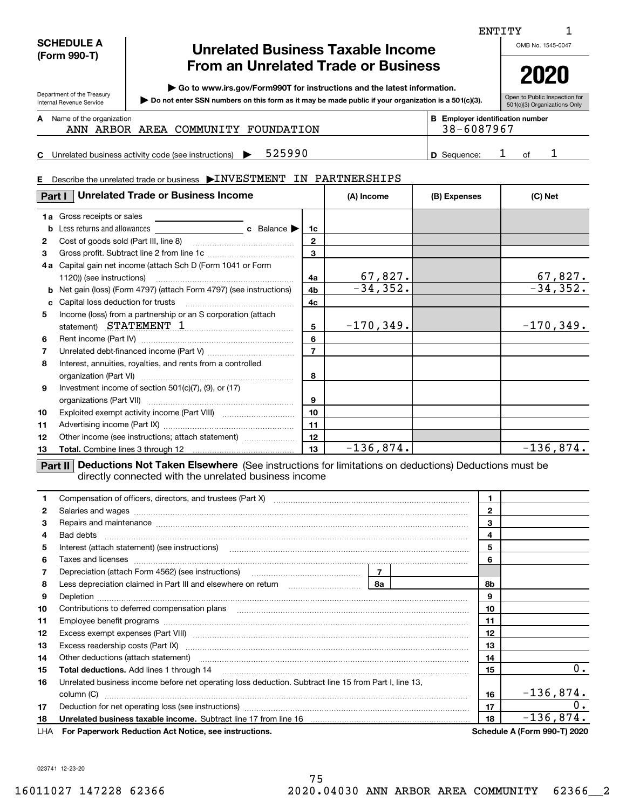| <b>SCHEDULE A</b> |
|-------------------|
| (Form 990-T)      |

Department of the Treasury Internal Revenue Service

# **Unrelated Business Taxable Income From an Unrelated Trade or Business**

**| Go to www.irs.gov/Form990T for instructions and the latest information.**

**Do not enter SSN numbers on this form as it may be made public if your organization is a 501(c)(3). |** 

**2020**

OMB No. 1545-0047

1

| Open to Public Inspection for     |
|-----------------------------------|
| I<br>501(c)(3) Organizations Only |

Name of the organization **mumber and the organization number contracts the organization number BEEnployer identification number A**

ANN ARBOR AREA COMMUNITY FOUNDATION | 38-6087967

**C** Unrelated business activity code (see instructions)  $\rightarrow$  525990  $\mid$  5 and  $\mid$  5 Sequence:  $\mid$  3 of **D**525990 1 1

ENTITY

#### **E**Describe the unrelated trade or business  $\blacktriangleright$  INVESTMENT IN PARTNERSHIPS

| Part I | <b>Unrelated Trade or Business Income</b>                                                                               |                | (A) Income   | (B) Expenses | (C) Net     |
|--------|-------------------------------------------------------------------------------------------------------------------------|----------------|--------------|--------------|-------------|
|        | <b>1a</b> Gross receipts or sales                                                                                       |                |              |              |             |
|        |                                                                                                                         | 1c             |              |              |             |
| 2      | Cost of goods sold (Part III, line 8) [11] matter cost of goods sold (Part III, line 8)                                 | 2              |              |              |             |
| 3      |                                                                                                                         | 3              |              |              |             |
|        | 4a Capital gain net income (attach Sch D (Form 1041 or Form                                                             |                |              |              |             |
|        |                                                                                                                         | 4a             | 67,827.      |              | 67,827.     |
|        | <b>b</b> Net gain (loss) (Form 4797) (attach Form 4797) (see instructions)                                              | 4 <sub>b</sub> | $-34, 352.$  |              | $-34, 352.$ |
| c      | Capital loss deduction for trusts                                                                                       | 4c             |              |              |             |
| 5      | Income (loss) from a partnership or an S corporation (attach                                                            |                |              |              |             |
|        | statement) STATEMENT 1                                                                                                  | 5              | $-170, 349.$ |              | $-170,349.$ |
| 6      |                                                                                                                         | 6              |              |              |             |
| 7      |                                                                                                                         | $\overline{7}$ |              |              |             |
| 8      | Interest, annuities, royalties, and rents from a controlled                                                             |                |              |              |             |
|        |                                                                                                                         | 8              |              |              |             |
| 9      | Investment income of section $501(c)(7)$ , $(9)$ , or $(17)$                                                            |                |              |              |             |
|        |                                                                                                                         | 9              |              |              |             |
| 10     |                                                                                                                         | 10             |              |              |             |
| 11     |                                                                                                                         | 11             |              |              |             |
| 12     | Other income (see instructions; attach statement)                                                                       | 12             |              |              |             |
| 13     |                                                                                                                         | 13             | $-136,874.$  |              | $-136,874.$ |
|        | <b>Destinational Deductions Not Taken Elsewhere</b> (See instructions for limitations on deductions) Deductions must be |                |              |              |             |

**Part II Deductions Not Taken Elsewhere** (See instructions for limitations on deductions) Deductions must be directly connected with the unrelated business income

|              | Compensation of officers, directors, and trustees (Part X) [11] [2010] [2010] [2010] [2010] [2010] [2010] [2010] [2010] [2010] [2010] [2010] [2010] [2010] [2010] [2010] [2010] [2010] [2010] [2010] [2010] [2010] [2010] [201       |    | $\mathbf 1$    |                                     |
|--------------|--------------------------------------------------------------------------------------------------------------------------------------------------------------------------------------------------------------------------------------|----|----------------|-------------------------------------|
| $\mathbf{2}$ | Salaries and wages www.communication.communications.com/international/communications.com/internations.com/internations.com/internations.com/internations.com/internations.com/internations.com/internations.com/internations.c       |    | $\overline{2}$ |                                     |
| 3            | Repairs and maintenance material content content content and material content and maintenance material content                                                                                                                       |    | 3              |                                     |
| 4            |                                                                                                                                                                                                                                      |    | 4              |                                     |
| 5            |                                                                                                                                                                                                                                      |    | 5              |                                     |
| 6            | Taxes and licenses <b>communications</b> and constructions are all the constructions and licenses <b>constructions</b>                                                                                                               |    | 6              |                                     |
| 7            |                                                                                                                                                                                                                                      |    |                |                                     |
| 8            |                                                                                                                                                                                                                                      |    | 8b             |                                     |
| 9            |                                                                                                                                                                                                                                      |    | 9              |                                     |
| 10           |                                                                                                                                                                                                                                      |    | 10             |                                     |
| 11           |                                                                                                                                                                                                                                      |    | 11             |                                     |
| 12           | Excess exempt expenses (Part VIII) <b>manual contract and contract and contract and contract and contract and contract and contract and contract and contract and contract and contract and contract and contract and contract a</b> |    | 12             |                                     |
| 13           |                                                                                                                                                                                                                                      | 13 |                |                                     |
| 14           | Other deductions (attach statement) manufactured and content of the deductions (attach statement)                                                                                                                                    |    | 14             |                                     |
| 15           | <b>Total deductions.</b> Add lines 1 through 14                                                                                                                                                                                      |    | 15             | 0.                                  |
| 16           | Unrelated business income before net operating loss deduction. Subtract line 15 from Part I, line 13,                                                                                                                                |    |                |                                     |
|              | column (C)                                                                                                                                                                                                                           |    | 16             | $-136,874.$                         |
| 17           | Deduction for net operating loss (see instructions) manufactions.com/manufactions.com/manufactions.com/manufactions.com/manufactions.com/manufactions.com/manufactions.com/manufactions.com/manufactions.com/manufactions.com/       |    | 17             | 0.                                  |
| 18           |                                                                                                                                                                                                                                      |    | 18             | $-136,874.$                         |
|              | LHA For Paperwork Reduction Act Notice, see instructions.                                                                                                                                                                            |    |                | <b>Schedule A (Form 990-T) 2020</b> |

023741 12-23-20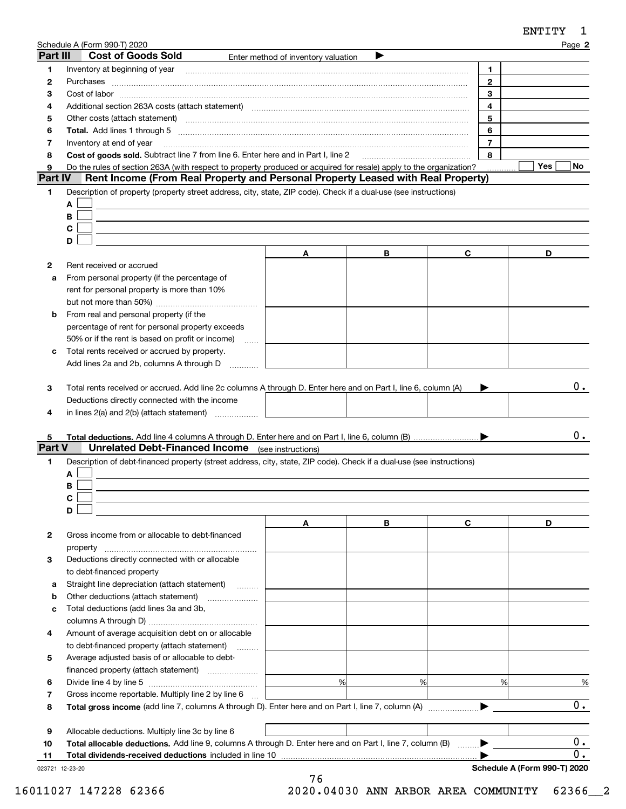|          | Schedule A (Form 990-T) 2020                                                                                                                                                                                                   |                                     |   |                | Page 2           |
|----------|--------------------------------------------------------------------------------------------------------------------------------------------------------------------------------------------------------------------------------|-------------------------------------|---|----------------|------------------|
| Part III | <b>Cost of Goods Sold</b>                                                                                                                                                                                                      | Enter method of inventory valuation |   |                |                  |
| 1        | Inventory at beginning of year                                                                                                                                                                                                 |                                     |   | 1              |                  |
| 2        |                                                                                                                                                                                                                                |                                     |   | $\mathbf{2}$   |                  |
| 3        | $Cost of labor  \label{thm:main}$                                                                                                                                                                                              |                                     |   | 3              |                  |
| 4        | Additional section 263A costs (attach statement) material content and according to the Additional section 263A                                                                                                                 |                                     |   | 4              |                  |
| 5        | Other costs (attach statement) manufactured and contract and contract and contract and contract and contract and contract and contract and contract and contract and contract and contract and contract and contract and contr |                                     |   | 5              |                  |
| 6        |                                                                                                                                                                                                                                |                                     |   | 6              |                  |
| 7        | Inventory at end of year                                                                                                                                                                                                       |                                     |   | $\overline{7}$ |                  |
| 8        | Cost of goods sold. Subtract line 7 from line 6. Enter here and in Part I, line 2                                                                                                                                              |                                     |   | 8              |                  |
| 9        | Do the rules of section 263A (with respect to property produced or acquired for resale) apply to the organization?                                                                                                             |                                     |   |                | Yes<br>No.       |
| Part IV  | Rent Income (From Real Property and Personal Property Leased with Real Property)                                                                                                                                               |                                     |   |                |                  |
| 1        | Description of property (property street address, city, state, ZIP code). Check if a dual-use (see instructions)                                                                                                               |                                     |   |                |                  |
|          | A                                                                                                                                                                                                                              |                                     |   |                |                  |
|          | B                                                                                                                                                                                                                              |                                     |   |                |                  |
|          | С                                                                                                                                                                                                                              |                                     |   |                |                  |
|          | D                                                                                                                                                                                                                              |                                     |   |                |                  |
|          |                                                                                                                                                                                                                                | A                                   | В | C              | D                |
| 2        | Rent received or accrued                                                                                                                                                                                                       |                                     |   |                |                  |
| a        | From personal property (if the percentage of                                                                                                                                                                                   |                                     |   |                |                  |
|          | rent for personal property is more than 10%                                                                                                                                                                                    |                                     |   |                |                  |
|          |                                                                                                                                                                                                                                |                                     |   |                |                  |
| b        | From real and personal property (if the                                                                                                                                                                                        |                                     |   |                |                  |
|          | percentage of rent for personal property exceeds                                                                                                                                                                               |                                     |   |                |                  |
|          | 50% or if the rent is based on profit or income)<br>$\ldots$                                                                                                                                                                   |                                     |   |                |                  |
| c        | Total rents received or accrued by property.                                                                                                                                                                                   |                                     |   |                |                  |
|          | Add lines 2a and 2b, columns A through D                                                                                                                                                                                       |                                     |   |                |                  |
| 4        | Deductions directly connected with the income<br>in lines 2(a) and 2(b) (attach statement)                                                                                                                                     |                                     |   |                |                  |
| 5        |                                                                                                                                                                                                                                |                                     |   |                | υ.               |
| Part V   | <b>Unrelated Debt-Financed Income</b> (see instructions)                                                                                                                                                                       |                                     |   |                |                  |
| 1.       | Description of debt-financed property (street address, city, state, ZIP code). Check if a dual-use (see instructions)                                                                                                          |                                     |   |                |                  |
|          | A                                                                                                                                                                                                                              |                                     |   |                |                  |
|          | В<br>◠                                                                                                                                                                                                                         |                                     |   |                |                  |
|          | D                                                                                                                                                                                                                              |                                     |   |                |                  |
|          |                                                                                                                                                                                                                                | Α                                   | В | C              | D                |
| 2        | Gross income from or allocable to debt-financed                                                                                                                                                                                |                                     |   |                |                  |
|          |                                                                                                                                                                                                                                |                                     |   |                |                  |
| з        | Deductions directly connected with or allocable                                                                                                                                                                                |                                     |   |                |                  |
|          | to debt-financed property                                                                                                                                                                                                      |                                     |   |                |                  |
| a        | Straight line depreciation (attach statement)                                                                                                                                                                                  |                                     |   |                |                  |
| b        | Other deductions (attach statement)                                                                                                                                                                                            |                                     |   |                |                  |
| c        | Total deductions (add lines 3a and 3b,                                                                                                                                                                                         |                                     |   |                |                  |
|          |                                                                                                                                                                                                                                |                                     |   |                |                  |
| 4        | Amount of average acquisition debt on or allocable                                                                                                                                                                             |                                     |   |                |                  |
|          |                                                                                                                                                                                                                                |                                     |   |                |                  |
|          | to debt-financed property (attach statement)                                                                                                                                                                                   |                                     |   |                |                  |
| 5        | Average adjusted basis of or allocable to debt-                                                                                                                                                                                |                                     |   |                |                  |
|          |                                                                                                                                                                                                                                | %                                   | % | %              |                  |
| 6        |                                                                                                                                                                                                                                |                                     |   |                | $\%$             |
| 7        | Gross income reportable. Multiply line 2 by line 6                                                                                                                                                                             |                                     |   |                | 0.               |
| 8        |                                                                                                                                                                                                                                |                                     |   |                |                  |
|          |                                                                                                                                                                                                                                |                                     |   |                |                  |
| 9<br>10  | Allocable deductions. Multiply line 3c by line 6<br>Total allocable deductions. Add line 9, columns A through D. Enter here and on Part I, line 7, column (B)                                                                  |                                     |   |                | $0$ .            |
|          |                                                                                                                                                                                                                                |                                     |   |                | $\overline{0}$ . |

023721 12-23-20

**Schedule A (Form 990-T) 2020**

ENTITY 1

76 16011027 147228 62366 2020.04030 ANN ARBOR AREA COMMUNITY 62366\_\_2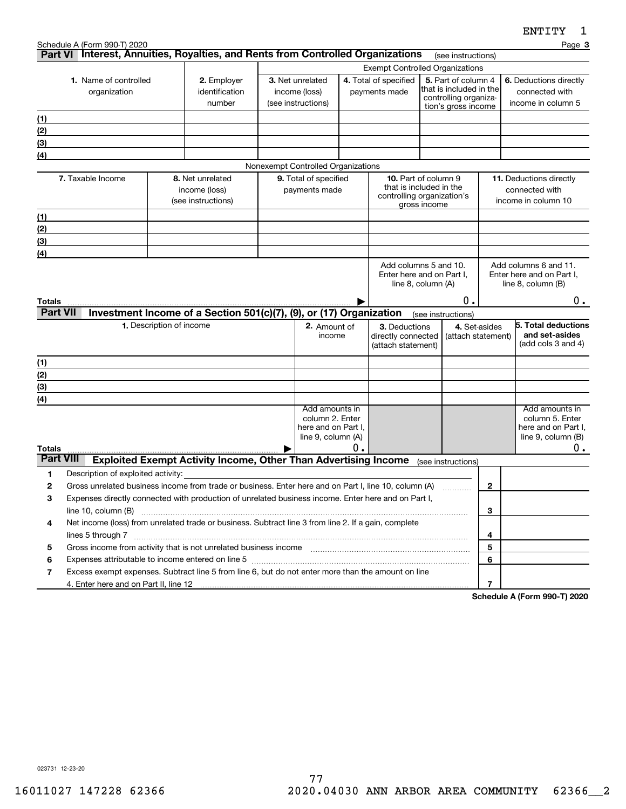|                  |                                                                                                                                                                                                                                                       |                          |                                                                        |                                    |                       |                                                    |                         |                                              |                        | FIJTTT<br>ᅩ                                        |
|------------------|-------------------------------------------------------------------------------------------------------------------------------------------------------------------------------------------------------------------------------------------------------|--------------------------|------------------------------------------------------------------------|------------------------------------|-----------------------|----------------------------------------------------|-------------------------|----------------------------------------------|------------------------|----------------------------------------------------|
|                  | Schedule A (Form 990-T) 2020<br>Part VI Interest, Annuities, Royalties, and Rents from Controlled Organizations                                                                                                                                       |                          |                                                                        |                                    |                       |                                                    |                         |                                              |                        | Page 3                                             |
|                  |                                                                                                                                                                                                                                                       |                          |                                                                        |                                    |                       | <b>Exempt Controlled Organizations</b>             |                         | (see instructions)                           |                        |                                                    |
|                  | 1. Name of controlled<br>2. Employer                                                                                                                                                                                                                  |                          | 3. Net unrelated                                                       |                                    | 4. Total of specified |                                                    | 5. Part of column 4     |                                              | 6. Deductions directly |                                                    |
|                  | organization                                                                                                                                                                                                                                          |                          | identification                                                         | income (loss)                      |                       | payments made                                      |                         | that is included in the                      |                        | connected with                                     |
|                  |                                                                                                                                                                                                                                                       |                          | number                                                                 | (see instructions)                 |                       |                                                    |                         | controlling organiza-<br>tion's gross income |                        | income in column 5                                 |
| (1)              |                                                                                                                                                                                                                                                       |                          |                                                                        |                                    |                       |                                                    |                         |                                              |                        |                                                    |
| (2)              |                                                                                                                                                                                                                                                       |                          |                                                                        |                                    |                       |                                                    |                         |                                              |                        |                                                    |
| (3)              |                                                                                                                                                                                                                                                       |                          |                                                                        |                                    |                       |                                                    |                         |                                              |                        |                                                    |
| (4)              |                                                                                                                                                                                                                                                       |                          |                                                                        |                                    |                       |                                                    |                         |                                              |                        |                                                    |
|                  |                                                                                                                                                                                                                                                       |                          |                                                                        | Nonexempt Controlled Organizations |                       |                                                    |                         |                                              |                        |                                                    |
|                  | 7. Taxable Income                                                                                                                                                                                                                                     |                          | 8. Net unrelated                                                       | 9. Total of specified              |                       | 10. Part of column 9                               |                         |                                              |                        | 11. Deductions directly                            |
|                  |                                                                                                                                                                                                                                                       |                          | income (loss)                                                          | payments made                      |                       | that is included in the                            |                         |                                              |                        | connected with                                     |
|                  |                                                                                                                                                                                                                                                       |                          | (see instructions)                                                     |                                    |                       | controlling organization's                         | gross income            |                                              |                        | income in column 10                                |
| (1)              |                                                                                                                                                                                                                                                       |                          |                                                                        |                                    |                       |                                                    |                         |                                              |                        |                                                    |
| (2)              |                                                                                                                                                                                                                                                       |                          |                                                                        |                                    |                       |                                                    |                         |                                              |                        |                                                    |
| (3)              |                                                                                                                                                                                                                                                       |                          |                                                                        |                                    |                       |                                                    |                         |                                              |                        |                                                    |
| (4)              |                                                                                                                                                                                                                                                       |                          |                                                                        |                                    |                       |                                                    |                         |                                              |                        |                                                    |
|                  |                                                                                                                                                                                                                                                       |                          |                                                                        |                                    |                       | Add columns 5 and 10.<br>Enter here and on Part I, |                         |                                              |                        | Add columns 6 and 11.<br>Enter here and on Part I, |
|                  |                                                                                                                                                                                                                                                       |                          |                                                                        |                                    |                       |                                                    | line $8$ , column $(A)$ |                                              |                        | line $8$ , column $(B)$                            |
| Totals           |                                                                                                                                                                                                                                                       |                          |                                                                        |                                    |                       |                                                    |                         | О.                                           |                        | $0$ .                                              |
| <b>Part VII</b>  |                                                                                                                                                                                                                                                       |                          | Investment Income of a Section 501(c)(7), (9), or (17) Organization    |                                    |                       |                                                    | (see instructions)      |                                              |                        |                                                    |
|                  |                                                                                                                                                                                                                                                       | 1. Description of income |                                                                        | 2. Amount of                       |                       | 3. Deductions                                      |                         | 4. Set-asides                                |                        | 5. Total deductions                                |
|                  |                                                                                                                                                                                                                                                       |                          |                                                                        | income                             |                       | directly connected                                 |                         |                                              | (attach statement)     | and set-asides                                     |
|                  |                                                                                                                                                                                                                                                       |                          |                                                                        |                                    |                       | (attach statement)                                 |                         |                                              |                        | (add cols 3 and 4)                                 |
| (1)              |                                                                                                                                                                                                                                                       |                          |                                                                        |                                    |                       |                                                    |                         |                                              |                        |                                                    |
| (2)              |                                                                                                                                                                                                                                                       |                          |                                                                        |                                    |                       |                                                    |                         |                                              |                        |                                                    |
| (3)              |                                                                                                                                                                                                                                                       |                          |                                                                        |                                    |                       |                                                    |                         |                                              |                        |                                                    |
| (4)              |                                                                                                                                                                                                                                                       |                          |                                                                        |                                    |                       |                                                    |                         |                                              |                        |                                                    |
|                  |                                                                                                                                                                                                                                                       |                          |                                                                        | Add amounts in<br>column 2. Enter  |                       |                                                    |                         |                                              |                        | Add amounts in<br>column 5. Enter                  |
|                  |                                                                                                                                                                                                                                                       |                          |                                                                        | here and on Part I,                |                       |                                                    |                         |                                              |                        | here and on Part I,                                |
|                  |                                                                                                                                                                                                                                                       |                          |                                                                        | line 9, column (A)                 |                       |                                                    |                         |                                              |                        | line $9$ , column $(B)$                            |
| Totals           |                                                                                                                                                                                                                                                       |                          |                                                                        |                                    | Ο.                    |                                                    |                         |                                              |                        | 0.                                                 |
| <b>Part VIII</b> |                                                                                                                                                                                                                                                       |                          | <b>Exploited Exempt Activity Income, Other Than Advertising Income</b> |                                    |                       |                                                    | (see instructions)      |                                              |                        |                                                    |
| 1                | Description of exploited activity:                                                                                                                                                                                                                    |                          |                                                                        |                                    |                       |                                                    |                         |                                              |                        |                                                    |
| 2                | Gross unrelated business income from trade or business. Enter here and on Part I, line 10, column (A)                                                                                                                                                 |                          |                                                                        |                                    |                       |                                                    |                         |                                              | $\mathbf{2}$           |                                                    |
| 3                | Expenses directly connected with production of unrelated business income. Enter here and on Part I,                                                                                                                                                   |                          |                                                                        |                                    |                       |                                                    |                         |                                              |                        |                                                    |
|                  | line $10$ , column $(B)$                                                                                                                                                                                                                              |                          |                                                                        |                                    |                       |                                                    |                         |                                              | 3                      |                                                    |
| 4                | Net income (loss) from unrelated trade or business. Subtract line 3 from line 2. If a gain, complete                                                                                                                                                  |                          |                                                                        |                                    |                       |                                                    |                         |                                              |                        |                                                    |
|                  | lines 5 through 7                                                                                                                                                                                                                                     |                          |                                                                        |                                    |                       |                                                    |                         |                                              | 4                      |                                                    |
| 5                | Gross income from activity that is not unrelated business income [11] [11] content material content from activity that is not unrelated business income [11] [11] [11] $\alpha$ [11] $\alpha$ [11] $\alpha$ [11] $\alpha$ [11] $\alpha$ [11] $\alpha$ |                          |                                                                        |                                    |                       |                                                    |                         |                                              | 5                      |                                                    |
| 6                |                                                                                                                                                                                                                                                       |                          |                                                                        |                                    |                       |                                                    |                         |                                              | 6                      |                                                    |
| 7                | Excess exempt expenses. Subtract line 5 from line 6, but do not enter more than the amount on line                                                                                                                                                    |                          |                                                                        |                                    |                       |                                                    |                         |                                              |                        |                                                    |
|                  | 4. Enter here and on Part II, line 12                                                                                                                                                                                                                 |                          |                                                                        |                                    |                       |                                                    |                         |                                              | 7                      |                                                    |

**Schedule A (Form 990-T) 2020**

023731 12-23-20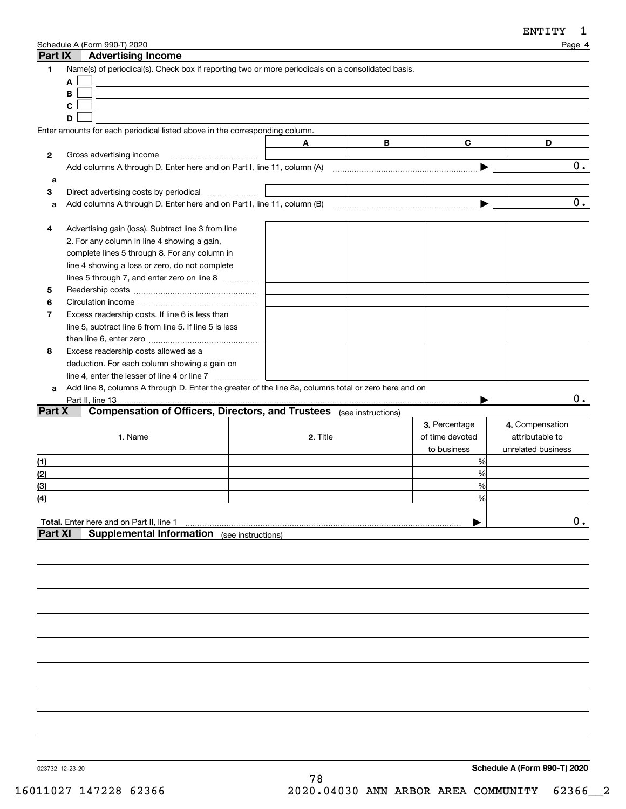| Part IX        | Schedule A (Form 990-T) 2020<br><b>Advertising Income</b>                                                      |                    |          |   |                 | Page 4                             |
|----------------|----------------------------------------------------------------------------------------------------------------|--------------------|----------|---|-----------------|------------------------------------|
| 1              | Name(s) of periodical(s). Check box if reporting two or more periodicals on a consolidated basis.              |                    |          |   |                 |                                    |
|                | A                                                                                                              |                    |          |   |                 |                                    |
|                | B                                                                                                              |                    |          |   |                 |                                    |
|                | C                                                                                                              |                    |          |   |                 |                                    |
|                | D                                                                                                              |                    |          |   |                 |                                    |
|                | Enter amounts for each periodical listed above in the corresponding column.                                    |                    |          |   |                 |                                    |
|                |                                                                                                                |                    | A        | В | C               | D                                  |
| 2              | Gross advertising income                                                                                       |                    |          |   |                 |                                    |
|                | Add columns A through D. Enter here and on Part I, line 11, column (A) manufactured columns A through D. Enter |                    |          |   |                 | 0.                                 |
| a              |                                                                                                                |                    |          |   |                 |                                    |
| 3              | Direct advertising costs by periodical                                                                         |                    |          |   |                 |                                    |
| a              |                                                                                                                |                    |          |   |                 | 0.                                 |
|                |                                                                                                                |                    |          |   |                 |                                    |
| 4              | Advertising gain (loss). Subtract line 3 from line                                                             |                    |          |   |                 |                                    |
|                | 2. For any column in line 4 showing a gain,                                                                    |                    |          |   |                 |                                    |
|                | complete lines 5 through 8. For any column in                                                                  |                    |          |   |                 |                                    |
|                | line 4 showing a loss or zero, do not complete                                                                 |                    |          |   |                 |                                    |
|                | lines 5 through 7, and enter zero on line 8                                                                    |                    |          |   |                 |                                    |
| 5              |                                                                                                                |                    |          |   |                 |                                    |
| 6              |                                                                                                                |                    |          |   |                 |                                    |
| 7              | Excess readership costs. If line 6 is less than                                                                |                    |          |   |                 |                                    |
|                | line 5, subtract line 6 from line 5. If line 5 is less                                                         |                    |          |   |                 |                                    |
|                |                                                                                                                |                    |          |   |                 |                                    |
| 8              | Excess readership costs allowed as a                                                                           |                    |          |   |                 |                                    |
|                | deduction. For each column showing a gain on                                                                   |                    |          |   |                 |                                    |
|                | line 4, enter the lesser of line 4 or line 7                                                                   |                    |          |   |                 |                                    |
| a              | Add line 8, columns A through D. Enter the greater of the line 8a, columns total or zero here and on           |                    |          |   |                 |                                    |
|                | Part II, line 13                                                                                               |                    |          |   |                 | 0.                                 |
| Part X         | <b>Compensation of Officers, Directors, and Trustees</b> (see instructions)                                    |                    |          |   |                 |                                    |
|                |                                                                                                                |                    |          |   | 3. Percentage   |                                    |
|                | 1. Name                                                                                                        |                    | 2. Title |   |                 | 4. Compensation<br>attributable to |
|                |                                                                                                                |                    |          |   | of time devoted |                                    |
|                |                                                                                                                |                    |          |   | to business     | unrelated business                 |
| (1)            |                                                                                                                |                    |          |   | %               |                                    |
| (2)            |                                                                                                                |                    |          |   | %               |                                    |
| (3)            |                                                                                                                |                    |          |   | %               |                                    |
| (4)            |                                                                                                                |                    |          |   | $\frac{0}{0}$   |                                    |
|                |                                                                                                                |                    |          |   |                 |                                    |
|                | <b>Total.</b> Enter here and on Part II, line 1                                                                |                    |          |   |                 | $\mathbf 0$ .                      |
| <b>Part XI</b> | <b>Supplemental Information</b>                                                                                | (see instructions) |          |   |                 |                                    |
|                |                                                                                                                |                    |          |   |                 |                                    |
|                |                                                                                                                |                    |          |   |                 |                                    |

023732 12-23-20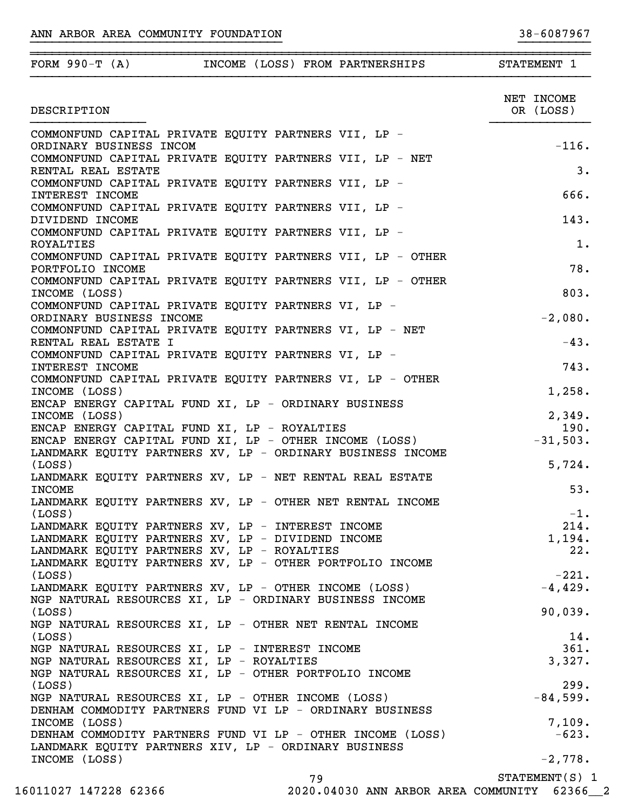| FORM 990-T $(A)$<br>INCOME (LOSS) FROM PARTNERSHIPS                                                                  | STATEMENT 1             |
|----------------------------------------------------------------------------------------------------------------------|-------------------------|
| DESCRIPTION                                                                                                          | NET INCOME<br>OR (LOSS) |
|                                                                                                                      |                         |
| COMMONFUND CAPITAL PRIVATE EQUITY PARTNERS VII, LP -<br>ORDINARY BUSINESS INCOM                                      | $-116.$                 |
| COMMONFUND CAPITAL PRIVATE EQUITY PARTNERS VII, LP - NET<br>RENTAL REAL ESTATE                                       | 3.                      |
| COMMONFUND CAPITAL PRIVATE EQUITY PARTNERS VII, LP -                                                                 | 666.                    |
| INTEREST INCOME<br>COMMONFUND CAPITAL PRIVATE EQUITY PARTNERS VII, LP -                                              |                         |
| DIVIDEND INCOME<br>COMMONFUND CAPITAL PRIVATE EQUITY PARTNERS VII, LP -                                              | 143.                    |
| ROYALTIES<br>COMMONFUND CAPITAL PRIVATE EQUITY PARTNERS VII, LP - OTHER                                              | $1$ .                   |
| PORTFOLIO INCOME<br>COMMONFUND CAPITAL PRIVATE EOUITY PARTNERS VII, LP - OTHER                                       | 78.                     |
| INCOME (LOSS)<br>COMMONFUND CAPITAL PRIVATE EOUITY PARTNERS VI, LP -                                                 | 803.                    |
| ORDINARY BUSINESS INCOME                                                                                             | $-2,080.$               |
| COMMONFUND CAPITAL PRIVATE EQUITY PARTNERS VI, LP - NET<br>RENTAL REAL ESTATE I                                      | $-43.$                  |
| COMMONFUND CAPITAL PRIVATE EQUITY PARTNERS VI, LP -<br>INTEREST INCOME                                               | 743.                    |
| COMMONFUND CAPITAL PRIVATE EQUITY PARTNERS VI, LP - OTHER<br>INCOME (LOSS)                                           | 1,258.                  |
| ENCAP ENERGY CAPITAL FUND XI, LP - ORDINARY BUSINESS                                                                 |                         |
| INCOME (LOSS)                                                                                                        | 2,349.                  |
| ENCAP ENERGY CAPITAL FUND XI, LP - ROYALTIES                                                                         | 190.                    |
| ENCAP ENERGY CAPITAL FUND XI, LP - OTHER INCOME (LOSS)<br>LANDMARK EQUITY PARTNERS XV, LP - ORDINARY BUSINESS INCOME | $-31,503.$              |
| (LOSS)<br>LANDMARK EQUITY PARTNERS XV, LP - NET RENTAL REAL ESTATE                                                   | 5,724.                  |
| <b>INCOME</b>                                                                                                        | 53.                     |
| LANDMARK EQUITY PARTNERS XV, LP - OTHER NET RENTAL INCOME<br>(LOSS)                                                  | $-1$ .                  |
| LANDMARK EQUITY PARTNERS XV, LP - INTEREST INCOME                                                                    | 214.                    |
| LANDMARK EQUITY PARTNERS XV, LP - DIVIDEND INCOME                                                                    | 1,194.                  |
| LANDMARK EQUITY PARTNERS XV, LP - ROYALTIES                                                                          | 22.                     |
| LANDMARK EQUITY PARTNERS XV, LP - OTHER PORTFOLIO INCOME                                                             |                         |
| (LOSS)                                                                                                               | $-221.$                 |
| LANDMARK EQUITY PARTNERS XV, LP - OTHER INCOME (LOSS)<br>NGP NATURAL RESOURCES XI, LP - ORDINARY BUSINESS INCOME     | $-4,429.$               |
| (LOSS)                                                                                                               | 90,039.                 |
| NGP NATURAL RESOURCES XI, LP - OTHER NET RENTAL INCOME                                                               |                         |
| (LOSS)                                                                                                               | 14.                     |
| NGP NATURAL RESOURCES XI, LP - INTEREST INCOME                                                                       | 361.                    |
| NGP NATURAL RESOURCES XI, LP - ROYALTIES                                                                             | 3,327.                  |
| NGP NATURAL RESOURCES XI, LP - OTHER PORTFOLIO INCOME<br>(LOSS)                                                      | 299.                    |
| NGP NATURAL RESOURCES XI, LP - OTHER INCOME (LOSS)                                                                   | $-84,599.$              |
| DENHAM COMMODITY PARTNERS FUND VI LP - ORDINARY BUSINESS                                                             |                         |
| INCOME (LOSS)                                                                                                        | 7,109.                  |
| DENHAM COMMODITY PARTNERS FUND VI LP - OTHER INCOME (LOSS)<br>LANDMARK EQUITY PARTNERS XIV, LP - ORDINARY BUSINESS   | $-623.$                 |
| INCOME (LOSS)                                                                                                        | $-2,778.$               |
| 79                                                                                                                   | $STATEMENT(S)$ 1        |

}}}}}}}}}}}}}}}}}}}}}}}}}}}}}}}}}}} }}}}}}}}}}

16011027 147228 62366 2020.04030 ANN ARBOR AREA COMMUNITY 62366\_\_2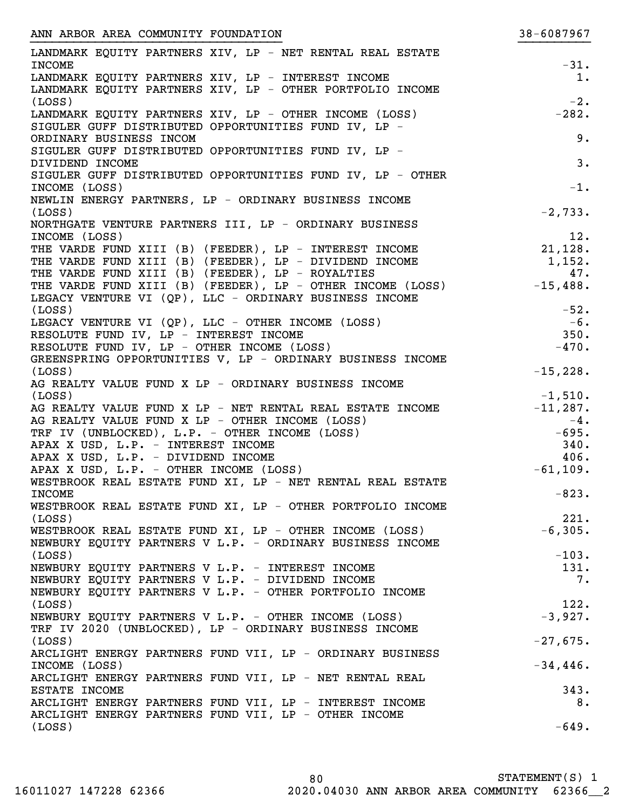| ANN ARBOR AREA COMMUNITY FOUNDATION                                 | 38-6087967       |
|---------------------------------------------------------------------|------------------|
| LANDMARK EQUITY PARTNERS XIV, LP - NET RENTAL REAL ESTATE           |                  |
| <b>INCOME</b>                                                       | $-31.$           |
| LANDMARK EQUITY PARTNERS XIV, LP - INTEREST INCOME                  | $1$ .            |
| LANDMARK EQUITY PARTNERS XIV, LP - OTHER PORTFOLIO INCOME           |                  |
| (LOSS)                                                              | $-2.$            |
| LANDMARK EQUITY PARTNERS XIV, LP - OTHER INCOME (LOSS)              | $-282.$          |
| SIGULER GUFF DISTRIBUTED OPPORTUNITIES FUND IV, LP -                |                  |
| ORDINARY BUSINESS INCOM                                             | 9.               |
| SIGULER GUFF DISTRIBUTED OPPORTUNITIES FUND IV, LP -                |                  |
| DIVIDEND INCOME                                                     | 3.               |
| SIGULER GUFF DISTRIBUTED OPPORTUNITIES FUND IV, LP - OTHER          |                  |
| INCOME (LOSS)                                                       | $-1.$            |
| NEWLIN ENERGY PARTNERS, LP - ORDINARY BUSINESS INCOME               |                  |
| (LOSS)                                                              | $-2,733.$        |
| NORTHGATE VENTURE PARTNERS III, LP - ORDINARY BUSINESS              |                  |
| INCOME (LOSS)                                                       | 12.              |
| THE VARDE FUND XIII (B) (FEEDER), LP - INTEREST INCOME              | 21,128.          |
| THE VARDE FUND XIII (B) (FEEDER), LP - DIVIDEND INCOME              | 1,152.           |
| THE VARDE FUND XIII (B) (FEEDER), LP - ROYALTIES                    | 47.              |
| THE VARDE FUND XIII (B) (FEEDER), LP - OTHER INCOME (LOSS)          | $-15,488.$       |
| LEGACY VENTURE VI (QP), LLC - ORDINARY BUSINESS INCOME              |                  |
| (LOSS)                                                              | $-52.$           |
| LEGACY VENTURE VI (QP), LLC - OTHER INCOME (LOSS)                   | $-6$ .           |
| RESOLUTE FUND IV, LP - INTEREST INCOME                              | 350.             |
| RESOLUTE FUND IV, LP - OTHER INCOME (LOSS)                          | $-470.$          |
| GREENSPRING OPPORTUNITIES V, LP - ORDINARY BUSINESS INCOME          |                  |
| (LOSS)                                                              | $-15,228.$       |
| AG REALTY VALUE FUND X LP - ORDINARY BUSINESS INCOME                |                  |
| (LOSS)<br>AG REALTY VALUE FUND X LP - NET RENTAL REAL ESTATE INCOME | $-1,510.$        |
| AG REALTY VALUE FUND X LP - OTHER INCOME (LOSS)                     | $-11, 287.$      |
| TRF IV (UNBLOCKED), L.P. - OTHER INCOME (LOSS)                      | $-4.$<br>$-695.$ |
| APAX X USD, L.P. - INTEREST INCOME                                  | 340.             |
| APAX X USD, L.P. - DIVIDEND INCOME                                  | 406.             |
| APAX X USD, L.P. - OTHER INCOME (LOSS)                              | $-61, 109.$      |
| WESTBROOK REAL ESTATE FUND XI, LP - NET RENTAL REAL ESTATE          |                  |
| <b>INCOME</b>                                                       | $-823.$          |
| WESTBROOK REAL ESTATE FUND XI, LP - OTHER PORTFOLIO INCOME          |                  |
| (LOSS)                                                              | 221.             |
| WESTBROOK REAL ESTATE FUND XI, LP - OTHER INCOME (LOSS)             | $-6, 305.$       |
| NEWBURY EQUITY PARTNERS V L.P. - ORDINARY BUSINESS INCOME           |                  |
| (LOSS)                                                              | $-103.$          |
| NEWBURY EQUITY PARTNERS V L.P. - INTEREST INCOME                    | 131.             |
| NEWBURY EQUITY PARTNERS V L.P. - DIVIDEND INCOME                    | 7.               |
| NEWBURY EQUITY PARTNERS V L.P. - OTHER PORTFOLIO INCOME             |                  |
| (LOSS)                                                              | 122.             |
| NEWBURY EQUITY PARTNERS V L.P. - OTHER INCOME (LOSS)                | $-3,927.$        |
| TRF IV 2020 (UNBLOCKED), LP - ORDINARY BUSINESS INCOME              |                  |
| (LOSS)                                                              | $-27,675.$       |
| ARCLIGHT ENERGY PARTNERS FUND VII, LP - ORDINARY BUSINESS           |                  |
| INCOME (LOSS)                                                       | $-34,446.$       |
| ARCLIGHT ENERGY PARTNERS FUND VII, LP - NET RENTAL REAL             |                  |
| ESTATE INCOME                                                       | 343.             |
| ARCLIGHT ENERGY PARTNERS FUND VII, LP - INTEREST INCOME             | 8.               |
| ARCLIGHT ENERGY PARTNERS FUND VII, LP - OTHER INCOME                |                  |
| (LOSS)                                                              | $-649.$          |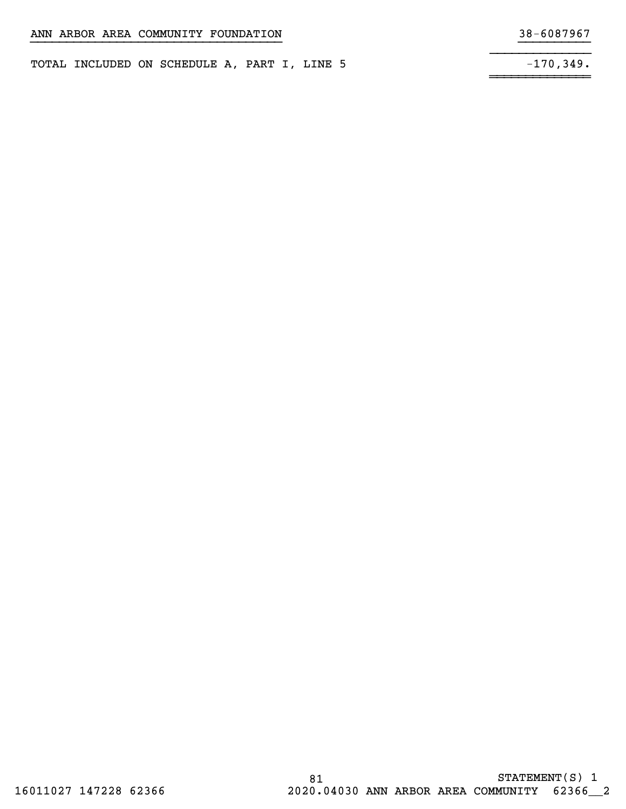TOTAL INCLUDED ON SCHEDULE A, PART I, LINE 5

~~~~~~~~~~~~~~

}}}}}}}}}}}}}}}}}}}}}}}}}}}}}}}}}}} }}}}}}}}}}

 $-170,349.$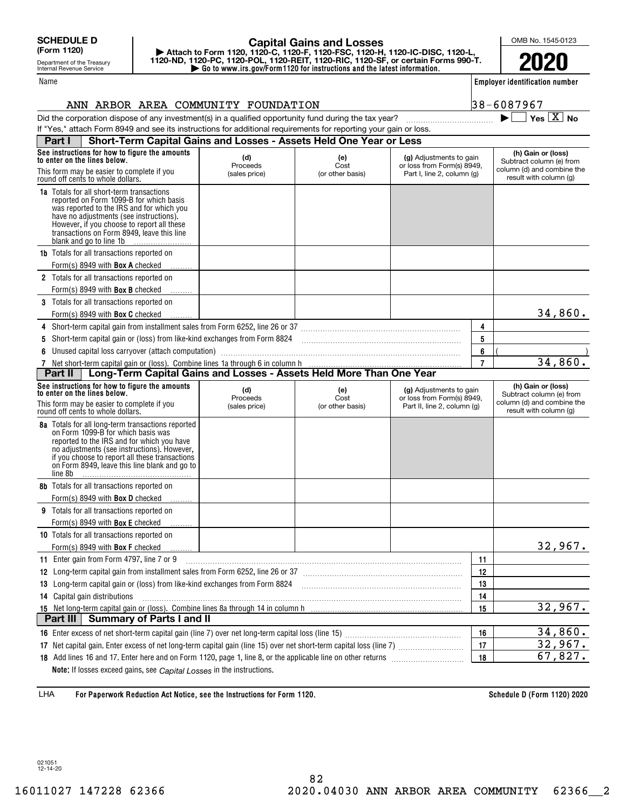Department of the Treasury Internal Revenue Service

#### Name

# **| Go to www.irs.gov/Form1120 for instructions and the latest information. | Attach to Form 1120, 1120-C, 1120-F, 1120-FSC, 1120-H, 1120-IC-DISC, 1120-L, 1120-ND, 1120-PC, 1120-POL, 1120-REIT, 1120-RIC, 1120-SF, or certain Forms 990-T. Capital Gains and Losses**

OMB No. 1545-0123

**2020**

**Employer identification number**

 $\blacktriangleright$   $\Box$  Yes  $\boxed{X}$  No

| $8 - 6087967$ |  |  |  |  |
|---------------|--|--|--|--|
|               |  |  |  |  |

# ANN ARBOR AREA COMMUNITY FOUNDATION 38-6087967

Did the corporation dispose of any investment(s) in a qualified opportunity fund during the tax year? ~~~~~~~~~~~~ | If "Yes," attach Form 8949 and see its instructions for additional requirements for reporting your gain or loss.

| Part I     | Short-Term Capital Gains and Losses - Assets Held One Year or Less                                                                                                                                                                                                                                         |                 |                  |                                                       |                |                                                                              |
|------------|------------------------------------------------------------------------------------------------------------------------------------------------------------------------------------------------------------------------------------------------------------------------------------------------------------|-----------------|------------------|-------------------------------------------------------|----------------|------------------------------------------------------------------------------|
|            | See instructions for how to figure the amounts<br>to enter on the lines below.                                                                                                                                                                                                                             | (d)<br>Proceeds | (e)<br>Cost      | (g) Adjustments to gain<br>or loss from Form(s) 8949, |                | (h) Gain or (loss)<br>Subtract column (e) from                               |
|            | This form may be easier to complete if you<br>round off cents to whole dollars.                                                                                                                                                                                                                            | (sales price)   | (or other basis) | Part I, line 2, column (g)                            |                | column (d) and combine the<br>result with column (g)                         |
|            | <b>1a</b> Totals for all short-term transactions<br>reported on Form 1099-B for which basis<br>was reported to the IRS and for which you<br>have no adjustments (see instructions).<br>However, if you choose to report all these<br>transactions on Form 8949, leave this line<br>blank and go to line 1b |                 |                  |                                                       |                |                                                                              |
|            | <b>1b</b> Totals for all transactions reported on                                                                                                                                                                                                                                                          |                 |                  |                                                       |                |                                                                              |
|            | Form(s) 8949 with <b>Box A</b> checked                                                                                                                                                                                                                                                                     |                 |                  |                                                       |                |                                                                              |
|            | 2 Totals for all transactions reported on                                                                                                                                                                                                                                                                  |                 |                  |                                                       |                |                                                                              |
|            | Form(s) 8949 with <b>Box B</b> checked                                                                                                                                                                                                                                                                     |                 |                  |                                                       |                |                                                                              |
|            | 3 Totals for all transactions reported on                                                                                                                                                                                                                                                                  |                 |                  |                                                       |                |                                                                              |
|            | Form(s) 8949 with <b>Box C</b> checked                                                                                                                                                                                                                                                                     |                 |                  |                                                       |                | 34,860.                                                                      |
|            |                                                                                                                                                                                                                                                                                                            |                 |                  |                                                       | 4              |                                                                              |
| 5          | Short-term capital gain or (loss) from like-kind exchanges from Form 8824 [11] [11] [11] [11] [11] [11] Short-term capital gain or (loss) from like-kind exchanges from Form 8824                                                                                                                          |                 |                  |                                                       | 5              |                                                                              |
|            | Unused capital loss carryover (attach computation)                                                                                                                                                                                                                                                         |                 |                  |                                                       | 6              | 34,860.                                                                      |
|            | 7 Net short-term capital gain or (loss). Combine lines 1a through 6 in column h<br><b>Part II</b>   Long-Term Capital Gains and Losses - Assets Held More Than One Year                                                                                                                                    |                 |                  |                                                       | $\overline{7}$ |                                                                              |
|            | See instructions for how to figure the amounts<br>to enter on the lines below.                                                                                                                                                                                                                             | (d)<br>Proceeds | (e)<br>Cost      | (g) Adjustments to gain<br>or loss from Form(s) 8949, |                | (h) Gain or (loss)<br>Subtract column (e) from<br>column (d) and combine the |
|            | This form may be easier to complete if you<br>round off cents to whole dollars.                                                                                                                                                                                                                            | (sales price)   | (or other basis) | Part II, line 2, column (g)                           |                | result with column (g)                                                       |
| line 8b    | 8a Totals for all long-term transactions reported<br>on Form 1099-B for which basis was<br>reported to the IRS and for which you have<br>no adjustments (see instructions). However,<br>if you choose to report all these transactions<br>on Form 8949, leave this line blank and go to                    |                 |                  |                                                       |                |                                                                              |
|            | <b>8b</b> Totals for all transactions reported on                                                                                                                                                                                                                                                          |                 |                  |                                                       |                |                                                                              |
|            | Form(s) 8949 with <b>Box D</b> checked                                                                                                                                                                                                                                                                     |                 |                  |                                                       |                |                                                                              |
|            | 9 Totals for all transactions reported on                                                                                                                                                                                                                                                                  |                 |                  |                                                       |                |                                                                              |
|            | Form(s) 8949 with Box E checked                                                                                                                                                                                                                                                                            |                 |                  |                                                       |                |                                                                              |
|            | 10 Totals for all transactions reported on                                                                                                                                                                                                                                                                 |                 |                  |                                                       |                |                                                                              |
|            | Form(s) 8949 with Box F checked                                                                                                                                                                                                                                                                            |                 |                  |                                                       |                | 32,967.                                                                      |
|            | 11 Enter gain from Form 4797, line 7 or 9                                                                                                                                                                                                                                                                  |                 |                  |                                                       | 11             |                                                                              |
|            | 12 Long-term capital gain from installment sales from Form 6252, line 26 or 37 [11] [12] Long-term capital gain from installment sales from Form 6252, line 26 or 37                                                                                                                                       |                 |                  |                                                       | 12             |                                                                              |
|            | 13 Long-term capital gain or (loss) from like-kind exchanges from Form 8824                                                                                                                                                                                                                                |                 |                  |                                                       | 13             |                                                                              |
|            | 14 Capital gain distributions                                                                                                                                                                                                                                                                              |                 |                  |                                                       | 14             |                                                                              |
|            |                                                                                                                                                                                                                                                                                                            |                 |                  |                                                       | 15             | 32,967.                                                                      |
|            |                                                                                                                                                                                                                                                                                                            |                 |                  |                                                       |                |                                                                              |
| Part III I | Summary of Parts I and II                                                                                                                                                                                                                                                                                  |                 |                  |                                                       |                |                                                                              |
|            |                                                                                                                                                                                                                                                                                                            |                 |                  |                                                       | 16             | 34,860.                                                                      |
|            |                                                                                                                                                                                                                                                                                                            |                 |                  |                                                       | 17             | 32,967.                                                                      |
|            | Note: If losses exceed gains, see Capital Losses in the instructions.                                                                                                                                                                                                                                      |                 |                  |                                                       | 18             | 67,827.                                                                      |

**For Paperwork Reduction Act Notice, see the Instructions for Form 1120. Schedule D (Form 1120) 2020** LHA

021051 12-14-20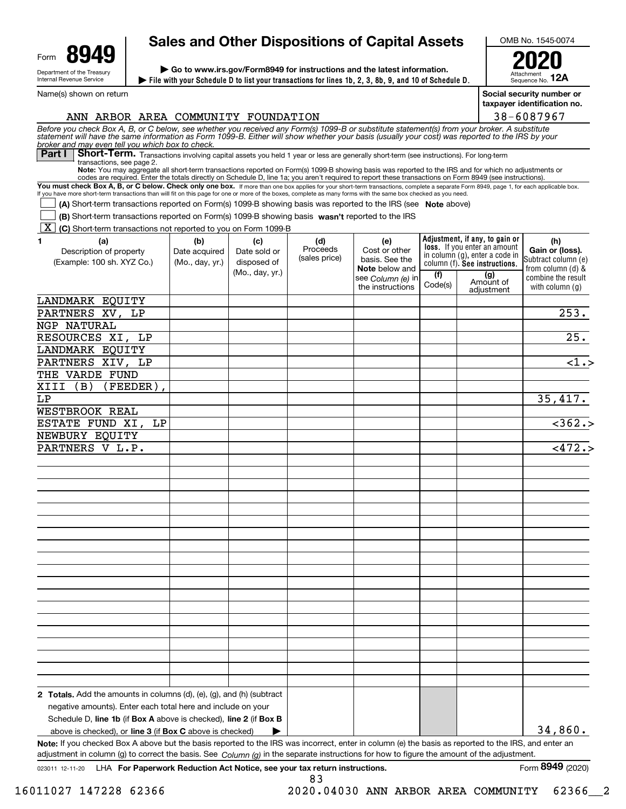| Form | uД                                                     |
|------|--------------------------------------------------------|
|      | Department of the Treasury<br>Internal Revenue Service |

Name(s) shown on return

# **Sales and Other Dispositions of Capital Assets**

**File with your Schedule D to list your transactions for lines 1b, 2, 3, 8b, 9, and 10 of Schedule D. | | Go to www.irs.gov/Form8949 for instructions and the latest information.**

OMB No. 1545-0074 **2020**

**12A**

Sequence No. **Social security number or**

**taxpayer identification no.**

Attachment

| 38-6087967                                                                              |
|-----------------------------------------------------------------------------------------|
| atement(s) from your broker. A substitute<br>your cost) was reported to the IRS by your |

ANN ARBOR AREA COMMUNITY FOUNDATION

Before you check Box A, B, or C below, see whether you received any Form(s) 1099-B or substitute statement(s) from your broker. A substitute<br>statement will have the same information as Form 1099-B. Either will show whether *broker and may even tell you which box to check.*

Part I Short-Term. Transactions involving capital assets you held 1 year or less are generally short-term (see instructions). For long-term transactions, see page 2.

**Note:**You may aggregate all short-term transactions reported on Form(s) 1099-B showing basis was reported to the IRS and for which no adjustments or codes are required. Enter the totals directly on Schedule D, line 1a; you aren't required to report these transactions on Form 8949 (see instructions).

You must check Box A, B, or C below. Check only one box. If more than one box applies for your short-term transactions, complete a separate Form 8949, page 1, for each applicable box. If you have more short-term transactions than will fit on this page for one or more of the boxes, complete as many forms with the same box checked as you need.

**(A)** Short-term transactions reported on Form(s) 1099-B showing basis was reported to the IRS (see Note above)

**(B)** Short-term transactions reported on Form(s) 1099-B showing basis wasn't reported to the IRS  $\mathcal{L}^{\text{max}}$ 

**K** (C) Short-term transactions not reported to you on Form 1099-B

| <br>1<br>(a)<br>Description of property<br>(Example: 100 sh. XYZ Co.)                                                                                                                                                                                                                               | (b)<br>Date acquired<br>(Mo., day, yr.) | (c)<br>Date sold or<br>disposed of<br>(Mo., day, yr.) | (d)<br>Proceeds<br>(sales price) | (e)<br>Cost or other<br>basis. See the<br><b>Note</b> below and<br>see Column (e) in<br>the instructions | (f)<br>Code(s) | Adjustment, if any, to gain or<br>loss. If you enter an amount<br>in column (g), enter a code in<br>column (f). See instructions.<br>(g)<br>Amount of<br>adjustment | (h)<br>Gain or (loss).<br>Subtract column (e)<br>from column (d) &<br>combine the result<br>with column $(g)$ |
|-----------------------------------------------------------------------------------------------------------------------------------------------------------------------------------------------------------------------------------------------------------------------------------------------------|-----------------------------------------|-------------------------------------------------------|----------------------------------|----------------------------------------------------------------------------------------------------------|----------------|---------------------------------------------------------------------------------------------------------------------------------------------------------------------|---------------------------------------------------------------------------------------------------------------|
| LANDMARK EQUITY                                                                                                                                                                                                                                                                                     |                                         |                                                       |                                  |                                                                                                          |                |                                                                                                                                                                     |                                                                                                               |
| PARTNERS XV, LP                                                                                                                                                                                                                                                                                     |                                         |                                                       |                                  |                                                                                                          |                |                                                                                                                                                                     | 253.                                                                                                          |
| NGP NATURAL                                                                                                                                                                                                                                                                                         |                                         |                                                       |                                  |                                                                                                          |                |                                                                                                                                                                     |                                                                                                               |
| RESOURCES XI, LP                                                                                                                                                                                                                                                                                    |                                         |                                                       |                                  |                                                                                                          |                |                                                                                                                                                                     | $\overline{25}$ .                                                                                             |
| LANDMARK EQUITY                                                                                                                                                                                                                                                                                     |                                         |                                                       |                                  |                                                                                                          |                |                                                                                                                                                                     |                                                                                                               |
| PARTNERS XIV, LP                                                                                                                                                                                                                                                                                    |                                         |                                                       |                                  |                                                                                                          |                |                                                                                                                                                                     | <1.5                                                                                                          |
| THE VARDE FUND                                                                                                                                                                                                                                                                                      |                                         |                                                       |                                  |                                                                                                          |                |                                                                                                                                                                     |                                                                                                               |
| (FEEDER)<br>XIII<br>(B)                                                                                                                                                                                                                                                                             |                                         |                                                       |                                  |                                                                                                          |                |                                                                                                                                                                     |                                                                                                               |
| LΡ                                                                                                                                                                                                                                                                                                  |                                         |                                                       |                                  |                                                                                                          |                |                                                                                                                                                                     | 35,417.                                                                                                       |
| WESTBROOK REAL                                                                                                                                                                                                                                                                                      |                                         |                                                       |                                  |                                                                                                          |                |                                                                                                                                                                     |                                                                                                               |
| ESTATE FUND XI,<br>LΡ                                                                                                                                                                                                                                                                               |                                         |                                                       |                                  |                                                                                                          |                |                                                                                                                                                                     | $\overline{<}362.$                                                                                            |
| NEWBURY EQUITY                                                                                                                                                                                                                                                                                      |                                         |                                                       |                                  |                                                                                                          |                |                                                                                                                                                                     |                                                                                                               |
| PARTNERS V L.P.                                                                                                                                                                                                                                                                                     |                                         |                                                       |                                  |                                                                                                          |                |                                                                                                                                                                     | $\overline{<472.}$                                                                                            |
|                                                                                                                                                                                                                                                                                                     |                                         |                                                       |                                  |                                                                                                          |                |                                                                                                                                                                     |                                                                                                               |
|                                                                                                                                                                                                                                                                                                     |                                         |                                                       |                                  |                                                                                                          |                |                                                                                                                                                                     |                                                                                                               |
|                                                                                                                                                                                                                                                                                                     |                                         |                                                       |                                  |                                                                                                          |                |                                                                                                                                                                     |                                                                                                               |
|                                                                                                                                                                                                                                                                                                     |                                         |                                                       |                                  |                                                                                                          |                |                                                                                                                                                                     |                                                                                                               |
|                                                                                                                                                                                                                                                                                                     |                                         |                                                       |                                  |                                                                                                          |                |                                                                                                                                                                     |                                                                                                               |
|                                                                                                                                                                                                                                                                                                     |                                         |                                                       |                                  |                                                                                                          |                |                                                                                                                                                                     |                                                                                                               |
|                                                                                                                                                                                                                                                                                                     |                                         |                                                       |                                  |                                                                                                          |                |                                                                                                                                                                     |                                                                                                               |
|                                                                                                                                                                                                                                                                                                     |                                         |                                                       |                                  |                                                                                                          |                |                                                                                                                                                                     |                                                                                                               |
|                                                                                                                                                                                                                                                                                                     |                                         |                                                       |                                  |                                                                                                          |                |                                                                                                                                                                     |                                                                                                               |
|                                                                                                                                                                                                                                                                                                     |                                         |                                                       |                                  |                                                                                                          |                |                                                                                                                                                                     |                                                                                                               |
|                                                                                                                                                                                                                                                                                                     |                                         |                                                       |                                  |                                                                                                          |                |                                                                                                                                                                     |                                                                                                               |
|                                                                                                                                                                                                                                                                                                     |                                         |                                                       |                                  |                                                                                                          |                |                                                                                                                                                                     |                                                                                                               |
|                                                                                                                                                                                                                                                                                                     |                                         |                                                       |                                  |                                                                                                          |                |                                                                                                                                                                     |                                                                                                               |
|                                                                                                                                                                                                                                                                                                     |                                         |                                                       |                                  |                                                                                                          |                |                                                                                                                                                                     |                                                                                                               |
|                                                                                                                                                                                                                                                                                                     |                                         |                                                       |                                  |                                                                                                          |                |                                                                                                                                                                     |                                                                                                               |
|                                                                                                                                                                                                                                                                                                     |                                         |                                                       |                                  |                                                                                                          |                |                                                                                                                                                                     |                                                                                                               |
|                                                                                                                                                                                                                                                                                                     |                                         |                                                       |                                  |                                                                                                          |                |                                                                                                                                                                     |                                                                                                               |
|                                                                                                                                                                                                                                                                                                     |                                         |                                                       |                                  |                                                                                                          |                |                                                                                                                                                                     |                                                                                                               |
|                                                                                                                                                                                                                                                                                                     |                                         |                                                       |                                  |                                                                                                          |                |                                                                                                                                                                     |                                                                                                               |
|                                                                                                                                                                                                                                                                                                     |                                         |                                                       |                                  |                                                                                                          |                |                                                                                                                                                                     |                                                                                                               |
| <b>2 Totals.</b> Add the amounts in columns $(d)$ , $(e)$ , $(q)$ , and $(h)$ (subtract                                                                                                                                                                                                             |                                         |                                                       |                                  |                                                                                                          |                |                                                                                                                                                                     |                                                                                                               |
| negative amounts). Enter each total here and include on your                                                                                                                                                                                                                                        |                                         |                                                       |                                  |                                                                                                          |                |                                                                                                                                                                     |                                                                                                               |
| Schedule D, line 1b (if Box A above is checked), line 2 (if Box B                                                                                                                                                                                                                                   |                                         |                                                       |                                  |                                                                                                          |                |                                                                                                                                                                     |                                                                                                               |
| above is checked), or line 3 (if Box C above is checked)                                                                                                                                                                                                                                            |                                         | ▶                                                     |                                  |                                                                                                          |                |                                                                                                                                                                     | 34,860.                                                                                                       |
| Note: If you checked Box A above but the basis reported to the IRS was incorrect, enter in column (e) the basis as reported to the IRS, and enter an<br>adjustment in column (g) to correct the basis. See $Column(q)$ in the separate instructions for how to figure the amount of the adjustment. |                                         |                                                       |                                  |                                                                                                          |                |                                                                                                                                                                     |                                                                                                               |

83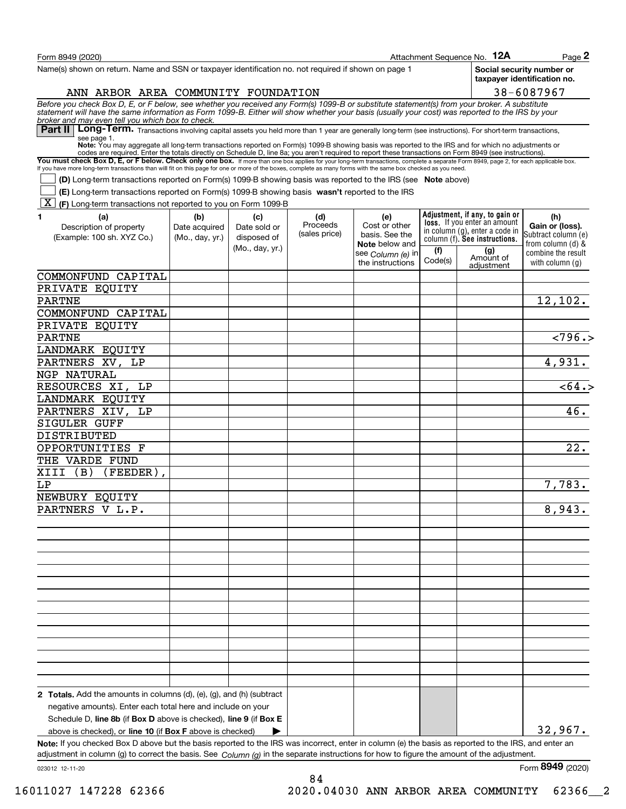| Form 8949 (2020)                                                                                                                                                                                                                                                                                                                                         |                 |                 |                           |                                         |         | Attachment Sequence No. 12A                                    | Page 2                                                   |
|----------------------------------------------------------------------------------------------------------------------------------------------------------------------------------------------------------------------------------------------------------------------------------------------------------------------------------------------------------|-----------------|-----------------|---------------------------|-----------------------------------------|---------|----------------------------------------------------------------|----------------------------------------------------------|
| Name(s) shown on return. Name and SSN or taxpayer identification no. not required if shown on page 1                                                                                                                                                                                                                                                     |                 |                 |                           |                                         |         |                                                                | Social security number or<br>taxpayer identification no. |
| ANN ARBOR AREA COMMUNITY FOUNDATION                                                                                                                                                                                                                                                                                                                      |                 |                 |                           |                                         |         |                                                                | 38-6087967                                               |
| Before you check Box D, E, or F below, see whether you received any Form(s) 1099-B or substitute statement(s) from your broker. A substitute<br>statement will have the same information as Form 1099-B. Either will show whether                                                                                                                        |                 |                 |                           |                                         |         |                                                                |                                                          |
| broker and may even tell you which box to check.<br>Part II   Long-Term. Transactions involving capital assets you held more than 1 year are generally long-term (see instructions). For short-term transactions,                                                                                                                                        |                 |                 |                           |                                         |         |                                                                |                                                          |
| see page 1.<br>Note: You may aggregate all long-term transactions reported on Form(s) 1099-B showing basis was reported to the IRS and for which no adjustments or                                                                                                                                                                                       |                 |                 |                           |                                         |         |                                                                |                                                          |
| codes are required. Enter the totals directly on Schedule D, line 8a; you aren't required to report these transactions on Form 8949 (see instructions).                                                                                                                                                                                                  |                 |                 |                           |                                         |         |                                                                |                                                          |
| You must check Box D, E, or F below. Check only one box. If more than one box applies for your long-term transactions, complete a separate Form 8949, page 2, for each applicable box.<br>If you have more long-term transactions than will fit on this page for one or more of the boxes, complete as many forms with the same box checked as you need. |                 |                 |                           |                                         |         |                                                                |                                                          |
| (D) Long-term transactions reported on Form(s) 1099-B showing basis was reported to the IRS (see Note above)                                                                                                                                                                                                                                             |                 |                 |                           |                                         |         |                                                                |                                                          |
| (E) Long-term transactions reported on Form(s) 1099-B showing basis wasn't reported to the IRS<br> X <br>(F) Long-term transactions not reported to you on Form 1099-B                                                                                                                                                                                   |                 |                 |                           |                                         |         |                                                                |                                                          |
| 1<br>(a)                                                                                                                                                                                                                                                                                                                                                 | (b)             | (c)             | (d)                       | (e)                                     |         | Adjustment, if any, to gain or                                 | (h)                                                      |
| Description of property                                                                                                                                                                                                                                                                                                                                  | Date acquired   | Date sold or    | Proceeds<br>(sales price) | Cost or other                           |         | loss. If you enter an amount<br>in column (g), enter a code in | Gain or (loss).                                          |
| (Example: 100 sh. XYZ Co.)                                                                                                                                                                                                                                                                                                                               | (Mo., day, yr.) | disposed of     |                           | basis. See the<br><b>Note</b> below and |         | column (f). See instructions.                                  | Subtract column (e)<br>from column (d) &                 |
|                                                                                                                                                                                                                                                                                                                                                          |                 | (Mo., day, yr.) |                           | see Column (e) in                       | (f)     | (g)<br>Amount of                                               | combine the result                                       |
|                                                                                                                                                                                                                                                                                                                                                          |                 |                 |                           | the instructions                        | Code(s) | adiustment                                                     | with column (a)                                          |
| COMMONFUND CAPITAL                                                                                                                                                                                                                                                                                                                                       |                 |                 |                           |                                         |         |                                                                |                                                          |
| PRIVATE EQUITY                                                                                                                                                                                                                                                                                                                                           |                 |                 |                           |                                         |         |                                                                |                                                          |
| <b>PARTNE</b>                                                                                                                                                                                                                                                                                                                                            |                 |                 |                           |                                         |         |                                                                | 12,102.                                                  |
| COMMONFUND CAPITAL                                                                                                                                                                                                                                                                                                                                       |                 |                 |                           |                                         |         |                                                                |                                                          |
| PRIVATE EQUITY                                                                                                                                                                                                                                                                                                                                           |                 |                 |                           |                                         |         |                                                                |                                                          |
| <b>PARTNE</b>                                                                                                                                                                                                                                                                                                                                            |                 |                 |                           |                                         |         |                                                                | $\overline{2796.}$                                       |
| LANDMARK EQUITY                                                                                                                                                                                                                                                                                                                                          |                 |                 |                           |                                         |         |                                                                |                                                          |
| PARTNERS XV, LP                                                                                                                                                                                                                                                                                                                                          |                 |                 |                           |                                         |         |                                                                | 4,931.                                                   |
| NGP NATURAL                                                                                                                                                                                                                                                                                                                                              |                 |                 |                           |                                         |         |                                                                |                                                          |
| RESOURCES XI, LP                                                                                                                                                                                                                                                                                                                                         |                 |                 |                           |                                         |         |                                                                | $\overline{564.5}$                                       |
| LANDMARK EQUITY                                                                                                                                                                                                                                                                                                                                          |                 |                 |                           |                                         |         |                                                                | 46.                                                      |
| PARTNERS XIV, LP                                                                                                                                                                                                                                                                                                                                         |                 |                 |                           |                                         |         |                                                                |                                                          |
| SIGULER GUFF<br>DISTRIBUTED                                                                                                                                                                                                                                                                                                                              |                 |                 |                           |                                         |         |                                                                |                                                          |
| OPPORTUNITIES F                                                                                                                                                                                                                                                                                                                                          |                 |                 |                           |                                         |         |                                                                | 22.                                                      |
| THE VARDE FUND                                                                                                                                                                                                                                                                                                                                           |                 |                 |                           |                                         |         |                                                                |                                                          |
| XIII<br>(B)<br>(FEEDER)                                                                                                                                                                                                                                                                                                                                  |                 |                 |                           |                                         |         |                                                                |                                                          |
| LΡ                                                                                                                                                                                                                                                                                                                                                       |                 |                 |                           |                                         |         |                                                                | 7,783.                                                   |
| NEWBURY EQUITY                                                                                                                                                                                                                                                                                                                                           |                 |                 |                           |                                         |         |                                                                |                                                          |
| PARTNERS V L.P.                                                                                                                                                                                                                                                                                                                                          |                 |                 |                           |                                         |         |                                                                | 8,943.                                                   |
|                                                                                                                                                                                                                                                                                                                                                          |                 |                 |                           |                                         |         |                                                                |                                                          |
|                                                                                                                                                                                                                                                                                                                                                          |                 |                 |                           |                                         |         |                                                                |                                                          |
|                                                                                                                                                                                                                                                                                                                                                          |                 |                 |                           |                                         |         |                                                                |                                                          |
|                                                                                                                                                                                                                                                                                                                                                          |                 |                 |                           |                                         |         |                                                                |                                                          |
|                                                                                                                                                                                                                                                                                                                                                          |                 |                 |                           |                                         |         |                                                                |                                                          |
|                                                                                                                                                                                                                                                                                                                                                          |                 |                 |                           |                                         |         |                                                                |                                                          |
|                                                                                                                                                                                                                                                                                                                                                          |                 |                 |                           |                                         |         |                                                                |                                                          |
|                                                                                                                                                                                                                                                                                                                                                          |                 |                 |                           |                                         |         |                                                                |                                                          |
|                                                                                                                                                                                                                                                                                                                                                          |                 |                 |                           |                                         |         |                                                                |                                                          |
|                                                                                                                                                                                                                                                                                                                                                          |                 |                 |                           |                                         |         |                                                                |                                                          |
|                                                                                                                                                                                                                                                                                                                                                          |                 |                 |                           |                                         |         |                                                                |                                                          |
|                                                                                                                                                                                                                                                                                                                                                          |                 |                 |                           |                                         |         |                                                                |                                                          |
|                                                                                                                                                                                                                                                                                                                                                          |                 |                 |                           |                                         |         |                                                                |                                                          |
|                                                                                                                                                                                                                                                                                                                                                          |                 |                 |                           |                                         |         |                                                                |                                                          |
| 2 Totals. Add the amounts in columns (d), (e), (g), and (h) (subtract                                                                                                                                                                                                                                                                                    |                 |                 |                           |                                         |         |                                                                |                                                          |
| negative amounts). Enter each total here and include on your                                                                                                                                                                                                                                                                                             |                 |                 |                           |                                         |         |                                                                |                                                          |
| Schedule D, line 8b (if Box D above is checked), line 9 (if Box E                                                                                                                                                                                                                                                                                        |                 |                 |                           |                                         |         |                                                                | 32,967.                                                  |
| above is checked), or line 10 (if Box F above is checked)<br>Note: If you checked Box D above but the basis reported to the IRS was incorrect, enter in column (e) the basis as reported to the IRS, and enter an                                                                                                                                        |                 |                 |                           |                                         |         |                                                                |                                                          |
| adjustment in column (g) to correct the basis. See $Column(g)$ in the separate instructions for how to figure the amount of the adjustment.                                                                                                                                                                                                              |                 |                 |                           |                                         |         |                                                                |                                                          |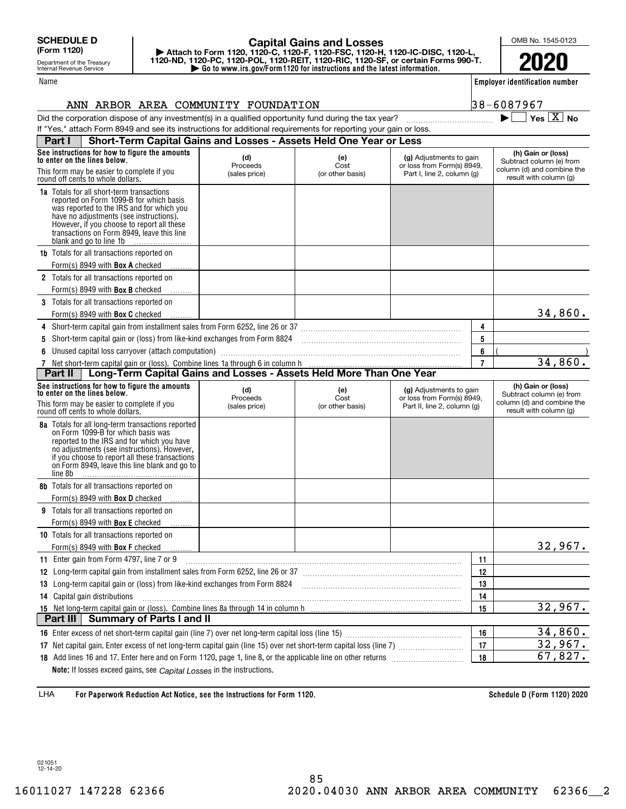Department of the Treasury Internal Revenue Service

#### Name

# **| Go to www.irs.gov/Form1120 for instructions and the latest information. | Attach to Form 1120, 1120-C, 1120-F, 1120-FSC, 1120-H, 1120-IC-DISC, 1120-L, 1120-ND, 1120-PC, 1120-POL, 1120-REIT, 1120-RIC, 1120-SF, or certain Forms 990-T. Capital Gains and Losses**

OMB No. 1545-0123

**2020**

**Employer identification number**

 $\blacktriangleright$   $\Box$  Yes  $\boxed{X}$  No

| 8-6087967 |  |  |  |  |
|-----------|--|--|--|--|
|           |  |  |  |  |

### Did the corporation dispose of any investment(s) in a qualified opportunity fund during the tax year?  $\Box$   $\Box$ ANN ARBOR AREA COMMUNITY FOUNDATION 3

| If "Yes," attach Form 8949 and see its instructions for additional requirements for reporting your gain or loss.                                                                                                                                                                                           |                                  |                                 |                                                                                      |                |                                                                                                        |
|------------------------------------------------------------------------------------------------------------------------------------------------------------------------------------------------------------------------------------------------------------------------------------------------------------|----------------------------------|---------------------------------|--------------------------------------------------------------------------------------|----------------|--------------------------------------------------------------------------------------------------------|
| Short-Term Capital Gains and Losses - Assets Held One Year or Less<br>Part I                                                                                                                                                                                                                               |                                  |                                 |                                                                                      |                |                                                                                                        |
| See instructions for how to figure the amounts<br>to enter on the lines below.<br>This form may be easier to complete if you<br>round off cents to whole dollars.                                                                                                                                          | (d)<br>Proceeds<br>(sales price) | (e)<br>Cost<br>(or other basis) | (g) Adjustments to gain<br>or loss from Form(s) 8949,<br>Part I, line 2, column (g)  |                | (h) Gain or (loss)<br>Subtract column (e) from<br>column (d) and combine the<br>result with column (g) |
| <b>1a</b> Totals for all short-term transactions<br>reported on Form 1099-B for which basis<br>was reported to the IRS and for which you<br>have no adjustments (see instructions).<br>However, if you choose to report all these<br>transactions on Form 8949, leave this line<br>blank and go to line 1b |                                  |                                 |                                                                                      |                |                                                                                                        |
| <b>1b</b> Totals for all transactions reported on<br>Form(s) 8949 with <b>Box A</b> checked                                                                                                                                                                                                                |                                  |                                 |                                                                                      |                |                                                                                                        |
| <b>2</b> Totals for all transactions reported on<br>Form(s) 8949 with <b>Box B</b> checked                                                                                                                                                                                                                 |                                  |                                 |                                                                                      |                |                                                                                                        |
| <b>3</b> Totals for all transactions reported on<br>Form(s) 8949 with <b>Box C</b> checked                                                                                                                                                                                                                 |                                  |                                 |                                                                                      |                | 34,860.                                                                                                |
| 4 Short-term capital gain from installment sales from Form 6252, line 26 or 37 [11] [12] Chang Manuscoff Capital Discover 10 Short-term capital gain from installment sales from Form 6252, line 26 or 37                                                                                                  |                                  |                                 |                                                                                      | 4              |                                                                                                        |
| 5 Short-term capital gain or (loss) from like-kind exchanges from Form 8824 [11] [11] [11] Short-term capital gain or (loss) from like-kind exchanges from Form 8824                                                                                                                                       |                                  |                                 |                                                                                      | 5              |                                                                                                        |
| 6 Unused capital loss carryover (attach computation)                                                                                                                                                                                                                                                       |                                  |                                 |                                                                                      | 6              |                                                                                                        |
| Net short-term capital gain or (loss). Combine lines 1a through 6 in column h<br><b>Part II</b>   Long-Term Capital Gains and Losses - Assets Held More Than One Year<br>7                                                                                                                                 |                                  |                                 |                                                                                      | $\overline{7}$ | 34,860.                                                                                                |
| Part II                                                                                                                                                                                                                                                                                                    |                                  |                                 |                                                                                      |                |                                                                                                        |
| See instructions for how to figure the amounts<br>to enter on the lines below.<br>This form may be easier to complete if you<br>round off cents to whole dollars.                                                                                                                                          | (d)<br>Proceeds<br>(sales price) | (e)<br>Cost<br>(or other basis) | (g) Adjustments to gain<br>or loss from Form(s) 8949,<br>Part II, line 2, column (g) |                | (h) Gain or (loss)<br>Subtract column (e) from<br>column (d) and combine the<br>result with column (g) |
| 8a Totals for all long-term transactions reported<br>on Form 1099-B for which basis was<br>reported to the IRS and for which you have<br>no adjustments (see instructions). However,<br>if you choose to report all these transactions<br>on Form 8949, leave this line blank and go to<br>line 8b         |                                  |                                 |                                                                                      |                |                                                                                                        |
| <b>8b</b> Totals for all transactions reported on<br>Form(s) 8949 with <b>Box D</b> checked                                                                                                                                                                                                                |                                  |                                 |                                                                                      |                |                                                                                                        |
| <b>9</b> Totals for all transactions reported on<br>Form(s) 8949 with <b>Box E</b> checked                                                                                                                                                                                                                 |                                  |                                 |                                                                                      |                |                                                                                                        |
| <b>10</b> Totals for all transactions reported on                                                                                                                                                                                                                                                          |                                  |                                 |                                                                                      |                |                                                                                                        |
| Form(s) 8949 with <b>Box F</b> checked                                                                                                                                                                                                                                                                     |                                  |                                 |                                                                                      |                | 32,967.                                                                                                |
| 11 Enter gain from Form 4797, line 7 or 9                                                                                                                                                                                                                                                                  |                                  |                                 |                                                                                      | 11             |                                                                                                        |
| 12 Long-term capital gain from installment sales from Form 6252, line 26 or 37 [11] [12] Long-term capital gain from installment sales from Form 6252, line 26 or 37                                                                                                                                       |                                  |                                 |                                                                                      | 12             |                                                                                                        |
| 13 Long-term capital gain or (loss) from like-kind exchanges from Form 8824 [11] [12] Long-term capital gain or (loss) from like-kind exchanges from Form 8824                                                                                                                                             |                                  |                                 |                                                                                      | 13             |                                                                                                        |
| 14 Capital gain distributions                                                                                                                                                                                                                                                                              |                                  |                                 |                                                                                      | 14             |                                                                                                        |
|                                                                                                                                                                                                                                                                                                            |                                  |                                 |                                                                                      | 15             | 32,967.                                                                                                |
| <b>Summary of Parts I and II</b><br>Part III                                                                                                                                                                                                                                                               |                                  |                                 |                                                                                      |                |                                                                                                        |
|                                                                                                                                                                                                                                                                                                            |                                  |                                 |                                                                                      | 16             | 34,860.                                                                                                |
|                                                                                                                                                                                                                                                                                                            |                                  |                                 |                                                                                      | 17             | 32,967.                                                                                                |
|                                                                                                                                                                                                                                                                                                            |                                  |                                 |                                                                                      | 18             | 67,827.                                                                                                |
| Note: If losses exceed gains, see Capital Losses in the instructions.                                                                                                                                                                                                                                      |                                  |                                 |                                                                                      |                |                                                                                                        |

**For Paperwork Reduction Act Notice, see the Instructions for Form 1120. Schedule D (Form 1120) 2020** LHA

021051 12-14-20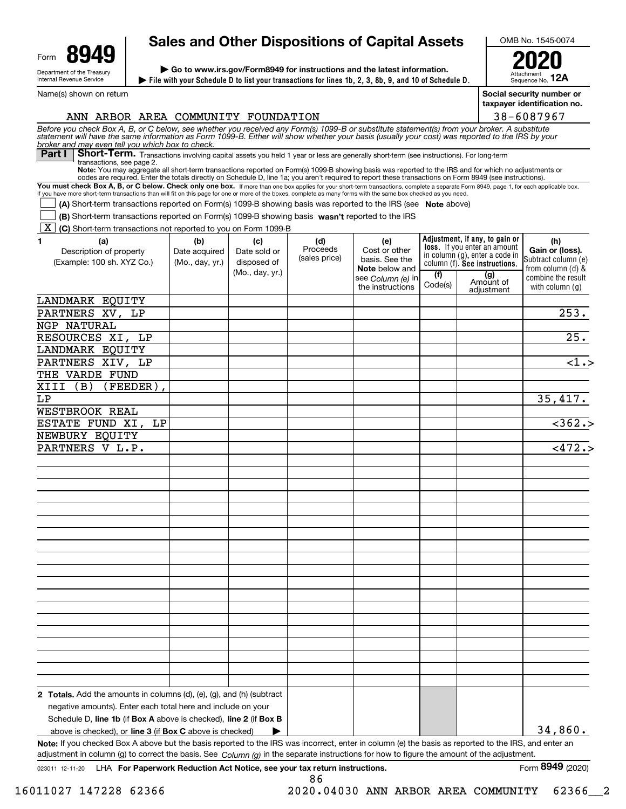| Form | uД                                                     |
|------|--------------------------------------------------------|
|      | Department of the Treasury<br>Internal Revenue Service |

Name(s) shown on return

# **Sales and Other Dispositions of Capital Assets**

**File with your Schedule D to list your transactions for lines 1b, 2, 3, 8b, 9, and 10 of Schedule D. | | Go to www.irs.gov/Form8949 for instructions and the latest information.**

OMB No. 1545-0074 **2020**

**12A**

Sequence No. **Social security number or taxpayer identification no.**

Attachment

|                                                                                                                                                                                                                                                                                                                                                                                                                                                                                                                                                                                                                                                                                                                                                                                                                                                                                                                                                                                                                                                                                                                                                                                                                                                                                                                                                                                                                                                                                                                                                                                                                                                                                                                                                                                                                                                                                                   |  |  |         |                                                                 | 38-6087967                              |
|---------------------------------------------------------------------------------------------------------------------------------------------------------------------------------------------------------------------------------------------------------------------------------------------------------------------------------------------------------------------------------------------------------------------------------------------------------------------------------------------------------------------------------------------------------------------------------------------------------------------------------------------------------------------------------------------------------------------------------------------------------------------------------------------------------------------------------------------------------------------------------------------------------------------------------------------------------------------------------------------------------------------------------------------------------------------------------------------------------------------------------------------------------------------------------------------------------------------------------------------------------------------------------------------------------------------------------------------------------------------------------------------------------------------------------------------------------------------------------------------------------------------------------------------------------------------------------------------------------------------------------------------------------------------------------------------------------------------------------------------------------------------------------------------------------------------------------------------------------------------------------------------------|--|--|---------|-----------------------------------------------------------------|-----------------------------------------|
|                                                                                                                                                                                                                                                                                                                                                                                                                                                                                                                                                                                                                                                                                                                                                                                                                                                                                                                                                                                                                                                                                                                                                                                                                                                                                                                                                                                                                                                                                                                                                                                                                                                                                                                                                                                                                                                                                                   |  |  |         |                                                                 |                                         |
| Part I                                                                                                                                                                                                                                                                                                                                                                                                                                                                                                                                                                                                                                                                                                                                                                                                                                                                                                                                                                                                                                                                                                                                                                                                                                                                                                                                                                                                                                                                                                                                                                                                                                                                                                                                                                                                                                                                                            |  |  |         |                                                                 |                                         |
| transactions, see page 2.                                                                                                                                                                                                                                                                                                                                                                                                                                                                                                                                                                                                                                                                                                                                                                                                                                                                                                                                                                                                                                                                                                                                                                                                                                                                                                                                                                                                                                                                                                                                                                                                                                                                                                                                                                                                                                                                         |  |  |         |                                                                 |                                         |
|                                                                                                                                                                                                                                                                                                                                                                                                                                                                                                                                                                                                                                                                                                                                                                                                                                                                                                                                                                                                                                                                                                                                                                                                                                                                                                                                                                                                                                                                                                                                                                                                                                                                                                                                                                                                                                                                                                   |  |  |         |                                                                 |                                         |
| ANN ARBOR AREA COMMUNITY FOUNDATION<br>Before you check Box A, B, or C below, see whether you received any Form(s) 1099-B or substitute statement(s) from your broker. A substitute statement will have the same information as Form 1099-B. Either will show whether<br>broker and may even tell you which box to check.<br>Short-Term. Transactions involving capital assets you held 1 year or less are generally short-term (see instructions). For long-term<br>Note: You may aggregate all short-term transactions reported on Form(s) 1099-B showing basis was reported to the IRS and for which no adjustments or<br>codes are required. Enter the totals directly on Schedule D, line 1a; you aren't required to report these transactions on Form 8949 (see instructions).<br>You must check Box A, B, or C below. Check only one box. If more than one box applies for your short-term transactions, complete a separate Form 8949, page 1, for each applicable box.<br>If you have more short-term transactions than will fit on this page for one or more of the boxes, complete as many forms with the same box checked as you need.<br>(A) Short-term transactions reported on Form(s) 1099-B showing basis was reported to the IRS (see Note above)<br>(B) Short-term transactions reported on Form(s) 1099-B showing basis wasn't reported to the IRS<br>$\boxed{\text{X}}$ (C) Short-term transactions not reported to you on Form 1099-B<br>1.<br>(a)<br>(b)<br>(c)<br>(d)<br>(e)<br>Proceeds<br>Cost or other<br>Description of property<br>Date acquired<br>Date sold or<br>(sales price)<br>basis. See the<br>(Example: 100 sh. XYZ Co.)<br>(Mo., day, yr.)<br>disposed of<br>Note below and<br>(Mo., day, yr.)<br>see Column (e) in<br>the instructions<br>LANDMARK EQUITY<br>PARTNERS XV, LP<br>NGP NATURAL<br>RESOURCES XI,<br>LP<br>LANDMARK EQUITY<br>PARTNERS XIV, LP |  |  |         |                                                                 |                                         |
|                                                                                                                                                                                                                                                                                                                                                                                                                                                                                                                                                                                                                                                                                                                                                                                                                                                                                                                                                                                                                                                                                                                                                                                                                                                                                                                                                                                                                                                                                                                                                                                                                                                                                                                                                                                                                                                                                                   |  |  |         |                                                                 |                                         |
|                                                                                                                                                                                                                                                                                                                                                                                                                                                                                                                                                                                                                                                                                                                                                                                                                                                                                                                                                                                                                                                                                                                                                                                                                                                                                                                                                                                                                                                                                                                                                                                                                                                                                                                                                                                                                                                                                                   |  |  |         |                                                                 |                                         |
|                                                                                                                                                                                                                                                                                                                                                                                                                                                                                                                                                                                                                                                                                                                                                                                                                                                                                                                                                                                                                                                                                                                                                                                                                                                                                                                                                                                                                                                                                                                                                                                                                                                                                                                                                                                                                                                                                                   |  |  |         | Adjustment, if any, to gain or                                  |                                         |
|                                                                                                                                                                                                                                                                                                                                                                                                                                                                                                                                                                                                                                                                                                                                                                                                                                                                                                                                                                                                                                                                                                                                                                                                                                                                                                                                                                                                                                                                                                                                                                                                                                                                                                                                                                                                                                                                                                   |  |  |         | loss. If you enter an amount                                    | (h)<br>Gain or (loss).                  |
|                                                                                                                                                                                                                                                                                                                                                                                                                                                                                                                                                                                                                                                                                                                                                                                                                                                                                                                                                                                                                                                                                                                                                                                                                                                                                                                                                                                                                                                                                                                                                                                                                                                                                                                                                                                                                                                                                                   |  |  |         | in column (g), enter a code in<br>column (f). See instructions. | Subtract column (e)                     |
|                                                                                                                                                                                                                                                                                                                                                                                                                                                                                                                                                                                                                                                                                                                                                                                                                                                                                                                                                                                                                                                                                                                                                                                                                                                                                                                                                                                                                                                                                                                                                                                                                                                                                                                                                                                                                                                                                                   |  |  | (f)     |                                                                 | from column (d) &                       |
|                                                                                                                                                                                                                                                                                                                                                                                                                                                                                                                                                                                                                                                                                                                                                                                                                                                                                                                                                                                                                                                                                                                                                                                                                                                                                                                                                                                                                                                                                                                                                                                                                                                                                                                                                                                                                                                                                                   |  |  | Code(s) | (g)<br>Amount of                                                | combine the result<br>with column $(q)$ |
|                                                                                                                                                                                                                                                                                                                                                                                                                                                                                                                                                                                                                                                                                                                                                                                                                                                                                                                                                                                                                                                                                                                                                                                                                                                                                                                                                                                                                                                                                                                                                                                                                                                                                                                                                                                                                                                                                                   |  |  |         | adjustment                                                      |                                         |
|                                                                                                                                                                                                                                                                                                                                                                                                                                                                                                                                                                                                                                                                                                                                                                                                                                                                                                                                                                                                                                                                                                                                                                                                                                                                                                                                                                                                                                                                                                                                                                                                                                                                                                                                                                                                                                                                                                   |  |  |         |                                                                 | 253.                                    |
|                                                                                                                                                                                                                                                                                                                                                                                                                                                                                                                                                                                                                                                                                                                                                                                                                                                                                                                                                                                                                                                                                                                                                                                                                                                                                                                                                                                                                                                                                                                                                                                                                                                                                                                                                                                                                                                                                                   |  |  |         |                                                                 |                                         |
|                                                                                                                                                                                                                                                                                                                                                                                                                                                                                                                                                                                                                                                                                                                                                                                                                                                                                                                                                                                                                                                                                                                                                                                                                                                                                                                                                                                                                                                                                                                                                                                                                                                                                                                                                                                                                                                                                                   |  |  |         |                                                                 | 25.                                     |
|                                                                                                                                                                                                                                                                                                                                                                                                                                                                                                                                                                                                                                                                                                                                                                                                                                                                                                                                                                                                                                                                                                                                                                                                                                                                                                                                                                                                                                                                                                                                                                                                                                                                                                                                                                                                                                                                                                   |  |  |         |                                                                 |                                         |
|                                                                                                                                                                                                                                                                                                                                                                                                                                                                                                                                                                                                                                                                                                                                                                                                                                                                                                                                                                                                                                                                                                                                                                                                                                                                                                                                                                                                                                                                                                                                                                                                                                                                                                                                                                                                                                                                                                   |  |  |         |                                                                 | <1.5                                    |
| THE VARDE FUND                                                                                                                                                                                                                                                                                                                                                                                                                                                                                                                                                                                                                                                                                                                                                                                                                                                                                                                                                                                                                                                                                                                                                                                                                                                                                                                                                                                                                                                                                                                                                                                                                                                                                                                                                                                                                                                                                    |  |  |         |                                                                 |                                         |
| (FEEDER)<br>XIII<br>(B)                                                                                                                                                                                                                                                                                                                                                                                                                                                                                                                                                                                                                                                                                                                                                                                                                                                                                                                                                                                                                                                                                                                                                                                                                                                                                                                                                                                                                                                                                                                                                                                                                                                                                                                                                                                                                                                                           |  |  |         |                                                                 |                                         |
| LP                                                                                                                                                                                                                                                                                                                                                                                                                                                                                                                                                                                                                                                                                                                                                                                                                                                                                                                                                                                                                                                                                                                                                                                                                                                                                                                                                                                                                                                                                                                                                                                                                                                                                                                                                                                                                                                                                                |  |  |         |                                                                 | 35,417.                                 |
| WESTBROOK REAL                                                                                                                                                                                                                                                                                                                                                                                                                                                                                                                                                                                                                                                                                                                                                                                                                                                                                                                                                                                                                                                                                                                                                                                                                                                                                                                                                                                                                                                                                                                                                                                                                                                                                                                                                                                                                                                                                    |  |  |         |                                                                 |                                         |
| ESTATE FUND XI,<br>LP                                                                                                                                                                                                                                                                                                                                                                                                                                                                                                                                                                                                                                                                                                                                                                                                                                                                                                                                                                                                                                                                                                                                                                                                                                                                                                                                                                                                                                                                                                                                                                                                                                                                                                                                                                                                                                                                             |  |  |         |                                                                 | $\overline{<}362.$                      |
| NEWBURY EQUITY                                                                                                                                                                                                                                                                                                                                                                                                                                                                                                                                                                                                                                                                                                                                                                                                                                                                                                                                                                                                                                                                                                                                                                                                                                                                                                                                                                                                                                                                                                                                                                                                                                                                                                                                                                                                                                                                                    |  |  |         |                                                                 |                                         |
| PARTNERS V L.P.                                                                                                                                                                                                                                                                                                                                                                                                                                                                                                                                                                                                                                                                                                                                                                                                                                                                                                                                                                                                                                                                                                                                                                                                                                                                                                                                                                                                                                                                                                                                                                                                                                                                                                                                                                                                                                                                                   |  |  |         |                                                                 | <472.                                   |
|                                                                                                                                                                                                                                                                                                                                                                                                                                                                                                                                                                                                                                                                                                                                                                                                                                                                                                                                                                                                                                                                                                                                                                                                                                                                                                                                                                                                                                                                                                                                                                                                                                                                                                                                                                                                                                                                                                   |  |  |         |                                                                 |                                         |
|                                                                                                                                                                                                                                                                                                                                                                                                                                                                                                                                                                                                                                                                                                                                                                                                                                                                                                                                                                                                                                                                                                                                                                                                                                                                                                                                                                                                                                                                                                                                                                                                                                                                                                                                                                                                                                                                                                   |  |  |         |                                                                 |                                         |
|                                                                                                                                                                                                                                                                                                                                                                                                                                                                                                                                                                                                                                                                                                                                                                                                                                                                                                                                                                                                                                                                                                                                                                                                                                                                                                                                                                                                                                                                                                                                                                                                                                                                                                                                                                                                                                                                                                   |  |  |         |                                                                 |                                         |
|                                                                                                                                                                                                                                                                                                                                                                                                                                                                                                                                                                                                                                                                                                                                                                                                                                                                                                                                                                                                                                                                                                                                                                                                                                                                                                                                                                                                                                                                                                                                                                                                                                                                                                                                                                                                                                                                                                   |  |  |         |                                                                 |                                         |
|                                                                                                                                                                                                                                                                                                                                                                                                                                                                                                                                                                                                                                                                                                                                                                                                                                                                                                                                                                                                                                                                                                                                                                                                                                                                                                                                                                                                                                                                                                                                                                                                                                                                                                                                                                                                                                                                                                   |  |  |         |                                                                 |                                         |
|                                                                                                                                                                                                                                                                                                                                                                                                                                                                                                                                                                                                                                                                                                                                                                                                                                                                                                                                                                                                                                                                                                                                                                                                                                                                                                                                                                                                                                                                                                                                                                                                                                                                                                                                                                                                                                                                                                   |  |  |         |                                                                 |                                         |
|                                                                                                                                                                                                                                                                                                                                                                                                                                                                                                                                                                                                                                                                                                                                                                                                                                                                                                                                                                                                                                                                                                                                                                                                                                                                                                                                                                                                                                                                                                                                                                                                                                                                                                                                                                                                                                                                                                   |  |  |         |                                                                 |                                         |
|                                                                                                                                                                                                                                                                                                                                                                                                                                                                                                                                                                                                                                                                                                                                                                                                                                                                                                                                                                                                                                                                                                                                                                                                                                                                                                                                                                                                                                                                                                                                                                                                                                                                                                                                                                                                                                                                                                   |  |  |         |                                                                 |                                         |
|                                                                                                                                                                                                                                                                                                                                                                                                                                                                                                                                                                                                                                                                                                                                                                                                                                                                                                                                                                                                                                                                                                                                                                                                                                                                                                                                                                                                                                                                                                                                                                                                                                                                                                                                                                                                                                                                                                   |  |  |         |                                                                 |                                         |
|                                                                                                                                                                                                                                                                                                                                                                                                                                                                                                                                                                                                                                                                                                                                                                                                                                                                                                                                                                                                                                                                                                                                                                                                                                                                                                                                                                                                                                                                                                                                                                                                                                                                                                                                                                                                                                                                                                   |  |  |         |                                                                 |                                         |
|                                                                                                                                                                                                                                                                                                                                                                                                                                                                                                                                                                                                                                                                                                                                                                                                                                                                                                                                                                                                                                                                                                                                                                                                                                                                                                                                                                                                                                                                                                                                                                                                                                                                                                                                                                                                                                                                                                   |  |  |         |                                                                 |                                         |
|                                                                                                                                                                                                                                                                                                                                                                                                                                                                                                                                                                                                                                                                                                                                                                                                                                                                                                                                                                                                                                                                                                                                                                                                                                                                                                                                                                                                                                                                                                                                                                                                                                                                                                                                                                                                                                                                                                   |  |  |         |                                                                 |                                         |
|                                                                                                                                                                                                                                                                                                                                                                                                                                                                                                                                                                                                                                                                                                                                                                                                                                                                                                                                                                                                                                                                                                                                                                                                                                                                                                                                                                                                                                                                                                                                                                                                                                                                                                                                                                                                                                                                                                   |  |  |         |                                                                 |                                         |
|                                                                                                                                                                                                                                                                                                                                                                                                                                                                                                                                                                                                                                                                                                                                                                                                                                                                                                                                                                                                                                                                                                                                                                                                                                                                                                                                                                                                                                                                                                                                                                                                                                                                                                                                                                                                                                                                                                   |  |  |         |                                                                 |                                         |
|                                                                                                                                                                                                                                                                                                                                                                                                                                                                                                                                                                                                                                                                                                                                                                                                                                                                                                                                                                                                                                                                                                                                                                                                                                                                                                                                                                                                                                                                                                                                                                                                                                                                                                                                                                                                                                                                                                   |  |  |         |                                                                 |                                         |
|                                                                                                                                                                                                                                                                                                                                                                                                                                                                                                                                                                                                                                                                                                                                                                                                                                                                                                                                                                                                                                                                                                                                                                                                                                                                                                                                                                                                                                                                                                                                                                                                                                                                                                                                                                                                                                                                                                   |  |  |         |                                                                 |                                         |
|                                                                                                                                                                                                                                                                                                                                                                                                                                                                                                                                                                                                                                                                                                                                                                                                                                                                                                                                                                                                                                                                                                                                                                                                                                                                                                                                                                                                                                                                                                                                                                                                                                                                                                                                                                                                                                                                                                   |  |  |         |                                                                 |                                         |
|                                                                                                                                                                                                                                                                                                                                                                                                                                                                                                                                                                                                                                                                                                                                                                                                                                                                                                                                                                                                                                                                                                                                                                                                                                                                                                                                                                                                                                                                                                                                                                                                                                                                                                                                                                                                                                                                                                   |  |  |         |                                                                 |                                         |
|                                                                                                                                                                                                                                                                                                                                                                                                                                                                                                                                                                                                                                                                                                                                                                                                                                                                                                                                                                                                                                                                                                                                                                                                                                                                                                                                                                                                                                                                                                                                                                                                                                                                                                                                                                                                                                                                                                   |  |  |         |                                                                 |                                         |
| <b>2 Totals.</b> Add the amounts in columns $(d)$ , $(e)$ , $(g)$ , and $(h)$ (subtract                                                                                                                                                                                                                                                                                                                                                                                                                                                                                                                                                                                                                                                                                                                                                                                                                                                                                                                                                                                                                                                                                                                                                                                                                                                                                                                                                                                                                                                                                                                                                                                                                                                                                                                                                                                                           |  |  |         |                                                                 |                                         |
| negative amounts). Enter each total here and include on your                                                                                                                                                                                                                                                                                                                                                                                                                                                                                                                                                                                                                                                                                                                                                                                                                                                                                                                                                                                                                                                                                                                                                                                                                                                                                                                                                                                                                                                                                                                                                                                                                                                                                                                                                                                                                                      |  |  |         |                                                                 |                                         |
| Schedule D, line 1b (if Box A above is checked), line 2 (if Box B<br>above is checked), or line 3 (if Box C above is checked)                                                                                                                                                                                                                                                                                                                                                                                                                                                                                                                                                                                                                                                                                                                                                                                                                                                                                                                                                                                                                                                                                                                                                                                                                                                                                                                                                                                                                                                                                                                                                                                                                                                                                                                                                                     |  |  |         |                                                                 | 34,860.                                 |
| Note: If you checked Box A above but the basis reported to the IRS was incorrect, enter in column (e) the basis as reported to the IRS, and enter an                                                                                                                                                                                                                                                                                                                                                                                                                                                                                                                                                                                                                                                                                                                                                                                                                                                                                                                                                                                                                                                                                                                                                                                                                                                                                                                                                                                                                                                                                                                                                                                                                                                                                                                                              |  |  |         |                                                                 |                                         |
| adjustment in column (g) to correct the basis. See $Column(q)$ in the separate instructions for how to figure the amount of the adjustment.                                                                                                                                                                                                                                                                                                                                                                                                                                                                                                                                                                                                                                                                                                                                                                                                                                                                                                                                                                                                                                                                                                                                                                                                                                                                                                                                                                                                                                                                                                                                                                                                                                                                                                                                                       |  |  |         |                                                                 |                                         |

<sup>86</sup>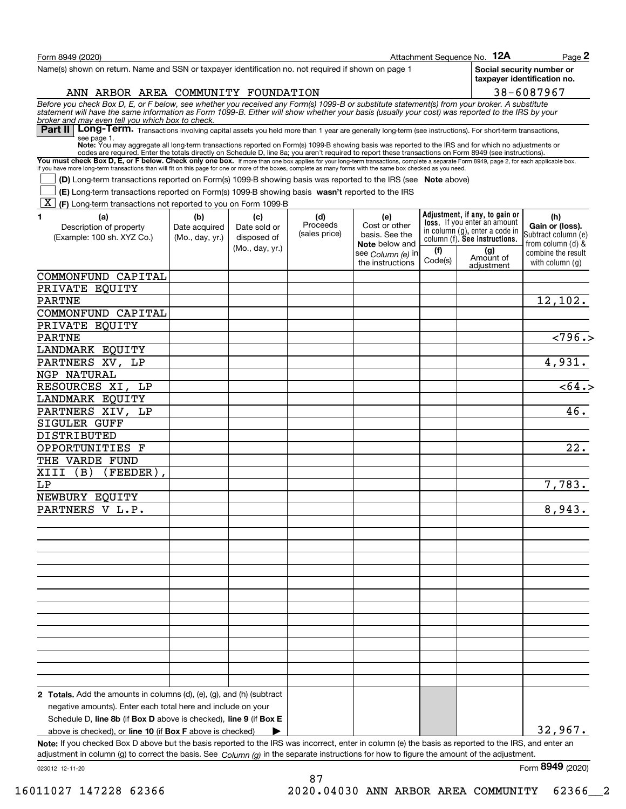| Form 8949 (2020)                                                                                                                                                                                                                                                                                                                                         |                 |                 |                           |                                         |         | Attachment Sequence No. 12A                                    | Page 2                                                   |
|----------------------------------------------------------------------------------------------------------------------------------------------------------------------------------------------------------------------------------------------------------------------------------------------------------------------------------------------------------|-----------------|-----------------|---------------------------|-----------------------------------------|---------|----------------------------------------------------------------|----------------------------------------------------------|
| Name(s) shown on return. Name and SSN or taxpayer identification no. not required if shown on page 1                                                                                                                                                                                                                                                     |                 |                 |                           |                                         |         |                                                                | Social security number or<br>taxpayer identification no. |
| ANN ARBOR AREA COMMUNITY FOUNDATION                                                                                                                                                                                                                                                                                                                      |                 |                 |                           |                                         |         |                                                                | 38-6087967                                               |
| Before you check Box D, E, or F below, see whether you received any Form(s) 1099-B or substitute statement(s) from your broker. A substitute<br>statement will have the same information as Form 1099-B. Either will show whether<br>broker and may even tell you which box to check.                                                                    |                 |                 |                           |                                         |         |                                                                |                                                          |
| Part II   Long-Term. Transactions involving capital assets you held more than 1 year are generally long-term (see instructions). For short-term transactions,                                                                                                                                                                                            |                 |                 |                           |                                         |         |                                                                |                                                          |
| see page 1.<br>Note: You may aggregate all long-term transactions reported on Form(s) 1099-B showing basis was reported to the IRS and for which no adjustments or                                                                                                                                                                                       |                 |                 |                           |                                         |         |                                                                |                                                          |
| codes are required. Enter the totals directly on Schedule D, line 8a; you aren't required to report these transactions on Form 8949 (see instructions).                                                                                                                                                                                                  |                 |                 |                           |                                         |         |                                                                |                                                          |
| You must check Box D, E, or F below. Check only one box. If more than one box applies for your long-term transactions, complete a separate Form 8949, page 2, for each applicable box.<br>If you have more long-term transactions than will fit on this page for one or more of the boxes, complete as many forms with the same box checked as you need. |                 |                 |                           |                                         |         |                                                                |                                                          |
| (D) Long-term transactions reported on Form(s) 1099-B showing basis was reported to the IRS (see Note above)                                                                                                                                                                                                                                             |                 |                 |                           |                                         |         |                                                                |                                                          |
| (E) Long-term transactions reported on Form(s) 1099-B showing basis wasn't reported to the IRS<br> X <br>(F) Long-term transactions not reported to you on Form 1099-B                                                                                                                                                                                   |                 |                 |                           |                                         |         |                                                                |                                                          |
| 1<br>(a)                                                                                                                                                                                                                                                                                                                                                 | (b)             | (c)             | (d)                       | (e)                                     |         | Adjustment, if any, to gain or                                 | (h)                                                      |
| Description of property                                                                                                                                                                                                                                                                                                                                  | Date acquired   | Date sold or    | Proceeds<br>(sales price) | Cost or other                           |         | loss. If you enter an amount<br>in column (g), enter a code in | Gain or (loss).                                          |
| (Example: 100 sh. XYZ Co.)                                                                                                                                                                                                                                                                                                                               | (Mo., day, yr.) | disposed of     |                           | basis. See the<br><b>Note</b> below and |         | column (f). See instructions.                                  | Subtract column (e)<br>from column (d) &                 |
|                                                                                                                                                                                                                                                                                                                                                          |                 | (Mo., day, yr.) |                           | see Column (e) in                       | (f)     | (g)                                                            | combine the result                                       |
|                                                                                                                                                                                                                                                                                                                                                          |                 |                 |                           | the instructions                        | Code(s) | Amount of<br>adiustment                                        | with column (a)                                          |
| COMMONFUND CAPITAL                                                                                                                                                                                                                                                                                                                                       |                 |                 |                           |                                         |         |                                                                |                                                          |
| PRIVATE EQUITY                                                                                                                                                                                                                                                                                                                                           |                 |                 |                           |                                         |         |                                                                |                                                          |
| <b>PARTNE</b>                                                                                                                                                                                                                                                                                                                                            |                 |                 |                           |                                         |         |                                                                | 12,102.                                                  |
| COMMONFUND CAPITAL                                                                                                                                                                                                                                                                                                                                       |                 |                 |                           |                                         |         |                                                                |                                                          |
| PRIVATE EQUITY                                                                                                                                                                                                                                                                                                                                           |                 |                 |                           |                                         |         |                                                                |                                                          |
| <b>PARTNE</b>                                                                                                                                                                                                                                                                                                                                            |                 |                 |                           |                                         |         |                                                                | $\overline{2796.}$                                       |
| LANDMARK EQUITY                                                                                                                                                                                                                                                                                                                                          |                 |                 |                           |                                         |         |                                                                |                                                          |
| PARTNERS XV, LP                                                                                                                                                                                                                                                                                                                                          |                 |                 |                           |                                         |         |                                                                | 4,931.                                                   |
| NGP NATURAL                                                                                                                                                                                                                                                                                                                                              |                 |                 |                           |                                         |         |                                                                |                                                          |
| RESOURCES XI, LP                                                                                                                                                                                                                                                                                                                                         |                 |                 |                           |                                         |         |                                                                | $\overline{564.5}$                                       |
| LANDMARK EQUITY                                                                                                                                                                                                                                                                                                                                          |                 |                 |                           |                                         |         |                                                                |                                                          |
| PARTNERS XIV, LP                                                                                                                                                                                                                                                                                                                                         |                 |                 |                           |                                         |         |                                                                | 46.                                                      |
| SIGULER GUFF                                                                                                                                                                                                                                                                                                                                             |                 |                 |                           |                                         |         |                                                                |                                                          |
| DISTRIBUTED                                                                                                                                                                                                                                                                                                                                              |                 |                 |                           |                                         |         |                                                                |                                                          |
| OPPORTUNITIES F                                                                                                                                                                                                                                                                                                                                          |                 |                 |                           |                                         |         |                                                                | 22.                                                      |
| THE VARDE FUND                                                                                                                                                                                                                                                                                                                                           |                 |                 |                           |                                         |         |                                                                |                                                          |
| XIII<br>(B)<br>(FEEDER)                                                                                                                                                                                                                                                                                                                                  |                 |                 |                           |                                         |         |                                                                |                                                          |
| LΡ                                                                                                                                                                                                                                                                                                                                                       |                 |                 |                           |                                         |         |                                                                | 7,783.                                                   |
| NEWBURY EQUITY                                                                                                                                                                                                                                                                                                                                           |                 |                 |                           |                                         |         |                                                                |                                                          |
| PARTNERS V L.P.                                                                                                                                                                                                                                                                                                                                          |                 |                 |                           |                                         |         |                                                                | 8,943.                                                   |
|                                                                                                                                                                                                                                                                                                                                                          |                 |                 |                           |                                         |         |                                                                |                                                          |
|                                                                                                                                                                                                                                                                                                                                                          |                 |                 |                           |                                         |         |                                                                |                                                          |
|                                                                                                                                                                                                                                                                                                                                                          |                 |                 |                           |                                         |         |                                                                |                                                          |
|                                                                                                                                                                                                                                                                                                                                                          |                 |                 |                           |                                         |         |                                                                |                                                          |
|                                                                                                                                                                                                                                                                                                                                                          |                 |                 |                           |                                         |         |                                                                |                                                          |
|                                                                                                                                                                                                                                                                                                                                                          |                 |                 |                           |                                         |         |                                                                |                                                          |
|                                                                                                                                                                                                                                                                                                                                                          |                 |                 |                           |                                         |         |                                                                |                                                          |
|                                                                                                                                                                                                                                                                                                                                                          |                 |                 |                           |                                         |         |                                                                |                                                          |
|                                                                                                                                                                                                                                                                                                                                                          |                 |                 |                           |                                         |         |                                                                |                                                          |
|                                                                                                                                                                                                                                                                                                                                                          |                 |                 |                           |                                         |         |                                                                |                                                          |
|                                                                                                                                                                                                                                                                                                                                                          |                 |                 |                           |                                         |         |                                                                |                                                          |
|                                                                                                                                                                                                                                                                                                                                                          |                 |                 |                           |                                         |         |                                                                |                                                          |
|                                                                                                                                                                                                                                                                                                                                                          |                 |                 |                           |                                         |         |                                                                |                                                          |
|                                                                                                                                                                                                                                                                                                                                                          |                 |                 |                           |                                         |         |                                                                |                                                          |
| 2 Totals. Add the amounts in columns (d), (e), (g), and (h) (subtract                                                                                                                                                                                                                                                                                    |                 |                 |                           |                                         |         |                                                                |                                                          |
| negative amounts). Enter each total here and include on your                                                                                                                                                                                                                                                                                             |                 |                 |                           |                                         |         |                                                                |                                                          |
| Schedule D, line 8b (if Box D above is checked), line 9 (if Box E                                                                                                                                                                                                                                                                                        |                 |                 |                           |                                         |         |                                                                |                                                          |
| above is checked), or line 10 (if Box F above is checked)                                                                                                                                                                                                                                                                                                |                 |                 |                           |                                         |         |                                                                | 32,967.                                                  |
| Note: If you checked Box D above but the basis reported to the IRS was incorrect, enter in column (e) the basis as reported to the IRS, and enter an<br>adjustment in column (g) to correct the basis. See $Column(g)$ in the separate instructions for how to figure the amount of the adjustment.                                                      |                 |                 |                           |                                         |         |                                                                |                                                          |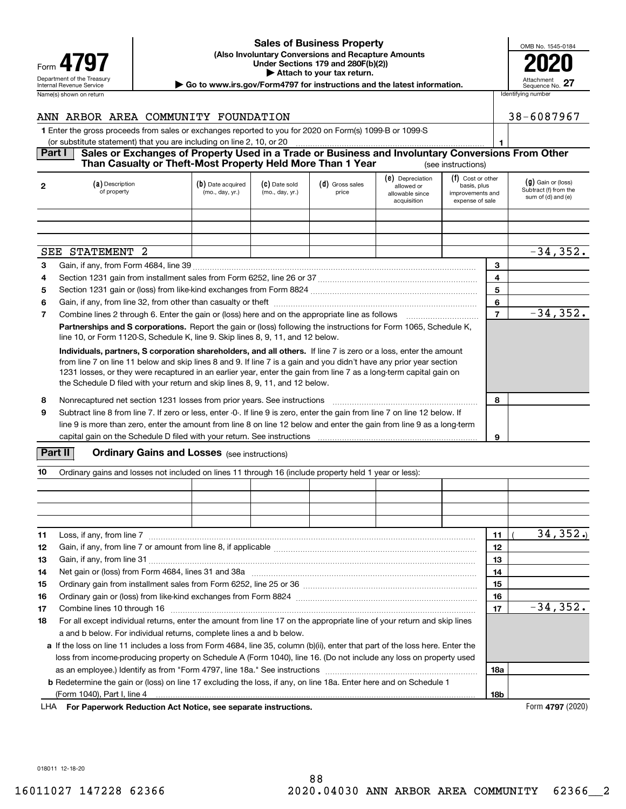| Form                                                          |
|---------------------------------------------------------------|
| Department of the Treasury<br><b>Internal Revenue Service</b> |
| Name(s) shown on return                                       |

#### **(Also Involuntary Conversions and Recapture Amounts Under Sections 179 and 280F(b)(2)) 4797 2020 | Attach to your tax return. Sales of Business Property**

|  | OMB No. 1545-0184             |
|--|-------------------------------|
|  | U20                           |
|  | Attachment<br>Sequence No. 27 |
|  | Identifying number            |

Department of the Treasury **Number of the Treasury Attachment**<br>Internal Revenue Service Sequence No.<br> **| Go to www.irs.gov/Form4797 for instructions and the latest information.** | Sequence No.

|                | ANN ARBOR AREA COMMUNITY FOUNDATION                                                                                                                                              |                                      |                                  |                            |                                                                  |                                                                         | 38-6087967                                                          |
|----------------|----------------------------------------------------------------------------------------------------------------------------------------------------------------------------------|--------------------------------------|----------------------------------|----------------------------|------------------------------------------------------------------|-------------------------------------------------------------------------|---------------------------------------------------------------------|
|                | 1 Enter the gross proceeds from sales or exchanges reported to you for 2020 on Form(s) 1099-B or 1099-S<br>(or substitute statement) that you are including on line 2, 10, or 20 |                                      |                                  |                            |                                                                  |                                                                         |                                                                     |
| <b>Part I</b>  | Sales or Exchanges of Property Used in a Trade or Business and Involuntary Conversions From Other<br>Than Casualty or Theft-Most Property Held More Than 1 Year                  |                                      |                                  |                            |                                                                  | (see instructions)                                                      |                                                                     |
| $\overline{2}$ | (a) Description<br>of property                                                                                                                                                   | (b) Date acquired<br>(mo., day, yr.) | (C) Date sold<br>(mo., day, yr.) | $(d)$ Gross sales<br>price | (e) Depreciation<br>allowed or<br>allowable since<br>acquisition | (f) Cost or other<br>basis, plus<br>improvements and<br>expense of sale | $(g)$ Gain or (loss)<br>Subtract (f) from the<br>sum of (d) and (e) |

|                |                                                                                                                                                                                                                                                                                                                                                                                                                                               |  | acquisition | expense of sale |                |             |
|----------------|-----------------------------------------------------------------------------------------------------------------------------------------------------------------------------------------------------------------------------------------------------------------------------------------------------------------------------------------------------------------------------------------------------------------------------------------------|--|-------------|-----------------|----------------|-------------|
|                |                                                                                                                                                                                                                                                                                                                                                                                                                                               |  |             |                 |                |             |
|                |                                                                                                                                                                                                                                                                                                                                                                                                                                               |  |             |                 |                |             |
|                |                                                                                                                                                                                                                                                                                                                                                                                                                                               |  |             |                 |                |             |
|                | SEE STATEMENT<br>-2.                                                                                                                                                                                                                                                                                                                                                                                                                          |  |             |                 |                | $-34, 352.$ |
| 3              |                                                                                                                                                                                                                                                                                                                                                                                                                                               |  |             |                 | 3              |             |
| 4              |                                                                                                                                                                                                                                                                                                                                                                                                                                               |  |             |                 | 4              |             |
| 5              |                                                                                                                                                                                                                                                                                                                                                                                                                                               |  |             |                 | 5              |             |
| 6              |                                                                                                                                                                                                                                                                                                                                                                                                                                               |  |             |                 | 6              |             |
| $\overline{7}$ |                                                                                                                                                                                                                                                                                                                                                                                                                                               |  |             |                 | $\overline{7}$ | $-34, 352.$ |
|                | <b>Partnerships and S corporations.</b> Report the gain or (loss) following the instructions for Form 1065, Schedule K,<br>line 10, or Form 1120-S, Schedule K, line 9. Skip lines 8, 9, 11, and 12 below.                                                                                                                                                                                                                                    |  |             |                 |                |             |
|                | Individuals, partners, S corporation shareholders, and all others. If line 7 is zero or a loss, enter the amount<br>from line 7 on line 11 below and skip lines 8 and 9. If line 7 is a gain and you didn't have any prior year section<br>1231 losses, or they were recaptured in an earlier year, enter the gain from line 7 as a long-term capital gain on<br>the Schedule D filed with your return and skip lines 8, 9, 11, and 12 below. |  |             |                 |                |             |
| 8              | Nonrecaptured net section 1231 losses from prior years. See instructions                                                                                                                                                                                                                                                                                                                                                                      |  |             |                 | 8              |             |
| 9              | Subtract line 8 from line 7. If zero or less, enter -0-. If line 9 is zero, enter the gain from line 7 on line 12 below. If<br>line 9 is more than zero, enter the amount from line 8 on line 12 below and enter the gain from line 9 as a long-term<br>capital gain on the Schedule D filed with your return. See instructions                                                                                                               |  |             |                 | 9              |             |

### **Part II** | Crdinary Gains and Losses (see instructions)

| 10 | Ordinary gains and losses not included on lines 11 through 16 (include property held 1 year or less):                                                                                                                          |  |  |            |             |
|----|--------------------------------------------------------------------------------------------------------------------------------------------------------------------------------------------------------------------------------|--|--|------------|-------------|
|    |                                                                                                                                                                                                                                |  |  |            |             |
|    |                                                                                                                                                                                                                                |  |  |            |             |
|    |                                                                                                                                                                                                                                |  |  |            |             |
|    |                                                                                                                                                                                                                                |  |  |            |             |
| 11 | Loss, if any, from line 7                                                                                                                                                                                                      |  |  | 11         | 34, 352.    |
| 12 |                                                                                                                                                                                                                                |  |  | 12         |             |
| 13 |                                                                                                                                                                                                                                |  |  | 13         |             |
| 14 |                                                                                                                                                                                                                                |  |  | 14         |             |
| 15 |                                                                                                                                                                                                                                |  |  | 15         |             |
| 16 |                                                                                                                                                                                                                                |  |  | 16         |             |
| 17 | Combine lines 10 through 16 measures and content to the state of the state of the content of the state of the content of the content of the content of the content of the content of the content of the content of the content |  |  | 17         | $-34, 352.$ |
| 18 | For all except individual returns, enter the amount from line 17 on the appropriate line of your return and skip lines                                                                                                         |  |  |            |             |
|    | a and b below. For individual returns, complete lines a and b below.                                                                                                                                                           |  |  |            |             |
|    | a If the loss on line 11 includes a loss from Form 4684, line 35, column (b)(ii), enter that part of the loss here. Enter the                                                                                                  |  |  |            |             |
|    | loss from income-producing property on Schedule A (Form 1040), line 16. (Do not include any loss on property used                                                                                                              |  |  |            |             |
|    |                                                                                                                                                                                                                                |  |  | <b>18a</b> |             |
|    | <b>b</b> Redetermine the gain or (loss) on line 17 excluding the loss, if any, on line 18a. Enter here and on Schedule 1                                                                                                       |  |  |            |             |
|    |                                                                                                                                                                                                                                |  |  | <b>18b</b> |             |

**For Paperwork Reduction Act Notice, see separate instructions.** Form **4797** (2020) LHA

018011 12-18-20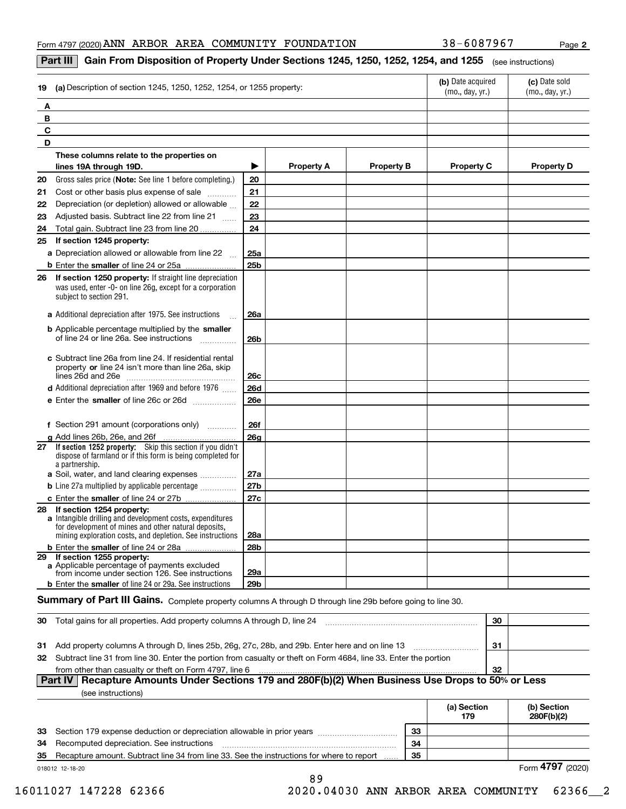**2**

#### **Part III**  $\mid$  **Gain From Disposition of Property Under Sections 1245, 1250, 1252, 1254, and 1255**  $\mid$  $_{\rm (see\, instructions)}$

| (a) Description of section 1245, 1250, 1252, 1254, or 1255 property:<br>19                                                                                                                                        |                 |                   |                   | (b) Date acquired<br>(mo., day, yr.) | (c) Date sold<br>(mo., day, yr.) |
|-------------------------------------------------------------------------------------------------------------------------------------------------------------------------------------------------------------------|-----------------|-------------------|-------------------|--------------------------------------|----------------------------------|
| A                                                                                                                                                                                                                 |                 |                   |                   |                                      |                                  |
| В                                                                                                                                                                                                                 |                 |                   |                   |                                      |                                  |
| C                                                                                                                                                                                                                 |                 |                   |                   |                                      |                                  |
| D                                                                                                                                                                                                                 |                 |                   |                   |                                      |                                  |
| These columns relate to the properties on                                                                                                                                                                         |                 |                   |                   |                                      |                                  |
| lines 19A through 19D.                                                                                                                                                                                            | ▶               | <b>Property A</b> | <b>Property B</b> | <b>Property C</b>                    | <b>Property D</b>                |
| 20<br>Gross sales price (Note: See line 1 before completing.)                                                                                                                                                     | 20              |                   |                   |                                      |                                  |
| 21<br>Cost or other basis plus expense of sale                                                                                                                                                                    | 21              |                   |                   |                                      |                                  |
| Depreciation (or depletion) allowed or allowable<br>22                                                                                                                                                            | 22              |                   |                   |                                      |                                  |
| Adjusted basis. Subtract line 22 from line 21<br>23                                                                                                                                                               | 23              |                   |                   |                                      |                                  |
| Total gain. Subtract line 23 from line 20<br>24                                                                                                                                                                   | 24              |                   |                   |                                      |                                  |
| If section 1245 property:<br>25                                                                                                                                                                                   |                 |                   |                   |                                      |                                  |
| a Depreciation allowed or allowable from line 22                                                                                                                                                                  | 25a             |                   |                   |                                      |                                  |
|                                                                                                                                                                                                                   | 25 <sub>b</sub> |                   |                   |                                      |                                  |
| If section 1250 property: If straight line depreciation<br>26<br>was used, enter -0- on line 26g, except for a corporation<br>subject to section 291.                                                             |                 |                   |                   |                                      |                                  |
| a Additional depreciation after 1975. See instructions                                                                                                                                                            | <b>26a</b>      |                   |                   |                                      |                                  |
| <b>b</b> Applicable percentage multiplied by the smaller<br>of line 24 or line 26a. See instructions                                                                                                              | 26 <sub>b</sub> |                   |                   |                                      |                                  |
| c Subtract line 26a from line 24. If residential rental<br>property or line 24 isn't more than line 26a, skip                                                                                                     | 26c             |                   |                   |                                      |                                  |
| <b>d</b> Additional depreciation after 1969 and before 1976                                                                                                                                                       | <b>26d</b>      |                   |                   |                                      |                                  |
| e Enter the smaller of line 26c or 26d                                                                                                                                                                            | <b>26e</b>      |                   |                   |                                      |                                  |
| f Section 291 amount (corporations only)                                                                                                                                                                          | <b>26f</b>      |                   |                   |                                      |                                  |
| g Add lines 26b, 26e, and 26f<br>.                                                                                                                                                                                | 26 <sub>g</sub> |                   |                   |                                      |                                  |
| 27 If section 1252 property: Skip this section if you didn't<br>dispose of farmland or if this form is being completed for<br>a partnership.                                                                      |                 |                   |                   |                                      |                                  |
| a Soil, water, and land clearing expenses                                                                                                                                                                         | 27a             |                   |                   |                                      |                                  |
| <b>b</b> Line 27a multiplied by applicable percentage                                                                                                                                                             | 27 <sub>b</sub> |                   |                   |                                      |                                  |
|                                                                                                                                                                                                                   | 27c             |                   |                   |                                      |                                  |
| If section 1254 property:<br>28<br>a Intangible drilling and development costs, expenditures<br>for development of mines and other natural deposits,<br>mining exploration costs, and depletion. See instructions | 28a             |                   |                   |                                      |                                  |
| b Enter the smaller of line 24 or 28a                                                                                                                                                                             | <b>28b</b>      |                   |                   |                                      |                                  |
| 29 If section 1255 property:<br>a Applicable percentage of payments excluded<br>from income under section 126. See instructions                                                                                   | 29a             |                   |                   |                                      |                                  |
| <b>b</b> Enter the smaller of line 24 or 29a. See instructions                                                                                                                                                    | 29b             |                   |                   |                                      |                                  |

#### $S$ ummary of Part III Gains. Complete property columns A through D through line 29b before going to line 30.

| 30 | Total gains for all properties. Add property columns A through D, line 24                                           | 30  |  |
|----|---------------------------------------------------------------------------------------------------------------------|-----|--|
|    |                                                                                                                     |     |  |
|    | 31 Add property columns A through D, lines 25b, 26g, 27c, 28b, and 29b. Enter here and on line 13                   | -31 |  |
|    | 32 Subtract line 31 from line 30. Enter the portion from casualty or theft on Form 4684, line 33. Enter the portion |     |  |
|    | from other than casualty or theft on Form 4797, line 6                                                              | -32 |  |
|    | Part IV   Recapture Amounts Under Sections 179 and 280F(b)(2) When Business Use Drops to 50% or Less                |     |  |

|--|

|    |                                                                                           |    | (a) Section<br>179 | (b) Section<br>280F(b)(2) |
|----|-------------------------------------------------------------------------------------------|----|--------------------|---------------------------|
|    | 33 Section 179 expense deduction or depreciation allowable in prior years                 | 33 |                    |                           |
|    | <b>34</b> Recomputed depreciation. See instructions                                       | 34 |                    |                           |
| 35 | Recapture amount. Subtract line 34 from line 33. See the instructions for where to report | 35 |                    |                           |
|    | 018012 12-18-20                                                                           |    | Form 4797 (2020)   |                           |

89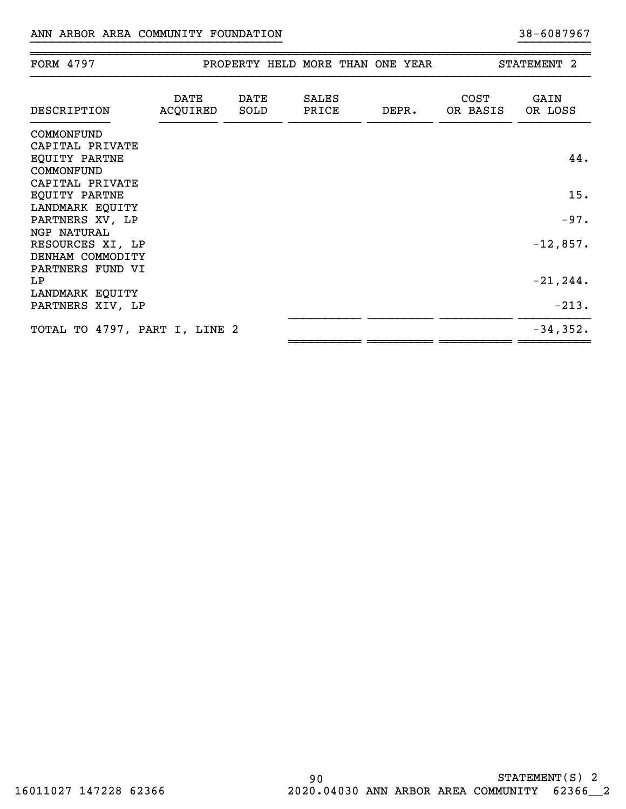| <b>FORM 4797</b>                        |                  |              | PROPERTY HELD MORE THAN ONE YEAR |       |                         | STATEMENT 2     |
|-----------------------------------------|------------------|--------------|----------------------------------|-------|-------------------------|-----------------|
| DESCRIPTION                             | DATE<br>ACQUIRED | DATE<br>SOLD | <b>SALES</b><br>PRICE            | DEPR. | <b>COST</b><br>OR BASIS | GAIN<br>OR LOSS |
| COMMONFUND                              |                  |              |                                  |       |                         |                 |
| CAPITAL PRIVATE                         |                  |              |                                  |       |                         |                 |
| EQUITY PARTNE                           |                  |              |                                  |       |                         | 44.             |
| COMMONFUND                              |                  |              |                                  |       |                         |                 |
| CAPITAL PRIVATE<br><b>EQUITY PARTNE</b> |                  |              |                                  |       |                         | 15.             |
| LANDMARK EQUITY                         |                  |              |                                  |       |                         |                 |
| PARTNERS XV, LP                         |                  |              |                                  |       |                         | $-97.$          |
| NGP NATURAL                             |                  |              |                                  |       |                         |                 |
| RESOURCES XI, LP                        |                  |              |                                  |       |                         | $-12,857.$      |
| DENHAM COMMODITY                        |                  |              |                                  |       |                         |                 |
| PARTNERS FUND VI                        |                  |              |                                  |       |                         |                 |
| LP.                                     |                  |              |                                  |       |                         | $-21, 244.$     |
| LANDMARK EQUITY                         |                  |              |                                  |       |                         | $-213.$         |
| PARTNERS XIV, LP                        |                  |              |                                  |       |                         |                 |
| TOTAL TO 4797, PART I, LINE 2           |                  |              |                                  |       |                         | $-34,352.$      |

}}}}}}}}}}}}}}}}}}}}}}}}}}}}}}}}}}} }}}}}}}}}}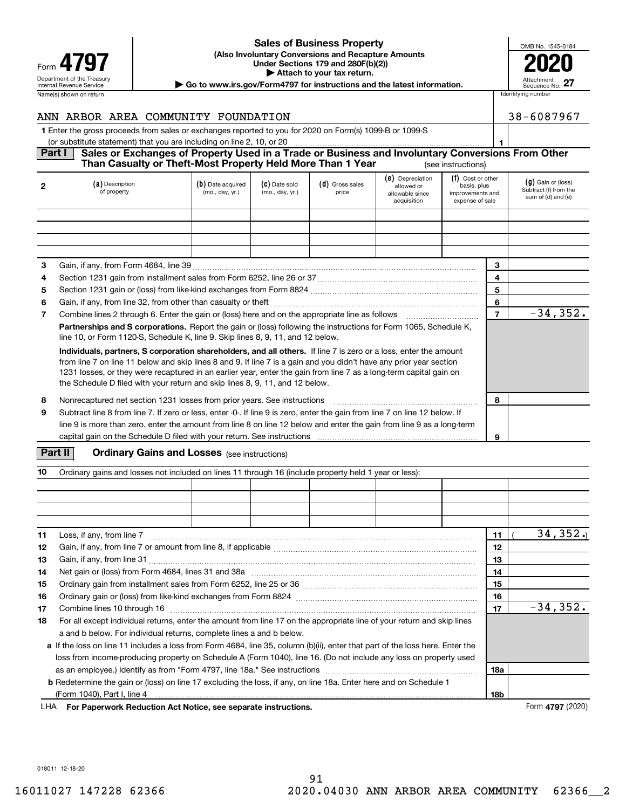| Form                                                          |  |  |  |  |  |  |
|---------------------------------------------------------------|--|--|--|--|--|--|
| Department of the Treasury<br><b>Internal Revenue Service</b> |  |  |  |  |  |  |
| Name(s) shown on return                                       |  |  |  |  |  |  |

#### **(Also Involuntary Conversions and Recapture Amounts Under Sections 179 and 280F(b)(2)) 4797 2020 | Attach to your tax return. Sales of Business Property**

|  | OMB No. 1545-0184             |
|--|-------------------------------|
|  | 1120                          |
|  | Attachment<br>Sequence No. 27 |
|  | Identifying number            |

Department of the Treasury **Number of the Treasury Attachment**<br>Internal Revenue Service Sequence No.<br> **| Go to www.irs.gov/Form4797 for instructions and the latest information.** | Sequence No.

| ANN ARBOR AREA COMMUNITY FOUNDATION                                                                                | 38-6087967 |
|--------------------------------------------------------------------------------------------------------------------|------------|
| 1 Enter the gross proceeds from sales or exchanges reported to you for 2020 on Form(s) 1099-B or 1099-S            |            |
| (or substitute statement) that you are including on line 2, 10, or 20                                              |            |
| <b>Part I</b><br>Sales or Exchanges of Property Used in a Trade or Business and Involuntary Conversions From Other |            |
| Than Casualty or Theft-Most Property Held More Than 1 Year<br>(see instructions)                                   |            |

| $\mathbf{2}$ | (a) Description<br>of property                                                                                                                                                                                                                                                                                                                                                                                                                | (b) Date acquired<br>(mo., day, yr.) | (C) Date sold<br>(mo., day, yr.) | (d) Gross sales<br>price | (e) Depreciation<br>allowed or<br>allowable since<br>acquisition | (f) Cost or other<br>basis, plus<br>improvements and<br>expense of sale |                | $(g)$ Gain or (loss)<br>Subtract (f) from the<br>sum of (d) and (e) |
|--------------|-----------------------------------------------------------------------------------------------------------------------------------------------------------------------------------------------------------------------------------------------------------------------------------------------------------------------------------------------------------------------------------------------------------------------------------------------|--------------------------------------|----------------------------------|--------------------------|------------------------------------------------------------------|-------------------------------------------------------------------------|----------------|---------------------------------------------------------------------|
|              |                                                                                                                                                                                                                                                                                                                                                                                                                                               |                                      |                                  |                          |                                                                  |                                                                         |                |                                                                     |
|              |                                                                                                                                                                                                                                                                                                                                                                                                                                               |                                      |                                  |                          |                                                                  |                                                                         |                |                                                                     |
|              |                                                                                                                                                                                                                                                                                                                                                                                                                                               |                                      |                                  |                          |                                                                  |                                                                         |                |                                                                     |
| 3            |                                                                                                                                                                                                                                                                                                                                                                                                                                               |                                      |                                  |                          |                                                                  |                                                                         | 3              |                                                                     |
| 4            |                                                                                                                                                                                                                                                                                                                                                                                                                                               |                                      |                                  |                          |                                                                  |                                                                         | 4              |                                                                     |
| 5            |                                                                                                                                                                                                                                                                                                                                                                                                                                               |                                      |                                  |                          |                                                                  |                                                                         | 5              |                                                                     |
| 6            |                                                                                                                                                                                                                                                                                                                                                                                                                                               |                                      |                                  |                          |                                                                  |                                                                         | 6              |                                                                     |
| 7            | Combine lines 2 through 6. Enter the gain or (loss) here and on the appropriate line as follows                                                                                                                                                                                                                                                                                                                                               |                                      |                                  |                          |                                                                  |                                                                         | $\overline{7}$ | $-34, 352.$                                                         |
|              | Partnerships and S corporations. Report the gain or (loss) following the instructions for Form 1065, Schedule K,<br>line 10, or Form 1120-S, Schedule K, line 9. Skip lines 8, 9, 11, and 12 below.                                                                                                                                                                                                                                           |                                      |                                  |                          |                                                                  |                                                                         |                |                                                                     |
|              | Individuals, partners, S corporation shareholders, and all others. If line 7 is zero or a loss, enter the amount<br>from line 7 on line 11 below and skip lines 8 and 9. If line 7 is a gain and you didn't have any prior year section<br>1231 losses, or they were recaptured in an earlier year, enter the gain from line 7 as a long-term capital gain on<br>the Schedule D filed with your return and skip lines 8, 9, 11, and 12 below. |                                      |                                  |                          |                                                                  |                                                                         |                |                                                                     |
| 8            | Nonrecaptured net section 1231 losses from prior years. See instructions                                                                                                                                                                                                                                                                                                                                                                      |                                      |                                  |                          |                                                                  |                                                                         | 8              |                                                                     |
| 9            | Subtract line 8 from line 7. If zero or less, enter -0-. If line 9 is zero, enter the gain from line 7 on line 12 below. If<br>line 9 is more than zero, enter the amount from line 8 on line 12 below and enter the gain from line 9 as a long-term                                                                                                                                                                                          |                                      |                                  |                          |                                                                  |                                                                         |                |                                                                     |
|              |                                                                                                                                                                                                                                                                                                                                                                                                                                               |                                      |                                  |                          |                                                                  |                                                                         |                | 9                                                                   |

### **Part II** | Crdinary Gains and Losses (see instructions)

| Ordinary gains and losses not included on lines 11 through 16 (include property held 1 year or less):<br>10 |                                                                                                                                                                                                            |  |  |  |    |    |     |  |             |  |
|-------------------------------------------------------------------------------------------------------------|------------------------------------------------------------------------------------------------------------------------------------------------------------------------------------------------------------|--|--|--|----|----|-----|--|-------------|--|
|                                                                                                             |                                                                                                                                                                                                            |  |  |  |    |    |     |  |             |  |
|                                                                                                             |                                                                                                                                                                                                            |  |  |  |    |    |     |  |             |  |
|                                                                                                             |                                                                                                                                                                                                            |  |  |  |    |    |     |  |             |  |
|                                                                                                             |                                                                                                                                                                                                            |  |  |  |    |    |     |  |             |  |
| 11                                                                                                          | Loss, if any, from line 7                                                                                                                                                                                  |  |  |  |    |    | 11  |  | 34,352.     |  |
| 12                                                                                                          |                                                                                                                                                                                                            |  |  |  |    |    | 12  |  |             |  |
| 13                                                                                                          |                                                                                                                                                                                                            |  |  |  |    |    | 13  |  |             |  |
| 14                                                                                                          | Net gain or (loss) from Form 4684, lines 31 and 38a manufactured contains and starting manufactured with an amount with the starting manufactured with the gain or (loss) from Form 4684, lines 31 and 38a |  |  |  | 14 |    |     |  |             |  |
| 15                                                                                                          |                                                                                                                                                                                                            |  |  |  |    | 15 |     |  |             |  |
| 16                                                                                                          |                                                                                                                                                                                                            |  |  |  |    | 16 |     |  |             |  |
| 17                                                                                                          |                                                                                                                                                                                                            |  |  |  |    |    | 17  |  | $-34, 352.$ |  |
| 18                                                                                                          | For all except individual returns, enter the amount from line 17 on the appropriate line of your return and skip lines                                                                                     |  |  |  |    |    |     |  |             |  |
|                                                                                                             | a and b below. For individual returns, complete lines a and b below.                                                                                                                                       |  |  |  |    |    |     |  |             |  |
|                                                                                                             | a If the loss on line 11 includes a loss from Form 4684, line 35, column (b)(ii), enter that part of the loss here. Enter the                                                                              |  |  |  |    |    |     |  |             |  |
|                                                                                                             | loss from income producing property on Schedule A (Form 1040), line 16. (Do not include any loss on property used                                                                                          |  |  |  |    |    |     |  |             |  |
|                                                                                                             |                                                                                                                                                                                                            |  |  |  |    |    | 18a |  |             |  |
|                                                                                                             | <b>b</b> Redetermine the gain or (loss) on line 17 excluding the loss, if any, on line 18a. Enter here and on Schedule 1                                                                                   |  |  |  |    |    |     |  |             |  |
|                                                                                                             |                                                                                                                                                                                                            |  |  |  |    |    | 18b |  |             |  |

**For Paperwork Reduction Act Notice, see separate instructions.** Form **4797** (2020) LHA